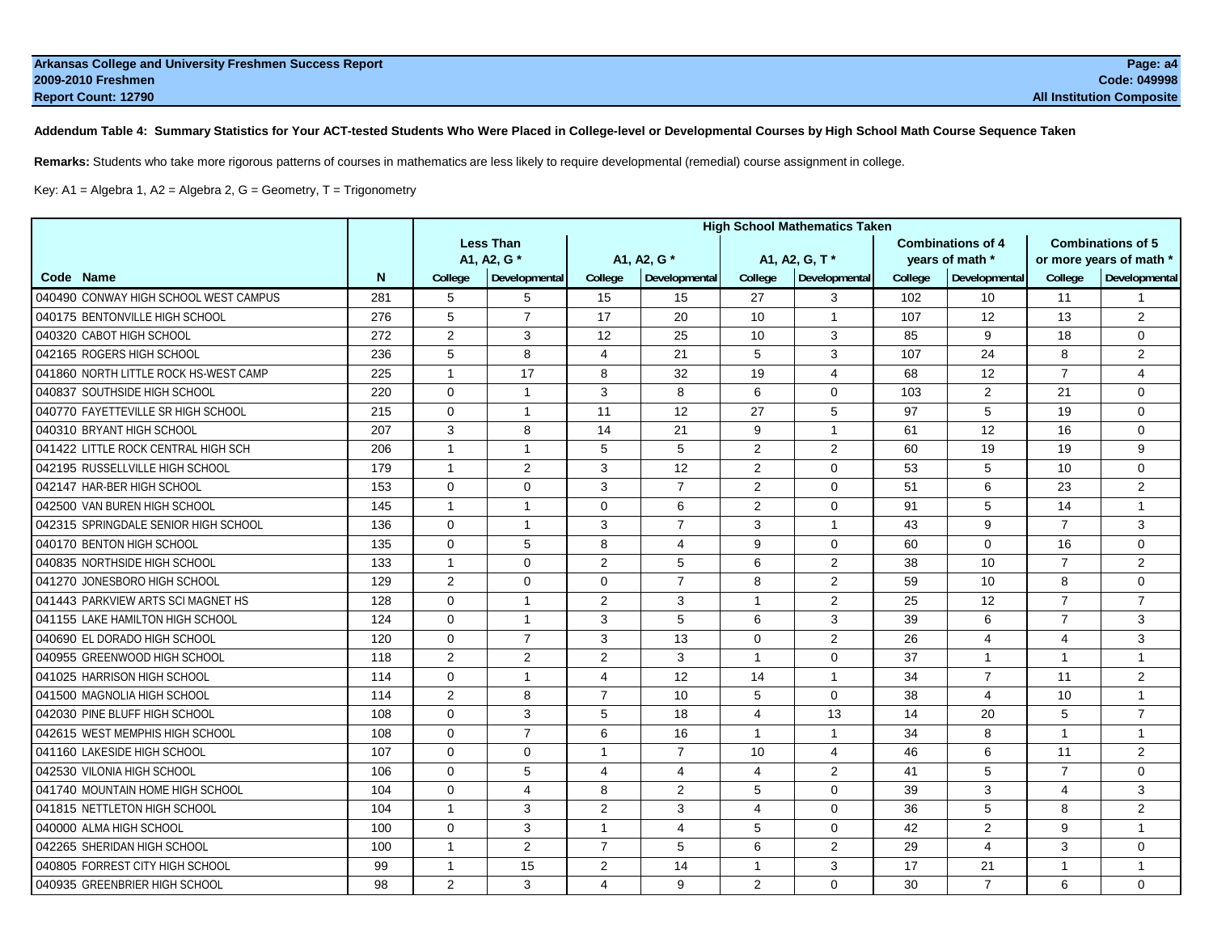**Addendum Table 4: Summary Statistics for Your ACT-tested Students Who Were Placed in College-level or Developmental Courses by High School Math Course Sequence Taken**

**Remarks:** Students who take more rigorous patterns of courses in mathematics are less likely to require developmental (remedial) course assignment in college.

Key: A1 = Algebra 1, A2 = Algebra 2, G = Geometry, T = Trigonometry

|                                       |     | <b>High School Mathematics Taken</b> |                  |                |                |                |                |         |                          |                 |                          |
|---------------------------------------|-----|--------------------------------------|------------------|----------------|----------------|----------------|----------------|---------|--------------------------|-----------------|--------------------------|
|                                       |     |                                      | <b>Less Than</b> |                |                |                |                |         | <b>Combinations of 4</b> |                 | <b>Combinations of 5</b> |
|                                       |     |                                      | A1, A2, G *      |                | A1, A2, G *    |                | A1, A2, G, T*  |         | vears of math *          |                 | or more years of math *  |
| Code Name                             | N   | College                              | Developmental    | College        | Developmental  | College        | Developmental  | College | Developmental            | College         | Developmental            |
| 040490 CONWAY HIGH SCHOOL WEST CAMPUS | 281 | 5                                    | 5                | 15             | 15             | 27             | 3              | 102     | 10 <sup>1</sup>          | 11              | $\mathbf{1}$             |
| 040175 BENTONVILLE HIGH SCHOOL        | 276 | 5                                    | $\overline{7}$   | 17             | 20             | 10             | $\mathbf{1}$   | 107     | 12                       | 13              | 2                        |
| 040320 CABOT HIGH SCHOOL              | 272 | $\overline{2}$                       | 3                | 12             | 25             | 10             | 3              | 85      | 9                        | 18              | $\mathbf 0$              |
| 042165 ROGERS HIGH SCHOOL             | 236 | 5                                    | 8                | $\overline{4}$ | 21             | 5              | 3              | 107     | 24                       | 8               | 2                        |
| 041860 NORTH LITTLE ROCK HS-WEST CAMP | 225 | $\mathbf{1}$                         | 17               | 8              | 32             | 19             | $\overline{4}$ | 68      | $12 \overline{ }$        | $\overline{7}$  | $\overline{4}$           |
| 040837 SOUTHSIDE HIGH SCHOOL          | 220 | $\Omega$                             | $\mathbf{1}$     | 3              | 8              | 6              | $\Omega$       | 103     | 2                        | 21              | $\Omega$                 |
| 040770 FAYETTEVILLE SR HIGH SCHOOL    | 215 | $\Omega$                             | 1                | 11             | 12             | 27             | 5              | 97      | 5                        | 19              | $\mathbf 0$              |
| 040310 BRYANT HIGH SCHOOL             | 207 | 3                                    | 8                | 14             | 21             | 9              | $\overline{1}$ | 61      | $12 \overline{ }$        | 16              | $\mathbf 0$              |
| 041422 LITTLE ROCK CENTRAL HIGH SCH   | 206 | $\overline{1}$                       | $\mathbf{1}$     | 5              | 5              | $\overline{2}$ | 2              | 60      | 19                       | 19              | 9                        |
| 042195 RUSSELLVILLE HIGH SCHOOL       | 179 | $\mathbf{1}$                         | 2                | 3              | 12             | $\overline{2}$ | $\Omega$       | 53      | 5                        | 10              | $\Omega$                 |
| 042147 HAR-BER HIGH SCHOOL            | 153 | $\Omega$                             | $\mathbf 0$      | 3              | $\overline{7}$ | $\overline{2}$ | $\mathbf 0$    | 51      | 6                        | 23              | 2                        |
| 042500 VAN BUREN HIGH SCHOOL          | 145 | $\mathbf{1}$                         | $\mathbf{1}$     | $\mathbf 0$    | 6              | $\overline{2}$ | $\mathbf 0$    | 91      | 5                        | 14              | $\mathbf{1}$             |
| 042315 SPRINGDALE SENIOR HIGH SCHOOL  | 136 | $\Omega$                             | $\mathbf{1}$     | 3              | $\overline{7}$ | 3              | $\mathbf{1}$   | 43      | 9                        | $\overline{7}$  | 3                        |
| 040170 BENTON HIGH SCHOOL             | 135 | $\mathbf 0$                          | 5                | 8              | 4              | 9              | $\mathbf 0$    | 60      | $\mathbf 0$              | 16              | $\mathbf 0$              |
| 040835 NORTHSIDE HIGH SCHOOL          | 133 | $\mathbf{1}$                         | $\mathbf 0$      | $\overline{2}$ | 5              | 6              | $\overline{2}$ | 38      | 10                       | $\overline{7}$  | 2                        |
| 041270 JONESBORO HIGH SCHOOL          | 129 | $\overline{2}$                       | 0                | $\mathbf 0$    | $\overline{7}$ | 8              | $\overline{2}$ | 59      | 10                       | 8               | $\mathbf 0$              |
| 041443 PARKVIEW ARTS SCI MAGNET HS    | 128 | $\Omega$                             | $\mathbf{1}$     | 2              | 3              | $\mathbf{1}$   | 2              | 25      | $12 \overline{ }$        | $\overline{7}$  | $\overline{7}$           |
| 041155 LAKE HAMILTON HIGH SCHOOL      | 124 | $\Omega$                             | $\mathbf{1}$     | 3              | 5              | 6              | 3              | 39      | 6                        | $\overline{7}$  | 3                        |
| 040690 EL DORADO HIGH SCHOOL          | 120 | $\Omega$                             | $\overline{7}$   | 3              | 13             | $\Omega$       | 2              | 26      | $\overline{4}$           | $\overline{4}$  | 3                        |
| 040955 GREENWOOD HIGH SCHOOL          | 118 | $\overline{2}$                       | 2                | 2              | 3              | $\mathbf{1}$   | $\Omega$       | 37      | $\mathbf{1}$             | $\overline{1}$  | $\mathbf{1}$             |
| 041025 HARRISON HIGH SCHOOL           | 114 | $\mathbf 0$                          | $\mathbf{1}$     | 4              | 12             | 14             | $\overline{1}$ | 34      | $\overline{7}$           | 11              | 2                        |
| 041500 MAGNOLIA HIGH SCHOOL           | 114 | $\overline{2}$                       | 8                | $\overline{7}$ | 10             | 5              | $\Omega$       | 38      | $\overline{4}$           | 10 <sup>1</sup> | $\mathbf{1}$             |
| 042030 PINE BLUFF HIGH SCHOOL         | 108 | $\mathbf 0$                          | 3                | 5              | 18             | $\overline{4}$ | 13             | 14      | 20                       | 5               | $\overline{7}$           |
| 042615 WEST MEMPHIS HIGH SCHOOL       | 108 | $\Omega$                             | $\overline{7}$   | 6              | 16             | $\mathbf{1}$   | $\mathbf{1}$   | 34      | 8                        | $\overline{1}$  | $\mathbf{1}$             |
| 041160 LAKESIDE HIGH SCHOOL           | 107 | $\Omega$                             | $\mathbf 0$      | 1              | $\overline{7}$ | 10             | 4              | 46      | 6                        | 11              | 2                        |
| 042530 VILONIA HIGH SCHOOL            | 106 | $\Omega$                             | 5                | 4              | $\overline{4}$ | 4              | 2              | 41      | 5                        | $\overline{7}$  | $\Omega$                 |
| 041740 MOUNTAIN HOME HIGH SCHOOL      | 104 | $\mathbf 0$                          | 4                | 8              | $\overline{2}$ | 5              | $\mathbf 0$    | 39      | 3                        | $\overline{4}$  | 3                        |
| 041815 NETTLETON HIGH SCHOOL          | 104 | $\mathbf{1}$                         | 3                | 2              | 3              | 4              | $\Omega$       | 36      | 5                        | 8               | 2                        |
| 040000 ALMA HIGH SCHOOL               | 100 | $\Omega$                             | 3                | $\mathbf{1}$   | 4              | 5              | $\mathbf 0$    | 42      | 2                        | 9               | $\mathbf{1}$             |
| 042265 SHERIDAN HIGH SCHOOL           | 100 | $\mathbf{1}$                         | 2                | $\overline{7}$ | 5              | 6              | 2              | 29      | $\overline{4}$           | 3               | 0                        |
| 040805 FORREST CITY HIGH SCHOOL       | 99  | $\mathbf{1}$                         | 15               | $\overline{2}$ | 14             | $\mathbf{1}$   | 3              | 17      | 21                       | $\overline{1}$  | $\mathbf{1}$             |
| 040935 GREENBRIER HIGH SCHOOL         | 98  | $\overline{2}$                       | 3                | 4              | 9              | $\overline{2}$ | $\Omega$       | 30      | $\overline{7}$           | Page 54 of 113  | $\Omega$                 |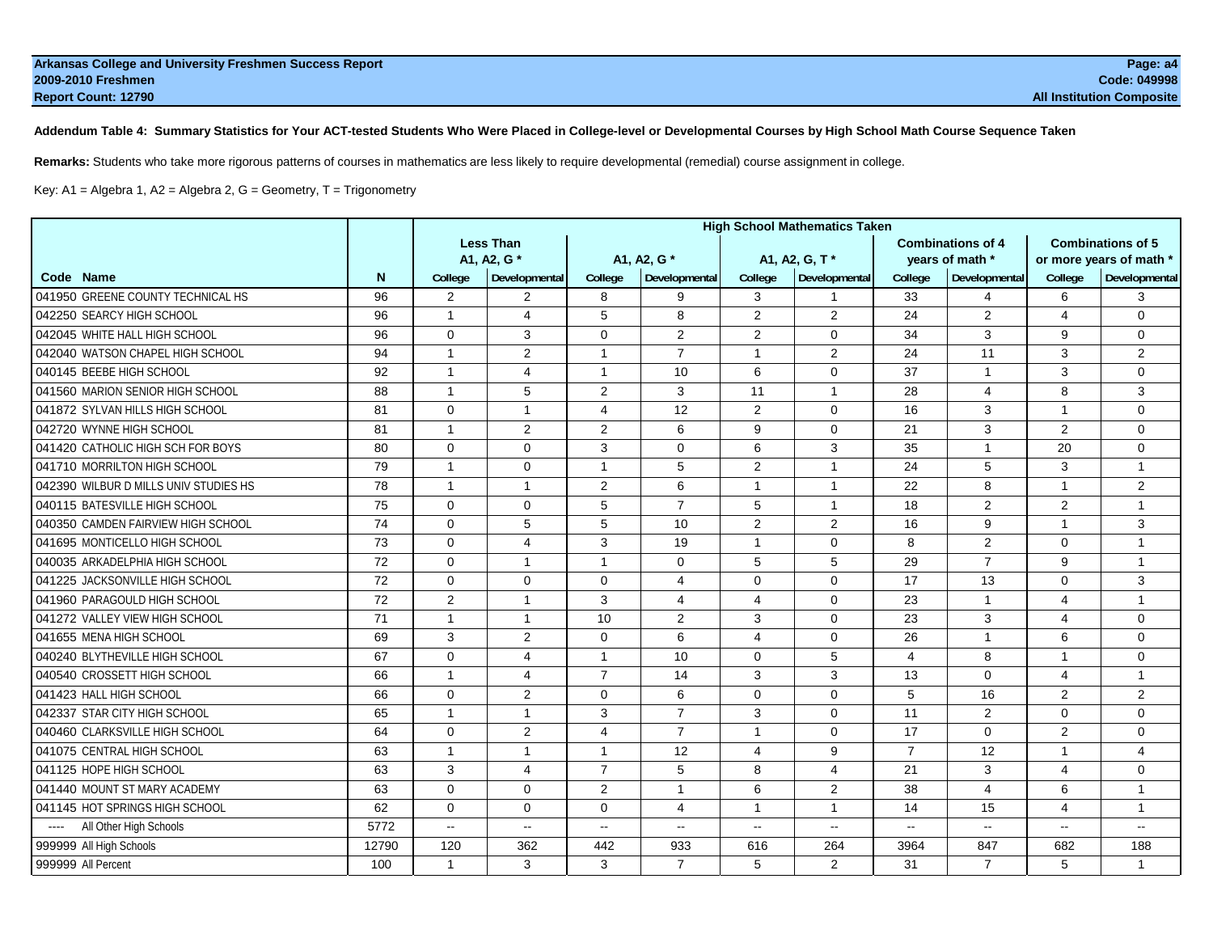**Addendum Table 4: Summary Statistics for Your ACT-tested Students Who Were Placed in College-level or Developmental Courses by High School Math Course Sequence Taken**

**Remarks:** Students who take more rigorous patterns of courses in mathematics are less likely to require developmental (remedial) course assignment in college.

Key: A1 = Algebra 1, A2 = Algebra 2, G = Geometry, T = Trigonometry

|                                       |       | <b>High School Mathematics Taken</b> |                  |                |                |                |                |                |                          |                |                          |
|---------------------------------------|-------|--------------------------------------|------------------|----------------|----------------|----------------|----------------|----------------|--------------------------|----------------|--------------------------|
|                                       |       |                                      | <b>Less Than</b> |                |                |                |                |                | <b>Combinations of 4</b> |                | <b>Combinations of 5</b> |
|                                       |       |                                      | A1, A2, G *      |                | A1, A2, G*     |                | A1, A2, G, T*  |                | years of math *          |                | or more years of math *  |
| Code Name                             | N     | College                              | Developmental    | College        | Developmental  | College        | Developmental  | College        | Developmental            | College        | Developmental            |
| 041950 GREENE COUNTY TECHNICAL HS     | 96    | $\overline{2}$                       | $\overline{2}$   | 8              | 9              | 3              | $\overline{1}$ | 33             | $\overline{\mathbf{A}}$  | 6              | 3                        |
| 042250 SEARCY HIGH SCHOOL             | 96    | $\mathbf{1}$                         | $\overline{4}$   | 5              | 8              | $\overline{2}$ | $\overline{2}$ | 24             | 2                        | $\overline{4}$ | $\mathbf 0$              |
| 042045 WHITE HALL HIGH SCHOOL         | 96    | $\mathbf 0$                          | 3                | $\Omega$       | 2              | 2              | $\mathbf 0$    | 34             | 3                        | 9              | $\mathbf 0$              |
| 042040 WATSON CHAPEL HIGH SCHOOL      | 94    | $\mathbf{1}$                         | $\overline{2}$   | $\mathbf{1}$   | $\overline{7}$ | $\mathbf{1}$   | 2              | 24             | 11                       | 3              | 2                        |
| 040145 BEEBE HIGH SCHOOL              | 92    | $\mathbf{1}$                         | 4                | $\mathbf{1}$   | 10             | 6              | $\mathbf 0$    | 37             | $\mathbf{1}$             | 3              | $\mathbf 0$              |
| 041560 MARION SENIOR HIGH SCHOOL      | 88    | $\overline{1}$                       | 5                | $\overline{2}$ | 3              | 11             | $\mathbf{1}$   | 28             | $\overline{4}$           | 8              | 3                        |
| 041872 SYLVAN HILLS HIGH SCHOOL       | 81    | $\Omega$                             | $\mathbf{1}$     | 4              | 12             | 2              | $\mathbf 0$    | 16             | 3                        | $\mathbf{1}$   | $\mathbf 0$              |
| 042720 WYNNE HIGH SCHOOL              | 81    | $\overline{1}$                       | $\overline{2}$   | $\overline{2}$ | 6              | 9              | $\mathbf 0$    | 21             | 3                        | 2              | $\mathbf 0$              |
| 041420 CATHOLIC HIGH SCH FOR BOYS     | 80    | $\Omega$                             | $\mathbf 0$      | 3              | $\mathbf 0$    | 6              | 3              | 35             | $\mathbf{1}$             | 20             | $\mathbf 0$              |
| 041710 MORRILTON HIGH SCHOOL          | 79    | $\mathbf{1}$                         | 0                | $\mathbf{1}$   | 5              | 2              | $\overline{1}$ | 24             | 5                        | 3              | $\mathbf{1}$             |
| 042390 WILBUR D MILLS UNIV STUDIES HS | 78    | $\mathbf{1}$                         | $\mathbf{1}$     | $\mathbf{2}$   | 6              | $\mathbf{1}$   | $\overline{1}$ | 22             | 8                        | $\mathbf{1}$   | 2                        |
| 040115 BATESVILLE HIGH SCHOOL         | 75    | $\Omega$                             | $\mathbf 0$      | 5              | $\overline{7}$ | 5              | $\mathbf{1}$   | 18             | $\overline{2}$           | 2              | $\overline{1}$           |
| 040350 CAMDEN FAIRVIEW HIGH SCHOOL    | 74    | $\mathbf 0$                          | 5                | 5              | 10             | 2              | $\overline{2}$ | 16             | 9                        | $\mathbf{1}$   | 3                        |
| 041695 MONTICELLO HIGH SCHOOL         | 73    | $\mathbf 0$                          | 4                | 3              | 19             | $\mathbf{1}$   | $\mathbf 0$    | 8              | 2                        | $\mathbf 0$    | $\mathbf{1}$             |
| 040035 ARKADELPHIA HIGH SCHOOL        | 72    | $\Omega$                             | $\mathbf{1}$     | $\mathbf{1}$   | $\mathbf 0$    | 5              | 5              | 29             | $\overline{7}$           | 9              | $\mathbf{1}$             |
| 041225 JACKSONVILLE HIGH SCHOOL       | 72    | $\mathbf 0$                          | $\mathbf 0$      | 0              | 4              | $\mathbf 0$    | $\mathbf 0$    | 17             | 13                       | $\mathbf 0$    | 3                        |
| 041960 PARAGOULD HIGH SCHOOL          | 72    | 2                                    | $\mathbf{1}$     | 3              | 4              | 4              | $\mathbf 0$    | 23             | $\overline{1}$           | $\overline{4}$ | $\mathbf{1}$             |
| 041272 VALLEY VIEW HIGH SCHOOL        | 71    | $\mathbf{1}$                         | $\mathbf{1}$     | 10             | 2              | 3              | $\Omega$       | 23             | 3                        | $\overline{4}$ | $\mathbf 0$              |
| 041655 MENA HIGH SCHOOL               | 69    | 3                                    | $\overline{2}$   | $\mathbf 0$    | 6              | 4              | $\mathbf 0$    | 26             | $\mathbf{1}$             | 6              | $\mathbf 0$              |
| 040240 BLYTHEVILLE HIGH SCHOOL        | 67    | $\Omega$                             | 4                | 1              | 10             | $\Omega$       | 5              | 4              | 8                        | $\overline{1}$ | $\Omega$                 |
| 040540 CROSSETT HIGH SCHOOL           | 66    | $\mathbf{1}$                         | 4                | $\overline{7}$ | 14             | 3              | 3              | 13             | 0                        | 4              | $\mathbf{1}$             |
| 041423 HALL HIGH SCHOOL               | 66    | $\mathbf 0$                          | $\overline{2}$   | $\mathbf 0$    | 6              | $\Omega$       | $\mathbf 0$    | 5              | 16                       | 2              | $\overline{2}$           |
| 042337 STAR CITY HIGH SCHOOL          | 65    | $\overline{1}$                       | $\mathbf{1}$     | 3              | $\overline{7}$ | 3              | $\mathbf 0$    | 11             | 2                        | $\mathbf 0$    | $\mathbf 0$              |
| 040460 CLARKSVILLE HIGH SCHOOL        | 64    | $\Omega$                             | $\overline{2}$   | 4              | $\overline{7}$ | $\mathbf{1}$   | $\mathbf 0$    | 17             | $\mathbf 0$              | 2              | $\mathbf 0$              |
| 041075 CENTRAL HIGH SCHOOL            | 63    | $\mathbf{1}$                         | $\mathbf{1}$     | $\mathbf{1}$   | 12             | 4              | 9              | $\overline{7}$ | 12                       | $\overline{1}$ | $\overline{4}$           |
| 041125 HOPE HIGH SCHOOL               | 63    | 3                                    | $\overline{4}$   | $\overline{7}$ | 5              | 8              | 4              | 21             | 3                        | $\overline{4}$ | $\mathbf 0$              |
| 041440 MOUNT ST MARY ACADEMY          | 63    | $\mathbf 0$                          | $\mathbf 0$      | $\overline{2}$ | $\mathbf{1}$   | 6              | 2              | 38             | $\overline{4}$           | 6              | $\overline{1}$           |
| 041145 HOT SPRINGS HIGH SCHOOL        | 62    | $\Omega$                             | $\mathbf 0$      | $\Omega$       | 4              | $\mathbf{1}$   | $\overline{1}$ | 14             | 15                       | 4              | $\mathbf{1}$             |
| All Other High Schools                | 5772  | $\overline{\phantom{a}}$             | $\overline{a}$   | $-$            | $\overline{a}$ | $\sim$ $\sim$  | $\sim$ $\sim$  | $\sim$         | $\sim$ $\sim$            | $\sim$         | $\sim$                   |
| 999999 All High Schools               | 12790 | 120                                  | 362              | 442            | 933            | 616            | 264            | 3964           | 847                      | 682            | 188                      |
| 999999 All Percent                    | 100   | $\mathbf{1}$                         | 3                | 3              | $\overline{7}$ | 5              | $\overline{2}$ | 31             | $\overline{7}$           | 5              | $\mathbf{1}$             |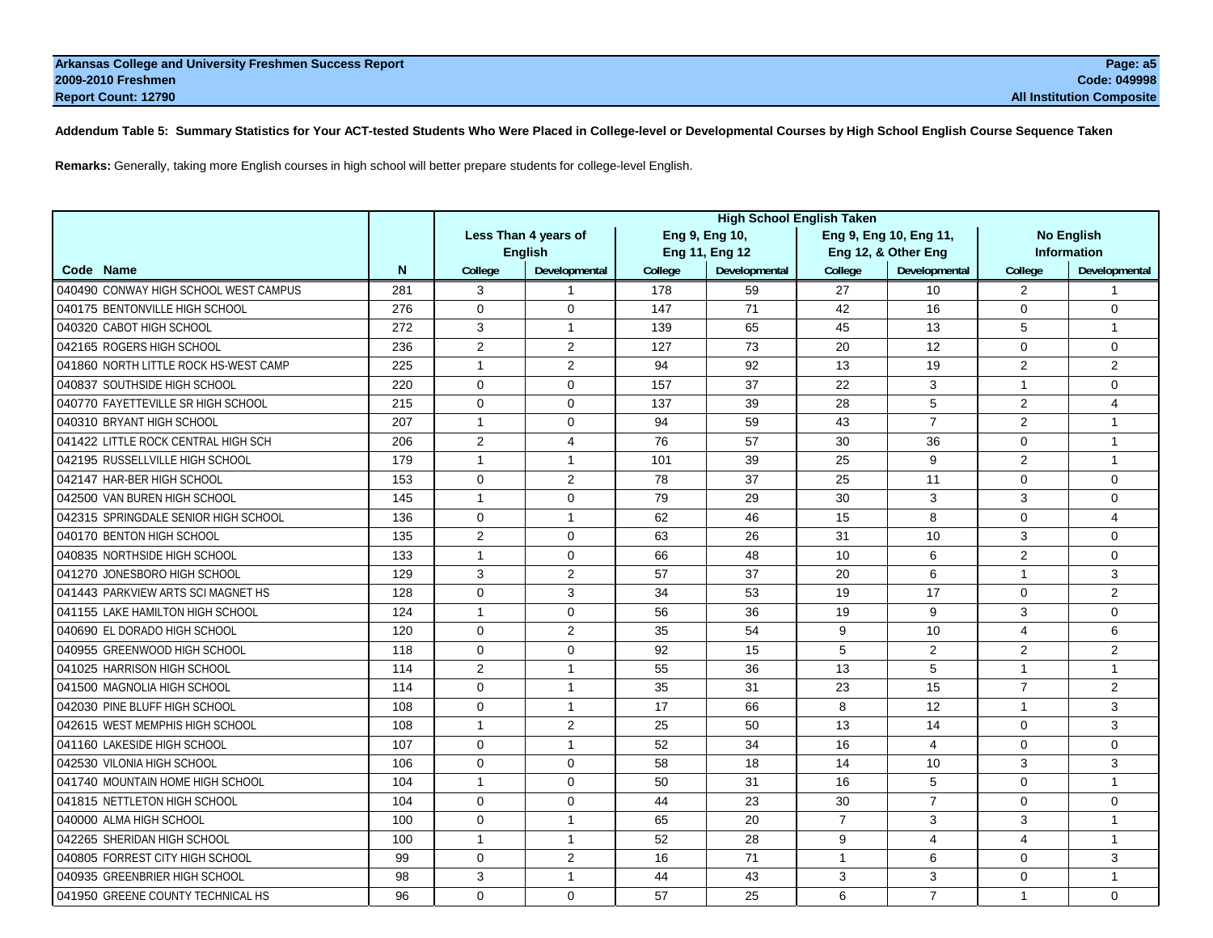# **Addendum Table 5: Summary Statistics for Your ACT-tested Students Who Were Placed in College-level or Developmental Courses by High School English Course Sequence Taken**

**Remarks:** Generally, taking more English courses in high school will better prepare students for college-level English.

|                                       |     | <b>High School English Taken</b>       |                      |         |                |                |                        |                |                    |  |
|---------------------------------------|-----|----------------------------------------|----------------------|---------|----------------|----------------|------------------------|----------------|--------------------|--|
|                                       |     | Less Than 4 years of<br>Eng 9, Eng 10, |                      |         |                |                | Eng 9, Eng 10, Eng 11, |                | <b>No English</b>  |  |
|                                       |     |                                        | <b>English</b>       |         | Eng 11, Eng 12 |                | Eng 12, & Other Eng    |                | <b>Information</b> |  |
| Code Name                             | N   | College                                | <b>Developmental</b> | College | Developmental  | College        | Developmental          | College        | Developmental      |  |
| 040490 CONWAY HIGH SCHOOL WEST CAMPUS | 281 | 3                                      | 1                    | 178     | 59             | 27             | 10                     | 2              |                    |  |
| 040175 BENTONVILLE HIGH SCHOOL        | 276 | $\Omega$                               | $\Omega$             | 147     | 71             | 42             | 16                     | $\Omega$       | $\Omega$           |  |
| 040320 CABOT HIGH SCHOOL              | 272 | 3                                      | $\mathbf{1}$         | 139     | 65             | 45             | 13                     | 5              | $\overline{1}$     |  |
| 042165 ROGERS HIGH SCHOOL             | 236 | 2                                      | $\overline{2}$       | 127     | 73             | 20             | 12                     | $\Omega$       | $\mathbf 0$        |  |
| 041860 NORTH LITTLE ROCK HS-WEST CAMP | 225 | $\mathbf{1}$                           | $\overline{c}$       | 94      | 92             | 13             | 19                     | $\overline{c}$ | $\overline{2}$     |  |
| 040837 SOUTHSIDE HIGH SCHOOL          | 220 | $\Omega$                               | $\Omega$             | 157     | 37             | 22             | 3                      | $\mathbf{1}$   | $\Omega$           |  |
| 040770 FAYETTEVILLE SR HIGH SCHOOL    | 215 | $\Omega$                               | $\Omega$             | 137     | 39             | 28             | 5                      | $\overline{2}$ | $\overline{4}$     |  |
| 040310 BRYANT HIGH SCHOOL             | 207 | $\mathbf{1}$                           | 0                    | 94      | 59             | 43             | $\overline{7}$         | $\overline{2}$ | $\mathbf{1}$       |  |
| 041422 LITTLE ROCK CENTRAL HIGH SCH   | 206 | 2                                      | 4                    | 76      | 57             | 30             | 36                     | $\mathbf 0$    | $\overline{1}$     |  |
| 042195 RUSSELLVILLE HIGH SCHOOL       | 179 | $\overline{1}$                         | $\mathbf{1}$         | 101     | 39             | 25             | 9                      | $\overline{2}$ | $\overline{1}$     |  |
| 042147 HAR-BER HIGH SCHOOL            | 153 | $\mathbf 0$                            | $\overline{2}$       | 78      | 37             | 25             | 11                     | $\mathbf 0$    | $\mathbf 0$        |  |
| 042500 VAN BUREN HIGH SCHOOL          | 145 | $\mathbf{1}$                           | $\Omega$             | 79      | 29             | 30             | 3                      | 3              | $\Omega$           |  |
| 042315 SPRINGDALE SENIOR HIGH SCHOOL  | 136 | $\Omega$                               | $\mathbf{1}$         | 62      | 46             | 15             | 8                      | $\Omega$       | $\overline{4}$     |  |
| 040170 BENTON HIGH SCHOOL             | 135 | 2                                      | 0                    | 63      | 26             | 31             | 10                     | 3              | $\mathbf 0$        |  |
| 040835 NORTHSIDE HIGH SCHOOL          | 133 | $\mathbf{1}$                           | 0                    | 66      | 48             | 10             | 6                      | $\overline{2}$ | $\mathbf 0$        |  |
| 041270 JONESBORO HIGH SCHOOL          | 129 | 3                                      | $\overline{2}$       | 57      | 37             | 20             | 6                      | $\mathbf{1}$   | 3                  |  |
| 041443 PARKVIEW ARTS SCI MAGNET HS    | 128 | $\mathbf 0$                            | 3                    | 34      | 53             | 19             | 17                     | $\mathbf 0$    | $\overline{2}$     |  |
| 041155 LAKE HAMILTON HIGH SCHOOL      | 124 | $\mathbf{1}$                           | 0                    | 56      | 36             | 19             | 9                      | 3              | $\Omega$           |  |
| 040690 EL DORADO HIGH SCHOOL          | 120 | $\Omega$                               | $\overline{2}$       | 35      | 54             | 9              | 10                     | $\overline{4}$ | 6                  |  |
| 040955 GREENWOOD HIGH SCHOOL          | 118 | $\Omega$                               | 0                    | 92      | 15             | 5              | 2                      | 2              | 2                  |  |
| 041025 HARRISON HIGH SCHOOL           | 114 | 2                                      | $\mathbf{1}$         | 55      | 36             | 13             | 5                      | $\mathbf{1}$   | $\mathbf{1}$       |  |
| 041500 MAGNOLIA HIGH SCHOOL           | 114 | $\Omega$                               | $\mathbf{1}$         | 35      | 31             | 23             | 15                     | $\overline{7}$ | $\overline{2}$     |  |
| 042030 PINE BLUFF HIGH SCHOOL         | 108 | $\Omega$                               | $\mathbf{1}$         | 17      | 66             | 8              | 12                     | $\mathbf{1}$   | 3                  |  |
| 042615 WEST MEMPHIS HIGH SCHOOL       | 108 | $\overline{1}$                         | $\overline{2}$       | 25      | 50             | 13             | 14                     | $\Omega$       | 3                  |  |
| 041160 LAKESIDE HIGH SCHOOL           | 107 | $\Omega$                               | $\mathbf{1}$         | 52      | 34             | 16             | $\overline{4}$         | $\Omega$       | $\Omega$           |  |
| 042530 VILONIA HIGH SCHOOL            | 106 | $\Omega$                               | 0                    | 58      | 18             | 14             | 10                     | 3              | 3                  |  |
| 041740 MOUNTAIN HOME HIGH SCHOOL      | 104 | $\mathbf{1}$                           | $\Omega$             | 50      | 31             | 16             | 5                      | $\Omega$       | $\overline{1}$     |  |
| 041815 NETTLETON HIGH SCHOOL          | 104 | $\mathbf 0$                            | 0                    | 44      | 23             | 30             | $\overline{7}$         | $\mathbf 0$    | $\mathbf 0$        |  |
| 040000 ALMA HIGH SCHOOL               | 100 | $\mathbf 0$                            | 1                    | 65      | 20             | $\overline{7}$ | 3                      | 3              | $\overline{1}$     |  |
| 042265 SHERIDAN HIGH SCHOOL           | 100 | $\mathbf{1}$                           | $\mathbf{1}$         | 52      | 28             | 9              | $\overline{4}$         | $\overline{4}$ | $\overline{1}$     |  |
| 040805 FORREST CITY HIGH SCHOOL       | 99  | $\mathbf 0$                            | 2                    | 16      | 71             | 1              | 6                      | 0              | 3                  |  |
| 040935 GREENBRIER HIGH SCHOOL         | 98  | 3                                      | $\mathbf{1}$         | 44      | 43             | 3              | 3                      | $\Omega$       |                    |  |
| 041950 GREENE COUNTY TECHNICAL HS     | 96  | $\Omega$                               | $\Omega$             | 57      | 25             | 6              | $\overline{7}$         | Page 56 of 113 |                    |  |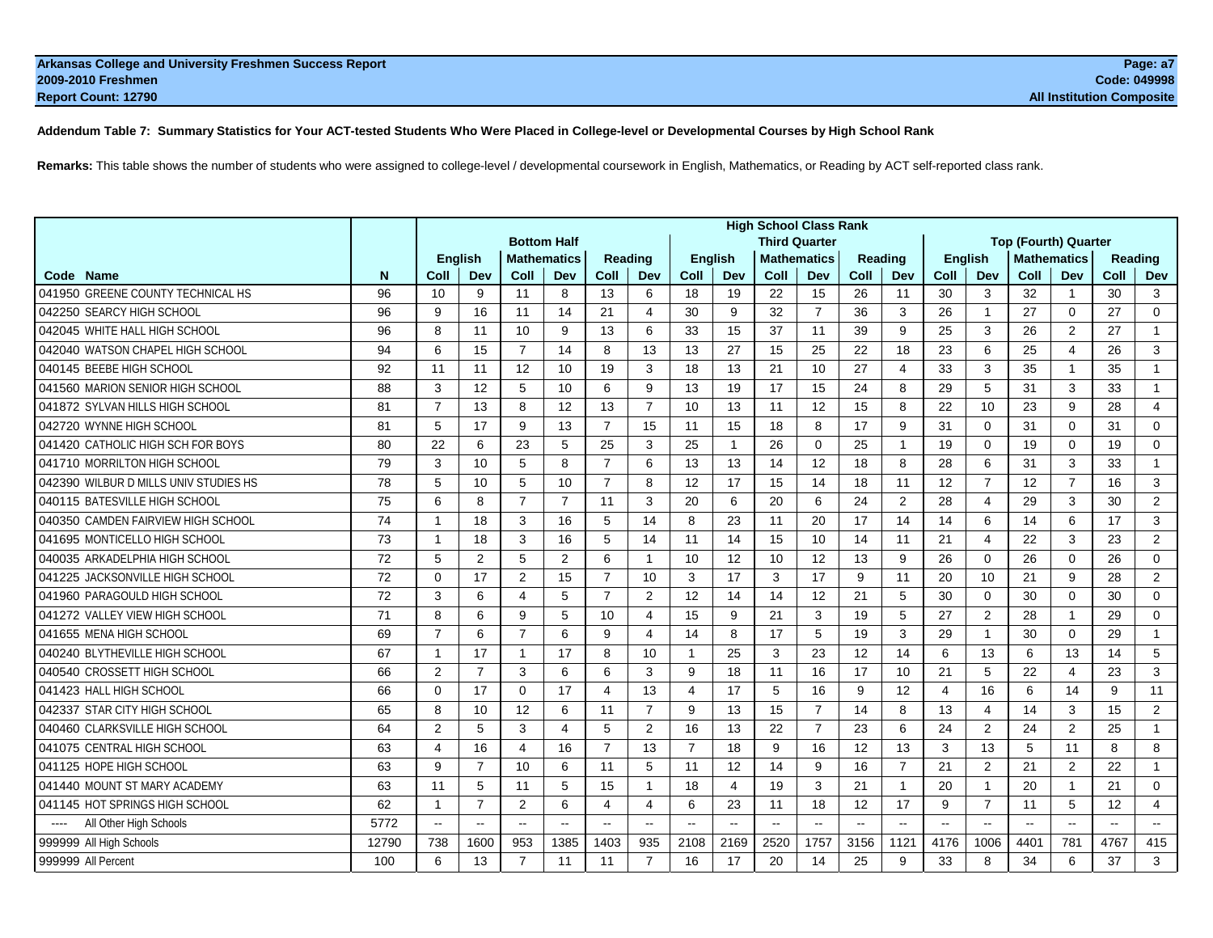# **Addendum Table 7: Summary Statistics for Your ACT-tested Students Who Were Placed in College-level or Developmental Courses by High School Rank**

**Remarks:** This table shows the number of students who were assigned to college-level / developmental coursework in English, Mathematics, or Reading by ACT self-reported class rank.

|                                       |       | <b>High School Class Rank</b> |                 |                |                    |                |                |                |                          |                      |                |                          |                          |                          |                |                |                             |                |                          |
|---------------------------------------|-------|-------------------------------|-----------------|----------------|--------------------|----------------|----------------|----------------|--------------------------|----------------------|----------------|--------------------------|--------------------------|--------------------------|----------------|----------------|-----------------------------|----------------|--------------------------|
|                                       |       |                               |                 |                | <b>Bottom Half</b> |                |                |                |                          | <b>Third Quarter</b> |                |                          |                          |                          |                |                | <b>Top (Fourth) Quarter</b> |                |                          |
|                                       |       |                               | <b>English</b>  |                | <b>Mathematics</b> |                | Reading        | <b>English</b> |                          | <b>Mathematics</b>   |                | Reading                  |                          |                          | <b>English</b> |                | <b>Mathematics</b>          | <b>Reading</b> |                          |
| Code Name                             | N     | Coll                          | Dev             | Coll           | Dev                | Coll           | Dev            | Coll           | Dev                      | Coll                 | Dev            | Coll                     | Dev                      | Coll                     | Dev            | Coll           | Dev                         | Coll           | Dev                      |
| 041950 GREENE COUNTY TECHNICAL HS     | 96    | 10                            | 9               | 11             | 8                  | 13             | 6              | 18             | 19                       | 22                   | 15             | 26                       | 11                       | 30                       | 3              | 32             | $\mathbf{1}$                | 30             | 3                        |
| 042250 SEARCY HIGH SCHOOL             | 96    | 9                             | 16              | 11             | 14                 | 21             | $\overline{4}$ | 30             | 9                        | 32                   | $\overline{7}$ | 36                       | 3                        | 26                       | $\mathbf{1}$   | 27             | $\Omega$                    | 27             | $\Omega$                 |
| 042045 WHITE HALL HIGH SCHOOL         | 96    | 8                             | 11              | 10             | 9                  | 13             | 6              | 33             | 15                       | 37                   | 11             | 39                       | 9                        | 25                       | 3              | 26             | 2                           | 27             | $\mathbf{1}$             |
| 042040 WATSON CHAPEL HIGH SCHOOL      | 94    | 6                             | 15              | $\overline{7}$ | 14                 | 8              | 13             | 13             | 27                       | 15                   | 25             | 22                       | 18                       | 23                       | 6              | 25             | 4                           | 26             | 3                        |
| 040145 BEEBE HIGH SCHOOL              | 92    | 11                            | 11              | 12             | 10                 | 19             | 3              | 18             | 13                       | 21                   | 10             | 27                       | 4                        | 33                       | 3              | 35             | 1                           | 35             | $\mathbf{1}$             |
| 041560 MARION SENIOR HIGH SCHOOL      | 88    | 3                             | 12              | 5              | 10                 | 6              | 9              | 13             | 19                       | 17                   | 15             | 24                       | 8                        | 29                       | 5              | 31             | 3                           | 33             | $\mathbf{1}$             |
| 041872 SYLVAN HILLS HIGH SCHOOL       | 81    | $\overline{7}$                | 13              | 8              | 12                 | 13             | $\overline{7}$ | 10             | 13                       | 11                   | 12             | 15                       | 8                        | 22                       | 10             | 23             | 9                           | 28             | $\overline{4}$           |
| 042720 WYNNE HIGH SCHOOL              | 81    | 5                             | 17              | 9              | 13                 | $\overline{7}$ | 15             | 11             | 15                       | 18                   | 8              | 17                       | 9                        | 31                       | $\Omega$       | 31             | $\Omega$                    | 31             | 0                        |
| 041420 CATHOLIC HIGH SCH FOR BOYS     | 80    | 22                            | 6               | 23             | 5                  | 25             | 3              | 25             | $\overline{\mathbf{1}}$  | 26                   | $\Omega$       | 25                       | -1                       | 19                       | $\Omega$       | 19             | $\Omega$                    | 19             | $\Omega$                 |
| 041710 MORRILTON HIGH SCHOOL          | 79    | 3                             | 10              | $\sqrt{5}$     | 8                  | $\overline{7}$ | 6              | 13             | 13                       | 14                   | 12             | 18                       | 8                        | 28                       | 6              | 31             | 3                           | 33             | $\mathbf{1}$             |
| 042390 WILBUR D MILLS UNIV STUDIES HS | 78    | 5                             | 10 <sup>1</sup> | 5              | 10                 | $\overline{7}$ | 8              | 12             | 17                       | 15                   | 14             | 18                       | 11                       | 12                       | $\overline{7}$ | 12             | $\overline{7}$              | 16             | 3                        |
| 040115 BATESVILLE HIGH SCHOOL         | 75    | 6                             | 8               | $\overline{7}$ | $\overline{7}$     | 11             | 3              | 20             | 6                        | 20                   | 6              | 24                       | 2                        | 28                       | $\overline{4}$ | 29             | 3                           | 30             | $\overline{2}$           |
| 040350 CAMDEN FAIRVIEW HIGH SCHOOL    | 74    | $\mathbf{1}$                  | 18              | 3              | 16                 | 5              | 14             | 8              | 23                       | 11                   | 20             | 17                       | 14                       | 14                       | 6              | 14             | 6                           | 17             | 3                        |
| 041695 MONTICELLO HIGH SCHOOL         | 73    | $\mathbf{1}$                  | 18              | 3              | 16                 | 5              | 14             | 11             | 14                       | 15                   | 10             | 14                       | 11                       | 21                       | $\overline{4}$ | 22             | 3                           | 23             | $\overline{2}$           |
| 040035 ARKADELPHIA HIGH SCHOOL        | 72    | 5                             | 2               | 5              | 2                  | 6              | $\mathbf{1}$   | 10             | 12                       | 10                   | 12             | 13                       | 9                        | 26                       | $\Omega$       | 26             | 0                           | 26             | $\mathbf 0$              |
| 041225 JACKSONVILLE HIGH SCHOOL       | 72    | $\Omega$                      | 17              | $\overline{2}$ | 15                 | $\overline{7}$ | 10             | 3              | 17                       | 3                    | 17             | 9                        | 11                       | 20                       | 10             | 21             | 9                           | 28             | $\overline{2}$           |
| 041960 PARAGOULD HIGH SCHOOL          | 72    | 3                             | 6               | 4              | 5                  | $\overline{7}$ | 2              | 12             | 14                       | 14                   | 12             | 21                       | 5                        | 30                       | $\mathbf 0$    | 30             | 0                           | 30             | $\mathbf 0$              |
| 041272 VALLEY VIEW HIGH SCHOOL        | 71    | 8                             | 6               | 9              | 5                  | 10             | $\overline{4}$ | 15             | 9                        | 21                   | 3              | 19                       | 5                        | 27                       | 2              | 28             | 1                           | 29             | $\Omega$                 |
| 041655 MENA HIGH SCHOOL               | 69    | $\overline{7}$                | 6               | $\overline{7}$ | 6                  | 9              | $\overline{4}$ | 14             | 8                        | 17                   | 5              | 19                       | 3                        | 29                       | $\mathbf{1}$   | 30             | $\mathbf 0$                 | 29             | $\mathbf{1}$             |
| 040240 BLYTHEVILLE HIGH SCHOOL        | 67    | $\mathbf{1}$                  | 17              |                | 17                 | 8              | 10             | $\overline{1}$ | 25                       | 3                    | 23             | 12                       | 14                       | 6                        | 13             | 6              | 13                          | 14             | 5                        |
| 040540 CROSSETT HIGH SCHOOL           | 66    | $\overline{2}$                | $\overline{7}$  | 3              | 6                  | 6              | 3              | 9              | 18                       | 11                   | 16             | 17                       | 10                       | 21                       | 5              | 22             | $\overline{4}$              | 23             | 3                        |
| 041423 HALL HIGH SCHOOL               | 66    | $\Omega$                      | 17              | $\Omega$       | 17                 | 4              | 13             | 4              | 17                       | 5                    | 16             | 9                        | 12                       | 4                        | 16             | 6              | 14                          | 9              | 11                       |
| 042337 STAR CITY HIGH SCHOOL          | 65    | 8                             | 10              | 12             | 6                  | 11             | $\overline{7}$ | 9              | 13                       | 15                   | $\overline{7}$ | 14                       | 8                        | 13                       | $\overline{4}$ | 14             | 3                           | 15             | 2                        |
| 040460 CLARKSVILLE HIGH SCHOOL        | 64    | 2                             | 5               | 3              | $\overline{4}$     | 5              | 2              | 16             | 13                       | 22                   | $\overline{7}$ | 23                       | 6                        | 24                       | 2              | 24             | $\overline{2}$              | 25             | $\mathbf{1}$             |
| 041075 CENTRAL HIGH SCHOOL            | 63    | $\overline{4}$                | 16              | $\overline{4}$ | 16                 | $\overline{7}$ | 13             | $\overline{7}$ | 18                       | 9                    | 16             | 12                       | 13                       | 3                        | 13             | 5              | 11                          | 8              | 8                        |
| 041125 HOPE HIGH SCHOOL               | 63    | 9                             | $\overline{7}$  | 10             | 6                  | 11             | 5              | 11             | 12                       | 14                   | 9              | 16                       | $\overline{7}$           | 21                       | 2              | 21             | $\overline{2}$              | 22             | $\mathbf{1}$             |
| 041440 MOUNT ST MARY ACADEMY          | 63    | 11                            | 5               | 11             | 5                  | 15             | $\mathbf{1}$   | 18             | 4                        | 19                   | 3              | 21                       | 1                        | 20                       | $\mathbf{1}$   | 20             | 1                           | 21             | $\Omega$                 |
| 041145 HOT SPRINGS HIGH SCHOOL        | 62    | $\mathbf{1}$                  | $\overline{7}$  | 2              | 6                  | 4              | $\overline{4}$ | 6              | 23                       | 11                   | 18             | 12                       | 17                       | 9                        | $\overline{7}$ | 11             | 5                           | 12             | 4                        |
| All Other High Schools                | 5772  | $\sim$                        | $\sim$          | $\mathbf{u}$   | $\mathbf{u}$       | $\mathbf{u}$   | $\sim$ $\sim$  | $\mathbf{u}$   | $\overline{\phantom{a}}$ | $\sim$ $\sim$        | $\mathbf{u}$   | $\overline{\phantom{a}}$ | $\overline{\phantom{a}}$ | $\overline{\phantom{a}}$ | $\sim$ $\sim$  | $\overline{a}$ | $\overline{\phantom{a}}$    | $\overline{a}$ | $\overline{\phantom{a}}$ |
| 999999 All High Schools               | 12790 | 738                           | 1600            | 953            | 1385               | 1403           | 935            | 2108           | 2169                     | 2520                 | 1757           | 3156                     | 1121                     | 4176                     | 1006           | 4401           | 781                         | 4767           | 415                      |
| 999999 All Percent                    | 100   | 6                             | 13              | $\overline{7}$ | 11                 | 11             | $\overline{7}$ | 16             | 17                       | 20                   | 14             | 25                       | 9                        | 33                       | 8              | 34             | 6                           | 37             | 3                        |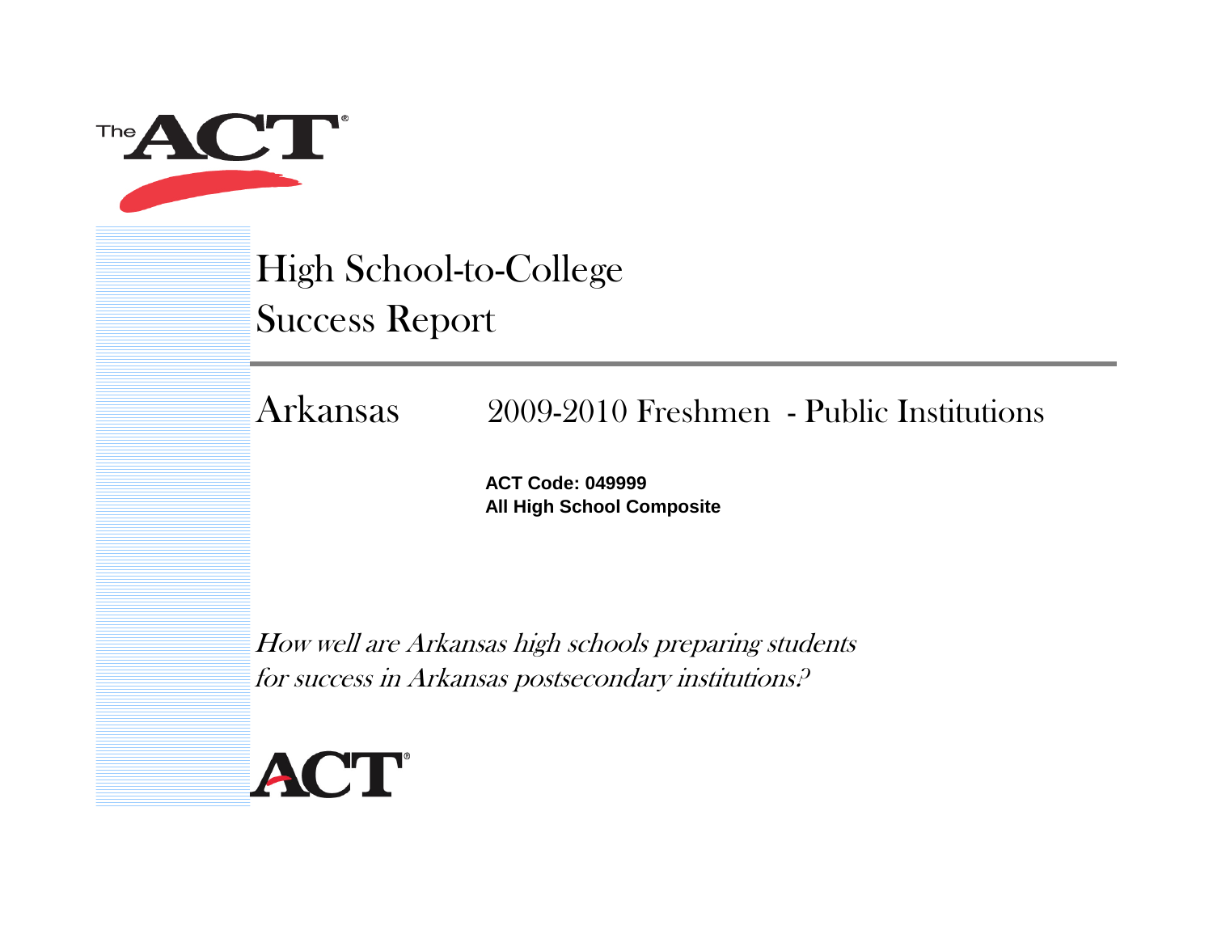

High School-to-College Success Report

Arkansas2009-2010 Freshmen - Public Institutions

> **ACT Code: 049999All High School Composite**

How well are Arkansas high schools preparing students for success in Arkansas postsecondary institutions?

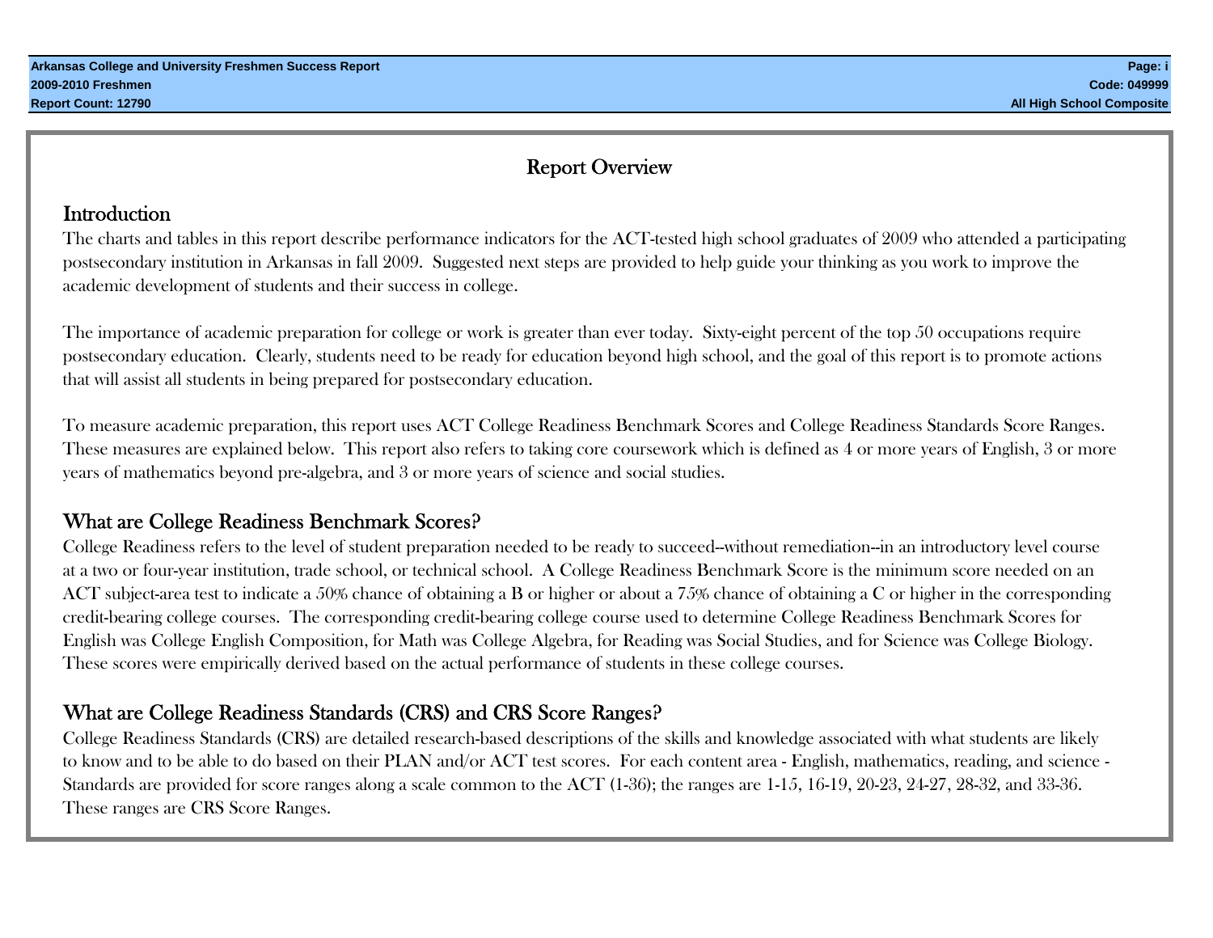# Report Overview

# **Introduction**

The charts and tables in this report describe performance indicators for the ACT-tested high school graduates of 2009 who attended a participating postsecondary institution in Arkansas in fall 2009. Suggested next steps are provided to help guide your thinking as you work to improve the academic development of students and their success in college.

The importance of academic preparation for college or work is greater than ever today. Sixty-eight percent of the top 50 occupations require postsecondary education. Clearly, students need to be ready for education beyond high school, and the goal of this report is to promote actions that will assist all students in being prepared for postsecondary education.

To measure academic preparation, this report uses ACT College Readiness Benchmark Scores and College Readiness Standards Score Ranges. These measures are explained below. This report also refers to taking core coursework which is defined as 4 or more years of English, 3 or more years of mathematics beyond pre-algebra, and 3 or more years of science and social studies.

# What are College Readiness Benchmark Scores?

College Readiness refers to the level of student preparation needed to be ready to succeed--without remediation--in an introductory level course at a two or four-year institution, trade school, or technical school. A College Readiness Benchmark Score is the minimum score needed on an ACT subject-area test to indicate a 50% chance of obtaining a B or higher or about a 75% chance of obtaining a C or higher in the corresponding credit-bearing college courses. The corresponding credit-bearing college course used to determine College Readiness Benchmark Scores for English was College English Composition, for Math was College Algebra, for Reading was Social Studies, and for Science was College Biology. These scores were empirically derived based on the actual performance of students in these college courses.

# What are College Readiness Standards (CRS) and CRS Score Ranges?

College Readiness Standards (CRS) are detailed research-based descriptions of the skills and knowledge associated with what students are likely to know and to be able to do based on their PLAN and/or ACT test scores. For each content area - English, mathematics, reading, and science - Standards are provided for score ranges along a scale common to the ACT (1-36); the ranges are 1-15, 16-19, 20-23, 24-27, 28-32, and 33-36. These ranges are CRS Score Ranges.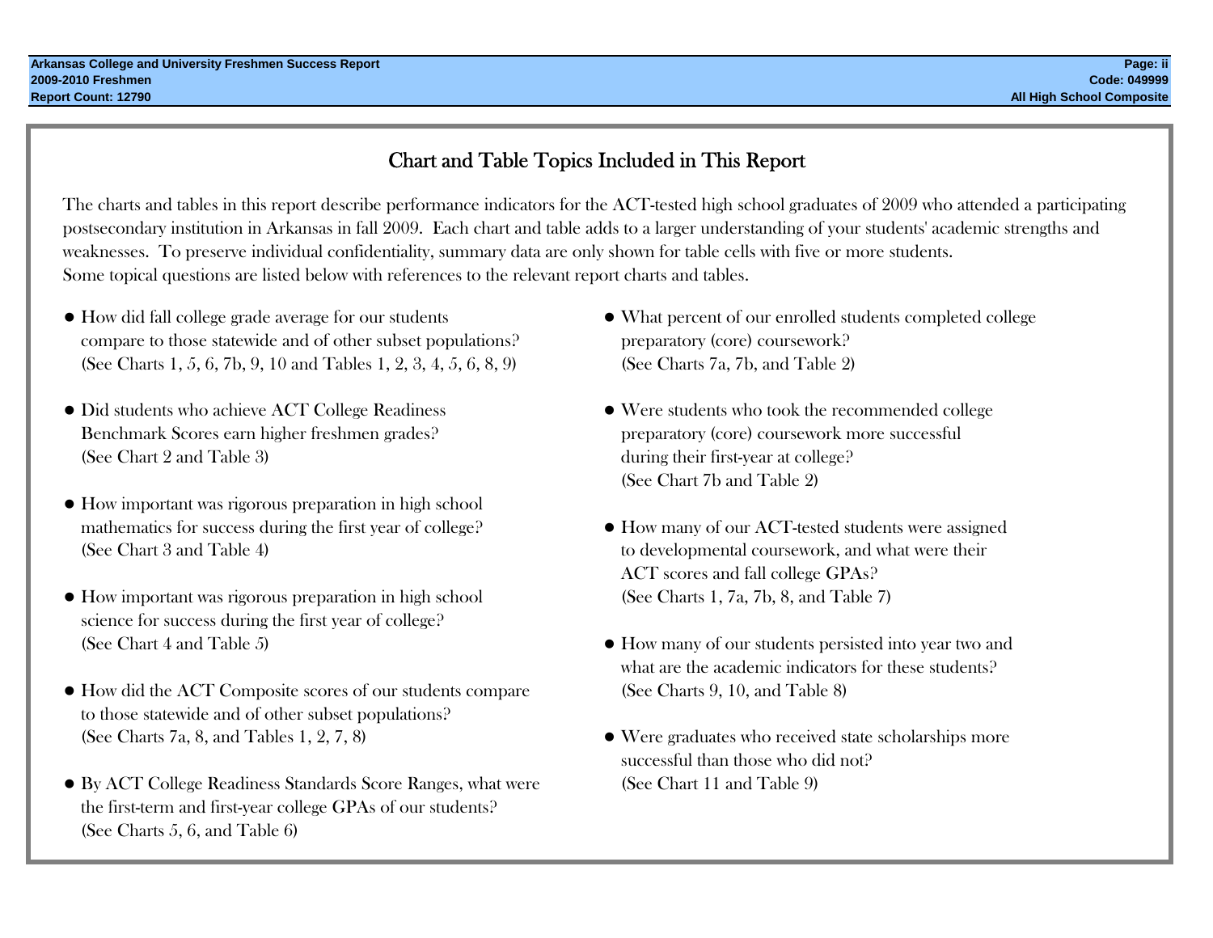# Chart and Table Topics Included in This Report

The charts and tables in this report describe performance indicators for the ACT-tested high school graduates of 2009 who attended a participating postsecondary institution in Arkansas in fall 2009. Each chart and table adds to a larger understanding of your students' academic strengths and weaknesses. To preserve individual confidentiality, summary data are only shown for table cells with five or more students. Some topical questions are listed below with references to the relevant report charts and tables.

- How did fall college grade average for our students compare to those statewide and of other subset populations? preparatory (core) coursework? (See Charts 1, 5, 6, 7b, 9, 10 and Tables 1, 2, 3, 4, 5, 6, 8, 9) (See Charts 7a, 7b, and Table 2)
- Did students who achieve ACT College Readiness Benchmark Scores earn higher freshmen grades? preparatory (core) coursework more successful (See Chart 2 and Table 3) during their first-year at college?
- How important was rigorous preparation in high school mathematics for success during the first year of college?  $\bullet$  How many of our ACT-tested students were assigned (See Chart 3 and Table 4) to developmental coursework, and what were their
- How important was rigorous preparation in high school (See Charts 1, 7a, 7b, 8, and Table 7) science for success during the first year of college?
- How did the ACT Composite scores of our students compare (See Charts 9, 10, and Table 8) to those statewide and of other subset populations? (See Charts 7a, 8, and Tables 1, 2, 7, 8) Were graduates who received state scholarships more
- By ACT College Readiness Standards Score Ranges, what were (See Chart 11 and Table 9) the first-term and first-year college GPAs of our students? (See Charts 5, 6, and Table 6)
- $\bullet$  What percent of our enrolled students completed college
- $\bullet$  Were students who took the recommended college (See Chart 7b and Table 2)
- ACT scores and fall college GPAs?
- (See Chart 4 and Table 5)  $\bullet$  How many of our students persisted into year two and what are the academic indicators for these students?
	- successful than those who did not?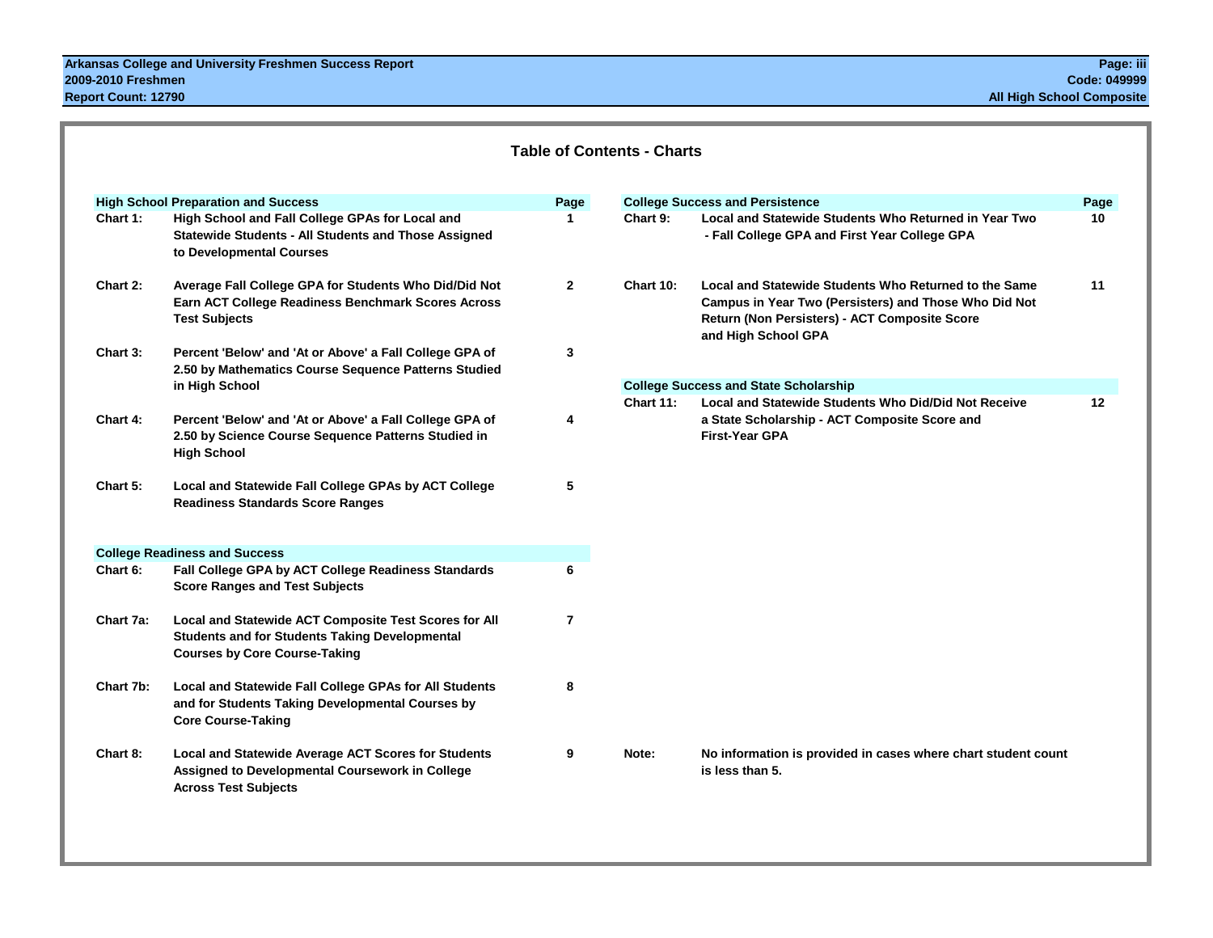|           | <b>High School Preparation and Success</b>                                                                                                             | Page           |                  | <b>College Success and Persistence</b>                                                                                                                                                 | Page |
|-----------|--------------------------------------------------------------------------------------------------------------------------------------------------------|----------------|------------------|----------------------------------------------------------------------------------------------------------------------------------------------------------------------------------------|------|
| Chart 1:  | High School and Fall College GPAs for Local and<br><b>Statewide Students - All Students and Those Assigned</b><br>to Developmental Courses             | 1.             | Chart 9:         | Local and Statewide Students Who Returned in Year Two<br>- Fall College GPA and First Year College GPA                                                                                 | 10   |
| Chart 2:  | Average Fall College GPA for Students Who Did/Did Not<br>Earn ACT College Readiness Benchmark Scores Across<br><b>Test Subjects</b>                    | $\overline{2}$ | <b>Chart 10:</b> | Local and Statewide Students Who Returned to the Same<br>Campus in Year Two (Persisters) and Those Who Did Not<br>Return (Non Persisters) - ACT Composite Score<br>and High School GPA | 11   |
| Chart 3:  | Percent 'Below' and 'At or Above' a Fall College GPA of<br>2.50 by Mathematics Course Sequence Patterns Studied                                        | 3              |                  |                                                                                                                                                                                        |      |
|           | in High School                                                                                                                                         |                |                  | <b>College Success and State Scholarship</b>                                                                                                                                           |      |
| Chart 4:  | Percent 'Below' and 'At or Above' a Fall College GPA of<br>2.50 by Science Course Sequence Patterns Studied in<br><b>High School</b>                   | 4              | <b>Chart 11:</b> | <b>Local and Statewide Students Who Did/Did Not Receive</b><br>a State Scholarship - ACT Composite Score and<br><b>First-Year GPA</b>                                                  | 12   |
| Chart 5:  | Local and Statewide Fall College GPAs by ACT College<br><b>Readiness Standards Score Ranges</b>                                                        | 5              |                  |                                                                                                                                                                                        |      |
|           | <b>College Readiness and Success</b>                                                                                                                   |                |                  |                                                                                                                                                                                        |      |
| Chart 6:  | Fall College GPA by ACT College Readiness Standards<br><b>Score Ranges and Test Subjects</b>                                                           | 6              |                  |                                                                                                                                                                                        |      |
| Chart 7a: | Local and Statewide ACT Composite Test Scores for All<br><b>Students and for Students Taking Developmental</b><br><b>Courses by Core Course-Taking</b> | $\overline{7}$ |                  |                                                                                                                                                                                        |      |
| Chart 7b: | Local and Statewide Fall College GPAs for All Students<br>and for Students Taking Developmental Courses by<br><b>Core Course-Taking</b>                | 8              |                  |                                                                                                                                                                                        |      |
| Chart 8:  | Local and Statewide Average ACT Scores for Students<br>Assigned to Developmental Coursework in College<br><b>Across Test Subjects</b>                  | 9              | Note:            | No information is provided in cases where chart student count<br>is less than 5.                                                                                                       |      |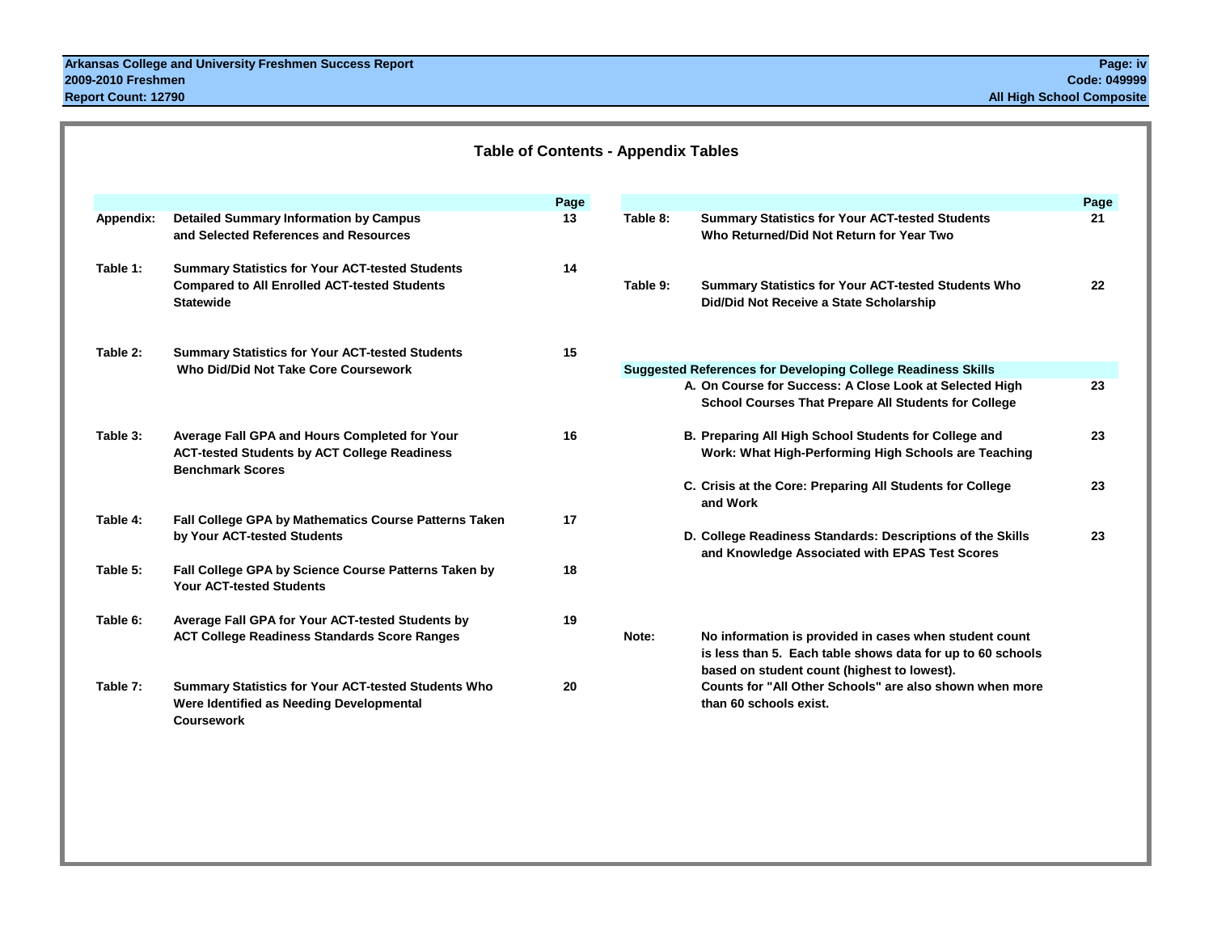|           |                                                                                                                                   | Page |          |                                                                                                                                                                                        | Page |
|-----------|-----------------------------------------------------------------------------------------------------------------------------------|------|----------|----------------------------------------------------------------------------------------------------------------------------------------------------------------------------------------|------|
| Appendix: | <b>Detailed Summary Information by Campus</b><br>and Selected References and Resources                                            | 13   | Table 8: | <b>Summary Statistics for Your ACT-tested Students</b><br>Who Returned/Did Not Return for Year Two                                                                                     | 21   |
| Table 1:  | <b>Summary Statistics for Your ACT-tested Students</b><br><b>Compared to All Enrolled ACT-tested Students</b><br><b>Statewide</b> | 14   | Table 9: | <b>Summary Statistics for Your ACT-tested Students Who</b><br>Did/Did Not Receive a State Scholarship                                                                                  | 22   |
| Table 2:  | <b>Summary Statistics for Your ACT-tested Students</b>                                                                            | 15   |          |                                                                                                                                                                                        |      |
|           | Who Did/Did Not Take Core Coursework                                                                                              |      |          | <b>Suggested References for Developing College Readiness Skills</b><br>A. On Course for Success: A Close Look at Selected High<br>School Courses That Prepare All Students for College | 23   |
| Table 3:  | Average Fall GPA and Hours Completed for Your<br><b>ACT-tested Students by ACT College Readiness</b><br><b>Benchmark Scores</b>   | 16   |          | B. Preparing All High School Students for College and<br>Work: What High-Performing High Schools are Teaching                                                                          | 23   |
|           |                                                                                                                                   |      |          | C. Crisis at the Core: Preparing All Students for College<br>and Work                                                                                                                  | 23   |
| Table 4:  | Fall College GPA by Mathematics Course Patterns Taken<br>by Your ACT-tested Students                                              | 17   |          | D. College Readiness Standards: Descriptions of the Skills<br>and Knowledge Associated with EPAS Test Scores                                                                           | 23   |
| Table 5:  | Fall College GPA by Science Course Patterns Taken by<br><b>Your ACT-tested Students</b>                                           | 18   |          |                                                                                                                                                                                        |      |
| Table 6:  | Average Fall GPA for Your ACT-tested Students by<br><b>ACT College Readiness Standards Score Ranges</b>                           | 19   | Note:    | No information is provided in cases when student count<br>is less than 5. Each table shows data for up to 60 schools<br>based on student count (highest to lowest).                    |      |
| Table 7:  | Summary Statistics for Your ACT-tested Students Who<br>Were Identified as Needing Developmental<br><b>Coursework</b>              | 20   |          | Counts for "All Other Schools" are also shown when more<br>than 60 schools exist.                                                                                                      |      |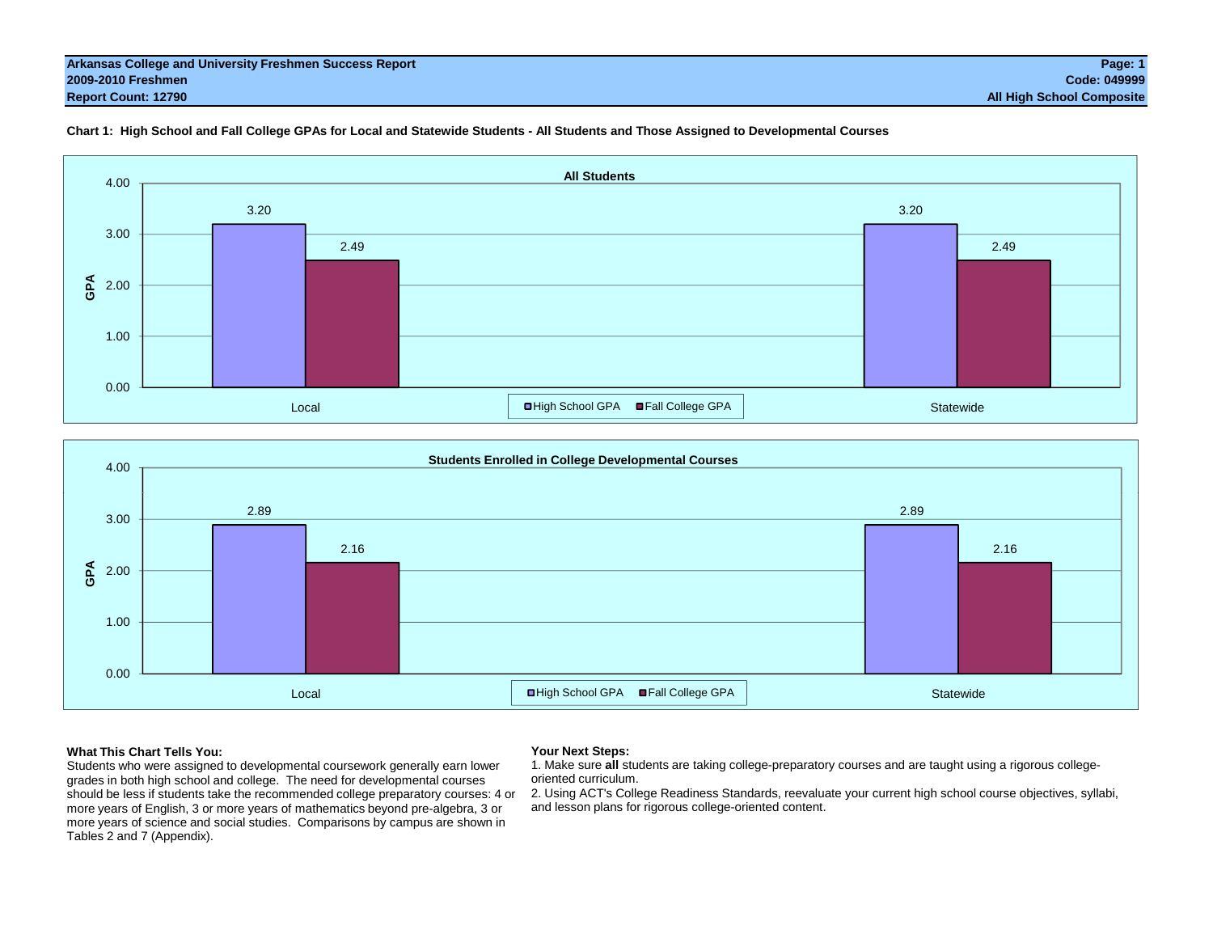#### **Arkansas College and University Freshmen Success Report Page: 1 2009-2010 Freshmen Code: 049999 Report Count: 12790 All High School Composite**







### **What This Chart Tells You:**

Students who were assigned to developmental coursework generally earn lower grades in both high school and college. The need for developmental courses should be less if students take the recommended college preparatory courses: 4 or more years of English, 3 or more years of mathematics beyond pre-algebra, 3 or more years of science and social studies. Comparisons by campus are shown in Tables 2 and 7 (Appendix).

### **Your Next Steps:**

1. Make sure **all** students are taking college-preparatory courses and are taught using a rigorous collegeoriented curriculum.

 2. Using ACT's College Readiness Standards, reevaluate your current high school course objectives, syllabi, and lesson plans for rigorous college-oriented content.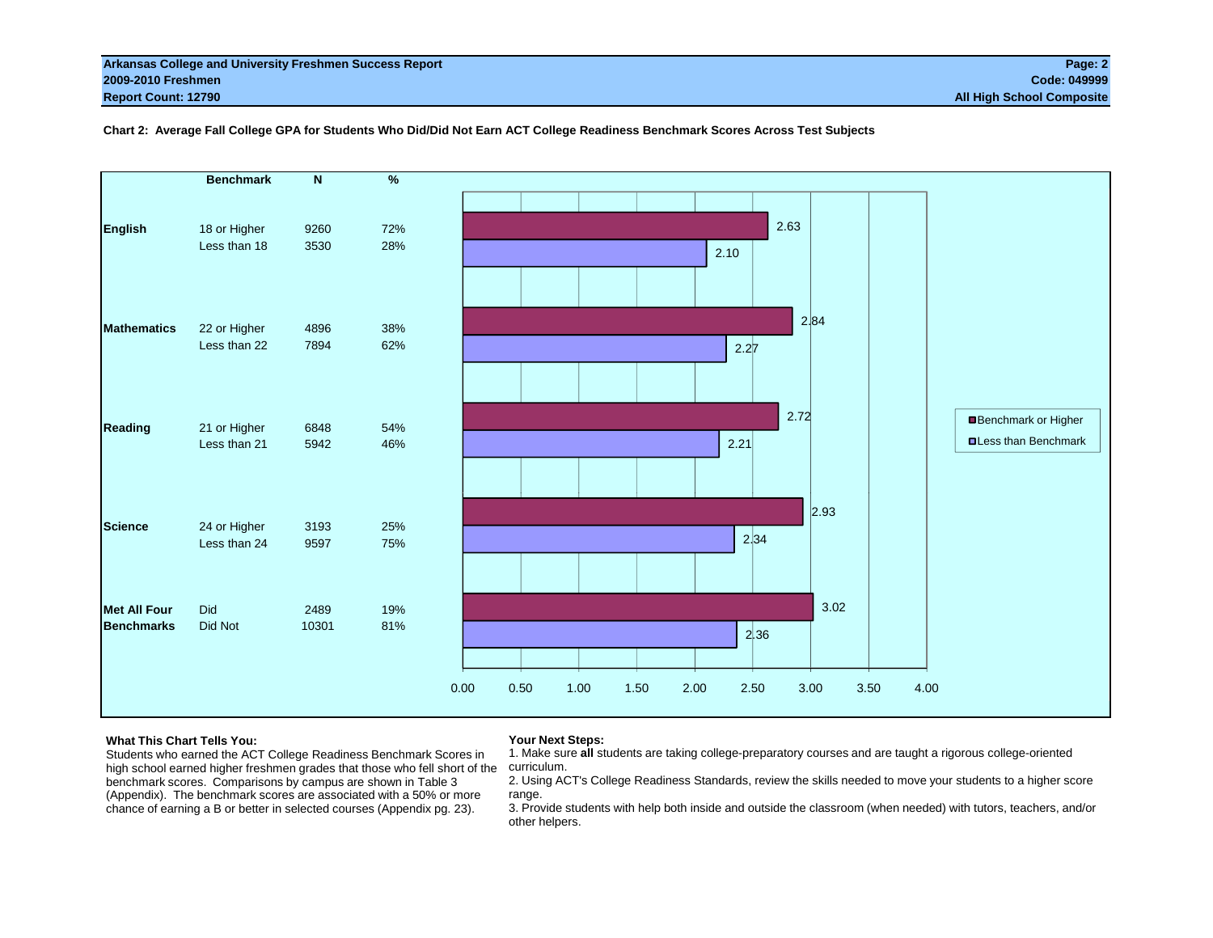|                     | <b>Benchmark</b> | $\overline{N}$ | $\%$ |                                              |
|---------------------|------------------|----------------|------|----------------------------------------------|
|                     |                  |                |      |                                              |
|                     |                  |                |      | 2.63                                         |
| <b>English</b>      | 18 or Higher     | 9260           | 72%  |                                              |
|                     | Less than 18     | 3530           | 28%  | 2.10                                         |
|                     |                  |                |      |                                              |
|                     |                  |                |      |                                              |
|                     |                  |                |      | 2.84                                         |
| <b>Mathematics</b>  | 22 or Higher     | 4896           | 38%  |                                              |
|                     | Less than 22     | 7894           | 62%  | 2.27                                         |
|                     |                  |                |      |                                              |
|                     |                  |                |      |                                              |
|                     |                  |                |      | 2.72                                         |
| <b>Reading</b>      | 21 or Higher     | 6848           | 54%  | Benchmark or Higher                          |
|                     | Less than 21     | 5942           | 46%  | <b>OLess than Benchmark</b><br>2.21          |
|                     |                  |                |      |                                              |
|                     |                  |                |      |                                              |
|                     |                  |                |      | 2.93                                         |
| <b>Science</b>      | 24 or Higher     | 3193           | 25%  |                                              |
|                     | Less than 24     | 9597           | 75%  | 2.34                                         |
|                     |                  |                |      |                                              |
|                     |                  |                |      |                                              |
| <b>Met All Four</b> | Did              | 2489           | 19%  | 3.02                                         |
| <b>Benchmarks</b>   | Did Not          | 10301          | 81%  |                                              |
|                     |                  |                |      | 2,36                                         |
|                     |                  |                |      |                                              |
|                     |                  |                |      | 0.00<br>0.50<br>1.00<br>1.50<br>2.00<br>2.50 |
|                     |                  |                |      | 3.00<br>3.50<br>4.00                         |

**Chart 2: Average Fall College GPA for Students Who Did/Did Not Earn ACT College Readiness Benchmark Scores Across Test Subjects**

#### **What This Chart Tells You:**

#### **Your Next Steps:**

Students who earned the ACT College Readiness Benchmark Scores in high school earned higher freshmen grades that those who fell short of the curriculum. benchmark scores. Comparisons by campus are shown in Table 3 (Appendix). The benchmark scores are associated with a 50% or more chance of earning a B or better in selected courses (Appendix pg. 23).

1. Make sure **all** students are taking college-preparatory courses and are taught a rigorous college-oriented

2. Using ACT's College Readiness Standards, review the skills needed to move your students to a higher score range.

3. Provide students with help both inside and outside the classroom (when needed) with tutors, teachers, and/or other helpers.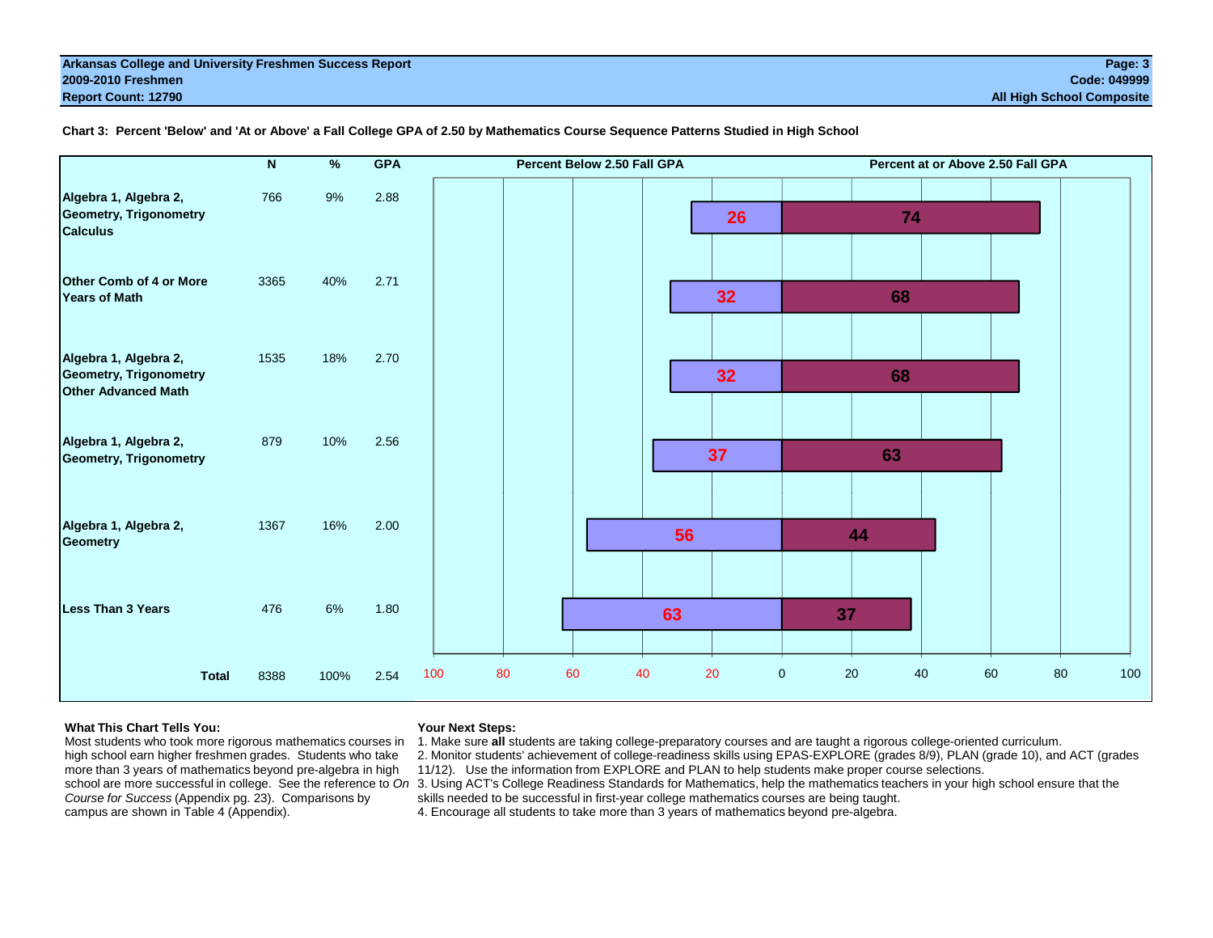|                                                                                      |              | $\mathbf N$ | $\%$ | <b>GPA</b> | Percent Below 2.50 Fall GPA | Percent at or Above 2.50 Fall GPA          |
|--------------------------------------------------------------------------------------|--------------|-------------|------|------------|-----------------------------|--------------------------------------------|
| Algebra 1, Algebra 2,<br><b>Geometry, Trigonometry</b><br><b>Calculus</b>            |              | 766         | 9%   | 2.88       | 26                          | 74                                         |
| <b>Other Comb of 4 or More</b><br><b>Years of Math</b>                               |              | 3365        | 40%  | 2.71       | 32                          | 68                                         |
| Algebra 1, Algebra 2,<br><b>Geometry, Trigonometry</b><br><b>Other Advanced Math</b> |              | 1535        | 18%  | 2.70       | 32                          | 68                                         |
| Algebra 1, Algebra 2,<br><b>Geometry, Trigonometry</b>                               |              | 879         | 10%  | 2.56       | 37                          | 63                                         |
| Algebra 1, Algebra 2,<br><b>Geometry</b>                                             |              | 1367        | 16%  | 2.00       | 56                          | 44                                         |
| <b>Less Than 3 Years</b>                                                             |              | 476         | 6%   | 1.80       | 63                          | 37                                         |
|                                                                                      | <b>Total</b> | 8388        | 100% | 2.54       | 20<br>100<br>80<br>60<br>40 | 20<br>80<br>100<br>$\mathbf 0$<br>40<br>60 |

**Chart 3: Percent 'Below' and 'At or Above' a Fall College GPA of 2.50 by Mathematics Course Sequence Patterns Studied in High School**

### **What This Chart Tells You:**

Most students who took more rigorous mathematics courses in high school earn higher freshmen grades. Students who take more than 3 years of mathematics beyond pre-algebra in high *Course for Success* (Appendix pg. 23). Comparisons by campus are shown in Table 4 (Appendix).

### **Your Next Steps:**

1. Make sure **all** students are taking college-preparatory courses and are taught a rigorous college-oriented curriculum.

2. Monitor students' achievement of college-readiness skills using EPAS-EXPLORE (grades 8/9), PLAN (grade 10), and ACT (grades 11/12). Use the information from EXPLORE and PLAN to help students make proper course selections.

school are more successful in college. See the reference to *On* 3. Using ACT's College Readiness Standards for Mathematics, help the mathematics teachers in your high school ensure that the skills needed to be successful in first-year college mathematics courses are being taught.

4. Encourage all students to take more than 3 years of mathematics beyond pre-algebra.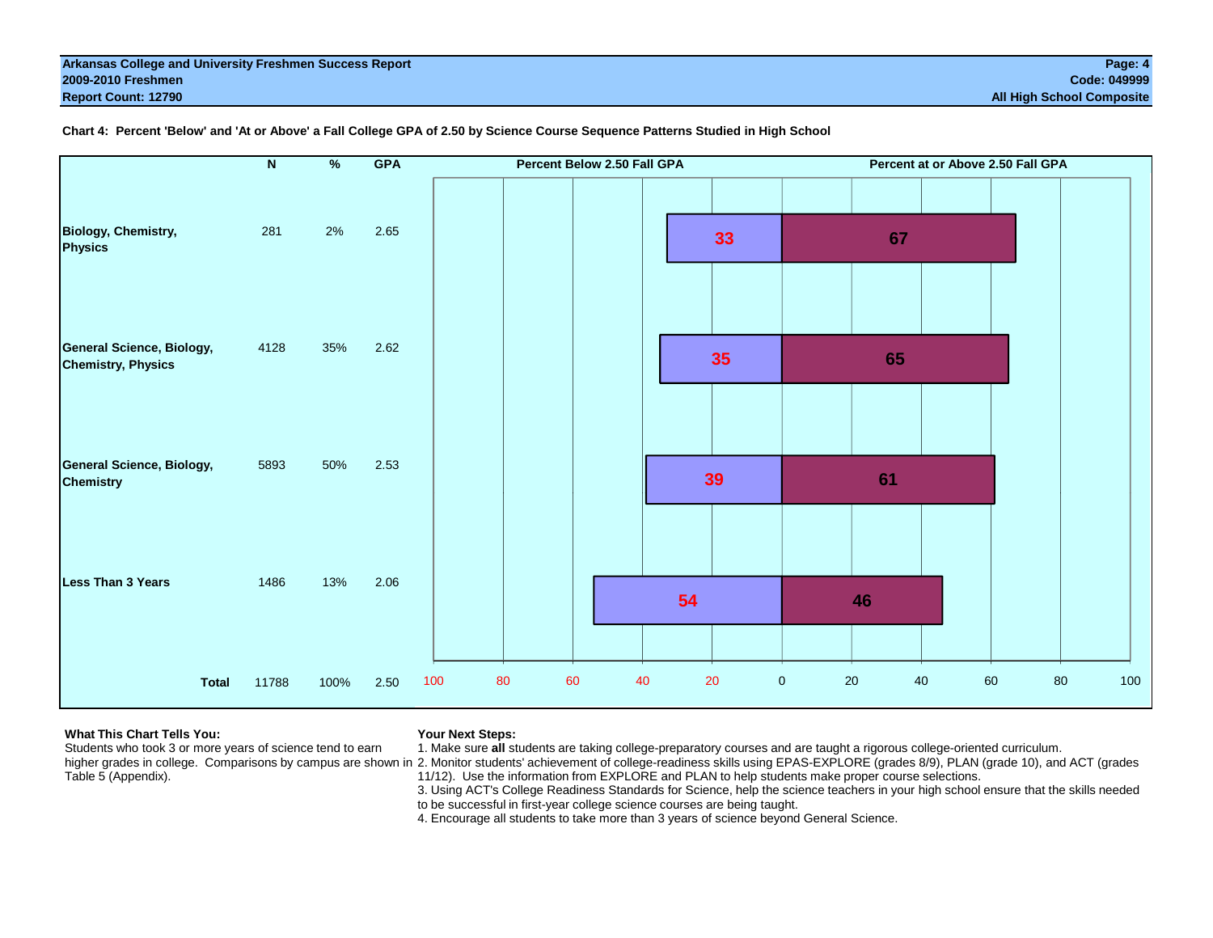|                                                               | $\overline{\mathbf{N}}$ | $\frac{9}{6}$ | <b>GPA</b> | Percent Below 2.50 Fall GPA | Percent at or Above 2.50 Fall GPA |           |
|---------------------------------------------------------------|-------------------------|---------------|------------|-----------------------------|-----------------------------------|-----------|
| <b>Biology, Chemistry,</b><br><b>Physics</b>                  | 281                     | 2%            | 2.65       | 33                          | 67                                |           |
| <b>General Science, Biology,</b><br><b>Chemistry, Physics</b> | 4128                    | 35%           | 2.62       | 35                          | 65                                |           |
| <b>General Science, Biology,</b><br><b>Chemistry</b>          | 5893                    | 50%           | 2.53       | 39                          | 61                                |           |
| <b>Less Than 3 Years</b>                                      | 1486                    | 13%           | 2.06       | 54                          | 46                                |           |
| <b>Total</b>                                                  | 11788                   | 100%          | 2.50       | 80<br>60<br>40<br>20<br>100 | $\pmb{0}$<br>$20\,$<br>40<br>60   | 100<br>80 |

**Chart 4: Percent 'Below' and 'At or Above' a Fall College GPA of 2.50 by Science Course Sequence Patterns Studied in High School**

# **What This Chart Tells You:**

**Your Next Steps:**

Students who took 3 or more years of science tend to earn

Table 5 (Appendix).

1. Make sure **all** students are taking college-preparatory courses and are taught a rigorous college-oriented curriculum.

higher grades in college. Comparisons by campus are shown in 2. Monitor students' achievement of college-readiness skills using EPAS-EXPLORE (grades 8/9), PLAN (grade 10), and ACT (grades 11/12). Use the information from EXPLORE and PLAN to help students make proper course selections.

3. Using ACT's College Readiness Standards for Science, help the science teachers in your high school ensure that the skills needed to be successful in first-year college science courses are being taught.

4. Encourage all students to take more than 3 years of science beyond General Science.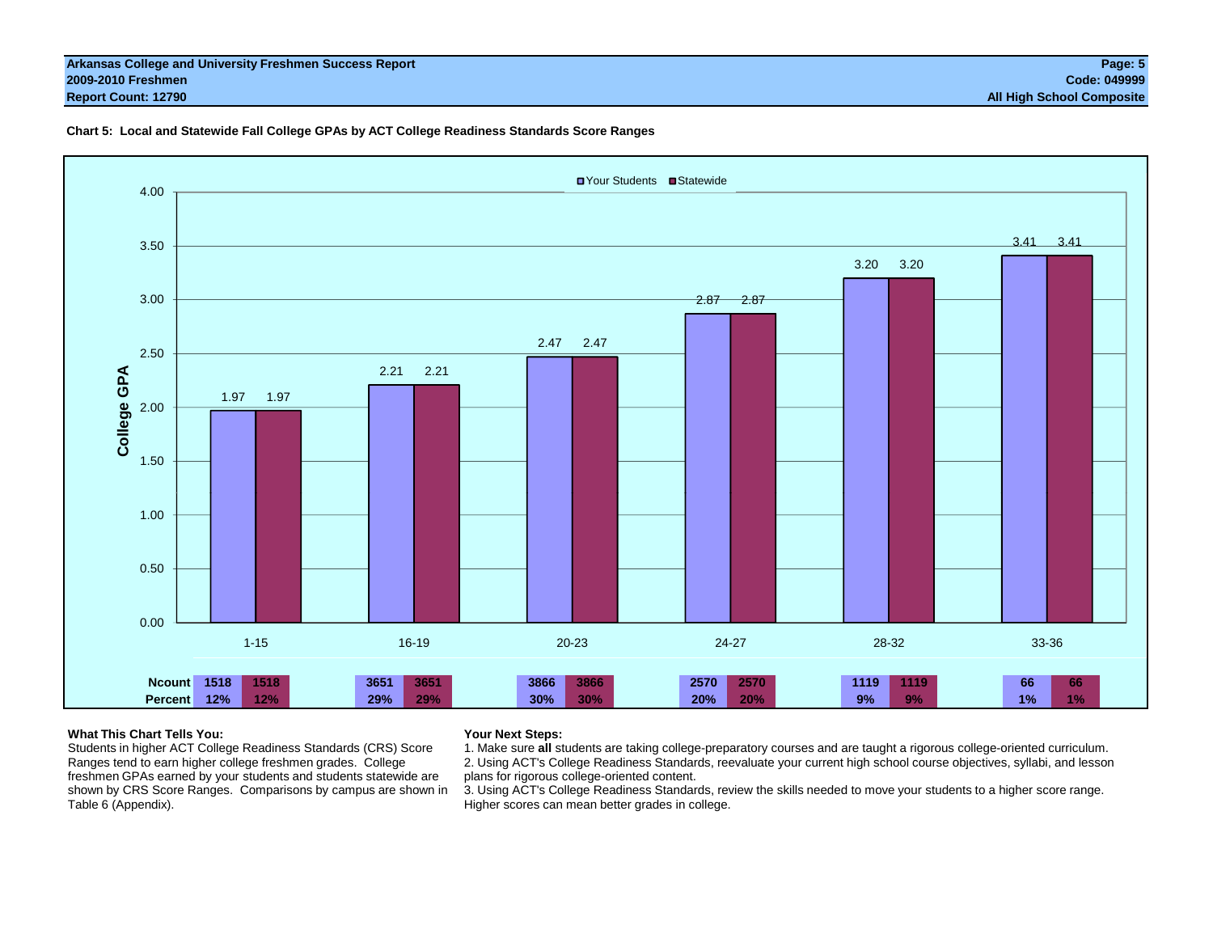#### **Arkansas College and University Freshmen Success Report Page: 5 2009-2010 Freshmen Code: 049999 Report Count: 12790 All High School Composite**

### **Chart 5: Local and Statewide Fall College GPAs by ACT College Readiness Standards Score Ranges**



# **What This Chart Tells You:**

Students in higher ACT College Readiness Standards (CRS) Score Ranges tend to earn higher college freshmen grades. College freshmen GPAs earned by your students and students statewide are shown by CRS Score Ranges. Comparisons by campus are shown in Table 6 (Appendix).

### **Your Next Steps:**

1. Make sure **all** students are taking college-preparatory courses and are taught a rigorous college-oriented curriculum. 2. Using ACT's College Readiness Standards, reevaluate your current high school course objectives, syllabi, and lesson plans for rigorous college-oriented content.

3. Using ACT's College Readiness Standards, review the skills needed to move your students to a higher score range. Higher scores can mean better grades in college.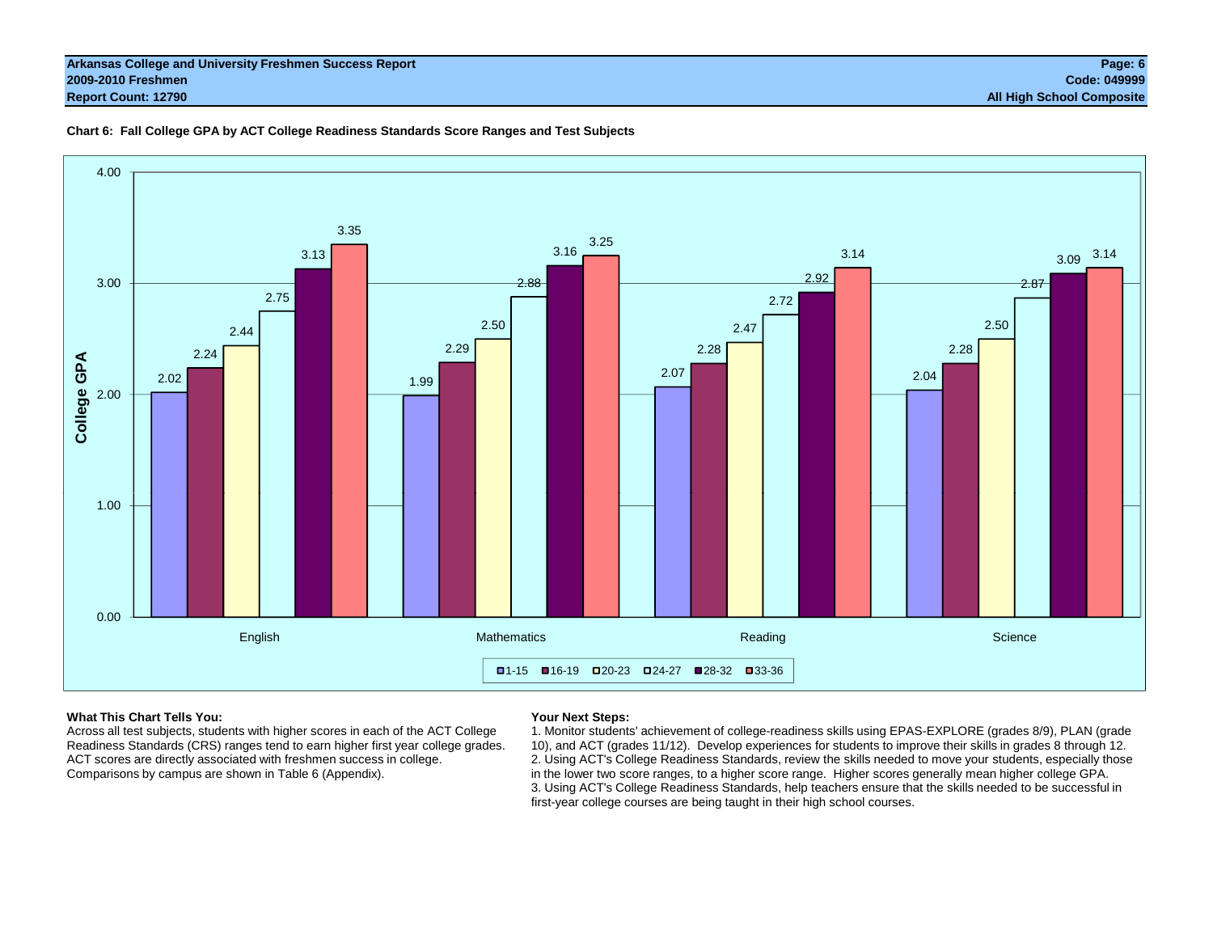# **Chart 6: Fall College GPA by ACT College Readiness Standards Score Ranges and Test Subjects**



## **What This Chart Tells You:**

Across all test subjects, students with higher scores in each of the ACT College Readiness Standards (CRS) ranges tend to earn higher first year college grades. ACT scores are directly associated with freshmen success in college. Comparisons by campus are shown in Table 6 (Appendix).

# **Your Next Steps:**

1. Monitor students' achievement of college-readiness skills using EPAS-EXPLORE (grades 8/9), PLAN (grade 10), and ACT (grades 11/12). Develop experiences for students to improve their skills in grades 8 through 12. 2. Using ACT's College Readiness Standards, review the skills needed to move your students, especially those in the lower two score ranges, to a higher score range. Higher scores generally mean higher college GPA. 3. Using ACT's College Readiness Standards, help teachers ensure that the skills needed to be successful in first-year college courses are being taught in their high school courses.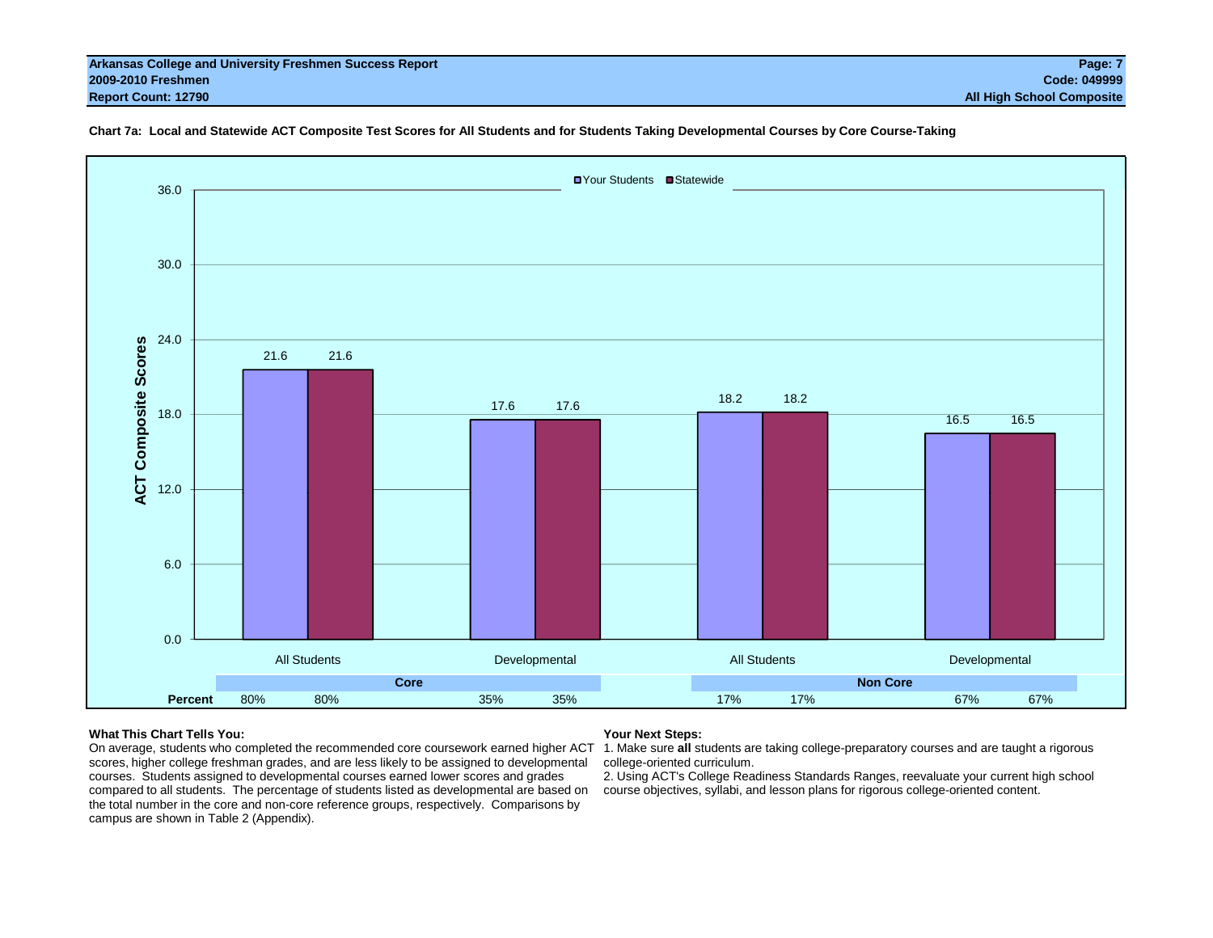#### **Arkansas College and University Freshmen Success Report Page: 7 2009-2010 Freshmen Code: 049999 Report Count: 12790 All High School Composite**



#### **Chart 7a: Local and Statewide ACT Composite Test Scores for All Students and for Students Taking Developmental Courses by Core Course-Taking**

#### **What This Chart Tells You:**

#### **Your Next Steps:**

On average, students who completed the recommended core coursework earned higher ACT 1. Make sure all students are taking college-preparatory courses and are taught a rigorous scores, higher college freshman grades, and are less likely to be assigned to developmental courses. Students assigned to developmental courses earned lower scores and grades compared to all students. The percentage of students listed as developmental are based on the total number in the core and non-core reference groups, respectively. Comparisons by campus are shown in Table 2 (Appendix).

college-oriented curriculum.

2. Using ACT's College Readiness Standards Ranges, reevaluate your current high school course objectives, syllabi, and lesson plans for rigorous college-oriented content.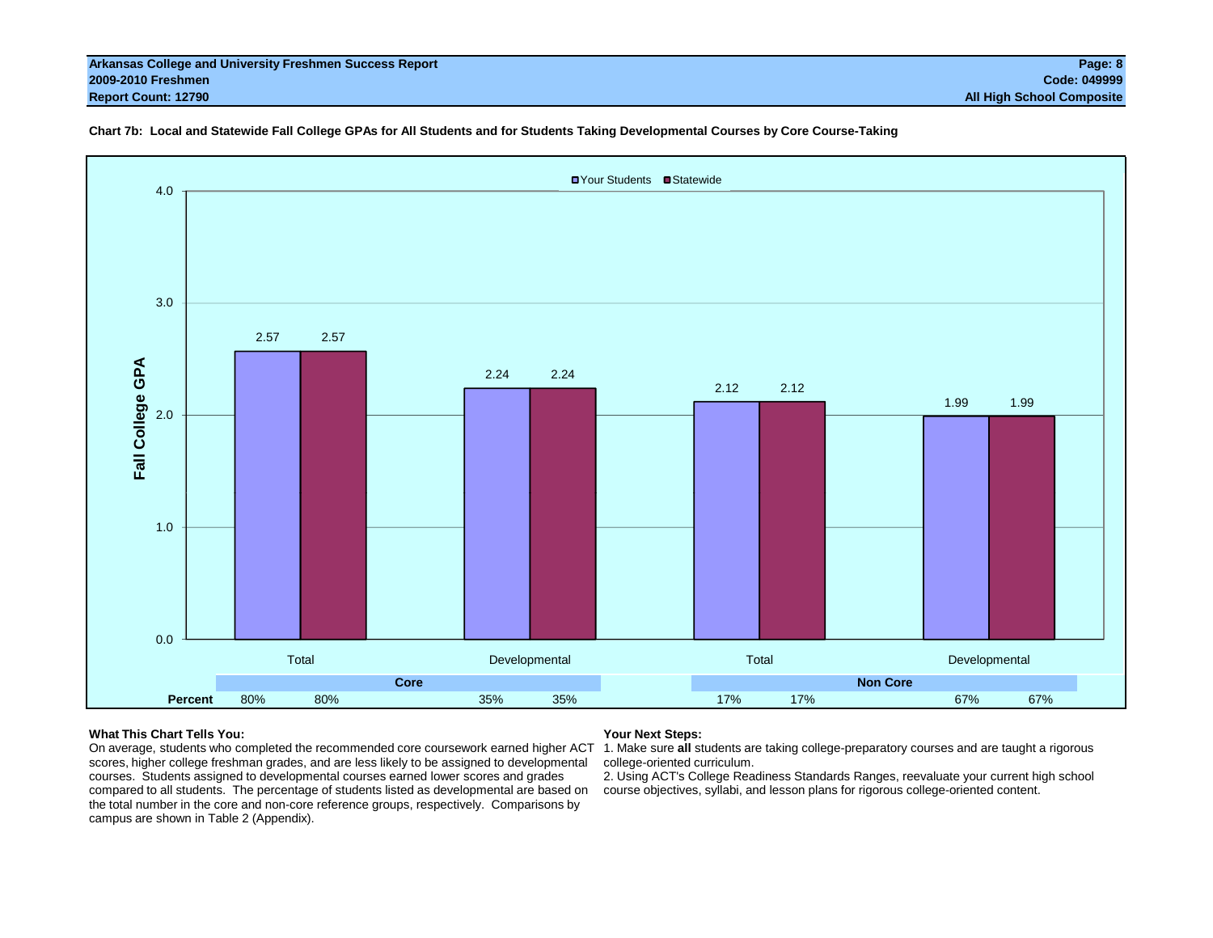#### **Arkansas College and University Freshmen Success Report Page: 8 2009-2010 Freshmen Code: 049999 Report Count: 12790 All High School Composite**

#### **Chart 7b: Local and Statewide Fall College GPAs for All Students and for Students Taking Developmental Courses by Core Course-Taking**



#### **What This Chart Tells You:**

#### **Your Next Steps:**

On average, students who completed the recommended core coursework earned higher ACT 1. Make sure all students are taking college-preparatory courses and are taught a rigorous scores, higher college freshman grades, and are less likely to be assigned to developmental courses. Students assigned to developmental courses earned lower scores and grades compared to all students. The percentage of students listed as developmental are based on the total number in the core and non-core reference groups, respectively. Comparisons by campus are shown in Table 2 (Appendix).

college-oriented curriculum.

2. Using ACT's College Readiness Standards Ranges, reevaluate your current high school course objectives, syllabi, and lesson plans for rigorous college-oriented content.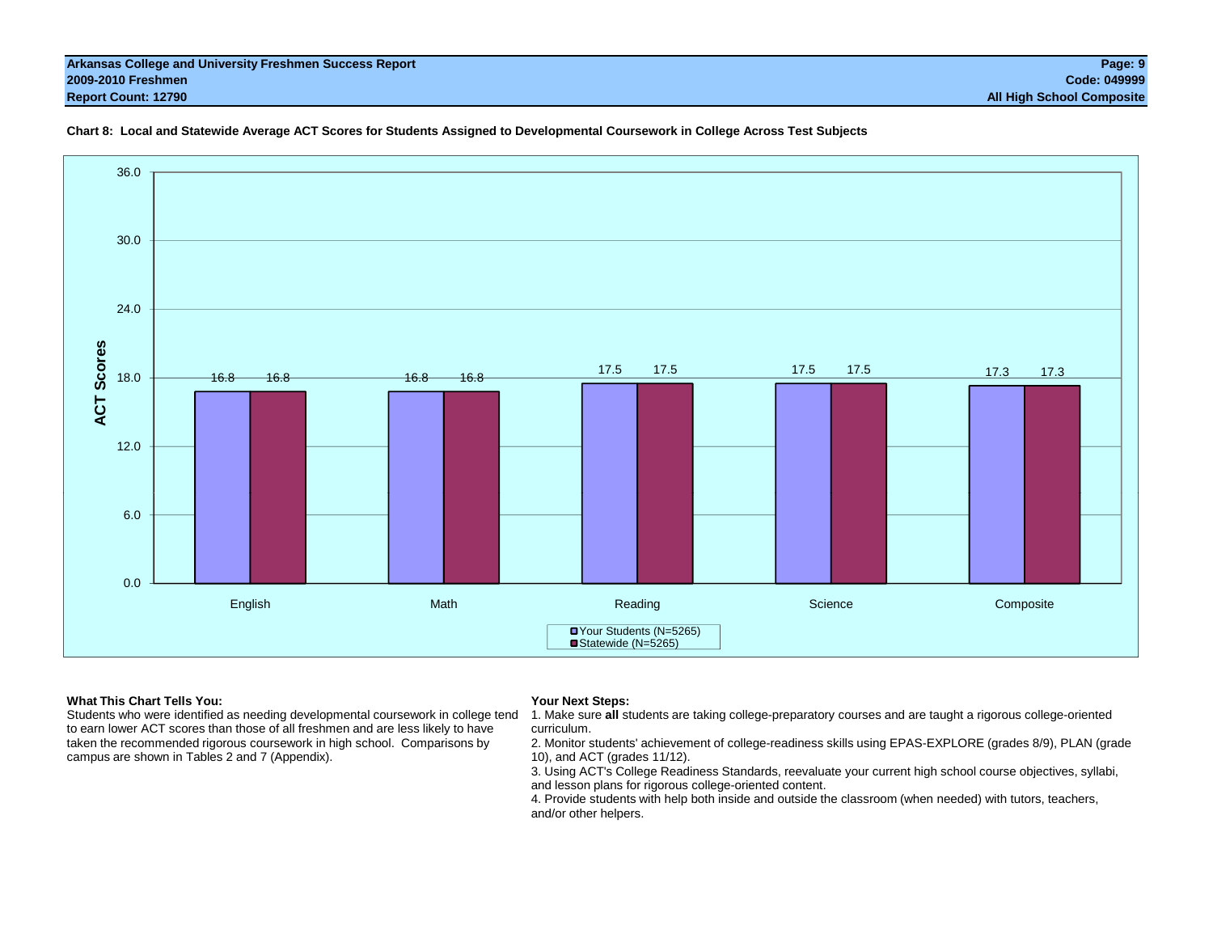



#### **What This Chart Tells You:**

 Students who were identified as needing developmental coursework in college tend to earn lower ACT scores than those of all freshmen and are less likely to have taken the recommended rigorous coursework in high school. Comparisons by campus are shown in Tables 2 and 7 (Appendix).

#### **Your Next Steps:**

1. Make sure **all** students are taking college-preparatory courses and are taught a rigorous college-oriented curriculum.

2. Monitor students' achievement of college-readiness skills using EPAS-EXPLORE (grades 8/9), PLAN (grade 10), and ACT (grades 11/12).

3. Using ACT's College Readiness Standards, reevaluate your current high school course objectives, syllabi, and lesson plans for rigorous college-oriented content.

4. Provide students with help both inside and outside the classroom (when needed) with tutors, teachers, and/or other helpers.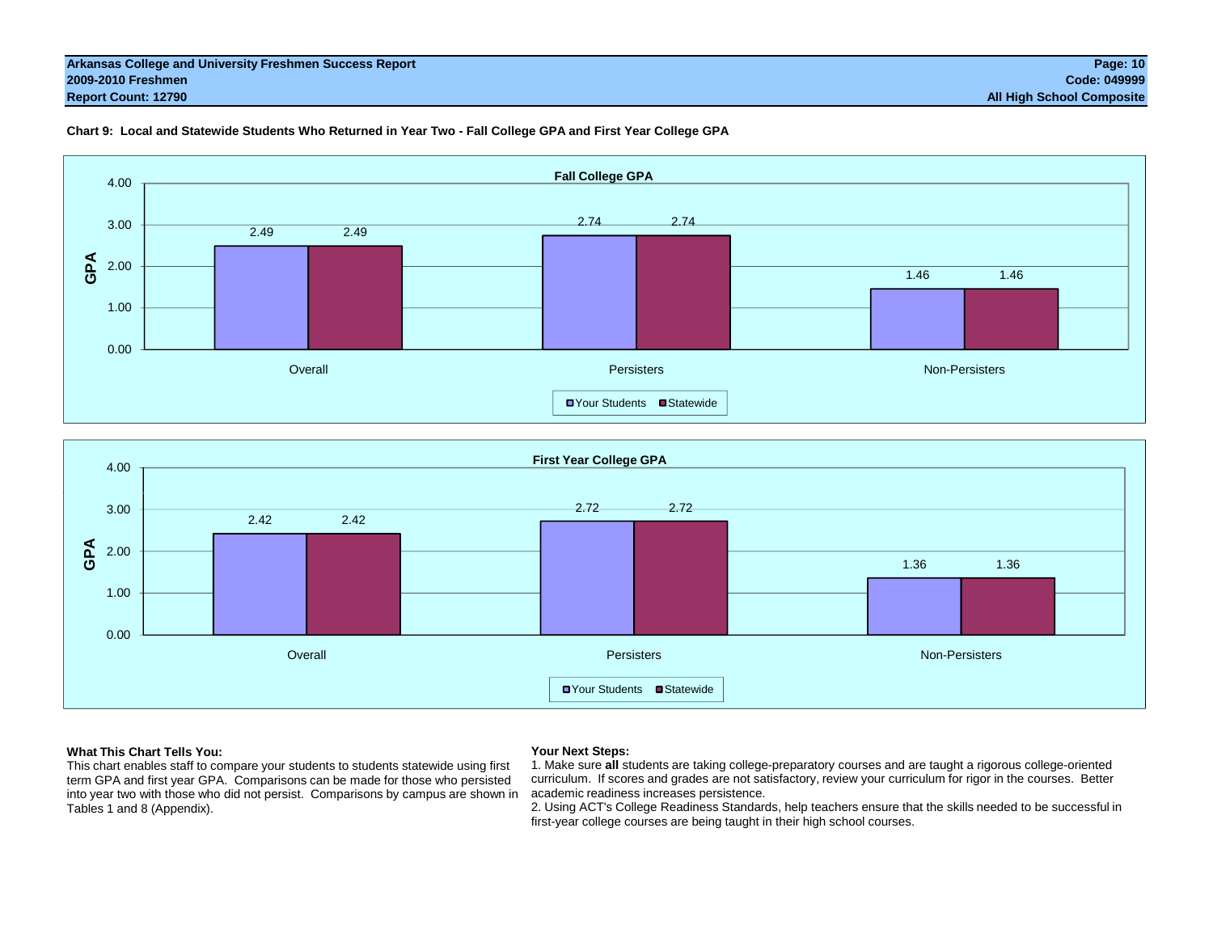#### **Arkansas College and University Freshmen Success Report Page: 10 2009-2010 Freshmen Code: 049999 Report Count: 12790 All High School Composite**



#### **Chart 9: Local and Statewide Students Who Returned in Year Two - Fall College GPA and First Year College GPA**



#### **What This Chart Tells You:**

This chart enables staff to compare your students to students statewide using first term GPA and first year GPA. Comparisons can be made for those who persisted into year two with those who did not persist. Comparisons by campus are shown in Tables 1 and 8 (Appendix).

#### **Your Next Steps:**

1. Make sure **all** students are taking college-preparatory courses and are taught a rigorous college-oriented curriculum. If scores and grades are not satisfactory, review your curriculum for rigor in the courses. Better academic readiness increases persistence.

2. Using ACT's College Readiness Standards, help teachers ensure that the skills needed to be successful in first-year college courses are being taught in their high school courses.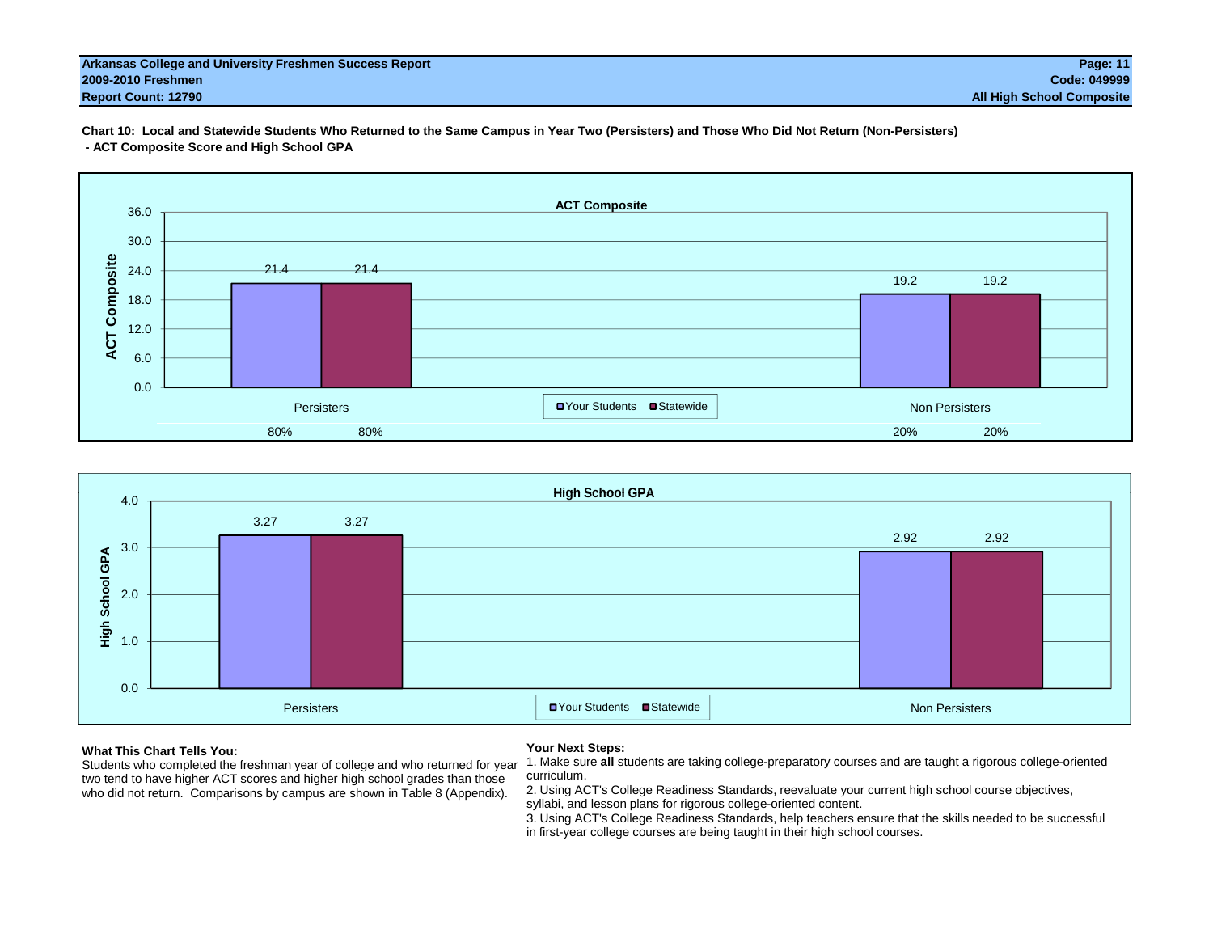#### **Arkansas College and University Freshmen Success Report Page: 11 2009-2010 Freshmen Code: 049999 Report Count: 12790 All High School Composite**

**Chart 10: Local and Statewide Students Who Returned to the Same Campus in Year Two (Persisters) and Those Who Did Not Return (Non-Persisters) - ACT Composite Score and High School GPA**





#### **What This Chart Tells You:**

 Students who completed the freshman year of college and who returned for year two tend to have higher ACT scores and higher high school grades than those who did not return. Comparisons by campus are shown in Table 8 (Appendix).

#### **Your Next Steps:**

1. Make sure **all** students are taking college-preparatory courses and are taught a rigorous college-oriented curriculum.

2. Using ACT's College Readiness Standards, reevaluate your current high school course objectives, syllabi, and lesson plans for rigorous college-oriented content.

3. Using ACT's College Readiness Standards, help teachers ensure that the skills needed to be successful in first-year college courses are being taught in their high school courses.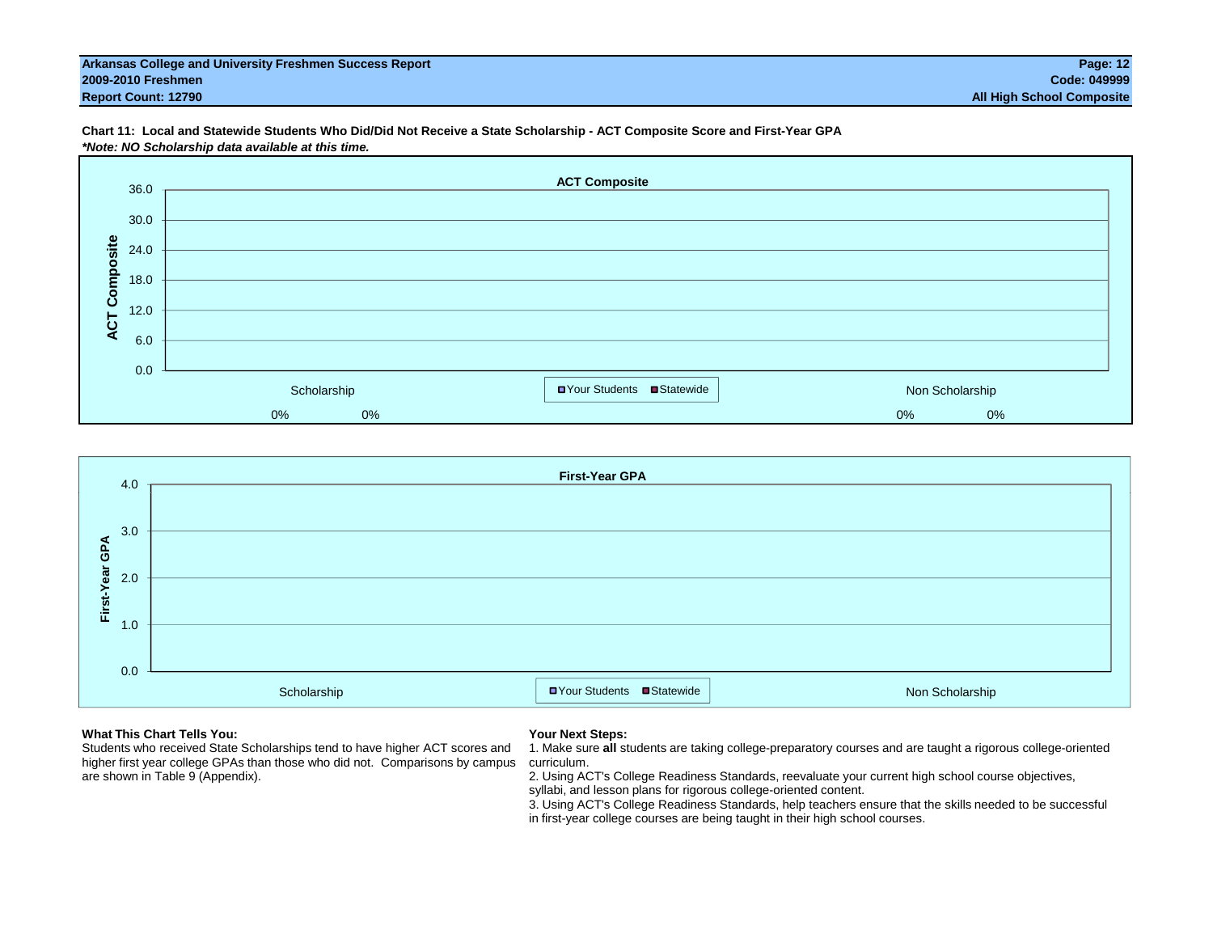#### **Arkansas College and University Freshmen Success Report Page: 12 2009-2010 Freshmen Code: 049999 Report Count: 12790 All High School Composite**

**Chart 11: Local and Statewide Students Who Did/Did Not Receive a State Scholarship - ACT Composite Score and First-Year GPA** *\*Note: NO Scholarship data available at this time.*





#### **What This Chart Tells You:**

Students who received State Scholarships tend to have higher ACT scores and higher first year college GPAs than those who did not. Comparisons by campus are shown in Table 9 (Appendix).

#### **Your Next Steps:**

1. Make sure **all** students are taking college-preparatory courses and are taught a rigorous college-oriented curriculum.

2. Using ACT's College Readiness Standards, reevaluate your current high school course objectives, syllabi, and lesson plans for rigorous college-oriented content.

3. Using ACT's College Readiness Standards, help teachers ensure that the skills needed to be successful in first-year college courses are being taught in their high school courses.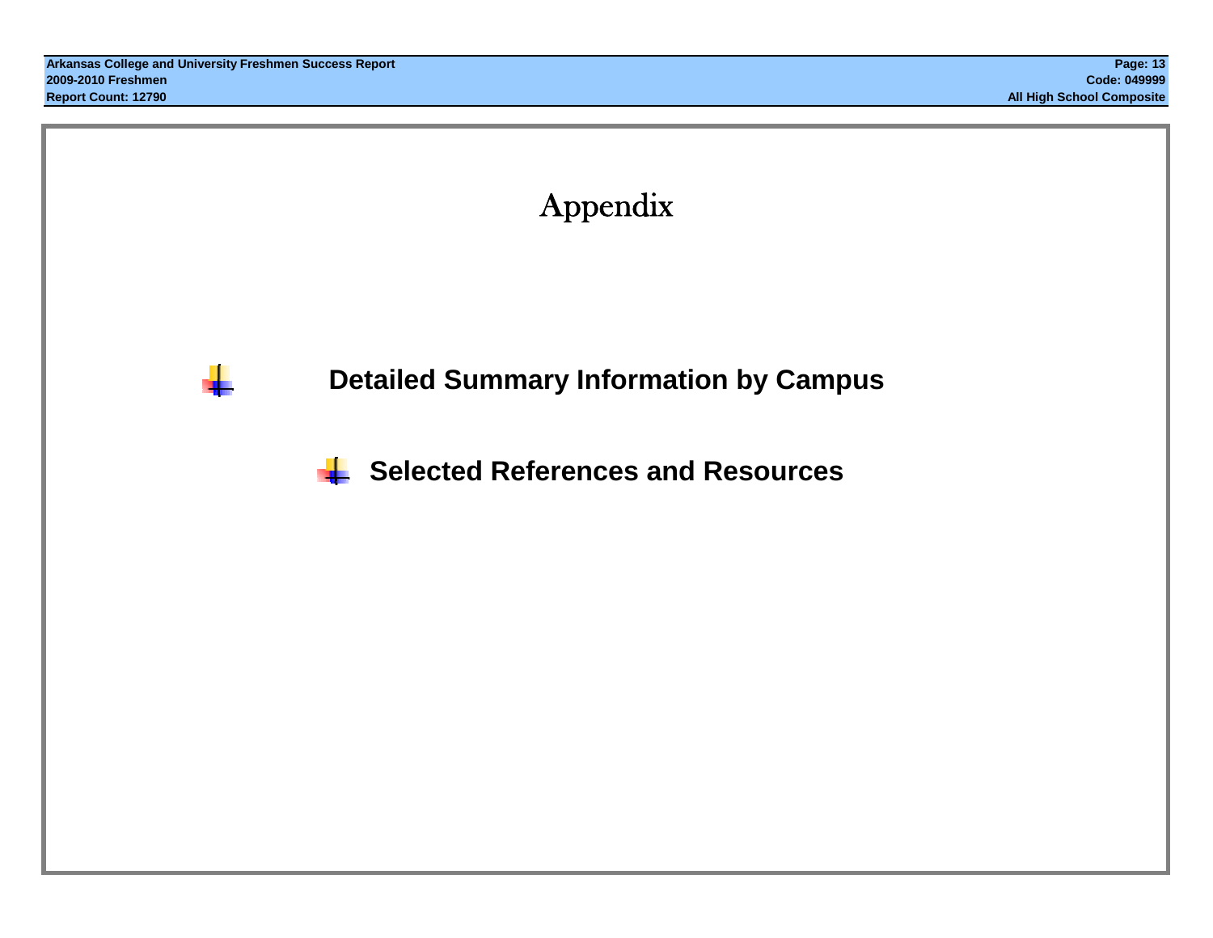a ka



**Detailed Summary Information by Campus**

**Selected References and Resources**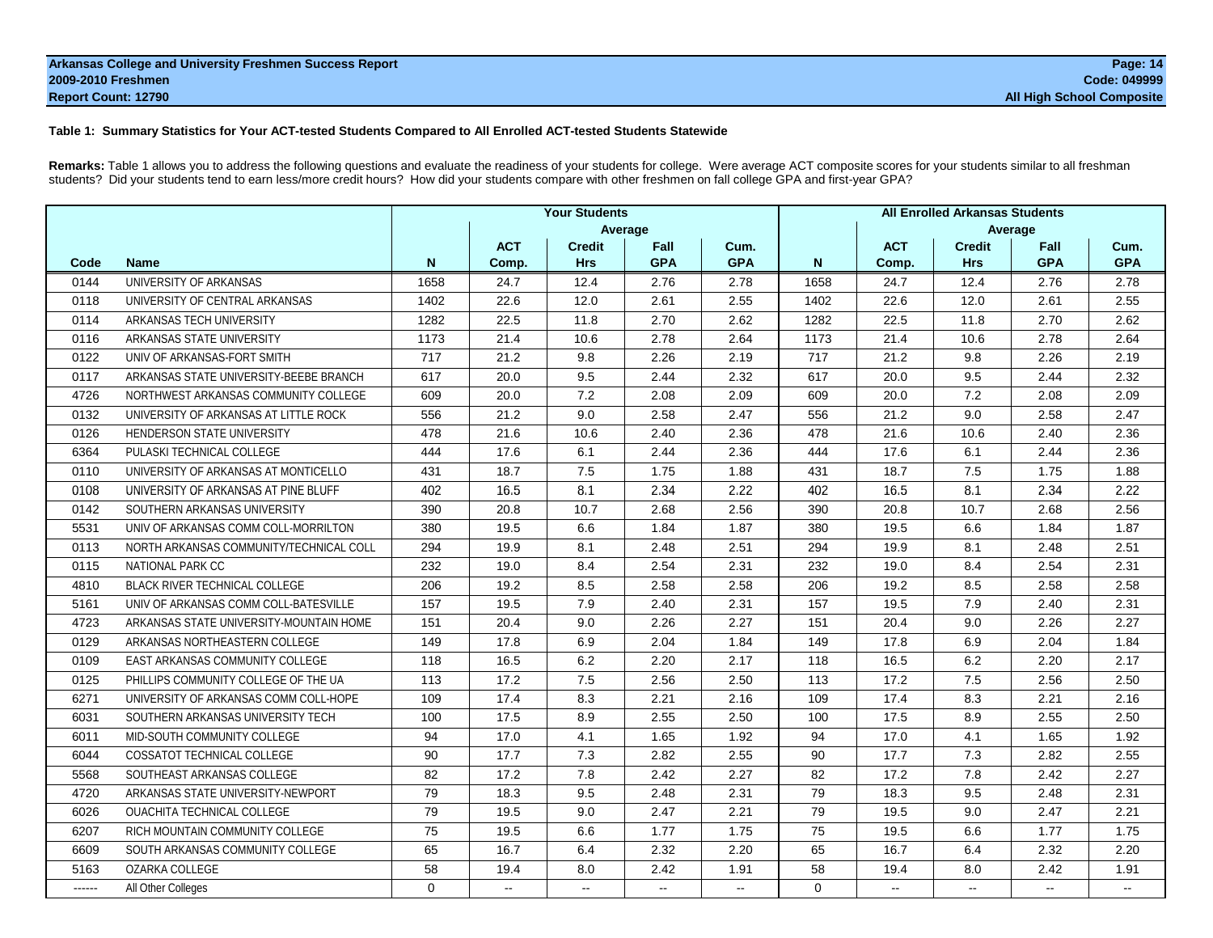#### **Arkansas College and University Freshmen Success Report Page: 14 2009-2010 Freshmen Code: 049999 Report Count: 12790 All High School Composite**

#### **Table 1: Summary Statistics for Your ACT-tested Students Compared to All Enrolled ACT-tested Students Statewide**

**Remarks:** Table 1 allows you to address the following questions and evaluate the readiness of your students for college. Were average ACT composite scores for your students similar to all freshman students? Did your students tend to earn less/more credit hours? How did your students compare with other freshmen on fall college GPA and first-year GPA?

|        |                                         |          |                          | <b>Your Students</b> |            |            |          |            | <b>All Enrolled Arkansas Students</b> |                |            |
|--------|-----------------------------------------|----------|--------------------------|----------------------|------------|------------|----------|------------|---------------------------------------|----------------|------------|
|        |                                         |          |                          |                      | Average    |            |          |            |                                       | Average        |            |
|        |                                         |          | <b>ACT</b>               | <b>Credit</b>        | Fall       | Cum.       |          | <b>ACT</b> | <b>Credit</b>                         | Fall           | Cum.       |
| Code   | <b>Name</b>                             | N        | Comp.                    | <b>Hrs</b>           | <b>GPA</b> | <b>GPA</b> | N        | Comp.      | <b>Hrs</b>                            | <b>GPA</b>     | <b>GPA</b> |
| 0144   | UNIVERSITY OF ARKANSAS                  | 1658     | 24.7                     | 12.4                 | 2.76       | 2.78       | 1658     | 24.7       | 12.4                                  | 2.76           | 2.78       |
| 0118   | UNIVERSITY OF CENTRAL ARKANSAS          | 1402     | 22.6                     | 12.0                 | 2.61       | 2.55       | 1402     | 22.6       | 12.0                                  | 2.61           | 2.55       |
| 0114   | ARKANSAS TECH UNIVERSITY                | 1282     | 22.5                     | 11.8                 | 2.70       | 2.62       | 1282     | 22.5       | 11.8                                  | 2.70           | 2.62       |
| 0116   | ARKANSAS STATE UNIVERSITY               | 1173     | 21.4                     | 10.6                 | 2.78       | 2.64       | 1173     | 21.4       | 10.6                                  | 2.78           | 2.64       |
| 0122   | UNIV OF ARKANSAS-FORT SMITH             | 717      | 21.2                     | 9.8                  | 2.26       | 2.19       | 717      | 21.2       | 9.8                                   | 2.26           | 2.19       |
| 0117   | ARKANSAS STATE UNIVERSITY-BEEBE BRANCH  | 617      | 20.0                     | 9.5                  | 2.44       | 2.32       | 617      | 20.0       | 9.5                                   | 2.44           | 2.32       |
| 4726   | NORTHWEST ARKANSAS COMMUNITY COLLEGE    | 609      | 20.0                     | 7.2                  | 2.08       | 2.09       | 609      | 20.0       | 7.2                                   | 2.08           | 2.09       |
| 0132   | UNIVERSITY OF ARKANSAS AT LITTLE ROCK   | 556      | 21.2                     | 9.0                  | 2.58       | 2.47       | 556      | 21.2       | 9.0                                   | 2.58           | 2.47       |
| 0126   | HENDERSON STATE UNIVERSITY              | 478      | 21.6                     | 10.6                 | 2.40       | 2.36       | 478      | 21.6       | 10.6                                  | 2.40           | 2.36       |
| 6364   | PULASKI TECHNICAL COLLEGE               | 444      | 17.6                     | 6.1                  | 2.44       | 2.36       | 444      | 17.6       | 6.1                                   | 2.44           | 2.36       |
| 0110   | UNIVERSITY OF ARKANSAS AT MONTICELLO    | 431      | 18.7                     | 7.5                  | 1.75       | 1.88       | 431      | 18.7       | 7.5                                   | 1.75           | 1.88       |
| 0108   | UNIVERSITY OF ARKANSAS AT PINE BLUFF    | 402      | 16.5                     | 8.1                  | 2.34       | 2.22       | 402      | 16.5       | 8.1                                   | 2.34           | 2.22       |
| 0142   | SOUTHERN ARKANSAS UNIVERSITY            | 390      | 20.8                     | 10.7                 | 2.68       | 2.56       | 390      | 20.8       | 10.7                                  | 2.68           | 2.56       |
| 5531   | UNIV OF ARKANSAS COMM COLL-MORRILTON    | 380      | 19.5                     | 6.6                  | 1.84       | 1.87       | 380      | 19.5       | 6.6                                   | 1.84           | 1.87       |
| 0113   | NORTH ARKANSAS COMMUNITY/TECHNICAL COLL | 294      | 19.9                     | 8.1                  | 2.48       | 2.51       | 294      | 19.9       | 8.1                                   | 2.48           | 2.51       |
| 0115   | <b>NATIONAL PARK CC</b>                 | 232      | 19.0                     | 8.4                  | 2.54       | 2.31       | 232      | 19.0       | 8.4                                   | 2.54           | 2.31       |
| 4810   | BLACK RIVER TECHNICAL COLLEGE           | 206      | 19.2                     | 8.5                  | 2.58       | 2.58       | 206      | 19.2       | 8.5                                   | 2.58           | 2.58       |
| 5161   | UNIV OF ARKANSAS COMM COLL-BATESVILLE   | 157      | 19.5                     | 7.9                  | 2.40       | 2.31       | 157      | 19.5       | 7.9                                   | 2.40           | 2.31       |
| 4723   | ARKANSAS STATE UNIVERSITY-MOUNTAIN HOME | 151      | 20.4                     | 9.0                  | 2.26       | 2.27       | 151      | 20.4       | 9.0                                   | 2.26           | 2.27       |
| 0129   | ARKANSAS NORTHEASTERN COLLEGE           | 149      | 17.8                     | 6.9                  | 2.04       | 1.84       | 149      | 17.8       | 6.9                                   | 2.04           | 1.84       |
| 0109   | <b>EAST ARKANSAS COMMUNITY COLLEGE</b>  | 118      | 16.5                     | 6.2                  | 2.20       | 2.17       | 118      | 16.5       | 6.2                                   | 2.20           | 2.17       |
| 0125   | PHILLIPS COMMUNITY COLLEGE OF THE UA    | 113      | 17.2                     | 7.5                  | 2.56       | 2.50       | 113      | 17.2       | 7.5                                   | 2.56           | 2.50       |
| 6271   | UNIVERSITY OF ARKANSAS COMM COLL-HOPE   | 109      | 17.4                     | 8.3                  | 2.21       | 2.16       | 109      | 17.4       | 8.3                                   | 2.21           | 2.16       |
| 6031   | SOUTHERN ARKANSAS UNIVERSITY TECH       | 100      | 17.5                     | 8.9                  | 2.55       | 2.50       | 100      | 17.5       | 8.9                                   | 2.55           | 2.50       |
| 6011   | MID-SOUTH COMMUNITY COLLEGE             | 94       | 17.0                     | 4.1                  | 1.65       | 1.92       | 94       | 17.0       | 4.1                                   | 1.65           | 1.92       |
| 6044   | <b>COSSATOT TECHNICAL COLLEGE</b>       | 90       | 17.7                     | 7.3                  | 2.82       | 2.55       | 90       | 17.7       | 7.3                                   | 2.82           | 2.55       |
| 5568   | SOUTHEAST ARKANSAS COLLEGE              | 82       | 17.2                     | 7.8                  | 2.42       | 2.27       | 82       | 17.2       | 7.8                                   | 2.42           | 2.27       |
| 4720   | ARKANSAS STATE UNIVERSITY-NEWPORT       | 79       | 18.3                     | 9.5                  | 2.48       | 2.31       | 79       | 18.3       | 9.5                                   | 2.48           | 2.31       |
| 6026   | OUACHITA TECHNICAL COLLEGE              | 79       | 19.5                     | 9.0                  | 2.47       | 2.21       | 79       | 19.5       | 9.0                                   | 2.47           | 2.21       |
| 6207   | RICH MOUNTAIN COMMUNITY COLLEGE         | 75       | 19.5                     | 6.6                  | 1.77       | 1.75       | 75       | 19.5       | 6.6                                   | 1.77           | 1.75       |
| 6609   | SOUTH ARKANSAS COMMUNITY COLLEGE        | 65       | 16.7                     | 6.4                  | 2.32       | 2.20       | 65       | 16.7       | 6.4                                   | 2.32           | 2.20       |
| 5163   | OZARKA COLLEGE                          | 58       | 19.4                     | 8.0                  | 2.42       | 1.91       | 58       | 19.4       | 8.0                                   | 2.42           | 1.91       |
| ------ | All Other Colleges                      | $\Omega$ | $\overline{\phantom{a}}$ | Ξ.                   | $\sim$     | $\sim$     | $\Omega$ | $\sim$     | н.                                    | Page 80 of 113 | $\sim$     |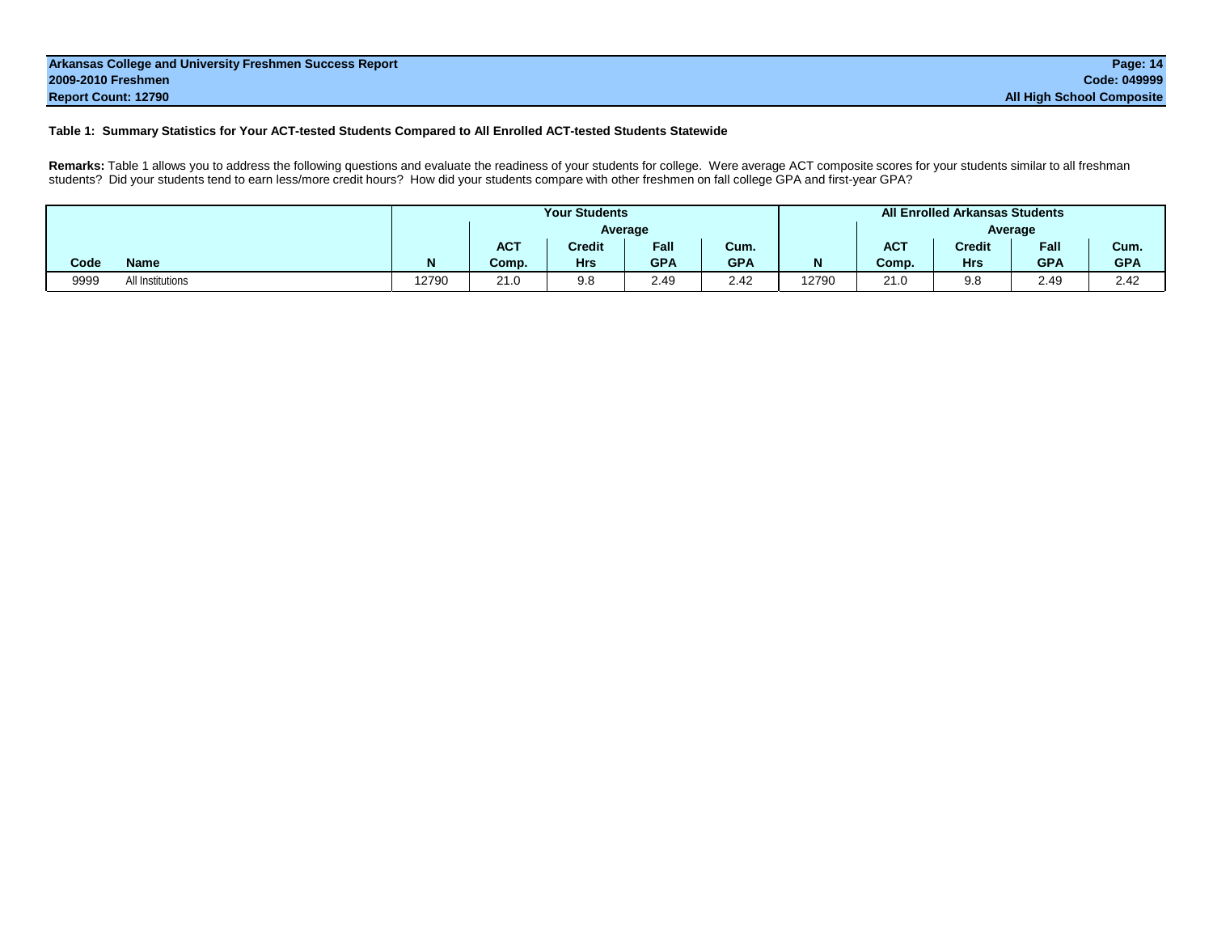| Arkansas College and University Freshmen Success Report | Page: 14                         |
|---------------------------------------------------------|----------------------------------|
| 2009-2010 Freshmen                                      | Code: 049999                     |
| <b>Report Count: 12790</b>                              | <b>All High School Composite</b> |

#### **Table 1: Summary Statistics for Your ACT-tested Students Compared to All Enrolled ACT-tested Students Statewide**

**Remarks:** Table 1 allows you to address the following questions and evaluate the readiness of your students for college. Were average ACT composite scores for your students similar to all freshman students? Did your students tend to earn less/more credit hours? How did your students compare with other freshmen on fall college GPA and first-year GPA?

|      |                  |       |            | <b>Your Students</b> |            |            |       |            | <b>All Enrolled Arkansas Students</b> |            |            |
|------|------------------|-------|------------|----------------------|------------|------------|-------|------------|---------------------------------------|------------|------------|
|      |                  |       |            |                      | Average    |            |       |            |                                       | Average    |            |
|      |                  |       | <b>ACT</b> | <b>Credit</b>        | Fall       | Cum.       |       | <b>ACT</b> | <b>Credit</b>                         | Fall       | Cum.       |
| Code | <b>Name</b>      |       | Comp.      | <b>Hrs</b>           | <b>GPA</b> | <b>GPA</b> |       | Comp.      | <b>Hrs</b>                            | <b>GPA</b> | <b>GPA</b> |
| 9999 | All Institutions | 12790 | 21.0       | 9.8                  | 2.49       | 2.42       | 12790 | 21.0       | 9.8                                   | 2.49       | 2.42       |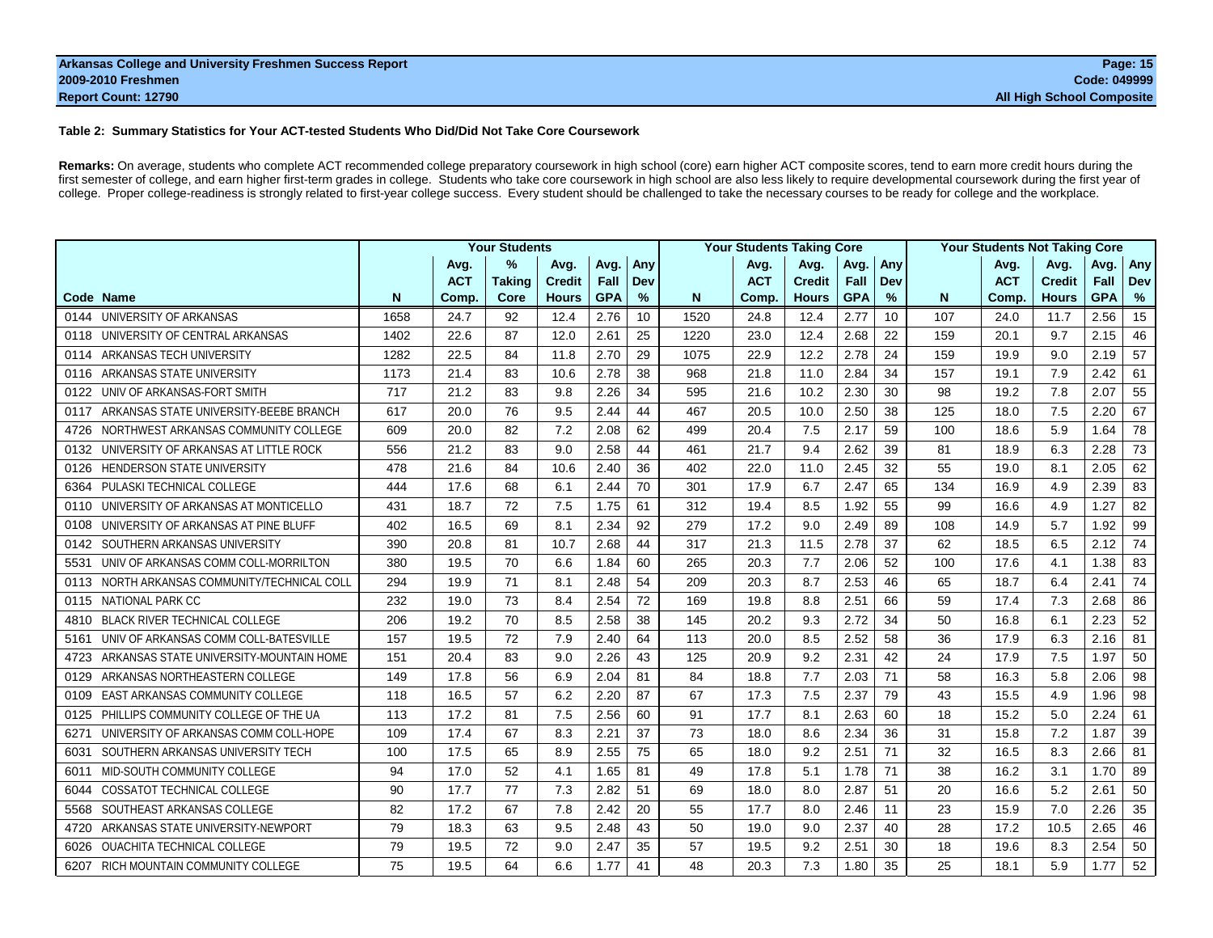#### **Table 2: Summary Statistics for Your ACT-tested Students Who Did/Did Not Take Core Coursework**

Remarks: On average, students who complete ACT recommended college preparatory coursework in high school (core) earn higher ACT composite scores, tend to earn more credit hours during the first semester of college, and earn higher first-term grades in college. Students who take core coursework in high school are also less likely to require developmental coursework during the first year of college. Proper college-readiness is strongly related to first-year college success. Every student should be challenged to take the necessary courses to be ready for college and the workplace.

|                                                 |      |            | <b>Your Students</b> |               |            |     |      | <b>Your Students Taking Core</b> |               |            |     |     | <b>Your Students Not Taking Core</b> |               |            |            |
|-------------------------------------------------|------|------------|----------------------|---------------|------------|-----|------|----------------------------------|---------------|------------|-----|-----|--------------------------------------|---------------|------------|------------|
|                                                 |      | Avg.       | %                    | Avg.          | Avg.       | Any |      | Avg.                             | Avg.          | Avg.       | Any |     | Avg.                                 | Avg.          | Avg.       | Any        |
|                                                 |      | <b>ACT</b> | <b>Taking</b>        | <b>Credit</b> | Fall       | Dev |      | <b>ACT</b>                       | <b>Credit</b> | Fall       | Dev |     | <b>ACT</b>                           | <b>Credit</b> | Fall       | <b>Dev</b> |
| Code Name                                       | N    | Comp.      | Core                 | <b>Hours</b>  | <b>GPA</b> | %   | N    | Comp.                            | <b>Hours</b>  | <b>GPA</b> | %   | N   | Comp.                                | <b>Hours</b>  | <b>GPA</b> | %          |
| 0144 UNIVERSITY OF ARKANSAS                     | 1658 | 24.7       | 92                   | 12.4          | 2.76       | 10  | 1520 | 24.8                             | 12.4          | 2.77       | 10  | 107 | 24.0                                 | 11.7          | 2.56       | 15         |
| UNIVERSITY OF CENTRAL ARKANSAS<br>0118          | 1402 | 22.6       | 87                   | 12.0          | 2.61       | 25  | 1220 | 23.0                             | 12.4          | 2.68       | 22  | 159 | 20.1                                 | 9.7           | 2.15       | 46         |
| ARKANSAS TECH UNIVERSITY<br>0114                | 1282 | 22.5       | 84                   | 11.8          | 2.70       | 29  | 1075 | 22.9                             | 12.2          | 2.78       | 24  | 159 | 19.9                                 | 9.0           | 2.19       | 57         |
| ARKANSAS STATE UNIVERSITY<br>0116               | 1173 | 21.4       | 83                   | 10.6          | 2.78       | 38  | 968  | 21.8                             | 11.0          | 2.84       | 34  | 157 | 19.1                                 | 7.9           | 2.42       | 61         |
| UNIV OF ARKANSAS-FORT SMITH<br>0122             | 717  | 21.2       | 83                   | 9.8           | 2.26       | 34  | 595  | 21.6                             | 10.2          | 2.30       | 30  | 98  | 19.2                                 | 7.8           | 2.07       | 55         |
| ARKANSAS STATE UNIVERSITY-BEEBE BRANCH<br>0117  | 617  | 20.0       | 76                   | 9.5           | 2.44       | 44  | 467  | 20.5                             | 10.0          | 2.50       | 38  | 125 | 18.0                                 | 7.5           | 2.20       | 67         |
| NORTHWEST ARKANSAS COMMUNITY COLLEGE<br>4726    | 609  | 20.0       | 82                   | 7.2           | 2.08       | 62  | 499  | 20.4                             | 7.5           | 2.17       | 59  | 100 | 18.6                                 | 5.9           | 1.64       | 78         |
| UNIVERSITY OF ARKANSAS AT LITTLE ROCK<br>0132   | 556  | 21.2       | 83                   | 9.0           | 2.58       | 44  | 461  | 21.7                             | 9.4           | 2.62       | 39  | 81  | 18.9                                 | 6.3           | 2.28       | 73         |
| <b>HENDERSON STATE UNIVERSITY</b><br>0126       | 478  | 21.6       | 84                   | 10.6          | 2.40       | 36  | 402  | 22.0                             | 11.0          | 2.45       | 32  | 55  | 19.0                                 | 8.1           | 2.05       | 62         |
| <b>PULASKI TECHNICAL COLLEGE</b><br>6364        | 444  | 17.6       | 68                   | 6.1           | 2.44       | 70  | 301  | 17.9                             | 6.7           | 2.47       | 65  | 134 | 16.9                                 | 4.9           | 2.39       | 83         |
| UNIVERSITY OF ARKANSAS AT MONTICELLO<br>0110    | 431  | 18.7       | 72                   | 7.5           | 1.75       | 61  | 312  | 19.4                             | 8.5           | 1.92       | 55  | 99  | 16.6                                 | 4.9           | 1.27       | 82         |
| UNIVERSITY OF ARKANSAS AT PINE BLUFF<br>0108    | 402  | 16.5       | 69                   | 8.1           | 2.34       | 92  | 279  | 17.2                             | 9.0           | 2.49       | 89  | 108 | 14.9                                 | 5.7           | 1.92       | 99         |
| SOUTHERN ARKANSAS UNIVERSITY<br>0142            | 390  | 20.8       | 81                   | 10.7          | 2.68       | 44  | 317  | 21.3                             | 11.5          | 2.78       | 37  | 62  | 18.5                                 | 6.5           | 2.12       | 74         |
| UNIV OF ARKANSAS COMM COLL-MORRILTON<br>5531    | 380  | 19.5       | 70                   | 6.6           | 1.84       | 60  | 265  | 20.3                             | 7.7           | 2.06       | 52  | 100 | 17.6                                 | 4.1           | 1.38       | 83         |
| NORTH ARKANSAS COMMUNITY/TECHNICAL COLL<br>0113 | 294  | 19.9       | 71                   | 8.1           | 2.48       | 54  | 209  | 20.3                             | 8.7           | 2.53       | 46  | 65  | 18.7                                 | 6.4           | 2.41       | 74         |
| NATIONAL PARK CC<br>0115                        | 232  | 19.0       | 73                   | 8.4           | 2.54       | 72  | 169  | 19.8                             | 8.8           | 2.51       | 66  | 59  | 17.4                                 | 7.3           | 2.68       | 86         |
| <b>BLACK RIVER TECHNICAL COLLEGE</b><br>4810    | 206  | 19.2       | 70                   | 8.5           | 2.58       | 38  | 145  | 20.2                             | 9.3           | 2.72       | 34  | 50  | 16.8                                 | 6.1           | 2.23       | 52         |
| UNIV OF ARKANSAS COMM COLL-BATESVILLE<br>5161   | 157  | 19.5       | 72                   | 7.9           | 2.40       | 64  | 113  | 20.0                             | 8.5           | 2.52       | 58  | 36  | 17.9                                 | 6.3           | 2.16       | 81         |
| ARKANSAS STATE UNIVERSITY-MOUNTAIN HOME<br>4723 | 151  | 20.4       | 83                   | 9.0           | 2.26       | 43  | 125  | 20.9                             | 9.2           | 2.31       | 42  | 24  | 17.9                                 | 7.5           | 1.97       | 50         |
| ARKANSAS NORTHEASTERN COLLEGE<br>0129           | 149  | 17.8       | 56                   | 6.9           | 2.04       | 81  | 84   | 18.8                             | 7.7           | 2.03       | 71  | 58  | 16.3                                 | 5.8           | 2.06       | 98         |
| <b>EAST ARKANSAS COMMUNITY COLLEGE</b><br>0109  | 118  | 16.5       | 57                   | 6.2           | 2.20       | 87  | 67   | 17.3                             | 7.5           | 2.37       | 79  | 43  | 15.5                                 | 4.9           | 1.96       | 98         |
| PHILLIPS COMMUNITY COLLEGE OF THE UA<br>0125    | 113  | 17.2       | 81                   | 7.5           | 2.56       | 60  | 91   | 17.7                             | 8.1           | 2.63       | 60  | 18  | 15.2                                 | 5.0           | 2.24       | 61         |
| UNIVERSITY OF ARKANSAS COMM COLL-HOPE<br>6271   | 109  | 17.4       | 67                   | 8.3           | 2.21       | 37  | 73   | 18.0                             | 8.6           | 2.34       | 36  | 31  | 15.8                                 | 7.2           | 1.87       | 39         |
| SOUTHERN ARKANSAS UNIVERSITY TECH<br>6031       | 100  | 17.5       | 65                   | 8.9           | 2.55       | 75  | 65   | 18.0                             | 9.2           | 2.51       | 71  | 32  | 16.5                                 | 8.3           | 2.66       | 81         |
| MID-SOUTH COMMUNITY COLLEGE<br>6011             | 94   | 17.0       | 52                   | 4.1           | 1.65       | 81  | 49   | 17.8                             | 5.1           | 1.78       | 71  | 38  | 16.2                                 | 3.1           | 1.70       | 89         |
| COSSATOT TECHNICAL COLLEGE<br>6044              | 90   | 17.7       | 77                   | 7.3           | 2.82       | 51  | 69   | 18.0                             | 8.0           | 2.87       | 51  | 20  | 16.6                                 | 5.2           | 2.61       | 50         |
| SOUTHEAST ARKANSAS COLLEGE<br>5568              | 82   | 17.2       | 67                   | 7.8           | 2.42       | 20  | 55   | 17.7                             | 8.0           | 2.46       | 11  | 23  | 15.9                                 | 7.0           | 2.26       | 35         |
| ARKANSAS STATE UNIVERSITY-NEWPORT<br>4720       | 79   | 18.3       | 63                   | 9.5           | 2.48       | 43  | 50   | 19.0                             | 9.0           | 2.37       | 40  | 28  | 17.2                                 | 10.5          | 2.65       | 46         |
| OUACHITA TECHNICAL COLLEGE<br>6026              | 79   | 19.5       | 72                   | 9.0           | 2.47       | 35  | 57   | 19.5                             | 9.2           | 2.51       | 30  | 18  | 19.6                                 | 8.3           | 2.54       | 50         |
| 6207 RICH MOUNTAIN COMMUNITY COLLEGE            | 75   | 19.5       | 64                   | 6.6           | 1.77       | 41  | 48   | 20.3                             | 7.3           | 1.80       | 35  | 25  | 18.1                                 | 5.9           | 1.77       | 52         |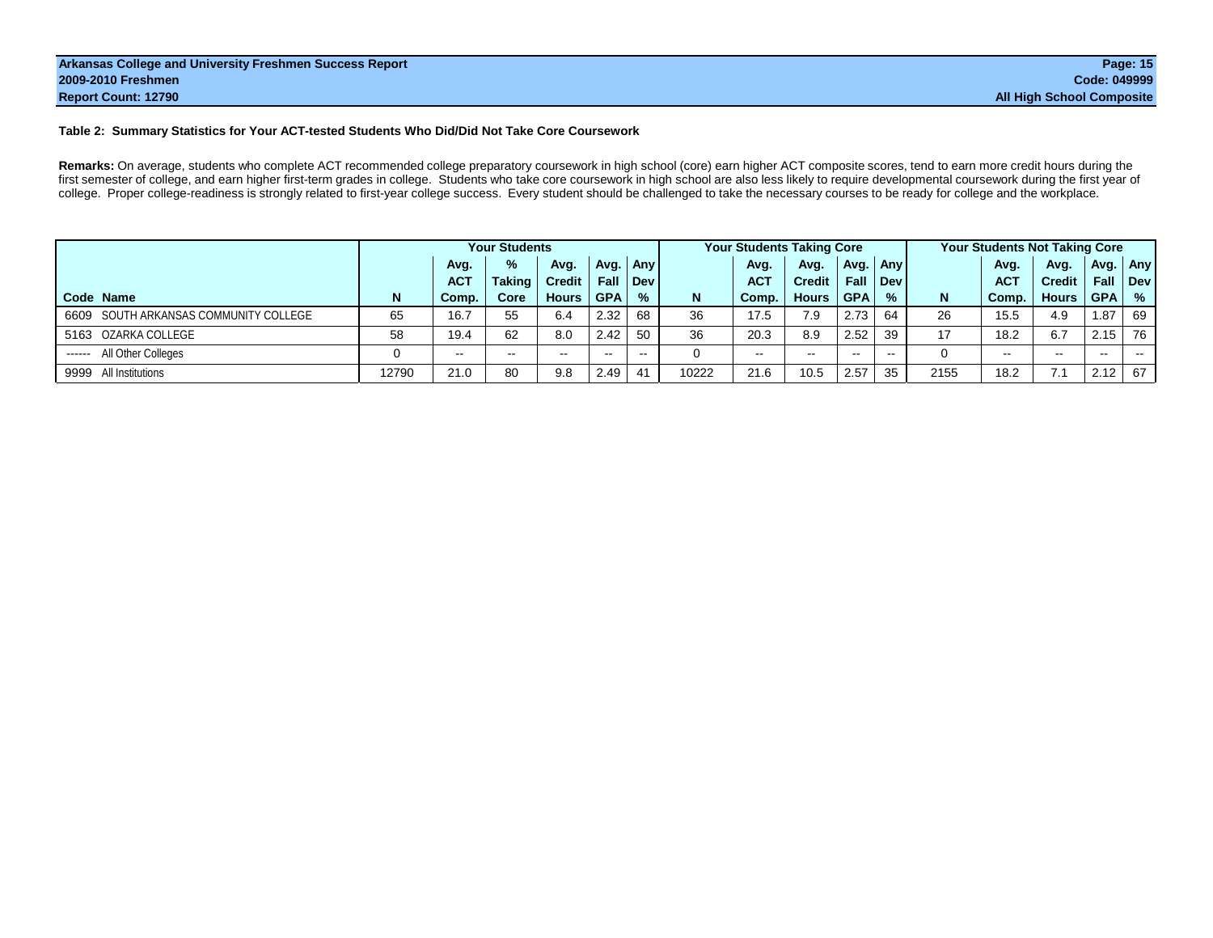#### **Table 2: Summary Statistics for Your ACT-tested Students Who Did/Did Not Take Core Coursework**

Remarks: On average, students who complete ACT recommended college preparatory coursework in high school (core) earn higher ACT composite scores, tend to earn more credit hours during the first semester of college, and earn higher first-term grades in college. Students who take core coursework in high school are also less likely to require developmental coursework during the first year of college. Proper college-readiness is strongly related to first-year college success. Every student should be challenged to take the necessary courses to be ready for college and the workplace.

|                                       |       |               | <b>Your Students</b> |               |               |               |       | <b>Your Students Taking Core</b> |               |            |             |      | Your Students Not Taking Core |               |            |               |
|---------------------------------------|-------|---------------|----------------------|---------------|---------------|---------------|-------|----------------------------------|---------------|------------|-------------|------|-------------------------------|---------------|------------|---------------|
|                                       |       | Avg.          | %                    | Avg.          | Avg.          | Any l         |       | Avg.                             | Avg.          | Avg.       | <b>Anvl</b> |      | Avg.                          | Avg.          | Avg.       | Any           |
|                                       |       | <b>ACT</b>    | <b>Taking</b>        | <b>Credit</b> | Fall          | Dev l         |       | <b>ACT</b>                       | <b>Credit</b> | Fall       | Dev l       |      | <b>ACT</b>                    | <b>Credit</b> | Fall       | Dev           |
| Code Name                             | N     | Comp.         | Core                 | <b>Hours</b>  | <b>GPA</b>    | $\%$          | N     | Comp.                            | <b>Hours</b>  | <b>GPA</b> | $\%$        | N    | Comp.                         | <b>Hours</b>  | <b>GPA</b> | $\frac{9}{6}$ |
| 6609 SOUTH ARKANSAS COMMUNITY COLLEGE | 65    | 16.7          | 55                   | 6.4           | 2.32          | 68            | 36    | 17.5                             | 7.9           | 2.73       | 64          | -26  | 15.5                          | 4.9           | 1.87       | 69            |
| 5163 OZARKA COLLEGE                   | 58    | 19.4          | 62                   | 8.0           | 2.42          | 50            | 36    | 20.3                             | 8.9           | 2.52       | 39          | 17   | 18.2                          | 6.7           | 2.15       | 76            |
| All Other Colleges<br>------          | 0     | $\sim$ $\sim$ | $\sim$ $\sim$        | $\sim$        | $\sim$ $\sim$ | $\sim$ $\sim$ |       | $- -$                            | $\sim$ $\sim$ | $\sim$     | $- -$       |      | $\sim$                        | $\sim$ $\sim$ | $- -$      | <b>STATE</b>  |
| 9999 All Institutions                 | 12790 | 21.0          | 80                   | 9.8           | 2.49          | 41            | 10222 | 21.6                             | 10.5          | 2.57       | 35          | 2155 | 18.2                          | 7.1           | 2.12       | 67            |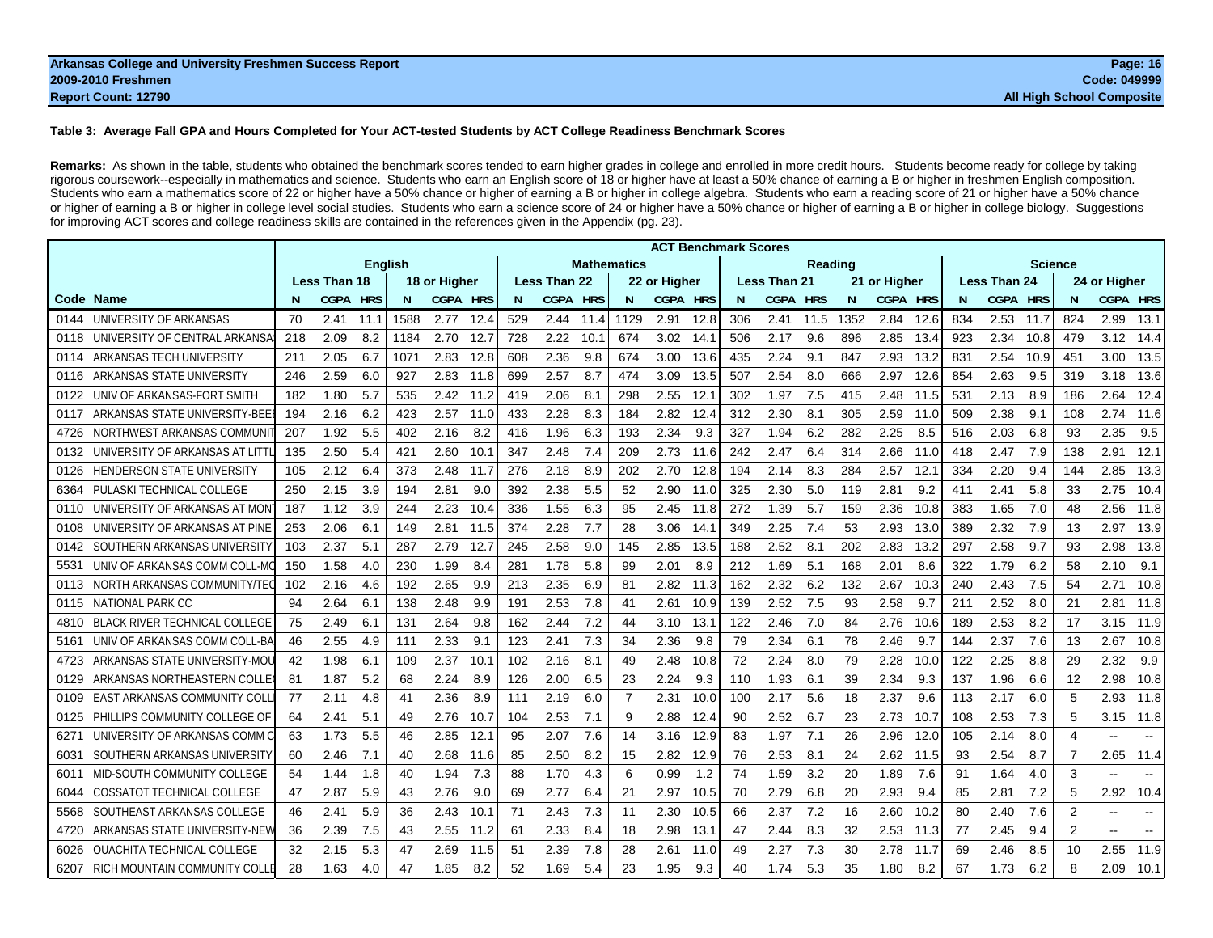#### **Table 3: Average Fall GPA and Hours Completed for Your ACT-tested Students by ACT College Readiness Benchmark Scores**

Remarks: As shown in the table, students who obtained the benchmark scores tended to earn higher grades in college and enrolled in more credit hours. Students become ready for college by taking rigorous coursework--especially in mathematics and science. Students who earn an English score of 18 or higher have at least a 50% chance of earning a B or higher in freshmen English composition. Students who earn a mathematics score of 22 or higher have a 50% chance or higher of earning a B or higher in college algebra. Students who earn a reading score of 21 or higher have a 50% chance or higher of earning a B or higher in college level social studies. Students who earn a science score of 24 or higher have a 50% chance or higher of earning a B or higher in college biology. Suggestions for improving ACT scores and college readiness skills are contained in the references given in the Appendix (pg. 23).

|                                              |     |                     |                |      |                 |      |     |                     |            |                    |              |      | <b>ACT Benchmark Scores</b> |                     |            |      |                 |      |     |                     |                |                |                          |        |
|----------------------------------------------|-----|---------------------|----------------|------|-----------------|------|-----|---------------------|------------|--------------------|--------------|------|-----------------------------|---------------------|------------|------|-----------------|------|-----|---------------------|----------------|----------------|--------------------------|--------|
|                                              |     |                     | <b>English</b> |      |                 |      |     |                     |            | <b>Mathematics</b> |              |      |                             |                     | Reading    |      |                 |      |     |                     | <b>Science</b> |                |                          |        |
|                                              |     | <b>Less Than 18</b> |                |      | 18 or Higher    |      |     | <b>Less Than 22</b> |            |                    | 22 or Hiaher |      |                             | <b>Less Than 21</b> |            |      | 21 or Higher    |      |     | <b>Less Than 24</b> |                |                | 24 or Higher             |        |
| Code<br>Name                                 |     | <b>CGPA</b>         | <b>HRS</b>     | N    | <b>CGPA HRS</b> |      | N   | <b>CGPA</b>         | <b>HRS</b> | N                  | CGPA HRS     |      | N.                          | <b>CGPA</b>         | <b>HRS</b> | N    | <b>CGPA HRS</b> |      | N.  | CGPA HRS            |                |                | CGPA HRS                 |        |
| UNIVERSITY OF ARKANSAS<br>0144               | 70  | 2.41                | 11.1           | 1588 | 2.77            | 12.4 | 529 | 2.44                | 11.4       | 1129               | 2.91         | 12.8 | 306                         | 2.41                | 11.5       | 1352 | 2.84            | 12.6 | 834 | 2.53                | 11.7           | 824            | 2.99                     | 13.1   |
| UNIVERSITY OF CENTRAL ARKANSA<br>0118        | 218 | 2.09                | 8.2            | 1184 | 2.70            | 12.7 | 728 | 2.22                | 10.1       | 674                | 3.02         | 14.1 | 506                         | 2.17                | 9.6        | 896  | 2.85            | 13.4 | 923 | 2.34                | 10.8           | 479            | 3.12                     | 14.4   |
| ARKANSAS TECH UNIVERSITY<br>0114             | 211 | 2.05                | 6.7            | 1071 | 2.83            | 12.8 | 608 | 2.36                | 9.8        | 674                | 3.00         | 13.6 | 435                         | 2.24                | 9.1        | 847  | 2.93            | 13.2 | 831 | 2.54                | 10.9           | 451            | 3.00                     | 13.5   |
| ARKANSAS STATE UNIVERSITY<br>0116            | 246 | 2.59                | 6.0            | 927  | 2.83            | 11.8 | 699 | 2.57                | 8.7        | 474                | 3.09         | 13.5 | 507                         | 2.54                | 8.0        | 666  | 2.97            | 12.6 | 854 | 2.63                | 9.5            | 319            | 3.18                     | 13.6   |
| UNIV OF ARKANSAS-FORT SMITH<br>0122          | 182 | 1.80                | 5.7            | 535  | 2.42            | 11.2 | 419 | 2.06                | 8.1        | 298                | 2.55         | 12.  | 302                         | 1.97                | 7.5        | 415  | 2.48            | 11.5 | 531 | 2.13                | 8.9            | 186            | 2.64                     | 12.4   |
| ARKANSAS STATE UNIVERSITY-BEE<br>0117        | 194 | 2.16                | 6.2            | 423  | 2.57            | 11.0 | 433 | 2.28                | 8.3        | 184                | 2.82         | 12.4 | 312                         | 2.30                | 8.1        | 305  | 2.59            | 11.0 | 509 | 2.38                | 9.1            | 108            | 2.74                     | 11.6   |
| NORTHWEST ARKANSAS COMMUNI<br>4726           | 207 | 1.92                | 5.5            | 402  | 2.16            | 8.2  | 416 | 1.96                | 6.3        | 193                | 2.34         | 9.3  | 327                         | 1.94                | 6.2        | 282  | 2.25            | 8.5  | 516 | 2.03                | 6.8            | 93             | 2.35                     | 9.5    |
| UNIVERSITY OF ARKANSAS AT LITT<br>0132       | 135 | 2.50                | 5.4            | 421  | 2.60            | 10.1 | 347 | 2.48                | 7.4        | 209                | 2.73         | 11.6 | 242                         | 2.47                | 6.4        | 314  | 2.66            | 11.0 | 418 | 2.47                | 7.9            | 138            | 2.91                     | 12.1   |
| <b>HENDERSON STATE UNIVERSITY</b><br>0126    | 105 | 2.12                | 6.4            | 373  | 2.48            | 11.7 | 276 | 2.18                | 8.9        | 202                | 2.70         | 12.8 | 194                         | 2.14                | 8.3        | 284  | 2.57            | 12.1 | 334 | 2.20                | 9.4            | 144            | 2.85                     | 13.3   |
| PULASKI TECHNICAL COLLEGE<br>6364            | 250 | 2.15                | 3.9            | 194  | 2.81            | 9.0  | 392 | 2.38                | 5.5        | 52                 | 2.90         | 11.0 | 325                         | 2.30                | 5.0        | 119  | 2.81            | 9.2  | 411 | 2.41                | 5.8            | 33             | 2.75                     | 10.4   |
| UNIVERSITY OF ARKANSAS AT MON<br>0110        | 187 | 1.12                | 3.9            | 244  | 2.23            | 10.4 | 336 | 1.55                | 6.3        | 95                 | 2.45         | 11.8 | 272                         | 1.39                | 5.7        | 159  | 2.36            | 10.8 | 383 | 1.65                | 7.0            | 48             | 2.56                     | 11.8   |
| UNIVERSITY OF ARKANSAS AT PINE<br>0108       | 253 | 2.06                | 6.1            | 149  | 2.81            | 11.5 | 374 | 2.28                | 7.7        | 28                 | 3.06         | 14.1 | 349                         | 2.25                | 7.4        | 53   | 2.93            | 13.0 | 389 | 2.32                | 7.9            | 13             | 2.97                     | 13.9   |
| SOUTHERN ARKANSAS UNIVERSITY<br>0142         | 103 | 2.37                | 5.1            | 287  | 2.79            | 12.7 | 245 | 2.58                | 9.0        | 145                | 2.85         | 13.5 | 188                         | 2.52                | 8.1        | 202  | 2.83            | 13.2 | 297 | 2.58                | 9.7            | 93             | 2.98                     | 13.8   |
| UNIV OF ARKANSAS COMM COLL-M<br>5531         | 150 | 1.58                | 4.0            | 230  | 1.99            | 8.4  | 281 | 1.78                | 5.8        | 99                 | 2.01         | 8.9  | 212                         | 1.69                | 5.1        | 168  | 2.01            | 8.6  | 322 | 1.79                | 6.2            | 58             | 2.10                     | 9.1    |
| NORTH ARKANSAS COMMUNITY/TE<br>0113          | 102 | 2.16                | 4.6            | 192  | 2.65            | 9.9  | 213 | 2.35                | 6.9        | 81                 | 2.82         | 11.3 | 162                         | 2.32                | 6.2        | 132  | 2.67            | 10.3 | 240 | 2.43                | 7.5            | 54             | 2.71                     | 10.8   |
| NATIONAL PARK CC<br>0115                     | 94  | 2.64                | 6.1            | 138  | 2.48            | 9.9  | 191 | 2.53                | 7.8        | 41                 | 2.61         | 10.9 | 139                         | 2.52                | 7.5        | 93   | 2.58            | 9.7  | 211 | 2.52                | 8.0            | 21             | 2.81                     | 11.8   |
| <b>BLACK RIVER TECHNICAL COLLEGE</b><br>4810 | 75  | 2.49                | 6.1            | 131  | 2.64            | 9.8  | 162 | 2.44                | 7.2        | 44                 | 3.10         | 13.7 | 122                         | 2.46                | 7.0        | 84   | 2.76            | 10.6 | 189 | 2.53                | 8.2            | 17             | 3.15                     | 11.9   |
| UNIV OF ARKANSAS COMM COLL-B/<br>5161        | 46  | 2.55                | 4.9            | 111  | 2.33            | 9.1  | 123 | 2.41                | 7.3        | 34                 | 2.36         | 9.8  | 79                          | 2.34                | 6.1        | 78   | 2.46            | 9.7  | 144 | 2.37                | 7.6            | 13             | 2.67                     | 10.8   |
| ARKANSAS STATE UNIVERSITY-MOL<br>4723        | 42  | 1.98                | 6.1            | 109  | 2.37            | 10.1 | 102 | 2.16                | 8.1        | 49                 | 2.48         | 10.8 | 72                          | 2.24                | 8.0        | 79   | 2.28            | 10.0 | 122 | 2.25                | 8.8            | 29             | 2.32                     | 9.9    |
| ARKANSAS NORTHEASTERN COLLE<br>0129          | -81 | 1.87                | 5.2            | 68   | 2.24            | 8.9  | 126 | 2.00                | 6.5        | 23                 | 2.24         | 9.3  | 110                         | 1.93                | 6.1        | 39   | 2.34            | 9.3  | 137 | 1.96                | 6.6            | 12             | 2.98                     | 10.8   |
| EAST ARKANSAS COMMUNITY COL<br>0109          | 77  | 2.11                | 4.8            | 41   | 2.36            | 8.9  | 111 | 2.19                | 6.0        | 7                  | 2.31         | 10.0 | 100                         | 2.17                | 5.6        | 18   | 2.37            | 9.6  | 113 | 2.17                | 6.0            | 5              | 2.93                     | 11.8   |
| PHILLIPS COMMUNITY COLLEGE OF<br>0125        | 64  | 2.41                | 5.1            | 49   | 2.76            | 10.7 | 104 | 2.53                | 7.1        | 9                  | 2.88         | 12.4 | 90                          | 2.52                | 6.7        | 23   | 2.73            | 10.7 | 108 | 2.53                | 7.3            | 5              | 3.15                     | 11.8   |
| UNIVERSITY OF ARKANSAS COMM<br>6271          | 63  | 1.73                | 5.5            | 46   | 2.85            | 12.1 | 95  | 2.07                | 7.6        | 14                 | 3.16         | 12.9 | 83                          | 1.97                | 7.1        | 26   | 2.96            | 12.0 | 105 | 2.14                | 8.0            | $\overline{4}$ | $\overline{\phantom{a}}$ | $\sim$ |
| SOUTHERN ARKANSAS UNIVERSITY<br>6031         | 60  | 2.46                | 7.1            | 40   | 2.68            | 11.6 | 85  | 2.50                | 8.2        | 15                 | 2.82         | 12.9 | 76                          | 2.53                | 8.1        | 24   | 2.62            | 11.5 | 93  | 2.54                | 8.7            | 7              | 2.65                     | 11.4   |
| MID-SOUTH COMMUNITY COLLEGE<br>6011          | 54  | 1.44                | 1.8            | 40   | 1.94            | 7.3  | 88  | 1.70                | 4.3        | 6                  | 0.99         | 1.2  | 74                          | 1.59                | 3.2        | 20   | 1.89            | 7.6  | 91  | 1.64                | 4.0            | 3              |                          |        |
| COSSATOT TECHNICAL COLLEGE<br>6044           | 47  | 2.87                | 5.9            | 43   | 2.76            | 9.0  | 69  | 2.77                | 6.4        | 21                 | 2.97         | 10.5 | 70                          | 2.79                | 6.8        | 20   | 2.93            | 9.4  | 85  | 2.81                | 7.2            | 5              | 2.92                     | 10.4   |
| SOUTHEAST ARKANSAS COLLEGE<br>5568           | 46  | 2.41                | 5.9            | 36   | 2.43            | 10.1 | 71  | 2.43                | 7.3        | 11                 | 2.30         | 10.5 | 66                          | 2.37                | 7.2        | 16   | 2.60            | 10.2 | 80  | 2.40                | 7.6            | 2              | $\overline{\phantom{a}}$ | $\sim$ |
| ARKANSAS STATE UNIVERSITY-NEV<br>4720        | 36  | 2.39                | 7.5            | 43   | 2.55            | 11.2 | 61  | 2.33                | 8.4        | 18                 | 2.98         | 13.1 | 47                          | 2.44                | 8.3        | 32   | 2.53            | 11.3 | 77  | 2.45                | 9.4            | 2              | $\overline{\phantom{a}}$ |        |
| <b>OUACHITA TECHNICAL COLLEGE</b><br>6026    | 32  | 2.15                | 5.3            | 47   | 2.69            | 11.5 | 51  | 2.39                | 7.8        | 28                 | 2.61         | 11.0 | 49                          | 2.27                | 7.3        | 30   | 2.78            | 11.7 | 69  | 2.46                | 8.5            | 10             | 2.55                     | 11.9   |
| RICH MOUNTAIN COMMUNITY COL<br>6207          | 28  | 1.63                | 4.0            | 47   | 1.85            | 8.2  | 52  | 1.69                | 5.4        | 23                 | 1.95         | 9.3  | 40                          | 1.74                | 5.3        | 35   | 1.80            | 8.2  | 67  | 1.73                | 6.2            | 8              | 2.09                     | 10.1   |
|                                              |     |                     |                |      |                 |      |     |                     |            |                    |              |      |                             |                     |            |      |                 |      |     |                     |                | Page 84 of 113 |                          |        |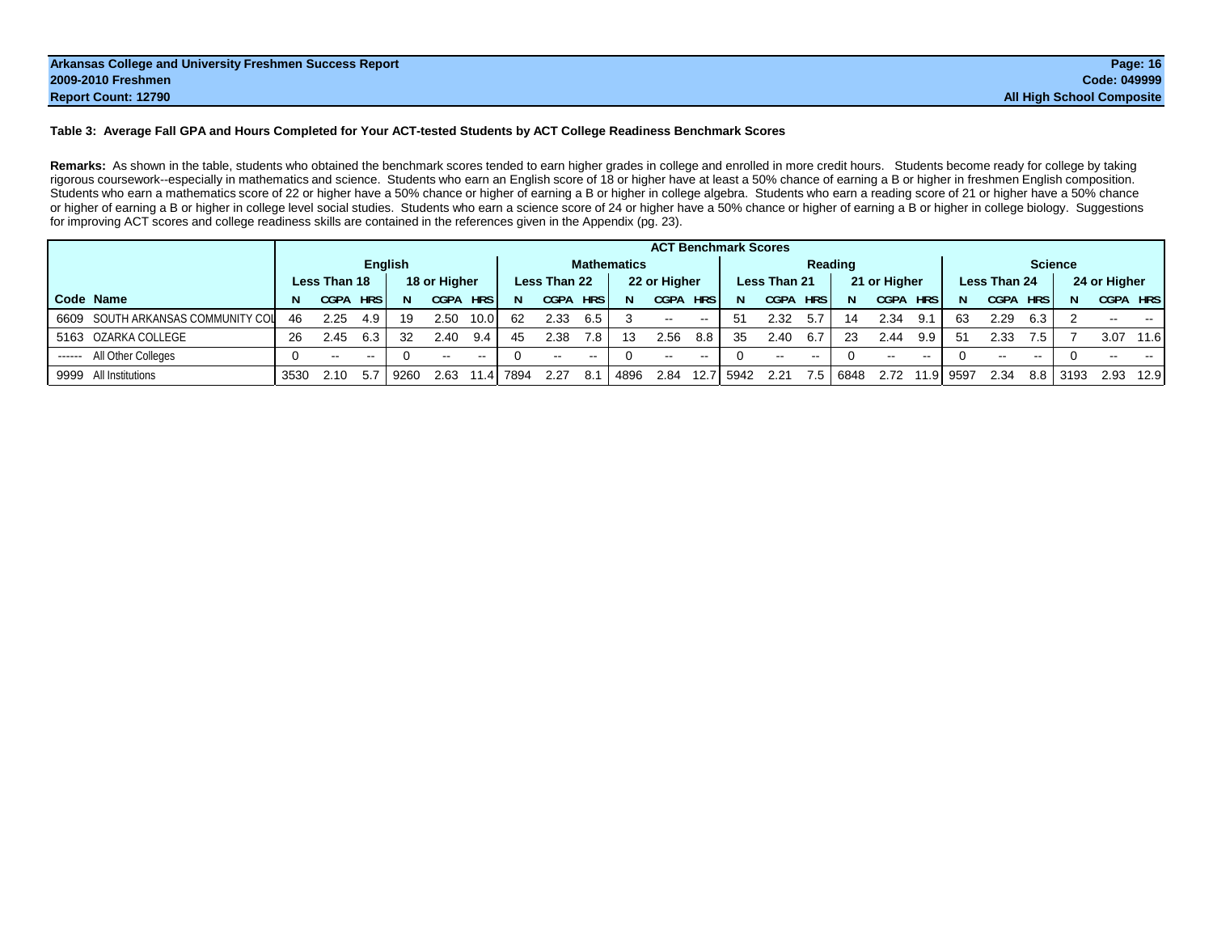#### **Table 3: Average Fall GPA and Hours Completed for Your ACT-tested Students by ACT College Readiness Benchmark Scores**

Remarks: As shown in the table, students who obtained the benchmark scores tended to earn higher grades in college and enrolled in more credit hours. Students become ready for college by taking rigorous coursework--especially in mathematics and science. Students who earn an English score of 18 or higher have at least a 50% chance of earning a B or higher in freshmen English composition. Students who earn a mathematics score of 22 or higher have a 50% chance or higher of earning a B or higher in college algebra. Students who earn a reading score of 21 or higher have a 50% chance or higher of earning a B or higher in college level social studies. Students who earn a science score of 24 or higher have a 50% chance or higher of earning a B or higher in college biology. Suggestions for improving ACT scores and college readiness skills are contained in the references given in the Appendix (pg. 23).

|                                   |      |               |            |                |              |               |      |              |            |             |              |                   | <b>ACT Benchmark Scores</b> |              |               |         |              |            |           |              |            |                |               |      |
|-----------------------------------|------|---------------|------------|----------------|--------------|---------------|------|--------------|------------|-------------|--------------|-------------------|-----------------------------|--------------|---------------|---------|--------------|------------|-----------|--------------|------------|----------------|---------------|------|
|                                   |      |               |            | <b>English</b> |              |               |      |              |            | Mathematics |              |                   |                             |              |               | Reading |              |            |           |              |            | <b>Science</b> |               |      |
|                                   |      | Less Than 18  |            |                | 18 or Higher |               |      | Less Than 22 |            |             | 22 or Higher |                   |                             | Less Than 21 |               |         | 21 or Higher |            |           | Less Than 24 |            |                | 24 or Higher  |      |
| Code Name                         |      | CGPA          | <b>HRS</b> |                | <b>CGPA</b>  | <b>HRS</b>    | 'N.  | <b>CGPA</b>  | <b>HRS</b> |             | <b>CGPA</b>  | <b>HRS</b>        | N                           | <b>CGPA</b>  | <b>HRS</b>    | N.      | CGPA         | <b>HRS</b> | N         | <b>CGPA</b>  | <b>HRS</b> |                | CGPA HRS      |      |
| 6609 SOUTH ARKANSAS COMMUNITY COL | 46   | 2.25          | 4.9        | 19             | 2.50         | 10.0          | 62   | 2.33         | 6.5        |             | $\sim$       | $\sim$ $\sim$     | 51                          | 2.32         | 5.7           | 14      | 2.34         | 9.1        | 63        | 2.29         | 6.3        |                | $\sim$ $\sim$ | $-1$ |
| 5163 OZARKA COLLEGE               | 26   | 2.45          | 6.3        | 32             | 2.40         | 9.4           | 45   | 2.38         | 7.8        | 13          | 2.56         | 8.8               | 35                          | 2.40         | 6.7           | -23     | 2.44         | 9.9        | 51        | 2.33         | 7.5        |                | 3.07          | 11.6 |
| All Other Colleges<br>-------     |      | $\sim$ $\sim$ | $\sim$ $-$ |                | $-$          | $\sim$ $\sim$ |      | $- -$        | $- -$      |             | $\sim$       | $- -$             |                             | $\sim$ $-$   | $\sim$ $\sim$ |         | $- -$        | $- -$      |           |              | $- -$      |                | --            |      |
| 9999 All Institutions             | 3530 | 2.10          | 5.7        | 9260           | 2.63         | 1.41          | 7894 | 2.27         | 8.1        | 4896        | 2.84         | 12.7 <sub>l</sub> | 5942                        | 2.21         | 7.5           | 6848    | 2.72         |            | 11.9 9597 | 2.34         | 8.8        | 3193           | 2.93          | 12.9 |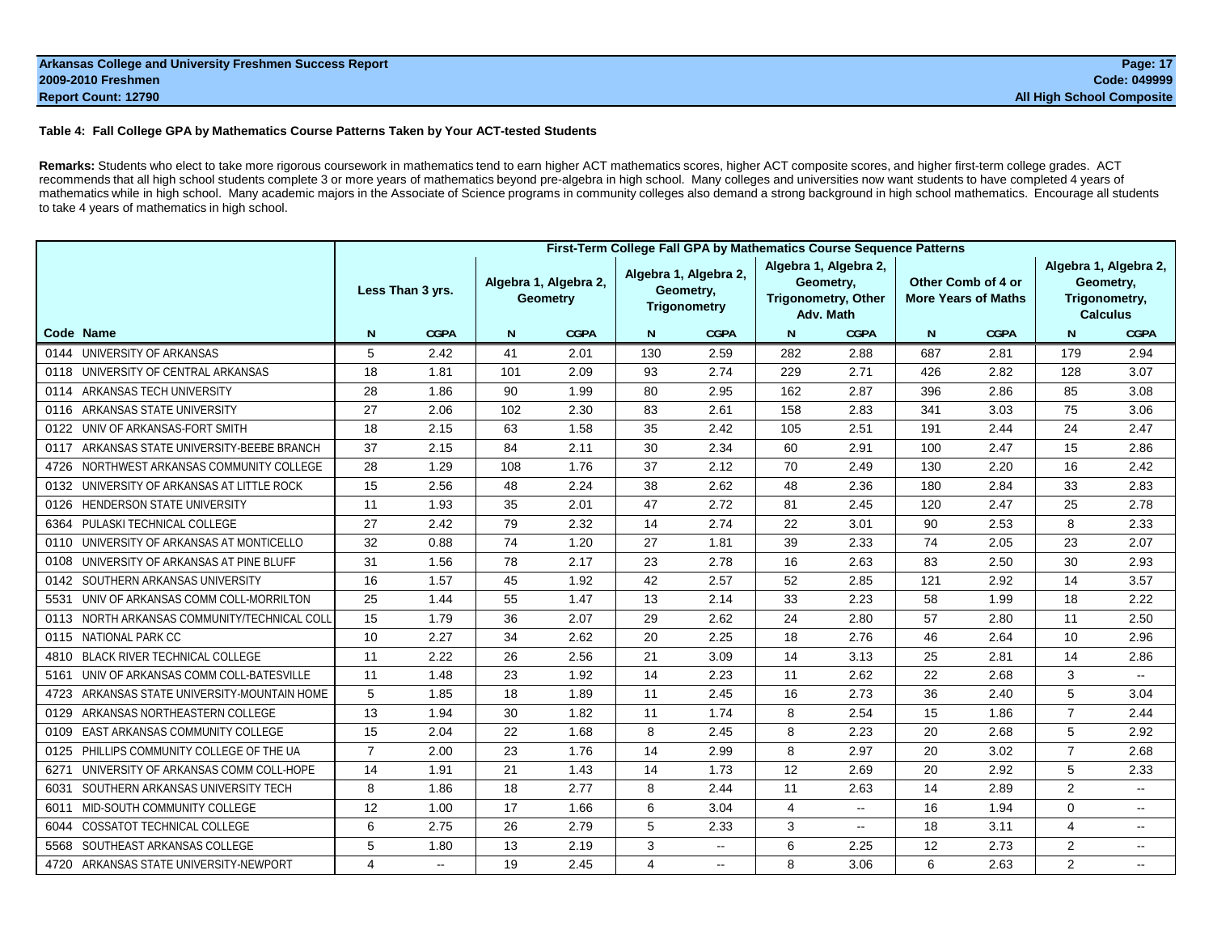#### **Table 4: Fall College GPA by Mathematics Course Patterns Taken by Your ACT-tested Students**

**Remarks:** Students who elect to take more rigorous coursework in mathematics tend to earn higher ACT mathematics scores, higher ACT composite scores, and higher first-term college grades. ACT recommends that all high school students complete 3 or more years of mathematics beyond pre-algebra in high school. Many colleges and universities now want students to have completed 4 years of mathematics while in high school. Many academic majors in the Associate of Science programs in community colleges also demand a strong background in high school mathematics. Encourage all students to take 4 years of mathematics in high school.

|                                                 |                |                  |     |                                          |     | First-Term College Fall GPA by Mathematics Course Sequence Patterns |                |                                                                               |     |                                                  |                |                                                                        |
|-------------------------------------------------|----------------|------------------|-----|------------------------------------------|-----|---------------------------------------------------------------------|----------------|-------------------------------------------------------------------------------|-----|--------------------------------------------------|----------------|------------------------------------------------------------------------|
|                                                 |                | Less Than 3 yrs. |     | Algebra 1, Algebra 2,<br><b>Geometry</b> |     | Algebra 1, Algebra 2,<br>Geometry,<br><b>Trigonometry</b>           |                | Algebra 1, Algebra 2,<br>Geometry,<br><b>Trigonometry, Other</b><br>Adv. Math |     | Other Comb of 4 or<br><b>More Years of Maths</b> |                | Algebra 1, Algebra 2,<br>Geometry,<br>Trigonometry,<br><b>Calculus</b> |
| Code Name                                       | N              | <b>CGPA</b>      | N.  | <b>CGPA</b>                              | N   | <b>CGPA</b>                                                         | N              | <b>CGPA</b>                                                                   | N   | <b>CGPA</b>                                      | N              | <b>CGPA</b>                                                            |
| UNIVERSITY OF ARKANSAS<br>0144                  | 5              | 2.42             | 41  | 2.01                                     | 130 | 2.59                                                                | 282            | 2.88                                                                          | 687 | 2.81                                             | 179            | 2.94                                                                   |
| UNIVERSITY OF CENTRAL ARKANSAS<br>0118          | 18             | 1.81             | 101 | 2.09                                     | 93  | 2.74                                                                | 229            | 2.71                                                                          | 426 | 2.82                                             | 128            | 3.07                                                                   |
| ARKANSAS TECH UNIVERSITY<br>0114                | 28             | 1.86             | 90  | 1.99                                     | 80  | 2.95                                                                | 162            | 2.87                                                                          | 396 | 2.86                                             | 85             | 3.08                                                                   |
| ARKANSAS STATE UNIVERSITY<br>0116               | 27             | 2.06             | 102 | 2.30                                     | 83  | 2.61                                                                | 158            | 2.83                                                                          | 341 | 3.03                                             | 75             | 3.06                                                                   |
| UNIV OF ARKANSAS-FORT SMITH<br>0122             | 18             | 2.15             | 63  | 1.58                                     | 35  | 2.42                                                                | 105            | 2.51                                                                          | 191 | 2.44                                             | 24             | 2.47                                                                   |
| ARKANSAS STATE UNIVERSITY-BEEBE BRANCH<br>0117  | 37             | 2.15             | 84  | 2.11                                     | 30  | 2.34                                                                | 60             | 2.91                                                                          | 100 | 2.47                                             | 15             | 2.86                                                                   |
| NORTHWEST ARKANSAS COMMUNITY COLLEGE<br>4726    | 28             | 1.29             | 108 | 1.76                                     | 37  | 2.12                                                                | 70             | 2.49                                                                          | 130 | 2.20                                             | 16             | 2.42                                                                   |
| UNIVERSITY OF ARKANSAS AT LITTLE ROCK<br>0132   | 15             | 2.56             | 48  | 2.24                                     | 38  | 2.62                                                                | 48             | 2.36                                                                          | 180 | 2.84                                             | 33             | 2.83                                                                   |
| <b>HENDERSON STATE UNIVERSITY</b><br>0126       | 11             | 1.93             | 35  | 2.01                                     | 47  | 2.72                                                                | 81             | 2.45                                                                          | 120 | 2.47                                             | 25             | 2.78                                                                   |
| PULASKI TECHNICAL COLLEGE<br>6364               | 27             | 2.42             | 79  | 2.32                                     | 14  | 2.74                                                                | 22             | 3.01                                                                          | 90  | 2.53                                             | 8              | 2.33                                                                   |
| UNIVERSITY OF ARKANSAS AT MONTICELLO<br>0110    | 32             | 0.88             | 74  | 1.20                                     | 27  | 1.81                                                                | 39             | 2.33                                                                          | 74  | 2.05                                             | 23             | 2.07                                                                   |
| UNIVERSITY OF ARKANSAS AT PINE BLUFF<br>0108    | 31             | 1.56             | 78  | 2.17                                     | 23  | 2.78                                                                | 16             | 2.63                                                                          | 83  | 2.50                                             | 30             | 2.93                                                                   |
| SOUTHERN ARKANSAS UNIVERSITY<br>0142            | 16             | 1.57             | 45  | 1.92                                     | 42  | 2.57                                                                | 52             | 2.85                                                                          | 121 | 2.92                                             | 14             | 3.57                                                                   |
| UNIV OF ARKANSAS COMM COLL-MORRILTON<br>5531    | 25             | 1.44             | 55  | 1.47                                     | 13  | 2.14                                                                | 33             | 2.23                                                                          | 58  | 1.99                                             | 18             | 2.22                                                                   |
| NORTH ARKANSAS COMMUNITY/TECHNICAL COLI<br>0113 | 15             | 1.79             | 36  | 2.07                                     | 29  | 2.62                                                                | 24             | 2.80                                                                          | 57  | 2.80                                             | 11             | 2.50                                                                   |
| <b>NATIONAL PARK CC</b><br>0115                 | 10             | 2.27             | 34  | 2.62                                     | 20  | 2.25                                                                | 18             | 2.76                                                                          | 46  | 2.64                                             | 10             | 2.96                                                                   |
| <b>BLACK RIVER TECHNICAL COLLEGE</b><br>4810    | 11             | 2.22             | 26  | 2.56                                     | 21  | 3.09                                                                | 14             | 3.13                                                                          | 25  | 2.81                                             | 14             | 2.86                                                                   |
| UNIV OF ARKANSAS COMM COLL-BATESVILLE<br>5161   | 11             | 1.48             | 23  | 1.92                                     | 14  | 2.23                                                                | 11             | 2.62                                                                          | 22  | 2.68                                             | 3              | $\sim$                                                                 |
| ARKANSAS STATE UNIVERSITY-MOUNTAIN HOME<br>4723 | 5              | 1.85             | 18  | 1.89                                     | 11  | 2.45                                                                | 16             | 2.73                                                                          | 36  | 2.40                                             | 5              | 3.04                                                                   |
| ARKANSAS NORTHEASTERN COLLEGE<br>0129           | 13             | 1.94             | 30  | 1.82                                     | 11  | 1.74                                                                | 8              | 2.54                                                                          | 15  | 1.86                                             | $\overline{7}$ | 2.44                                                                   |
| EAST ARKANSAS COMMUNITY COLLEGE<br>0109         | 15             | 2.04             | 22  | 1.68                                     | 8   | 2.45                                                                | 8              | 2.23                                                                          | 20  | 2.68                                             | 5              | 2.92                                                                   |
| PHILLIPS COMMUNITY COLLEGE OF THE UA<br>0125    | $\overline{7}$ | 2.00             | 23  | 1.76                                     | 14  | 2.99                                                                | 8              | 2.97                                                                          | 20  | 3.02                                             | $\overline{7}$ | 2.68                                                                   |
| UNIVERSITY OF ARKANSAS COMM COLL-HOPE<br>6271   | 14             | 1.91             | 21  | 1.43                                     | 14  | 1.73                                                                | 12             | 2.69                                                                          | 20  | 2.92                                             | 5              | 2.33                                                                   |
| SOUTHERN ARKANSAS UNIVERSITY TECH<br>6031       | 8              | 1.86             | 18  | 2.77                                     | 8   | 2.44                                                                | 11             | 2.63                                                                          | 14  | 2.89                                             | $\overline{2}$ | $\mathbf{L}$                                                           |
| MID-SOUTH COMMUNITY COLLEGE<br>6011             | 12             | 1.00             | 17  | 1.66                                     | 6   | 3.04                                                                | $\overline{4}$ | н.                                                                            | 16  | 1.94                                             | $\Omega$       | $\sim$                                                                 |
| <b>COSSATOT TECHNICAL COLLEGE</b><br>6044       | 6              | 2.75             | 26  | 2.79                                     | 5   | 2.33                                                                | 3              | $\sim$                                                                        | 18  | 3.11                                             | $\overline{4}$ | $\sim$                                                                 |
| SOUTHEAST ARKANSAS COLLEGE<br>5568              | 5              | 1.80             | 13  | 2.19                                     | 3   | $\sim$                                                              | 6              | 2.25                                                                          | 12  | 2.73                                             | $\overline{2}$ | $\sim$                                                                 |
| 4720 ARKANSAS STATE UNIVERSITY-NEWPORT          | 4              | $\sim$           | 19  | 2.45                                     | 4   | $\sim$ $-$                                                          | 8              | 3.06                                                                          | 6   | 2.63                                             | $\overline{2}$ | $\sim$                                                                 |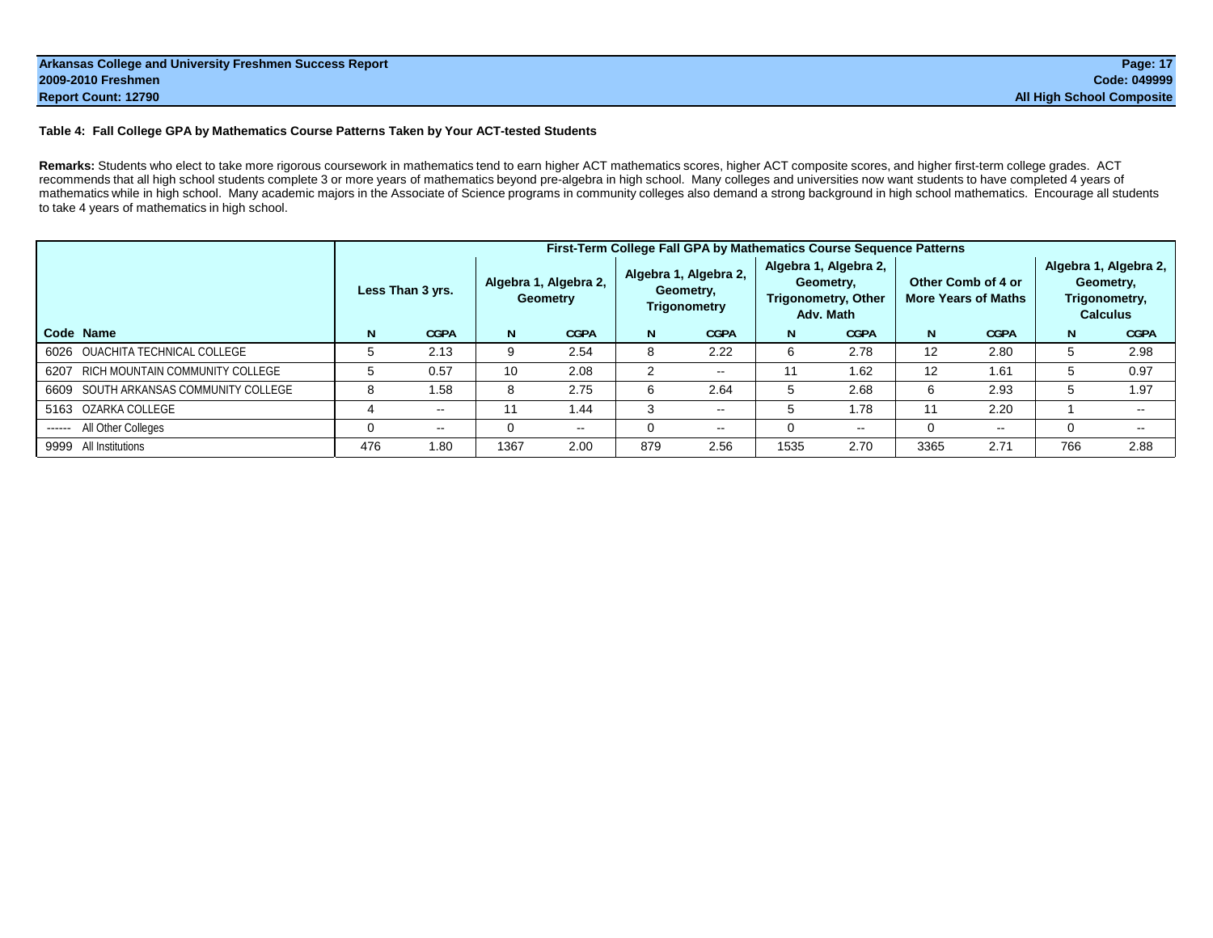#### **Table 4: Fall College GPA by Mathematics Course Patterns Taken by Your ACT-tested Students**

**Remarks:** Students who elect to take more rigorous coursework in mathematics tend to earn higher ACT mathematics scores, higher ACT composite scores, and higher first-term college grades. ACT recommends that all high school students complete 3 or more years of mathematics beyond pre-algebra in high school. Many colleges and universities now want students to have completed 4 years of mathematics while in high school. Many academic majors in the Associate of Science programs in community colleges also demand a strong background in high school mathematics. Encourage all students to take 4 years of mathematics in high school.

|                                       |     |                          |      |                                          |     | First-Term College Fall GPA by Mathematics Course Sequence Patterns |          |                                                                        |      |                                                  |     |                                                                        |
|---------------------------------------|-----|--------------------------|------|------------------------------------------|-----|---------------------------------------------------------------------|----------|------------------------------------------------------------------------|------|--------------------------------------------------|-----|------------------------------------------------------------------------|
|                                       |     | Less Than 3 yrs.         |      | Algebra 1, Algebra 2,<br><b>Geometry</b> |     | Algebra 1, Algebra 2,<br>Geometry,<br>Trigonometry                  |          | Algebra 1, Algebra 2,<br>Geometry.<br>Trigonometry, Other<br>Adv. Math |      | Other Comb of 4 or<br><b>More Years of Maths</b> |     | Algebra 1, Algebra 2,<br>Geometry,<br>Trigonometry,<br><b>Calculus</b> |
| Code Name                             | N   | <b>CGPA</b>              | N.   | <b>CGPA</b>                              | N   | <b>CGPA</b>                                                         | N        | <b>CGPA</b>                                                            | N    | <b>CGPA</b>                                      | N   | <b>CGPA</b>                                                            |
| 6026 OUACHITA TECHNICAL COLLEGE       |     | 2.13                     | 9    | 2.54                                     | 8   | 2.22                                                                | 6        | 2.78                                                                   | 12   | 2.80                                             | 5   | 2.98                                                                   |
| 6207 RICH MOUNTAIN COMMUNITY COLLEGE  |     | 0.57                     | 10   | 2.08                                     | 2   | $\sim$ $\sim$                                                       | 11       | 1.62                                                                   | 12   | 1.61                                             | 5   | 0.97                                                                   |
| 6609 SOUTH ARKANSAS COMMUNITY COLLEGE |     | 1.58                     | 8    | 2.75                                     | 6   | 2.64                                                                | 5        | 2.68                                                                   | 6    | 2.93                                             | 5   | 1.97                                                                   |
| 5163 OZARKA COLLEGE                   |     | $\sim$ $-$               | 11   | 1.44                                     | 3   | $\sim$ $\sim$                                                       | 5        | 1.78                                                                   | 11   | 2.20                                             |     |                                                                        |
| All Other Colleges<br>-------         |     | $\overline{\phantom{a}}$ | 0    | $\sim$ $\sim$                            |     | $\sim$ $\sim$                                                       | $\Omega$ | $\sim$ $\sim$                                                          |      | $\overline{\phantom{a}}$                         | 0   | $- -$                                                                  |
| 9999 All Institutions                 | 476 | 1.80                     | 1367 | 2.00                                     | 879 | 2.56                                                                | 1535     | 2.70                                                                   | 3365 | 2.71                                             | 766 | 2.88                                                                   |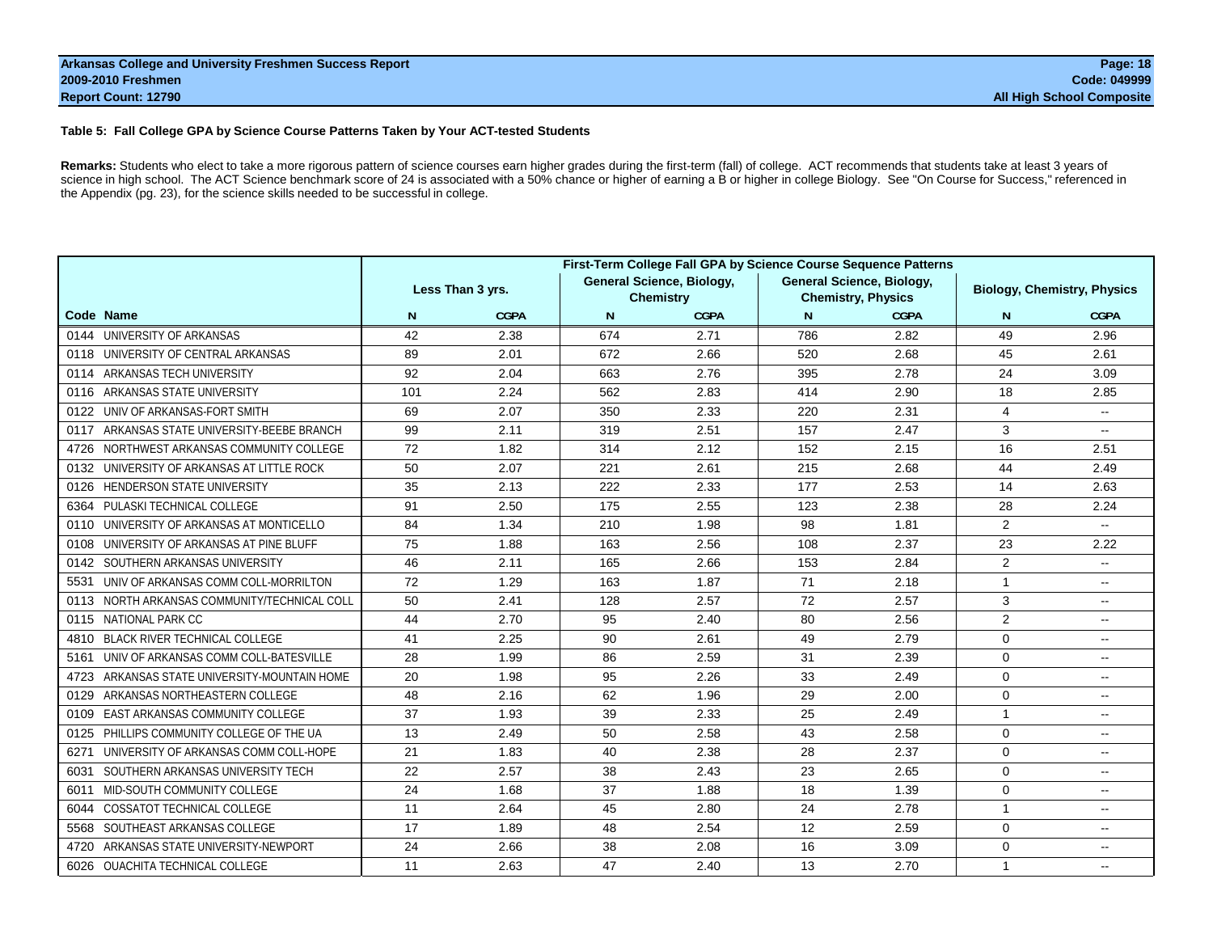#### **Table 5: Fall College GPA by Science Course Patterns Taken by Your ACT-tested Students**

Remarks: Students who elect to take a more rigorous pattern of science courses earn higher grades during the first-term (fall) of college. ACT recommends that students take at least 3 years of science in high school. The ACT Science benchmark score of 24 is associated with a 50% chance or higher of earning a B or higher in college Biology. See "On Course for Success," referenced in the Appendix (pg. 23), for the science skills needed to be successful in college.

|                                                 |     |                  |     |                                               | First-Term College Fall GPA by Science Course Sequence Patterns |                           |                                    |                           |
|-------------------------------------------------|-----|------------------|-----|-----------------------------------------------|-----------------------------------------------------------------|---------------------------|------------------------------------|---------------------------|
|                                                 |     | Less Than 3 yrs. |     | General Science, Biology,<br><b>Chemistry</b> | <b>General Science, Biology,</b>                                | <b>Chemistry, Physics</b> | <b>Biology, Chemistry, Physics</b> |                           |
| Code Name                                       | N   | <b>CGPA</b>      | N   | <b>CGPA</b>                                   | N.                                                              | <b>CGPA</b>               | N                                  | <b>CGPA</b>               |
| 0144 UNIVERSITY OF ARKANSAS                     | 42  | 2.38             | 674 | 2.71                                          | 786                                                             | 2.82                      | 49                                 | 2.96                      |
| 0118 UNIVERSITY OF CENTRAL ARKANSAS             | 89  | 2.01             | 672 | 2.66                                          | 520                                                             | 2.68                      | 45                                 | 2.61                      |
| 0114 ARKANSAS TECH UNIVERSITY                   | 92  | 2.04             | 663 | 2.76                                          | 395                                                             | 2.78                      | 24                                 | 3.09                      |
| ARKANSAS STATE UNIVERSITY<br>0116               | 101 | 2.24             | 562 | 2.83                                          | 414                                                             | 2.90                      | 18                                 | 2.85                      |
| UNIV OF ARKANSAS-FORT SMITH<br>0122             | 69  | 2.07             | 350 | 2.33                                          | 220                                                             | 2.31                      | 4                                  | $\overline{\phantom{a}}$  |
| ARKANSAS STATE UNIVERSITY-BEEBE BRANCH<br>0117  | 99  | 2.11             | 319 | 2.51                                          | 157                                                             | 2.47                      | 3                                  | $\sim$ $\sim$             |
| NORTHWEST ARKANSAS COMMUNITY COLLEGE<br>4726    | 72  | 1.82             | 314 | 2.12                                          | 152                                                             | 2.15                      | 16                                 | 2.51                      |
| UNIVERSITY OF ARKANSAS AT LITTLE ROCK<br>0132   | 50  | 2.07             | 221 | 2.61                                          | 215                                                             | 2.68                      | 44                                 | 2.49                      |
| <b>HENDERSON STATE UNIVERSITY</b><br>0126       | 35  | 2.13             | 222 | 2.33                                          | 177                                                             | 2.53                      | 14                                 | 2.63                      |
| PULASKI TECHNICAL COLLEGE<br>6364               | 91  | 2.50             | 175 | 2.55                                          | 123                                                             | 2.38                      | 28                                 | 2.24                      |
| UNIVERSITY OF ARKANSAS AT MONTICELLO<br>0110    | 84  | 1.34             | 210 | 1.98                                          | 98                                                              | 1.81                      | 2                                  | $\mathbb{L}^{\mathbb{L}}$ |
| UNIVERSITY OF ARKANSAS AT PINE BLUFF<br>0108    | 75  | 1.88             | 163 | 2.56                                          | 108                                                             | 2.37                      | 23                                 | 2.22                      |
| SOUTHERN ARKANSAS UNIVERSITY<br>0142            | 46  | 2.11             | 165 | 2.66                                          | 153                                                             | 2.84                      | 2                                  | $\sim$ $\sim$             |
| UNIV OF ARKANSAS COMM COLL-MORRILTON<br>5531    | 72  | 1.29             | 163 | 1.87                                          | 71                                                              | 2.18                      | $\mathbf{1}$                       | $\mathbf{u}$              |
| NORTH ARKANSAS COMMUNITY/TECHNICAL COLL<br>0113 | 50  | 2.41             | 128 | 2.57                                          | 72                                                              | 2.57                      | 3                                  | $\sim$                    |
| NATIONAL PARK CC<br>0115                        | 44  | 2.70             | 95  | 2.40                                          | 80                                                              | 2.56                      | 2                                  | $\sim$ $\sim$             |
| <b>BLACK RIVER TECHNICAL COLLEGE</b><br>4810    | 41  | 2.25             | 90  | 2.61                                          | 49                                                              | 2.79                      | $\mathbf 0$                        | $\sim$                    |
| UNIV OF ARKANSAS COMM COLL-BATESVILLE<br>5161   | 28  | 1.99             | 86  | 2.59                                          | 31                                                              | 2.39                      | $\mathbf 0$                        | $\sim$                    |
| ARKANSAS STATE UNIVERSITY-MOUNTAIN HOME<br>4723 | 20  | 1.98             | 95  | 2.26                                          | 33                                                              | 2.49                      | $\Omega$                           | $\sim$ $\sim$             |
| ARKANSAS NORTHEASTERN COLLEGE<br>0129           | 48  | 2.16             | 62  | 1.96                                          | 29                                                              | 2.00                      | $\mathbf 0$                        | $\sim$                    |
| <b>EAST ARKANSAS COMMUNITY COLLEGE</b><br>0109  | 37  | 1.93             | 39  | 2.33                                          | 25                                                              | 2.49                      | $\mathbf{1}$                       | $\sim$ $\sim$             |
| PHILLIPS COMMUNITY COLLEGE OF THE UA<br>0125    | 13  | 2.49             | 50  | 2.58                                          | 43                                                              | 2.58                      | $\mathbf 0$                        | $\overline{\phantom{a}}$  |
| UNIVERSITY OF ARKANSAS COMM COLL-HOPE<br>6271   | 21  | 1.83             | 40  | 2.38                                          | 28                                                              | 2.37                      | $\mathbf 0$                        | $\sim$ $\sim$             |
| SOUTHERN ARKANSAS UNIVERSITY TECH<br>6031       | 22  | 2.57             | 38  | 2.43                                          | 23                                                              | 2.65                      | $\mathbf 0$                        | $\sim$                    |
| MID-SOUTH COMMUNITY COLLEGE<br>6011             | 24  | 1.68             | 37  | 1.88                                          | 18                                                              | 1.39                      | $\mathbf 0$                        | $\mathbf{u}$              |
| COSSATOT TECHNICAL COLLEGE<br>6044              | 11  | 2.64             | 45  | 2.80                                          | 24                                                              | 2.78                      | $\mathbf{1}$                       | $\mathbf{u}$              |
| SOUTHEAST ARKANSAS COLLEGE<br>5568              | 17  | 1.89             | 48  | 2.54                                          | 12                                                              | 2.59                      | $\mathbf 0$                        | $\sim$                    |
| ARKANSAS STATE UNIVERSITY-NEWPORT<br>4720       | 24  | 2.66             | 38  | 2.08                                          | 16                                                              | 3.09                      | $\Omega$                           | $\sim$                    |
| 6026 OUACHITA TECHNICAL COLLEGE                 | 11  | 2.63             | 47  | 2.40                                          | 13                                                              | 2.70                      | $\overline{1}$                     | $\sim$                    |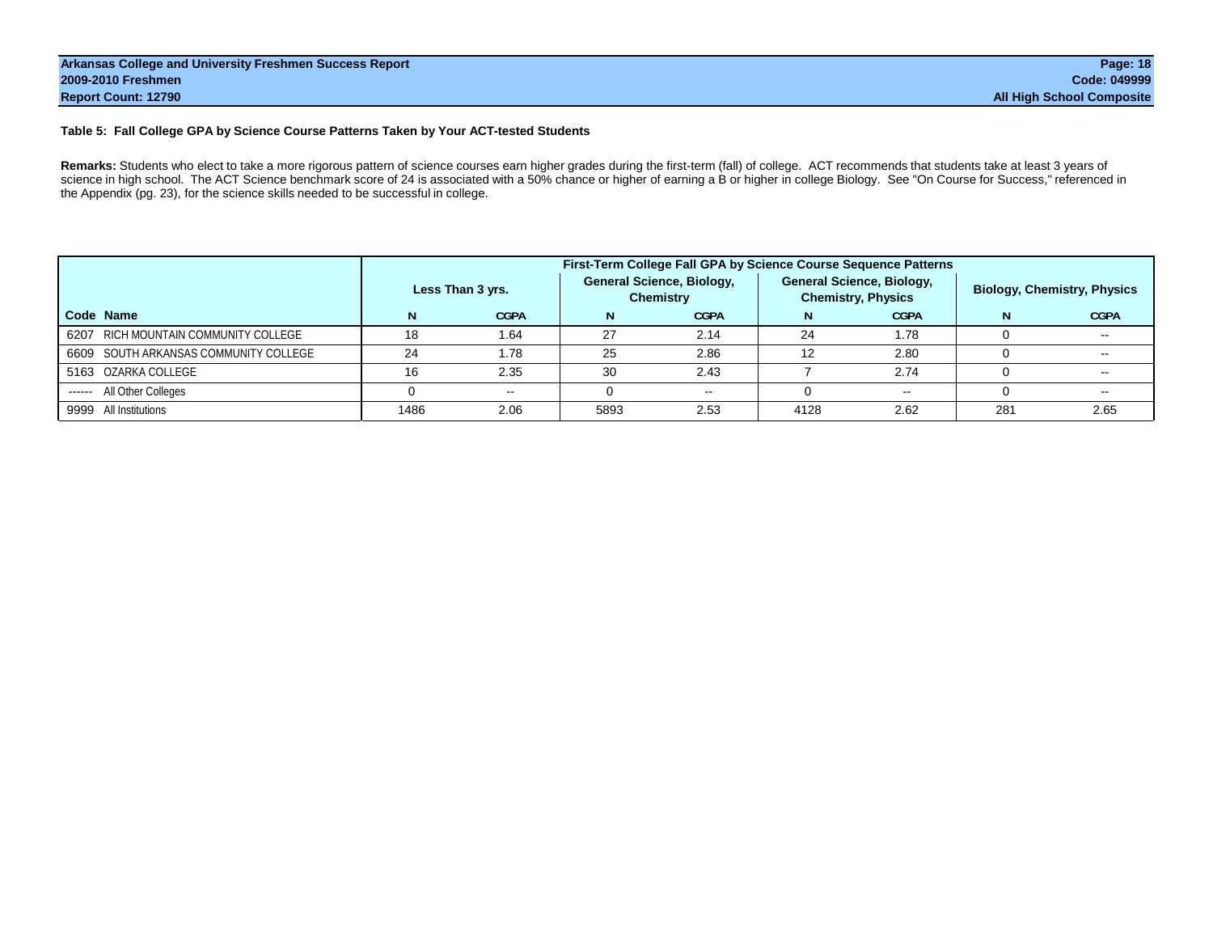#### **Table 5: Fall College GPA by Science Course Patterns Taken by Your ACT-tested Students**

Remarks: Students who elect to take a more rigorous pattern of science courses earn higher grades during the first-term (fall) of college. ACT recommends that students take at least 3 years of science in high school. The ACT Science benchmark score of 24 is associated with a 50% chance or higher of earning a B or higher in college Biology. See "On Course for Success," referenced in the Appendix (pg. 23), for the science skills needed to be successful in college.

|                                       |      |                  |      | First-Term College Fall GPA by Science Course Sequence Patterns |      |                                                               |     |                                    |
|---------------------------------------|------|------------------|------|-----------------------------------------------------------------|------|---------------------------------------------------------------|-----|------------------------------------|
|                                       |      | Less Than 3 yrs. |      | <b>General Science, Biology,</b><br><b>Chemistry</b>            |      | <b>General Science, Biology,</b><br><b>Chemistry, Physics</b> |     | <b>Biology, Chemistry, Physics</b> |
| Code Name                             |      | <b>CGPA</b>      |      | <b>CGPA</b>                                                     |      | <b>CGPA</b>                                                   |     | <b>CGPA</b>                        |
| 6207 RICH MOUNTAIN COMMUNITY COLLEGE  | 18   | 1.64             | 27   | 2.14                                                            | 24   | 1.78                                                          |     |                                    |
| 6609 SOUTH ARKANSAS COMMUNITY COLLEGE | 24   | 1.78             | 25   | 2.86                                                            | 12   | 2.80                                                          |     | $\sim$ $\sim$                      |
| 5163 OZARKA COLLEGE                   | 16   | 2.35             | 30   | 2.43                                                            |      | 2.74                                                          |     | $\overline{\phantom{a}}$           |
| ------ All Other Colleges             |      | $\sim$           |      | $\sim$ $\sim$                                                   |      | $\sim$                                                        |     | --                                 |
| 9999 All Institutions                 | 1486 | 2.06             | 5893 | 2.53                                                            | 4128 | 2.62                                                          | 281 | 2.65                               |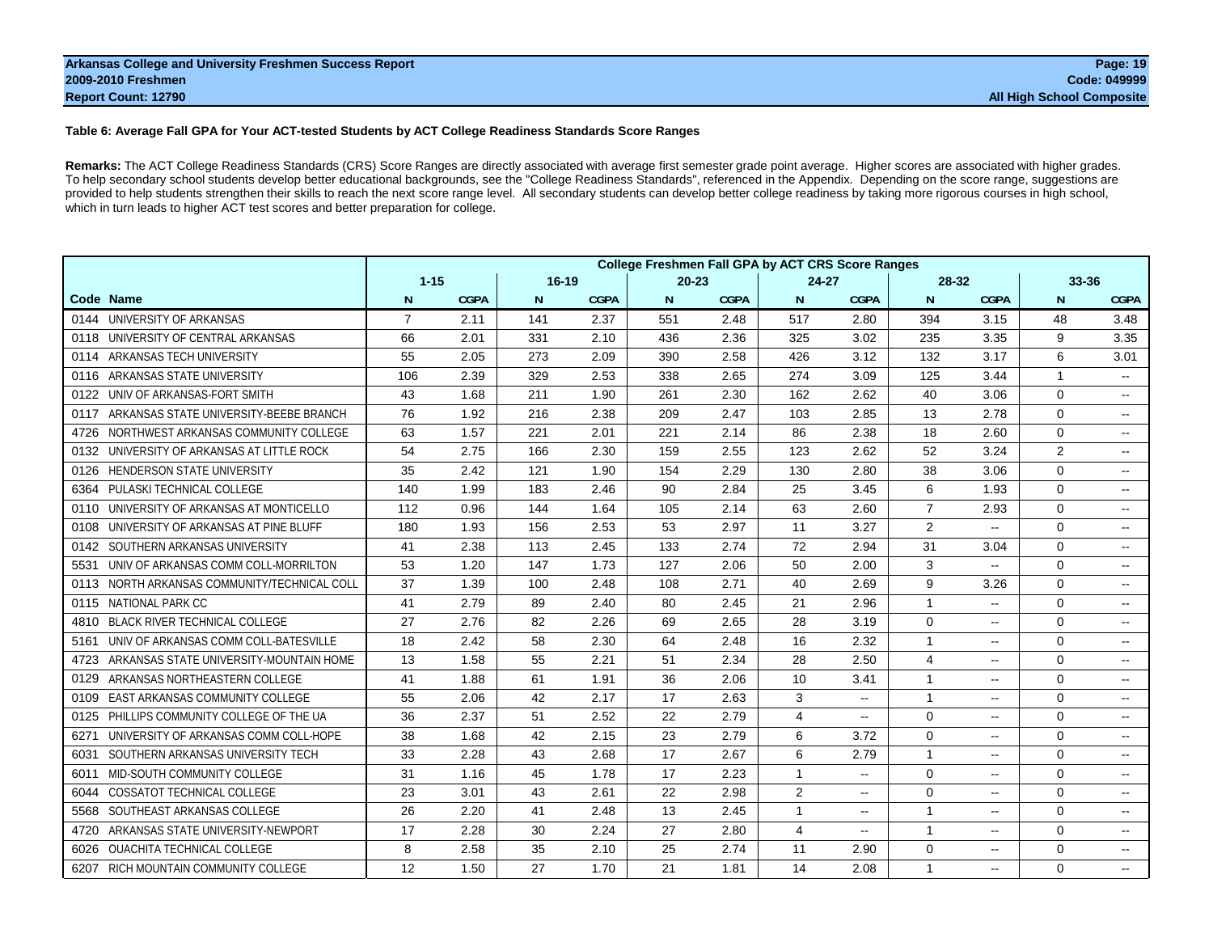#### **Table 6: Average Fall GPA for Your ACT-tested Students by ACT College Readiness Standards Score Ranges**

**Remarks:** The ACT College Readiness Standards (CRS) Score Ranges are directly associated with average first semester grade point average. Higher scores are associated with higher grades. To help secondary school students develop better educational backgrounds, see the "College Readiness Standards", referenced in the Appendix. Depending on the score range, suggestions are provided to help students strengthen their skills to reach the next score range level. All secondary students can develop better college readiness by taking more rigorous courses in high school, which in turn leads to higher ACT test scores and better preparation for college.

|                                                 |                |             |           |             |           |             | <b>College Freshmen Fall GPA by ACT CRS Score Ranges</b> |                          |                |                          |             |                          |
|-------------------------------------------------|----------------|-------------|-----------|-------------|-----------|-------------|----------------------------------------------------------|--------------------------|----------------|--------------------------|-------------|--------------------------|
|                                                 | $1 - 15$       |             | $16 - 19$ |             | $20 - 23$ |             | $24 - 27$                                                |                          | 28-32          |                          | 33-36       |                          |
| Code Name                                       | N              | <b>CGPA</b> | N         | <b>CGPA</b> | N         | <b>CGPA</b> | N                                                        | <b>CGPA</b>              | N              | <b>CGPA</b>              | N           | <b>CGPA</b>              |
| 0144 UNIVERSITY OF ARKANSAS                     | $\overline{7}$ | 2.11        | 141       | 2.37        | 551       | 2.48        | 517                                                      | 2.80                     | 394            | 3.15                     | 48          | 3.48                     |
| UNIVERSITY OF CENTRAL ARKANSAS<br>0118          | 66             | 2.01        | 331       | 2.10        | 436       | 2.36        | 325                                                      | 3.02                     | 235            | 3.35                     | 9           | 3.35                     |
| ARKANSAS TECH UNIVERSITY<br>0114                | 55             | 2.05        | 273       | 2.09        | 390       | 2.58        | 426                                                      | 3.12                     | 132            | 3.17                     | 6           | 3.01                     |
| ARKANSAS STATE UNIVERSITY<br>0116               | 106            | 2.39        | 329       | 2.53        | 338       | 2.65        | 274                                                      | 3.09                     | 125            | 3.44                     | 1           | н.                       |
| UNIV OF ARKANSAS-FORT SMITH<br>0122             | 43             | 1.68        | 211       | 1.90        | 261       | 2.30        | 162                                                      | 2.62                     | 40             | 3.06                     | $\Omega$    | $\overline{\phantom{a}}$ |
| ARKANSAS STATE UNIVERSITY-BEEBE BRANCH<br>0117  | 76             | 1.92        | 216       | 2.38        | 209       | 2.47        | 103                                                      | 2.85                     | 13             | 2.78                     | $\Omega$    | $\overline{a}$           |
| NORTHWEST ARKANSAS COMMUNITY COLLEGE<br>4726    | 63             | 1.57        | 221       | 2.01        | 221       | 2.14        | 86                                                       | 2.38                     | 18             | 2.60                     | 0           | $\sim$ $-$               |
| UNIVERSITY OF ARKANSAS AT LITTLE ROCK<br>0132   | 54             | 2.75        | 166       | 2.30        | 159       | 2.55        | 123                                                      | 2.62                     | 52             | 3.24                     | 2           | $\sim$                   |
| <b>HENDERSON STATE UNIVERSITY</b><br>0126       | 35             | 2.42        | 121       | 1.90        | 154       | 2.29        | 130                                                      | 2.80                     | 38             | 3.06                     | $\Omega$    | $\overline{\phantom{a}}$ |
| PULASKI TECHNICAL COLLEGE<br>6364               | 140            | 1.99        | 183       | 2.46        | 90        | 2.84        | 25                                                       | 3.45                     | 6              | 1.93                     | $\Omega$    | $\sim$                   |
| UNIVERSITY OF ARKANSAS AT MONTICELLO<br>0110    | 112            | 0.96        | 144       | 1.64        | 105       | 2.14        | 63                                                       | 2.60                     | $\overline{7}$ | 2.93                     | 0           | $\sim$                   |
| UNIVERSITY OF ARKANSAS AT PINE BLUFF<br>0108    | 180            | 1.93        | 156       | 2.53        | 53        | 2.97        | 11                                                       | 3.27                     | $\overline{2}$ | --                       | $\Omega$    | $\sim$                   |
| SOUTHERN ARKANSAS UNIVERSITY<br>0142            | 41             | 2.38        | 113       | 2.45        | 133       | 2.74        | 72                                                       | 2.94                     | 31             | 3.04                     | $\mathbf 0$ | $\sim$ $\sim$            |
| UNIV OF ARKANSAS COMM COLL-MORRILTON<br>5531    | 53             | 1.20        | 147       | 1.73        | 127       | 2.06        | 50                                                       | 2.00                     | 3              | $\overline{\phantom{a}}$ | 0           | $\sim$                   |
| NORTH ARKANSAS COMMUNITY/TECHNICAL COLL<br>0113 | 37             | 1.39        | 100       | 2.48        | 108       | 2.71        | 40                                                       | 2.69                     | 9              | 3.26                     | $\Omega$    | $\sim$ $-$               |
| <b>NATIONAL PARK CC</b><br>0115                 | 41             | 2.79        | 89        | 2.40        | 80        | 2.45        | 21                                                       | 2.96                     | $\mathbf{1}$   | $\overline{a}$           | $\Omega$    | $\overline{a}$           |
| <b>BLACK RIVER TECHNICAL COLLEGE</b><br>4810    | 27             | 2.76        | 82        | 2.26        | 69        | 2.65        | 28                                                       | 3.19                     | $\Omega$       | $\sim$                   | $\Omega$    | $\sim$                   |
| UNIV OF ARKANSAS COMM COLL-BATESVILLE<br>5161   | 18             | 2.42        | 58        | 2.30        | 64        | 2.48        | 16                                                       | 2.32                     | 1              | $\overline{\phantom{a}}$ | $\Omega$    | $\sim$ $\sim$            |
| ARKANSAS STATE UNIVERSITY-MOUNTAIN HOME<br>4723 | 13             | 1.58        | 55        | 2.21        | 51        | 2.34        | 28                                                       | 2.50                     | 4              | ۰.                       | 0           | $\sim$ $-$               |
| ARKANSAS NORTHEASTERN COLLEGE<br>0129           | 41             | 1.88        | 61        | 1.91        | 36        | 2.06        | 10                                                       | 3.41                     | 1              | $\overline{\phantom{a}}$ | 0           | $\sim$                   |
| EAST ARKANSAS COMMUNITY COLLEGE<br>0109         | 55             | 2.06        | 42        | 2.17        | 17        | 2.63        | 3                                                        | $\overline{\phantom{a}}$ | $\mathbf{1}$   | --                       | $\Omega$    | $-1$                     |
| PHILLIPS COMMUNITY COLLEGE OF THE UA<br>0125    | 36             | 2.37        | 51        | 2.52        | 22        | 2.79        | 4                                                        | $\overline{\phantom{a}}$ | $\Omega$       | ۰.                       | $\Omega$    | $\sim$                   |
| UNIVERSITY OF ARKANSAS COMM COLL-HOPE<br>6271   | 38             | 1.68        | 42        | 2.15        | 23        | 2.79        | 6                                                        | 3.72                     | $\Omega$       | $\overline{\phantom{a}}$ | $\Omega$    | $\sim$ $\sim$            |
| SOUTHERN ARKANSAS UNIVERSITY TECH<br>6031       | 33             | 2.28        | 43        | 2.68        | 17        | 2.67        | 6                                                        | 2.79                     | $\mathbf{1}$   | $\overline{\phantom{a}}$ | $\Omega$    | $\sim$ $-$               |
| MID-SOUTH COMMUNITY COLLEGE<br>6011             | 31             | 1.16        | 45        | 1.78        | 17        | 2.23        | $\mathbf{1}$                                             | $\overline{\phantom{a}}$ | $\mathbf 0$    | $-$                      | $\mathbf 0$ | $\sim$ $\sim$            |
| <b>COSSATOT TECHNICAL COLLEGE</b><br>6044       | 23             | 3.01        | 43        | 2.61        | 22        | 2.98        | 2                                                        | н.                       | $\Omega$       | $\overline{\phantom{a}}$ | $\mathbf 0$ | $\sim$ $-$               |
| SOUTHEAST ARKANSAS COLLEGE<br>5568              | 26             | 2.20        | 41        | 2.48        | 13        | 2.45        | $\mathbf{1}$                                             | $\overline{\phantom{a}}$ | $\mathbf{1}$   | $\overline{\phantom{a}}$ | $\mathbf 0$ | $\sim$ $\sim$            |
| ARKANSAS STATE UNIVERSITY-NEWPORT<br>4720       | 17             | 2.28        | 30        | 2.24        | 27        | 2.80        | 4                                                        | $\overline{\phantom{a}}$ | 1              | $\overline{\phantom{a}}$ | $\Omega$    | $\sim$                   |
| <b>OUACHITA TECHNICAL COLLEGE</b><br>6026       | 8              | 2.58        | 35        | 2.10        | 25        | 2.74        | 11                                                       | 2.90                     | $\mathbf 0$    | $\overline{\phantom{a}}$ | $\mathbf 0$ | $\overline{a}$           |
| RICH MOUNTAIN COMMUNITY COLLEGE<br>6207         | 12             | 1.50        | 27        | 1.70        | 21        | 1.81        | 14                                                       | 2.08                     | $\mathbf{1}$   | $\overline{\phantom{a}}$ | $\Omega$    | $\sim$ $\sim$            |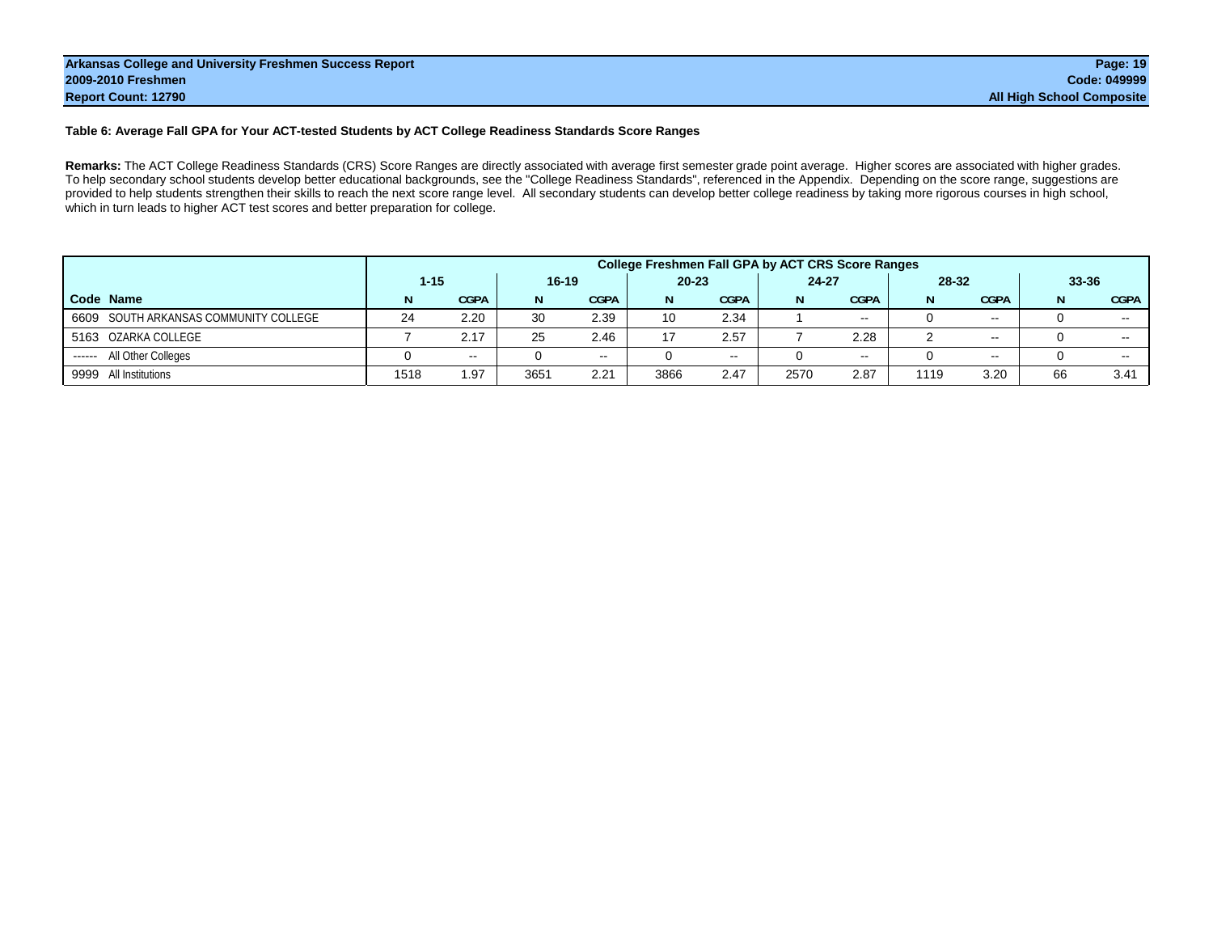#### **Table 6: Average Fall GPA for Your ACT-tested Students by ACT College Readiness Standards Score Ranges**

**Remarks:** The ACT College Readiness Standards (CRS) Score Ranges are directly associated with average first semester grade point average. Higher scores are associated with higher grades. To help secondary school students develop better educational backgrounds, see the "College Readiness Standards", referenced in the Appendix. Depending on the score range, suggestions are provided to help students strengthen their skills to reach the next score range level. All secondary students can develop better college readiness by taking more rigorous courses in high school, which in turn leads to higher ACT test scores and better preparation for college.

|                                       | <b>College Freshmen Fall GPA by ACT CRS Score Ranges</b> |             |           |             |           |             |           |             |       |               |           |               |  |
|---------------------------------------|----------------------------------------------------------|-------------|-----------|-------------|-----------|-------------|-----------|-------------|-------|---------------|-----------|---------------|--|
|                                       | $1 - 15$                                                 |             | $16 - 19$ |             | $20 - 23$ |             | $24 - 27$ |             | 28-32 |               | $33 - 36$ |               |  |
| Code Name                             |                                                          | <b>CGPA</b> | N         | <b>CGPA</b> | N         | <b>CGPA</b> | N         | <b>CGPA</b> | N     | <b>CGPA</b>   |           | <b>CGPA</b>   |  |
| 6609 SOUTH ARKANSAS COMMUNITY COLLEGE | 24                                                       | 2.20        | 30        | 2.39        | 10        | 2.34        |           | $\sim$      |       | $\sim$ $\sim$ |           | $\sim$ $\sim$ |  |
| 5163 OZARKA COLLEGE                   |                                                          | 2.17        | 25        | 2.46        | 17        | 2.57        |           | 2.28        |       | $\sim$ $\sim$ |           | $\sim$ $-$    |  |
| All Other Colleges<br>------          |                                                          | $- -$       |           | $\sim$ $-$  |           | $- -$       |           | $- -$       |       | $\sim$        |           | $- -$         |  |
| 9999<br>All Institutions              | 1518                                                     | 1.97        | 365'      | 2.21        | 3866      | 2.47        | 2570      | 2.87        | 1119  | 3.20          | 66        | 3.41          |  |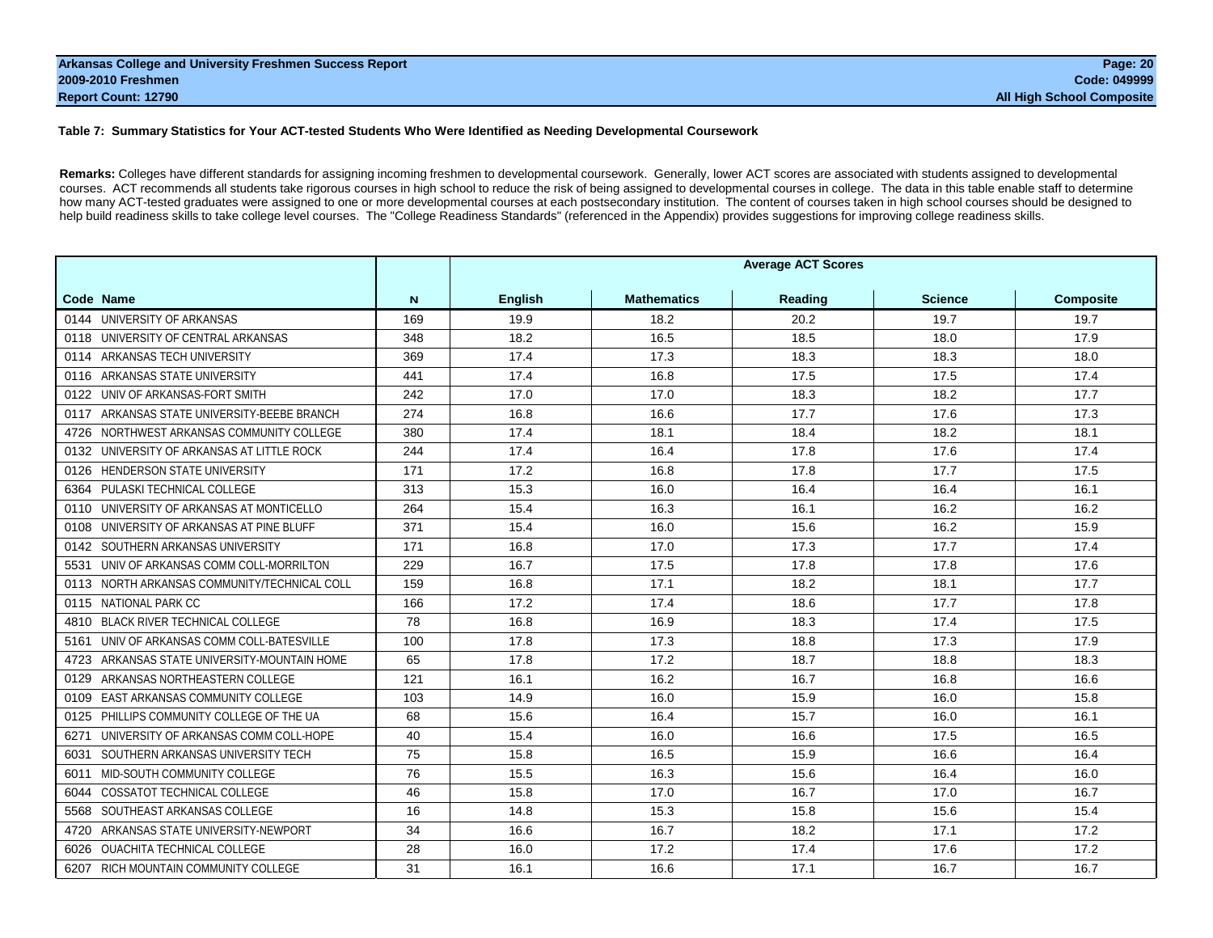#### **Table 7: Summary Statistics for Your ACT-tested Students Who Were Identified as Needing Developmental Coursework**

**Remarks:** Colleges have different standards for assigning incoming freshmen to developmental coursework. Generally, lower ACT scores are associated with students assigned to developmental courses. ACT recommends all students take rigorous courses in high school to reduce the risk of being assigned to developmental courses in college. The data in this table enable staff to determine how many ACT-tested graduates were assigned to one or more developmental courses at each postsecondary institution. The content of courses taken in high school courses should be designed to help build readiness skills to take college level courses. The "College Readiness Standards" (referenced in the Appendix) provides suggestions for improving college readiness skills.

|                                                 |     | <b>Average ACT Scores</b> |                    |         |                |                  |  |  |  |  |
|-------------------------------------------------|-----|---------------------------|--------------------|---------|----------------|------------------|--|--|--|--|
| Code Name                                       | N   | <b>English</b>            | <b>Mathematics</b> | Reading | <b>Science</b> | <b>Composite</b> |  |  |  |  |
| 0144 UNIVERSITY OF ARKANSAS                     | 169 | 19.9                      | 18.2               | 20.2    | 19.7           | 19.7             |  |  |  |  |
| 0118 UNIVERSITY OF CENTRAL ARKANSAS             | 348 | 18.2                      | 16.5               | 18.5    | 18.0           | 17.9             |  |  |  |  |
| 0114 ARKANSAS TECH UNIVERSITY                   | 369 | 17.4                      | 17.3               | 18.3    | 18.3           | 18.0             |  |  |  |  |
| 0116 ARKANSAS STATE UNIVERSITY                  | 441 | 17.4                      | 16.8               | 17.5    | 17.5           | 17.4             |  |  |  |  |
| 0122 UNIV OF ARKANSAS-FORT SMITH                | 242 | 17.0                      | 17.0               | 18.3    | 18.2           | 17.7             |  |  |  |  |
| 0117 ARKANSAS STATE UNIVERSITY-BEEBE BRANCH     | 274 | 16.8                      | 16.6               | 17.7    | 17.6           | 17.3             |  |  |  |  |
| NORTHWEST ARKANSAS COMMUNITY COLLEGE<br>4726    | 380 | 17.4                      | 18.1               | 18.4    | 18.2           | 18.1             |  |  |  |  |
| 0132 UNIVERSITY OF ARKANSAS AT LITTLE ROCK      | 244 | 17.4                      | 16.4               | 17.8    | 17.6           | 17.4             |  |  |  |  |
| <b>HENDERSON STATE UNIVERSITY</b><br>0126       | 171 | 17.2                      | 16.8               | 17.8    | 17.7           | 17.5             |  |  |  |  |
| 6364 PULASKI TECHNICAL COLLEGE                  | 313 | 15.3                      | 16.0               | 16.4    | 16.4           | 16.1             |  |  |  |  |
| 0110 UNIVERSITY OF ARKANSAS AT MONTICELLO       | 264 | 15.4                      | 16.3               | 16.1    | 16.2           | 16.2             |  |  |  |  |
| 0108 UNIVERSITY OF ARKANSAS AT PINE BLUFF       | 371 | 15.4                      | 16.0               | 15.6    | 16.2           | 15.9             |  |  |  |  |
| 0142 SOUTHERN ARKANSAS UNIVERSITY               | 171 | 16.8                      | 17.0               | 17.3    | 17.7           | 17.4             |  |  |  |  |
| UNIV OF ARKANSAS COMM COLL-MORRILTON<br>5531    | 229 | 16.7                      | 17.5               | 17.8    | 17.8           | 17.6             |  |  |  |  |
| 0113 NORTH ARKANSAS COMMUNITY/TECHNICAL COLL    | 159 | 16.8                      | 17.1               | 18.2    | 18.1           | 17.7             |  |  |  |  |
| NATIONAL PARK CC<br>0115                        | 166 | 17.2                      | 17.4               | 18.6    | 17.7           | 17.8             |  |  |  |  |
| 4810 BLACK RIVER TECHNICAL COLLEGE              | 78  | 16.8                      | 16.9               | 18.3    | 17.4           | 17.5             |  |  |  |  |
| 5161 UNIV OF ARKANSAS COMM COLL-BATESVILLE      | 100 | 17.8                      | 17.3               | 18.8    | 17.3           | 17.9             |  |  |  |  |
| ARKANSAS STATE UNIVERSITY-MOUNTAIN HOME<br>4723 | 65  | 17.8                      | 17.2               | 18.7    | 18.8           | 18.3             |  |  |  |  |
| ARKANSAS NORTHEASTERN COLLEGE<br>0129           | 121 | 16.1                      | 16.2               | 16.7    | 16.8           | 16.6             |  |  |  |  |
| EAST ARKANSAS COMMUNITY COLLEGE<br>0109         | 103 | 14.9                      | 16.0               | 15.9    | 16.0           | 15.8             |  |  |  |  |
| PHILLIPS COMMUNITY COLLEGE OF THE UA<br>0125    | 68  | 15.6                      | 16.4               | 15.7    | 16.0           | 16.1             |  |  |  |  |
| UNIVERSITY OF ARKANSAS COMM COLL-HOPE<br>6271   | 40  | 15.4                      | 16.0               | 16.6    | 17.5           | 16.5             |  |  |  |  |
| SOUTHERN ARKANSAS UNIVERSITY TECH<br>6031       | 75  | 15.8                      | 16.5               | 15.9    | 16.6           | 16.4             |  |  |  |  |
| MID-SOUTH COMMUNITY COLLEGE<br>6011             | 76  | 15.5                      | 16.3               | 15.6    | 16.4           | 16.0             |  |  |  |  |
| 6044 COSSATOT TECHNICAL COLLEGE                 | 46  | 15.8                      | 17.0               | 16.7    | 17.0           | 16.7             |  |  |  |  |
| 5568 SOUTHEAST ARKANSAS COLLEGE                 | 16  | 14.8                      | 15.3               | 15.8    | 15.6           | 15.4             |  |  |  |  |
| ARKANSAS STATE UNIVERSITY-NEWPORT<br>4720       | 34  | 16.6                      | 16.7               | 18.2    | 17.1           | 17.2             |  |  |  |  |
| 6026 OUACHITA TECHNICAL COLLEGE                 | 28  | 16.0                      | 17.2               | 17.4    | 17.6           | 17.2             |  |  |  |  |
| 6207 RICH MOUNTAIN COMMUNITY COLLEGE            | 31  | 16.1                      | 16.6               | 17.1    | 16.7           | 16.7             |  |  |  |  |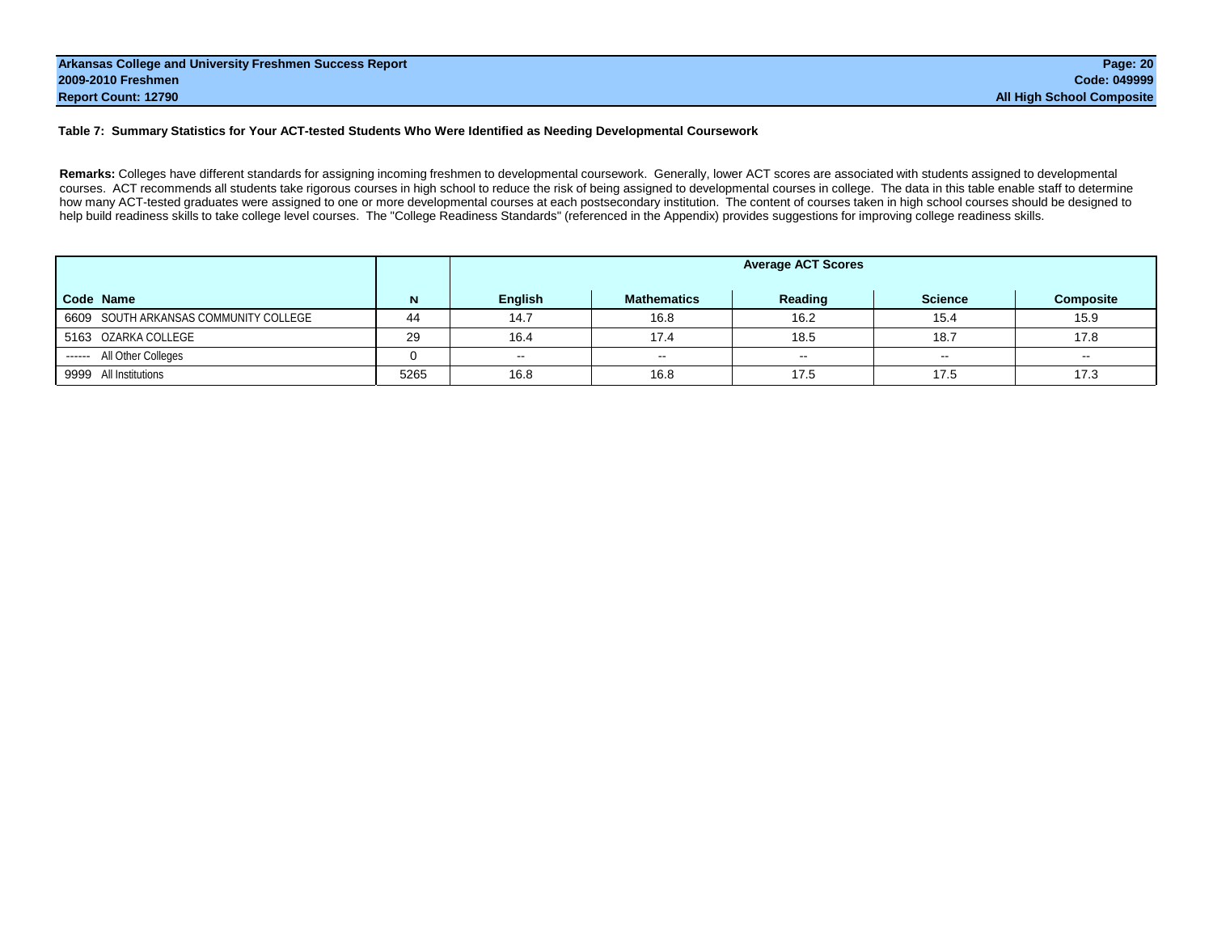#### **Table 7: Summary Statistics for Your ACT-tested Students Who Were Identified as Needing Developmental Coursework**

**Remarks:** Colleges have different standards for assigning incoming freshmen to developmental coursework. Generally, lower ACT scores are associated with students assigned to developmental courses. ACT recommends all students take rigorous courses in high school to reduce the risk of being assigned to developmental courses in college. The data in this table enable staff to determine how many ACT-tested graduates were assigned to one or more developmental courses at each postsecondary institution. The content of courses taken in high school courses should be designed to help build readiness skills to take college level courses. The "College Readiness Standards" (referenced in the Appendix) provides suggestions for improving college readiness skills.

|                                       |      | <b>Average ACT Scores</b> |                    |         |                |                  |  |  |  |  |  |  |
|---------------------------------------|------|---------------------------|--------------------|---------|----------------|------------------|--|--|--|--|--|--|
| Code Name                             | N    | English                   | <b>Mathematics</b> | Reading | <b>Science</b> | <b>Composite</b> |  |  |  |  |  |  |
| 6609 SOUTH ARKANSAS COMMUNITY COLLEGE | 44   | 14.7                      | 16.8               | 16.2    | 15.4           | 15.9             |  |  |  |  |  |  |
| 5163 OZARKA COLLEGE                   | 29   | 16.4                      | 17.4               | 18.5    | 18.7           | 17.8             |  |  |  |  |  |  |
| ------ All Other Colleges             |      | $\sim$                    | $\sim$             | $\sim$  | $\sim$         | $\sim$           |  |  |  |  |  |  |
| 9999 All Institutions                 | 5265 | 16.8                      | 16.8               | 17.5    | 17.5           | 17.3             |  |  |  |  |  |  |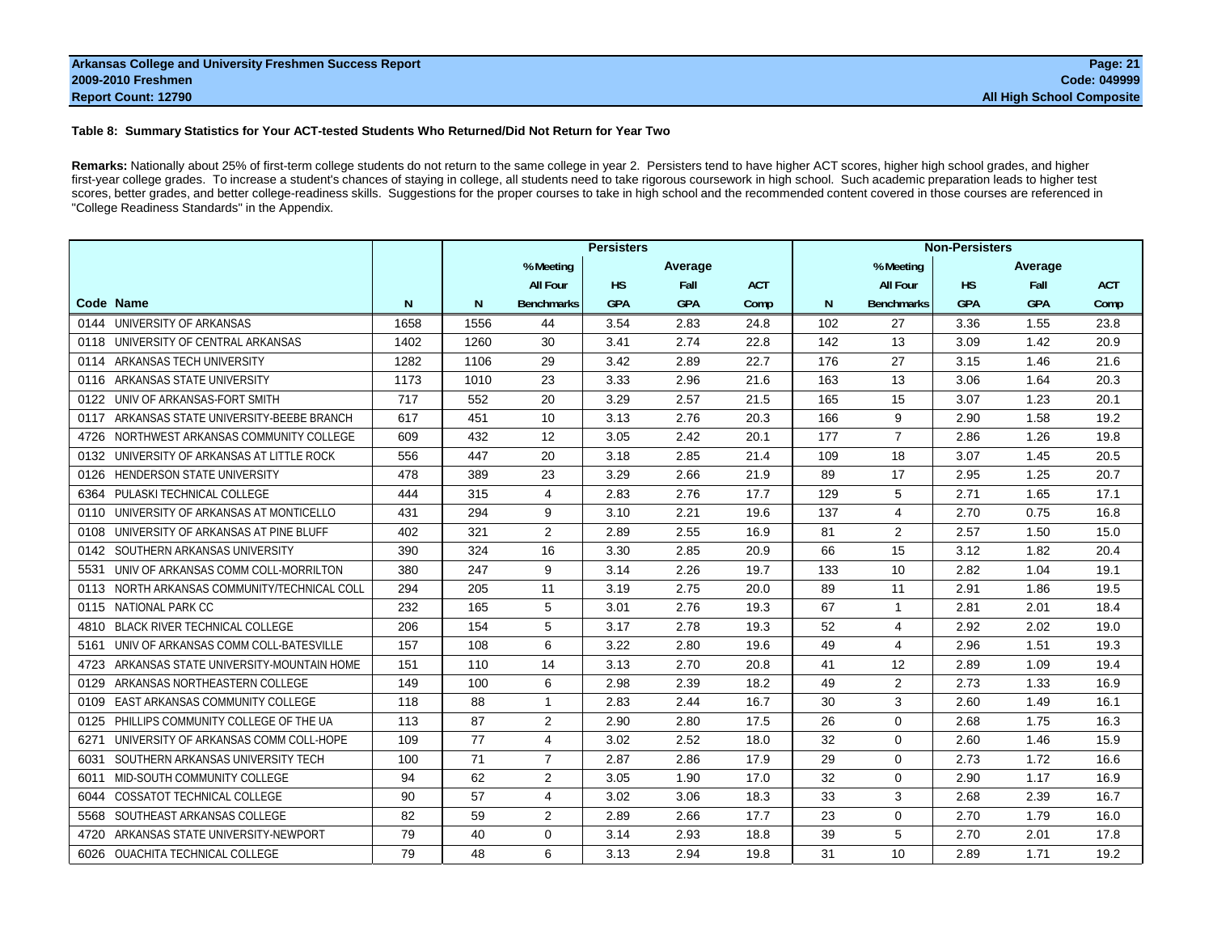#### **Table 8: Summary Statistics for Your ACT-tested Students Who Returned/Did Not Return for Year Two**

**Remarks:** Nationally about 25% of first-term college students do not return to the same college in year 2. Persisters tend to have higher ACT scores, higher high school grades, and higher first-year college grades. To increase a student's chances of staying in college, all students need to take rigorous coursework in high school. Such academic preparation leads to higher test scores, better grades, and better college-readiness skills. Suggestions for the proper courses to take in high school and the recommended content covered in those courses are referenced in "College Readiness Standards" in the Appendix.

|                                                 |      | <b>Persisters</b> |                   |            |            |            |     | <b>Non-Persisters</b> |            |            |            |  |  |
|-------------------------------------------------|------|-------------------|-------------------|------------|------------|------------|-----|-----------------------|------------|------------|------------|--|--|
|                                                 |      |                   | % Meeting         |            | Average    |            |     | % Meeting             |            | Average    |            |  |  |
|                                                 |      |                   | <b>All Four</b>   | <b>HS</b>  | Fall       | <b>ACT</b> |     | <b>All Four</b>       | <b>HS</b>  | Fall       | <b>ACT</b> |  |  |
| Code Name                                       | N    | N                 | <b>Benchmarks</b> | <b>GPA</b> | <b>GPA</b> | Comp       | N   | <b>Benchmarks</b>     | <b>GPA</b> | <b>GPA</b> | Comp       |  |  |
| 0144 UNIVERSITY OF ARKANSAS                     | 1658 | 1556              | 44                | 3.54       | 2.83       | 24.8       | 102 | 27                    | 3.36       | 1.55       | 23.8       |  |  |
| 0118 UNIVERSITY OF CENTRAL ARKANSAS             | 1402 | 1260              | 30                | 3.41       | 2.74       | 22.8       | 142 | 13                    | 3.09       | 1.42       | 20.9       |  |  |
| 0114 ARKANSAS TECH UNIVERSITY                   | 1282 | 1106              | 29                | 3.42       | 2.89       | 22.7       | 176 | 27                    | 3.15       | 1.46       | 21.6       |  |  |
| ARKANSAS STATE UNIVERSITY<br>0116               | 1173 | 1010              | 23                | 3.33       | 2.96       | 21.6       | 163 | 13                    | 3.06       | 1.64       | 20.3       |  |  |
| UNIV OF ARKANSAS-FORT SMITH<br>0122             | 717  | 552               | 20                | 3.29       | 2.57       | 21.5       | 165 | 15                    | 3.07       | 1.23       | 20.1       |  |  |
| ARKANSAS STATE UNIVERSITY-BEEBE BRANCH<br>0117  | 617  | 451               | 10                | 3.13       | 2.76       | 20.3       | 166 | 9                     | 2.90       | 1.58       | 19.2       |  |  |
| NORTHWEST ARKANSAS COMMUNITY COLLEGE<br>4726    | 609  | 432               | 12                | 3.05       | 2.42       | 20.1       | 177 | $\overline{7}$        | 2.86       | 1.26       | 19.8       |  |  |
| UNIVERSITY OF ARKANSAS AT LITTLE ROCK<br>0132   | 556  | 447               | 20                | 3.18       | 2.85       | 21.4       | 109 | 18                    | 3.07       | 1.45       | 20.5       |  |  |
| <b>HENDERSON STATE UNIVERSITY</b><br>0126       | 478  | 389               | 23                | 3.29       | 2.66       | 21.9       | 89  | 17                    | 2.95       | 1.25       | 20.7       |  |  |
| PULASKI TECHNICAL COLLEGE<br>6364               | 444  | 315               | 4                 | 2.83       | 2.76       | 17.7       | 129 | 5                     | 2.71       | 1.65       | 17.1       |  |  |
| UNIVERSITY OF ARKANSAS AT MONTICELLO<br>0110    | 431  | 294               | 9                 | 3.10       | 2.21       | 19.6       | 137 | 4                     | 2.70       | 0.75       | 16.8       |  |  |
| UNIVERSITY OF ARKANSAS AT PINE BLUFF<br>0108    | 402  | 321               | $\overline{2}$    | 2.89       | 2.55       | 16.9       | 81  | 2                     | 2.57       | 1.50       | 15.0       |  |  |
| 0142 SOUTHERN ARKANSAS UNIVERSITY               | 390  | 324               | 16                | 3.30       | 2.85       | 20.9       | 66  | 15                    | 3.12       | 1.82       | 20.4       |  |  |
| UNIV OF ARKANSAS COMM COLL-MORRILTON<br>5531    | 380  | 247               | 9                 | 3.14       | 2.26       | 19.7       | 133 | 10                    | 2.82       | 1.04       | 19.1       |  |  |
| NORTH ARKANSAS COMMUNITY/TECHNICAL COLL<br>0113 | 294  | 205               | 11                | 3.19       | 2.75       | 20.0       | 89  | 11                    | 2.91       | 1.86       | 19.5       |  |  |
| <b>NATIONAL PARK CC</b><br>0115                 | 232  | 165               | 5                 | 3.01       | 2.76       | 19.3       | 67  | $\mathbf{1}$          | 2.81       | 2.01       | 18.4       |  |  |
| 4810 BLACK RIVER TECHNICAL COLLEGE              | 206  | 154               | 5                 | 3.17       | 2.78       | 19.3       | 52  | 4                     | 2.92       | 2.02       | 19.0       |  |  |
| UNIV OF ARKANSAS COMM COLL-BATESVILLE<br>5161   | 157  | 108               | 6                 | 3.22       | 2.80       | 19.6       | 49  | 4                     | 2.96       | 1.51       | 19.3       |  |  |
| ARKANSAS STATE UNIVERSITY-MOUNTAIN HOME<br>4723 | 151  | 110               | 14                | 3.13       | 2.70       | 20.8       | 41  | 12                    | 2.89       | 1.09       | 19.4       |  |  |
| ARKANSAS NORTHEASTERN COLLEGE<br>0129           | 149  | 100               | 6                 | 2.98       | 2.39       | 18.2       | 49  | 2                     | 2.73       | 1.33       | 16.9       |  |  |
| EAST ARKANSAS COMMUNITY COLLEGE<br>0109         | 118  | 88                | $\mathbf{1}$      | 2.83       | 2.44       | 16.7       | 30  | 3                     | 2.60       | 1.49       | 16.1       |  |  |
| PHILLIPS COMMUNITY COLLEGE OF THE UA<br>0125    | 113  | 87                | 2                 | 2.90       | 2.80       | 17.5       | 26  | $\Omega$              | 2.68       | 1.75       | 16.3       |  |  |
| UNIVERSITY OF ARKANSAS COMM COLL-HOPE<br>6271   | 109  | 77                | 4                 | 3.02       | 2.52       | 18.0       | 32  | $\mathbf 0$           | 2.60       | 1.46       | 15.9       |  |  |
| SOUTHERN ARKANSAS UNIVERSITY TECH<br>6031       | 100  | 71                | $\overline{7}$    | 2.87       | 2.86       | 17.9       | 29  | $\Omega$              | 2.73       | 1.72       | 16.6       |  |  |
| MID-SOUTH COMMUNITY COLLEGE<br>6011             | 94   | 62                | 2                 | 3.05       | 1.90       | 17.0       | 32  | $\Omega$              | 2.90       | 1.17       | 16.9       |  |  |
| <b>COSSATOT TECHNICAL COLLEGE</b><br>6044       | 90   | 57                | 4                 | 3.02       | 3.06       | 18.3       | 33  | 3                     | 2.68       | 2.39       | 16.7       |  |  |
| SOUTHEAST ARKANSAS COLLEGE<br>5568              | 82   | 59                | 2                 | 2.89       | 2.66       | 17.7       | 23  | $\mathbf 0$           | 2.70       | 1.79       | 16.0       |  |  |
| ARKANSAS STATE UNIVERSITY-NEWPORT<br>4720       | 79   | 40                | $\mathbf 0$       | 3.14       | 2.93       | 18.8       | 39  | 5                     | 2.70       | 2.01       | 17.8       |  |  |
| 6026 OUACHITA TECHNICAL COLLEGE                 | 79   | 48                | 6                 | 3.13       | 2.94       | 19.8       | 31  | 10                    | 2.89       | 1.71       | 19.2       |  |  |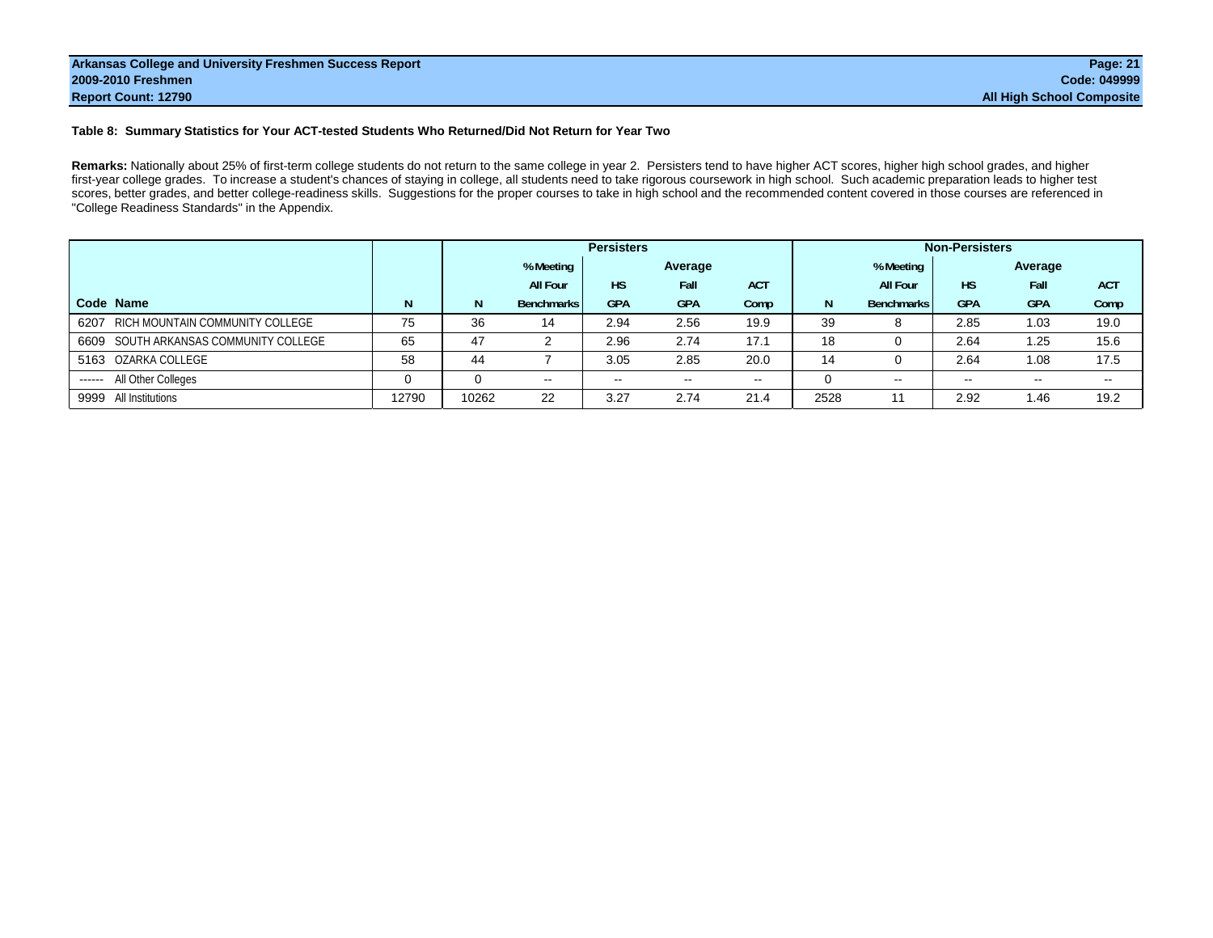#### **Table 8: Summary Statistics for Your ACT-tested Students Who Returned/Did Not Return for Year Two**

**Remarks:** Nationally about 25% of first-term college students do not return to the same college in year 2. Persisters tend to have higher ACT scores, higher high school grades, and higher first-year college grades. To increase a student's chances of staying in college, all students need to take rigorous coursework in high school. Such academic preparation leads to higher test scores, better grades, and better college-readiness skills. Suggestions for the proper courses to take in high school and the recommended content covered in those courses are referenced in "College Readiness Standards" in the Appendix.

|                                         |          |       |                      | <b>Persisters</b> |            |            |      |                   | <b>Non-Persisters</b> |            |            |
|-----------------------------------------|----------|-------|----------------------|-------------------|------------|------------|------|-------------------|-----------------------|------------|------------|
|                                         |          |       | % Meeting<br>Average |                   |            |            |      | % Meeting         |                       | Average    |            |
|                                         |          |       | <b>All Four</b>      | <b>HS</b>         | Fall       | <b>ACT</b> |      | <b>All Four</b>   | <b>HS</b>             | Fall       | <b>ACT</b> |
| Code Name                               |          | N     | <b>Benchmarks</b>    | <b>GPA</b>        | <b>GPA</b> | Comp       | N    | <b>Benchmarks</b> | <b>GPA</b>            | <b>GPA</b> | Comp       |
| RICH MOUNTAIN COMMUNITY COLLEGE<br>6207 | 75       | 36    | 14                   | 2.94              | 2.56       | 19.9       | 39   | 8                 | 2.85                  | 1.03       | 19.0       |
| 6609 SOUTH ARKANSAS COMMUNITY COLLEGE   | 65       | 47    |                      | 2.96              | 2.74       | 17.1       | 18   | 0                 | 2.64                  | 1.25       | 15.6       |
| 5163 OZARKA COLLEGE                     | 58       | 44    |                      | 3.05              | 2.85       | 20.0       | 14   | $\Omega$          | 2.64                  | 1.08       | 17.5       |
| ------ All Other Colleges               | $\Omega$ | 0     | $\sim$ $\sim$        | $\sim$ $\sim$     | $- -$      | $\sim$     |      | $\sim$            | $\sim$ $\sim$         | $\sim$     | $\sim$     |
| 9999 All Institutions                   | 12790    | 10262 | 22                   | 3.27              | 2.74       | 21.4       | 2528 | 11                | 2.92                  | 1.46       | 19.2       |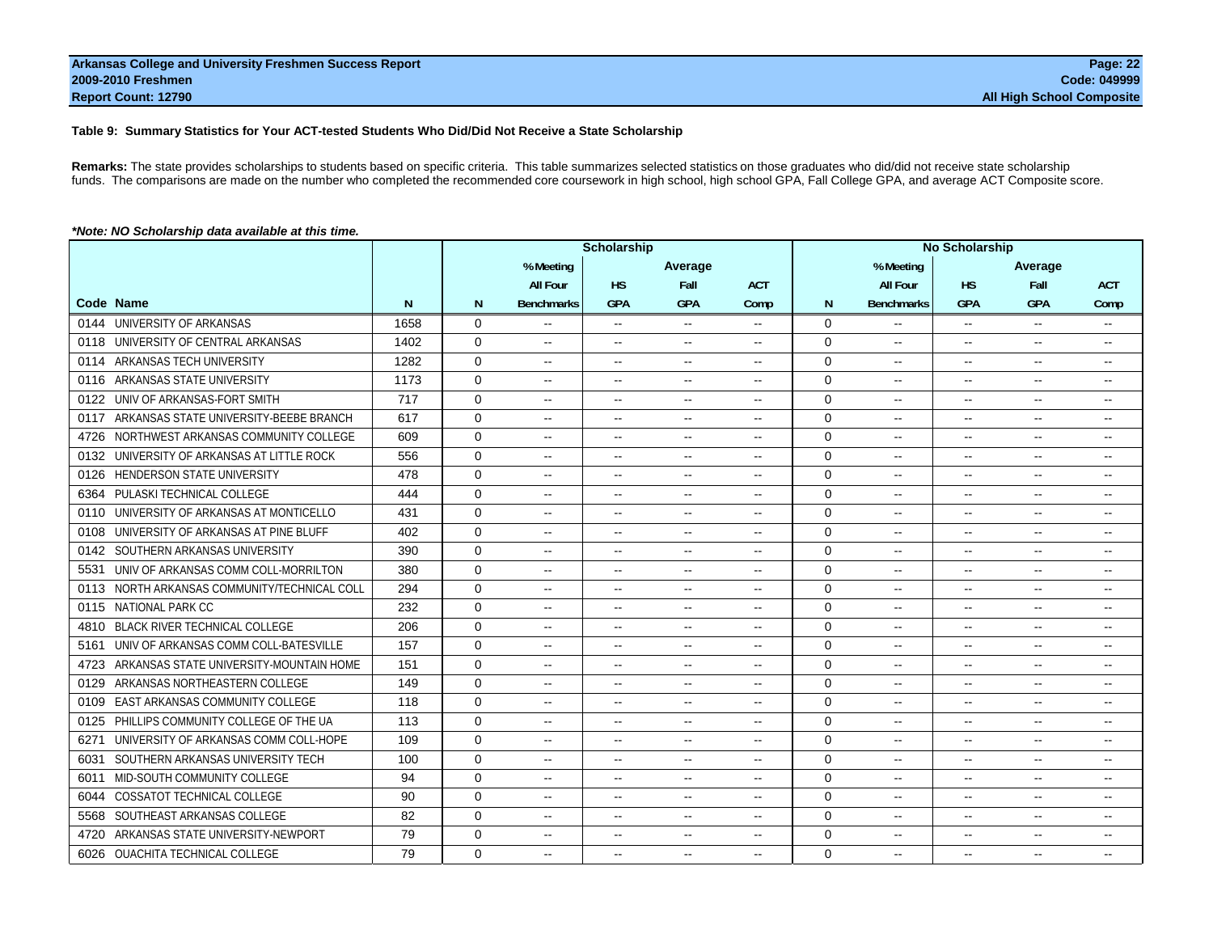#### **Table 9: Summary Statistics for Your ACT-tested Students Who Did/Did Not Receive a State Scholarship**

**Remarks:** The state provides scholarships to students based on specific criteria. This table summarizes selected statistics on those graduates who did/did not receive state scholarship funds. The comparisons are made on the number who completed the recommended core coursework in high school, high school GPA, Fall College GPA, and average ACT Composite score.

| *Note: NO Scholarship data available at this time. |  |
|----------------------------------------------------|--|
|                                                    |  |

|                                                 |      |              |                          | Scholarship              |                          |                          | <b>No Scholarship</b> |                          |                          |               |                          |
|-------------------------------------------------|------|--------------|--------------------------|--------------------------|--------------------------|--------------------------|-----------------------|--------------------------|--------------------------|---------------|--------------------------|
|                                                 |      |              | % Meeting                |                          | Average                  |                          |                       | % Meeting                |                          | Average       |                          |
|                                                 |      |              | <b>All Four</b>          | <b>HS</b>                | Fall                     | <b>ACT</b>               |                       | <b>All Four</b>          | <b>HS</b>                | Fall          | <b>ACT</b>               |
| Code Name                                       | N    | N            | <b>Benchmarks</b>        | <b>GPA</b>               | <b>GPA</b>               | Comp                     | N                     | <b>Benchmarks</b>        | <b>GPA</b>               | <b>GPA</b>    | Comp                     |
| 0144 UNIVERSITY OF ARKANSAS                     | 1658 | 0            |                          | $\overline{\phantom{a}}$ | $\sim$ $\sim$            | $- -$                    | $\mathbf 0$           | --                       | $- -$                    | $\mathbf{u}$  | --                       |
| UNIVERSITY OF CENTRAL ARKANSAS<br>0118          | 1402 | $\mathbf 0$  | $\overline{\phantom{a}}$ | $\overline{\phantom{a}}$ | $\sim$                   | $\overline{a}$           | $\mathbf 0$           | $\overline{\phantom{a}}$ | $\mathbf{u}$             | $\sim$ $\sim$ | $-$                      |
| ARKANSAS TECH UNIVERSITY<br>0114                | 1282 | $\mathbf 0$  | $\overline{\phantom{a}}$ | $\overline{\phantom{a}}$ | $\mathbf{L}$             | $\overline{a}$           | 0                     | $\sim$                   | $\mathbf{u}$             | $\sim$        | н.                       |
| ARKANSAS STATE UNIVERSITY<br>0116               | 1173 | 0            | --                       | $\overline{\phantom{a}}$ | $\sim$                   | $-$                      | 0                     | $\overline{\phantom{a}}$ | $\sim$ $\sim$            | $\sim$        | $\overline{\phantom{a}}$ |
| UNIV OF ARKANSAS-FORT SMITH<br>0122             | 717  | $\mathbf 0$  | ——                       | $\sim$                   | $\sim$                   | $\overline{\phantom{a}}$ | $\mathbf 0$           | $\overline{a}$           | $\overline{\phantom{a}}$ | $\sim$        | --                       |
| ARKANSAS STATE UNIVERSITY-BEEBE BRANCH<br>0117  | 617  | $\mathbf 0$  | $\overline{\phantom{a}}$ | $\overline{\phantom{a}}$ | $\sim$                   | $\overline{a}$           | $\mathbf 0$           | --                       | $\overline{\phantom{a}}$ | $\mathbf{L}$  | --                       |
| NORTHWEST ARKANSAS COMMUNITY COLLEGE<br>4726    | 609  | $\mathbf 0$  | $\sim$                   | $\overline{\phantom{a}}$ | $\bullet\bullet$         | $\overline{\phantom{a}}$ | $\mathbf 0$           | --                       | $\overline{\phantom{a}}$ | $\sim$        | --                       |
| UNIVERSITY OF ARKANSAS AT LITTLE ROCK<br>0132   | 556  | 0            | $\overline{\phantom{a}}$ | $\overline{\phantom{a}}$ | $\sim$                   | $\overline{a}$           | 0                     | $\overline{a}$           | $\mathbf{u}$             | $\sim$ $\sim$ | $\overline{\phantom{a}}$ |
| <b>HENDERSON STATE UNIVERSITY</b><br>0126       | 478  | $\mathbf 0$  | $\overline{a}$           | $\overline{\phantom{a}}$ | $\sim$                   | $-$                      | $\mathbf 0$           | $\overline{\phantom{a}}$ | $\mathbf{u}$             | $\sim$        | $-$                      |
| PULASKI TECHNICAL COLLEGE<br>6364               | 444  | $\mathbf{0}$ | $\overline{\phantom{a}}$ | $\overline{\phantom{a}}$ | $\mathbf{u}$             | $\overline{\phantom{a}}$ | $\mathbf 0$           | --                       | $\overline{\phantom{a}}$ | $\sim$        | --                       |
| UNIVERSITY OF ARKANSAS AT MONTICELLO<br>0110    | 431  | 0            | --                       | $\overline{\phantom{a}}$ | $\sim$                   | $\overline{\phantom{a}}$ | 0                     | $\overline{\phantom{a}}$ | $\overline{\phantom{a}}$ | $\sim$        | $\overline{\phantom{a}}$ |
| UNIVERSITY OF ARKANSAS AT PINE BLUFF<br>0108    | 402  | $\Omega$     | $\overline{\phantom{a}}$ | $\overline{\phantom{a}}$ | $\sim$                   | $\mathbf{u}$             | $\Omega$              | $\overline{\phantom{a}}$ | $\overline{\phantom{a}}$ | $\mathbf{u}$  | $\overline{\phantom{a}}$ |
| SOUTHERN ARKANSAS UNIVERSITY<br>0142            | 390  | $\mathbf 0$  | $\overline{\phantom{a}}$ | $\overline{\phantom{a}}$ | $\sim$                   | $\overline{a}$           | $\mathbf 0$           | $\overline{a}$           | $\sim$                   | $\sim$        | --                       |
| UNIV OF ARKANSAS COMM COLL-MORRILTON<br>5531    | 380  | 0            | $\overline{\phantom{a}}$ | $\overline{\phantom{a}}$ | $\sim$                   | $\overline{\phantom{a}}$ | 0                     | $\overline{a}$           | $\sim$ $\sim$            | $\sim$        | н.                       |
| NORTH ARKANSAS COMMUNITY/TECHNICAL COLL<br>0113 | 294  | $\Omega$     | $\overline{\phantom{a}}$ | $\overline{\phantom{a}}$ | $\sim$                   | $\overline{a}$           | $\Omega$              | $\overline{a}$           | $\sim$ $\sim$            | $\sim$        | $\overline{\phantom{a}}$ |
| NATIONAL PARK CC<br>0115                        | 232  | $\mathbf 0$  | $\overline{\phantom{a}}$ | $\overline{\phantom{a}}$ | $\sim$                   | $\sim$                   | $\mathbf 0$           | $\overline{a}$           | $\mathbf{u}$             | $\sim$        | $-$                      |
| <b>BLACK RIVER TECHNICAL COLLEGE</b><br>4810    | 206  | 0            | $\overline{\phantom{a}}$ | $\overline{\phantom{a}}$ | $\sim$                   | $\overline{a}$           | 0                     | $\overline{a}$           | $\sim$ $-$               | $\sim$        | --                       |
| UNIV OF ARKANSAS COMM COLL-BATESVILLE<br>5161   | 157  | $\Omega$     | $\overline{\phantom{a}}$ | $\overline{\phantom{a}}$ | $\sim$                   | $\overline{a}$           | $\Omega$              | $\overline{\phantom{a}}$ | $\overline{\phantom{a}}$ | $\sim$        | $\overline{\phantom{a}}$ |
| ARKANSAS STATE UNIVERSITY-MOUNTAIN HOME<br>4723 | 151  | $\Omega$     | $\overline{\phantom{a}}$ | $\overline{\phantom{a}}$ | $\mathbf{u}$             | $- -$                    | $\Omega$              | $\overline{a}$           | $\mathbf{u}$             | $\mathbf{u}$  | $\overline{\phantom{a}}$ |
| ARKANSAS NORTHEASTERN COLLEGE<br>0129           | 149  | $\mathbf 0$  | $\overline{a}$           | $\overline{\phantom{a}}$ | $\sim$                   | $\overline{a}$           | $\mathbf 0$           | $\overline{\phantom{a}}$ | $\sim$                   | $\sim$        | --                       |
| EAST ARKANSAS COMMUNITY COLLEGE<br>0109         | 118  | 0            | $\overline{\phantom{a}}$ | $\overline{\phantom{a}}$ | $\sim$                   | $\overline{a}$           | $\mathbf 0$           | $\overline{a}$           | $\sim$                   | $\sim$        | $\overline{\phantom{a}}$ |
| PHILLIPS COMMUNITY COLLEGE OF THE UA<br>0125    | 113  | 0            | $\overline{a}$           | $\overline{\phantom{a}}$ | $\sim$                   | $\overline{a}$           | $\mathbf 0$           | $\overline{\phantom{a}}$ | $\mathbf{u}$             | $\mathbf{L}$  | $\overline{\phantom{a}}$ |
| UNIVERSITY OF ARKANSAS COMM COLL-HOPE<br>6271   | 109  | $\mathbf 0$  | $\overline{\phantom{a}}$ | $\overline{\phantom{a}}$ | $\sim$                   | $-$                      | $\mathbf 0$           | $\overline{\phantom{a}}$ | $\mathbf{u}$             | $\sim$        | $-$                      |
| SOUTHERN ARKANSAS UNIVERSITY TECH<br>6031       | 100  | 0            | $\overline{\phantom{a}}$ | $\overline{\phantom{a}}$ | $\sim$                   | $-$                      | 0                     | $\overline{a}$           | $\overline{\phantom{a}}$ | $\sim$        | $\overline{\phantom{a}}$ |
| MID-SOUTH COMMUNITY COLLEGE<br>6011             | 94   | $\mathbf 0$  | $\overline{\phantom{a}}$ | $\overline{\phantom{a}}$ | $\mathbf{u}$             | $\overline{a}$           | $\mathbf 0$           | $\overline{a}$           | $\mathbf{u}$             | $\sim$        | $\overline{\phantom{a}}$ |
| <b>COSSATOT TECHNICAL COLLEGE</b><br>6044       | 90   | $\Omega$     | ——                       | $\overline{\phantom{a}}$ | $\overline{\phantom{a}}$ | $\overline{\phantom{a}}$ | $\Omega$              | $\overline{\phantom{a}}$ | $\overline{\phantom{a}}$ | $\sim$        | --                       |
| SOUTHEAST ARKANSAS COLLEGE<br>5568              | 82   | $\mathbf 0$  | $\overline{\phantom{a}}$ | $\overline{\phantom{a}}$ | $\sim$                   | $\overline{a}$           | $\mathbf 0$           | $\overline{a}$           | $\sim$                   | $\sim$ $\sim$ | --                       |
| ARKANSAS STATE UNIVERSITY-NEWPORT<br>4720       | 79   | 0            | $\mathbf{u}$             | $\overline{\phantom{a}}$ | $\overline{\phantom{a}}$ | $\overline{\phantom{a}}$ | 0                     | --                       | $\overline{\phantom{a}}$ | $\sim$        | --                       |
| 6026<br><b>OUACHITA TECHNICAL COLLEGE</b>       | 79   | $\Omega$     | $\overline{\phantom{a}}$ | $\overline{\phantom{a}}$ | $\sim$                   | $- -$                    | $\Omega$              | $\overline{a}$           | $\overline{\phantom{a}}$ | $\sim$ $\sim$ | --                       |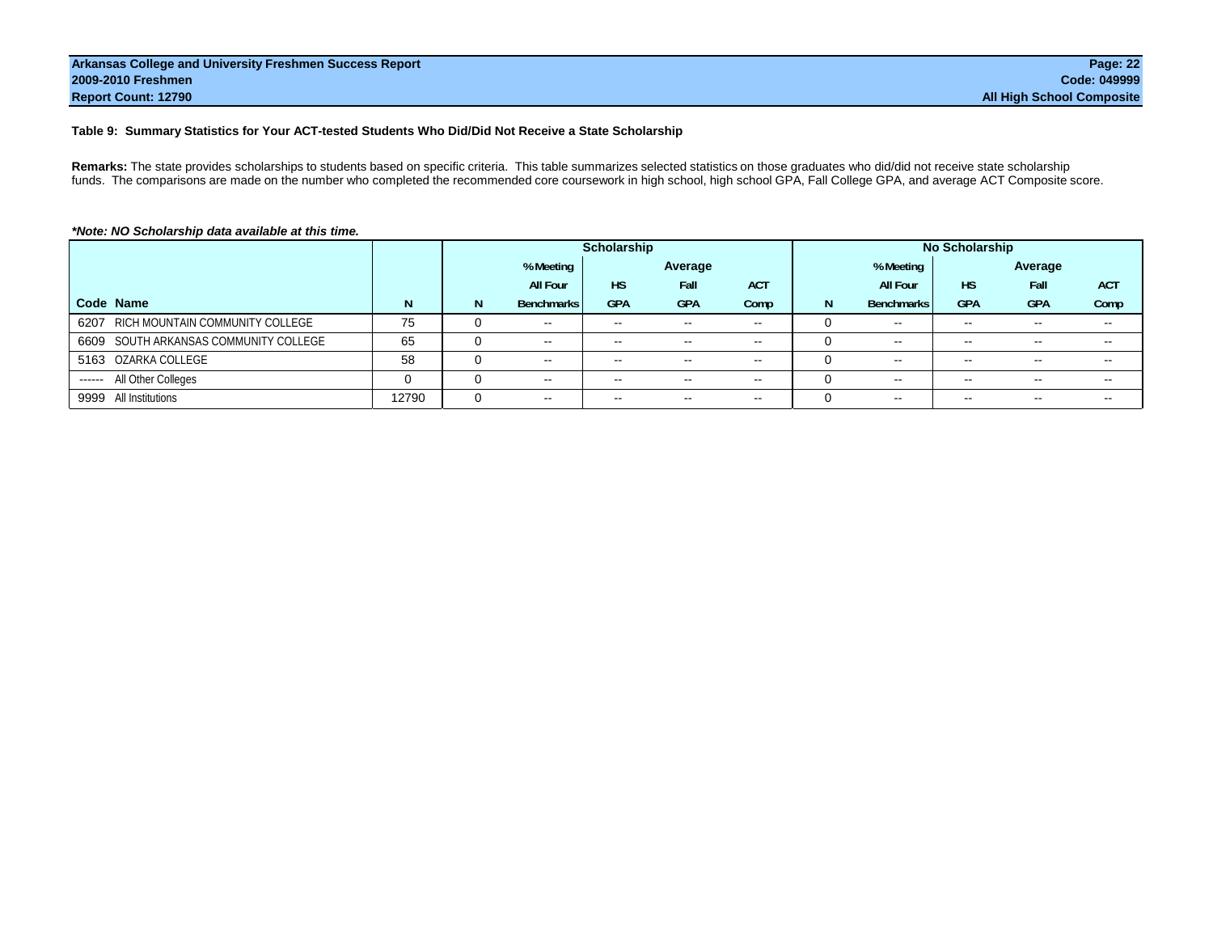#### **Table 9: Summary Statistics for Your ACT-tested Students Who Did/Did Not Receive a State Scholarship**

**Remarks:** The state provides scholarships to students based on specific criteria. This table summarizes selected statistics on those graduates who did/did not receive state scholarship funds. The comparisons are made on the number who completed the recommended core coursework in high school, high school GPA, Fall College GPA, and average ACT Composite score.

|                                       |       |          |                          | Scholarship              |                          |               |   |                   | <b>No Scholarship</b> |                          |                          |
|---------------------------------------|-------|----------|--------------------------|--------------------------|--------------------------|---------------|---|-------------------|-----------------------|--------------------------|--------------------------|
|                                       |       |          | % Meeting<br>Average     |                          |                          |               |   | % Meeting         |                       | Average                  |                          |
|                                       |       |          | <b>All Four</b>          | <b>HS</b>                | Fall                     | <b>ACT</b>    |   | <b>All Four</b>   | <b>HS</b>             | Fall                     | <b>ACT</b>               |
| Code Name                             | N     | N        | <b>Benchmarks</b>        | <b>GPA</b>               | <b>GPA</b>               | Comp          | N | <b>Benchmarks</b> | <b>GPA</b>            | <b>GPA</b>               | Comp                     |
| 6207 RICH MOUNTAIN COMMUNITY COLLEGE  | 75    |          | $\sim$ $\sim$            | $\sim$                   | $- -$                    | $\sim$ $\sim$ |   | $\sim$ $\sim$     | $- -$                 | $\overline{\phantom{m}}$ |                          |
| 6609 SOUTH ARKANSAS COMMUNITY COLLEGE | 65    | 0        | $\sim$                   | $\sim$                   | $\overline{\phantom{a}}$ | $\sim$ $\sim$ |   | $\sim$ $\sim$     | --                    |                          |                          |
| 5163 OZARKA COLLEGE                   | 58    | 0        | $\sim$                   | $\sim$                   | $- -$                    | $\sim$        |   | $\sim$            | $- -$                 | $\sim$ $\sim$            | $\overline{\phantom{a}}$ |
| ------ All Other Colleges             | 0     | $\Omega$ | $\sim$                   | $\sim$                   | $\sim$ $\sim$            | $\sim$ $\sim$ |   | $\sim$            |                       | $\sim$ $\sim$            |                          |
| 9999 All Institutions                 | 12790 |          | $\overline{\phantom{a}}$ | $\overline{\phantom{m}}$ | $\overline{\phantom{a}}$ | $\sim$ $\sim$ |   | $\sim$ $\sim$     |                       |                          |                          |

#### *\*Note: NO Scholarship data available at this time.*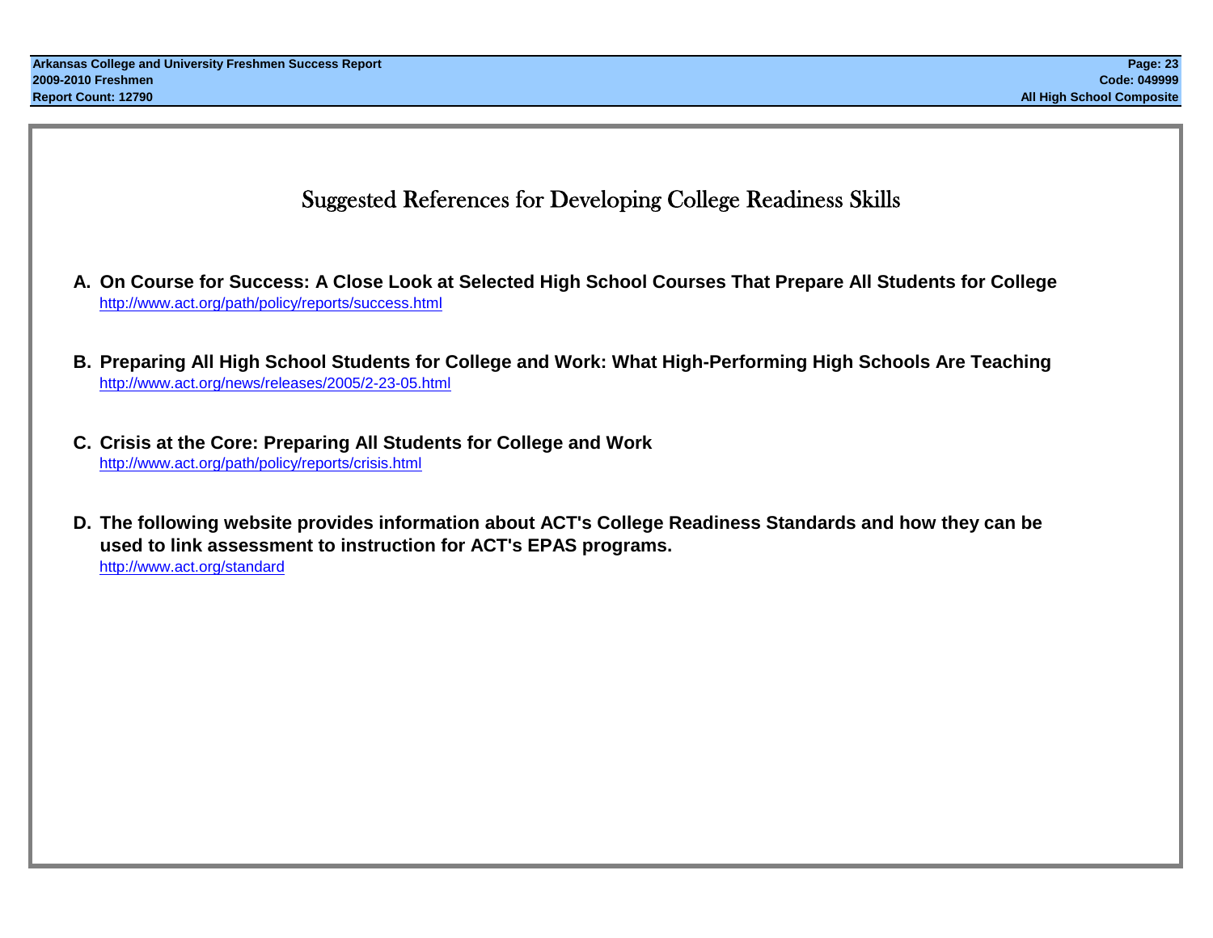### Suggested References for Developing College Readiness Skills

- **A. On Course for Success: A Close Look at Selected High School Courses That Prepare All Students for College** http://www.act.org/path/policy/reports/success.html
- **B. Preparing All High School Students for College and Work: What High-Performing High Schools Are Teaching** http://www.act.org/news/releases/2005/2-23-05.html
- **C. Crisis at the Core: Preparing All Students for College and Work** http://www.act.org/path/policy/reports/crisis.html
- **D. The following website provides information about ACT's College Readiness Standards and how they can be used to link assessment to instruction for ACT's EPAS programs.** http://www.act.org/standard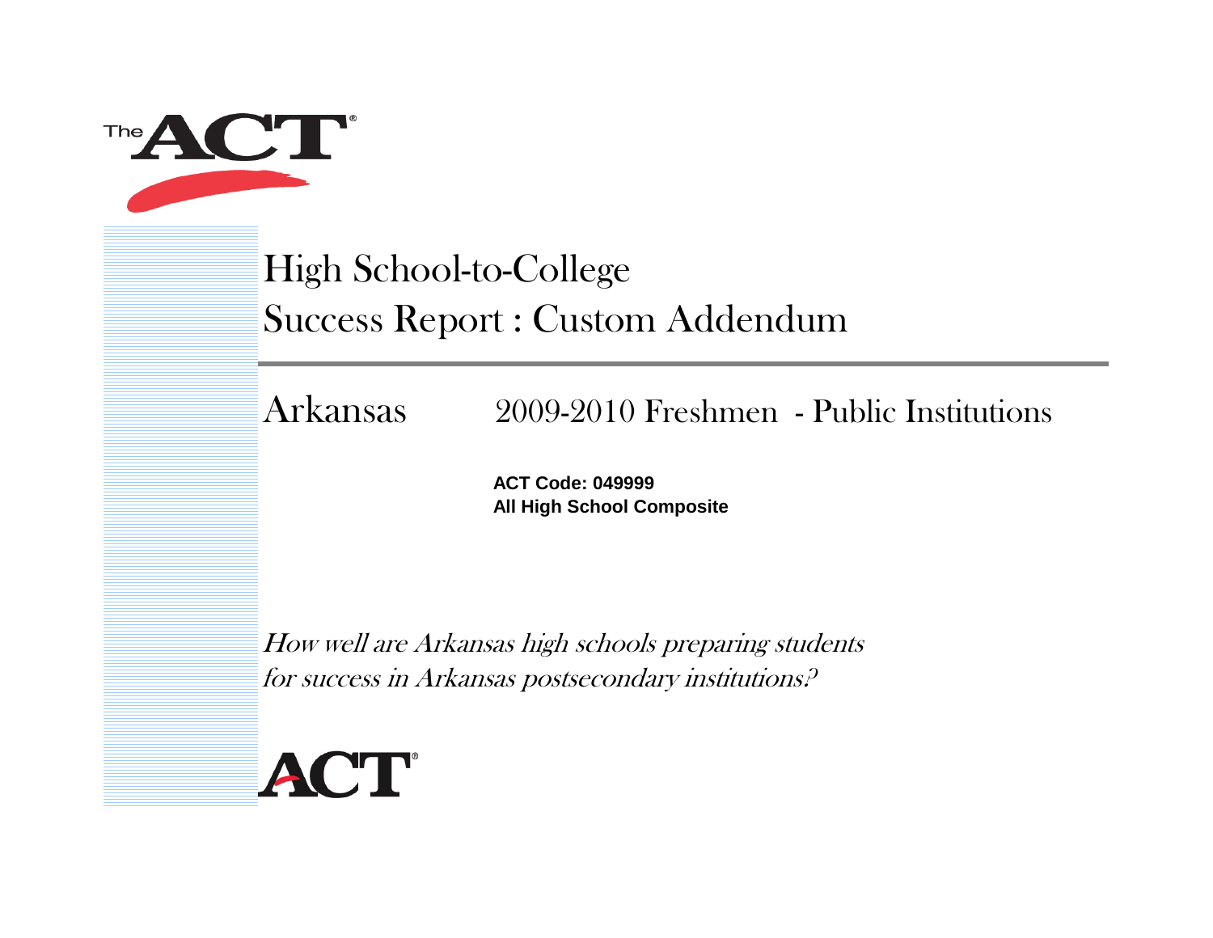

## High School-to-College Success Report : Custom Addendum

Arkansas

## 2009-2010 Freshmen - Public Institutions

**ACT Code: 049999All High School Composite**

How well are Arkansas high schools preparing students for success in Arkansas postsecondary institutions?

# ACT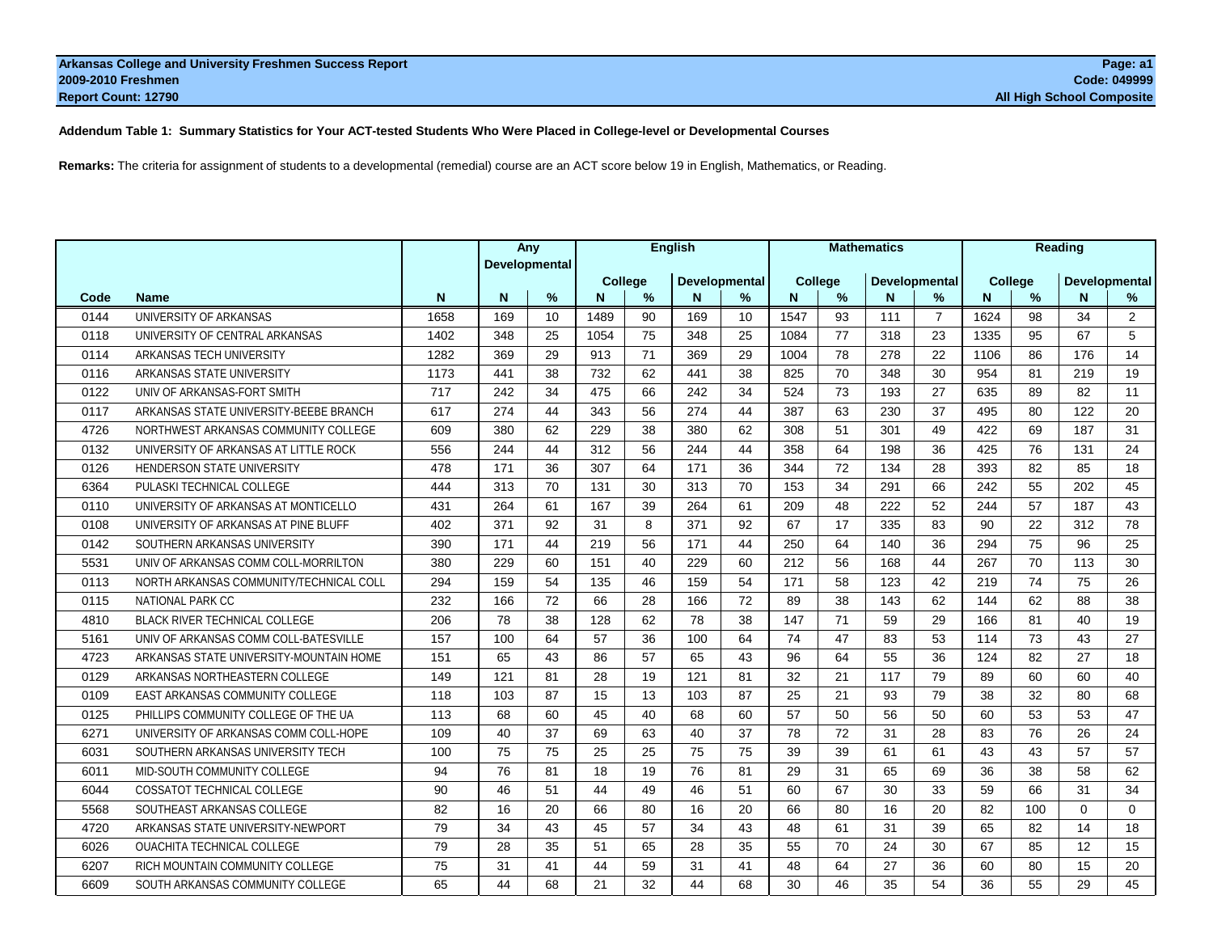**Addendum Table 1: Summary Statistics for Your ACT-tested Students Who Were Placed in College-level or Developmental Courses**

**Remarks:** The criteria for assignment of students to a developmental (remedial) course are an ACT score below 19 in English, Mathematics, or Reading.

|      |                                         |      |               | Any | English |                                 |     | <b>Mathematics</b> |         |               |                      | Reading        |      |                                  |                    |                |
|------|-----------------------------------------|------|---------------|-----|---------|---------------------------------|-----|--------------------|---------|---------------|----------------------|----------------|------|----------------------------------|--------------------|----------------|
|      |                                         |      | Developmental |     |         | Developmental<br><b>College</b> |     |                    | College |               | <b>Developmental</b> |                |      |                                  |                    |                |
| Code | <b>Name</b>                             | N    | N             | %   | N.      | %                               | N   | %                  | N       | $\frac{9}{6}$ | N                    | $\%$           | N    | <b>College</b><br>$\frac{9}{6}$  | Developmental<br>N | %              |
| 0144 | UNIVERSITY OF ARKANSAS                  | 1658 | 169           | 10  | 1489    | 90                              | 169 | 10                 | 1547    | 93            | 111                  | $\overline{7}$ | 1624 | 98                               | 34                 | $\overline{2}$ |
| 0118 | UNIVERSITY OF CENTRAL ARKANSAS          | 1402 | 348           | 25  | 1054    | 75                              | 348 | 25                 | 1084    | 77            | 318                  | 23             | 1335 | 95                               | 67                 | 5              |
| 0114 | ARKANSAS TECH UNIVERSITY                | 1282 | 369           | 29  | 913     | 71                              | 369 | 29                 | 1004    | 78            | 278                  | 22             | 1106 | 86                               | 176                | 14             |
| 0116 | ARKANSAS STATE UNIVERSITY               | 1173 | 441           | 38  | 732     | 62                              | 441 | 38                 | 825     | 70            | 348                  | 30             | 954  | 81                               | 219                | 19             |
| 0122 | UNIV OF ARKANSAS-FORT SMITH             | 717  | 242           | 34  | 475     | 66                              | 242 | 34                 | 524     | 73            | 193                  | 27             | 635  | 89                               | 82                 | 11             |
| 0117 | ARKANSAS STATE UNIVERSITY-BEEBE BRANCH  | 617  | 274           | 44  | 343     | 56                              | 274 | 44                 | 387     | 63            | 230                  | 37             | 495  | 80                               | 122                | 20             |
| 4726 | NORTHWEST ARKANSAS COMMUNITY COLLEGE    | 609  | 380           | 62  | 229     | 38                              | 380 | 62                 | 308     | 51            | 301                  | 49             | 422  | 69                               | 187                | 31             |
| 0132 | UNIVERSITY OF ARKANSAS AT LITTLE ROCK   | 556  | 244           | 44  | 312     | 56                              | 244 | 44                 | 358     | 64            | 198                  | 36             | 425  | 76                               | 131                | 24             |
| 0126 | HENDERSON STATE UNIVERSITY              | 478  | 171           | 36  | 307     | 64                              | 171 | 36                 | 344     | 72            | 134                  | 28             | 393  | 82                               | 85                 | 18             |
| 6364 | PULASKI TECHNICAL COLLEGE               | 444  | 313           | 70  | 131     | 30                              | 313 | 70                 | 153     | 34            | 291                  | 66             | 242  | 55                               | 202                | 45             |
| 0110 | UNIVERSITY OF ARKANSAS AT MONTICELLO    | 431  | 264           | 61  | 167     | 39                              | 264 | 61                 | 209     | 48            | 222                  | 52             | 244  | 57                               | 187                | 43             |
| 0108 | UNIVERSITY OF ARKANSAS AT PINE BLUFF    | 402  | 371           | 92  | 31      | 8                               | 371 | 92                 | 67      | 17            | 335                  | 83             | 90   | 22                               | 312                | 78             |
| 0142 | SOUTHERN ARKANSAS UNIVERSITY            | 390  | 171           | 44  | 219     | 56                              | 171 | 44                 | 250     | 64            | 140                  | 36             | 294  | 75                               | 96                 | 25             |
| 5531 | UNIV OF ARKANSAS COMM COLL-MORRILTON    | 380  | 229           | 60  | 151     | 40                              | 229 | 60                 | 212     | 56            | 168                  | 44             | 267  | 70                               | 113                | 30             |
| 0113 | NORTH ARKANSAS COMMUNITY/TECHNICAL COLL | 294  | 159           | 54  | 135     | 46                              | 159 | 54                 | 171     | 58            | 123                  | 42             | 219  | 74                               | 75                 | 26             |
| 0115 | <b>NATIONAL PARK CC</b>                 | 232  | 166           | 72  | 66      | 28                              | 166 | 72                 | 89      | 38            | 143                  | 62             | 144  | 62                               | 88                 | 38             |
| 4810 | <b>BLACK RIVER TECHNICAL COLLEGE</b>    | 206  | 78            | 38  | 128     | 62                              | 78  | 38                 | 147     | 71            | 59                   | 29             | 166  | 81                               | 40                 | 19             |
| 5161 | UNIV OF ARKANSAS COMM COLL-BATESVILLE   | 157  | 100           | 64  | 57      | 36                              | 100 | 64                 | 74      | 47            | 83                   | 53             | 114  | 73                               | 43                 | 27             |
| 4723 | ARKANSAS STATE UNIVERSITY-MOUNTAIN HOME | 151  | 65            | 43  | 86      | 57                              | 65  | 43                 | 96      | 64            | 55                   | 36             | 124  | 82                               | 27                 | 18             |
| 0129 | ARKANSAS NORTHEASTERN COLLEGE           | 149  | 121           | 81  | 28      | 19                              | 121 | 81                 | 32      | 21            | 117                  | 79             | 89   | 60                               | 60                 | 40             |
| 0109 | EAST ARKANSAS COMMUNITY COLLEGE         | 118  | 103           | 87  | 15      | 13                              | 103 | 87                 | 25      | 21            | 93                   | 79             | 38   | 32                               | 80                 | 68             |
| 0125 | PHILLIPS COMMUNITY COLLEGE OF THE UA    | 113  | 68            | 60  | 45      | 40                              | 68  | 60                 | 57      | 50            | 56                   | 50             | 60   | 53                               | 53                 | 47             |
| 6271 | UNIVERSITY OF ARKANSAS COMM COLL-HOPE   | 109  | 40            | 37  | 69      | 63                              | 40  | 37                 | 78      | 72            | 31                   | 28             | 83   | 76                               | 26                 | 24             |
| 6031 | SOUTHERN ARKANSAS UNIVERSITY TECH       | 100  | 75            | 75  | 25      | 25                              | 75  | 75                 | 39      | 39            | 61                   | 61             | 43   | 43                               | 57                 | 57             |
| 6011 | MID-SOUTH COMMUNITY COLLEGE             | 94   | 76            | 81  | 18      | 19                              | 76  | 81                 | 29      | 31            | 65                   | 69             | 36   | 38                               | 58                 | 62             |
| 6044 | COSSATOT TECHNICAL COLLEGE              | 90   | 46            | 51  | 44      | 49                              | 46  | 51                 | 60      | 67            | 30                   | 33             | 59   | 66                               | 31                 | 34             |
| 5568 | SOUTHEAST ARKANSAS COLLEGE              | 82   | 16            | 20  | 66      | 80                              | 16  | 20                 | 66      | 80            | 16                   | 20             | 82   | 100                              | $\Omega$           | $\Omega$       |
| 4720 | ARKANSAS STATE UNIVERSITY-NEWPORT       | 79   | 34            | 43  | 45      | 57                              | 34  | 43                 | 48      | 61            | 31                   | 39             | 65   | 82                               | 14                 | 18             |
| 6026 | <b>OUACHITA TECHNICAL COLLEGE</b>       | 79   | 28            | 35  | 51      | 65                              | 28  | 35                 | 55      | 70            | 24                   | 30             | 67   | 85                               | 12                 | 15             |
| 6207 | RICH MOUNTAIN COMMUNITY COLLEGE         | 75   | 31            | 41  | 44      | 59                              | 31  | 41                 | 48      | 64            | 27                   | 36             | 60   | 80                               | 15                 | 20             |
| 6609 | SOUTH ARKANSAS COMMUNITY COLLEGE        | 65   | 44            | 68  | 21      | 32                              | 44  | 68                 | 30      | 46            | 35                   | 54             |      | 36 Page <sup>5</sup> 100 of 4913 |                    | 45             |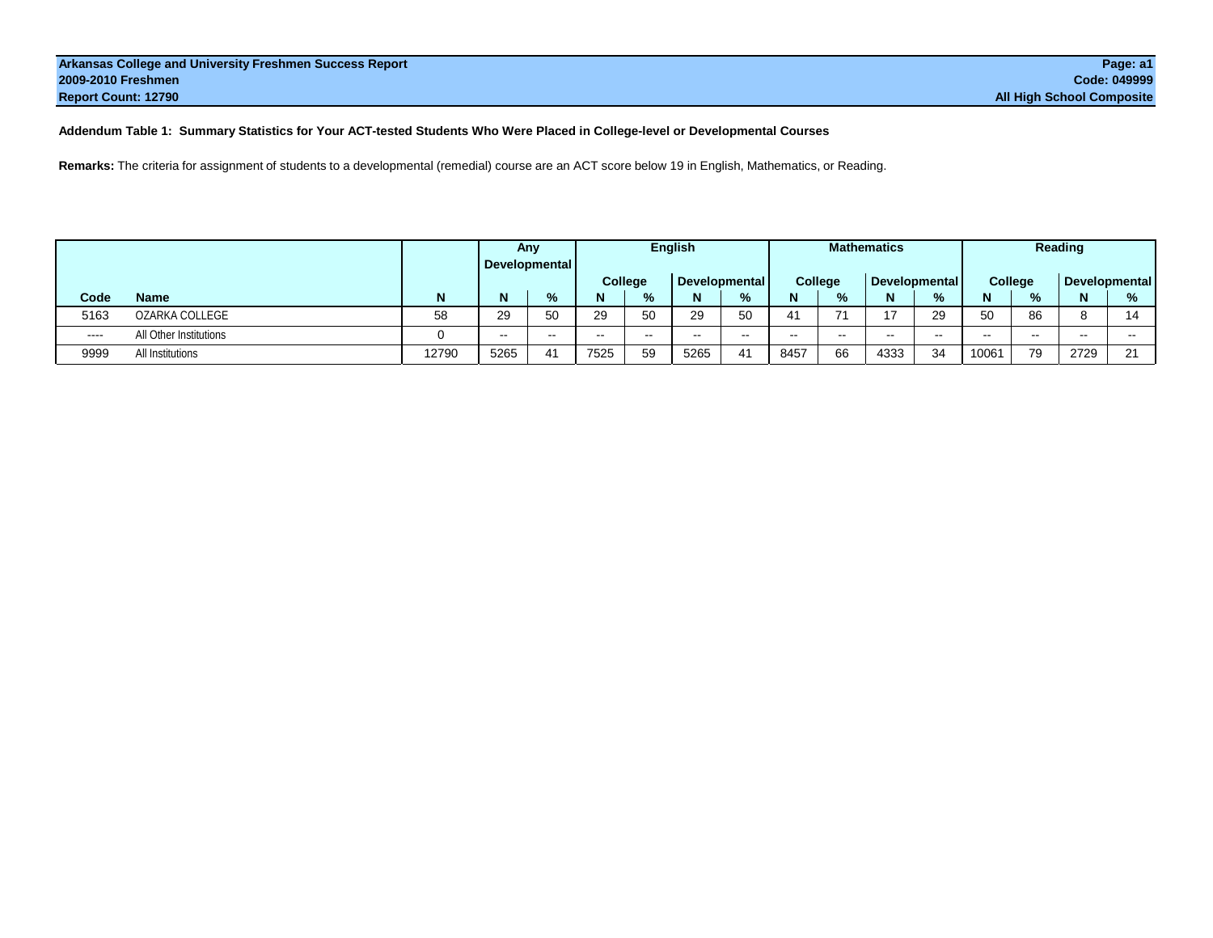#### **Addendum Table 1: Summary Statistics for Your ACT-tested Students Who Were Placed in College-level or Developmental Courses**

**Remarks:** The criteria for assignment of students to a developmental (remedial) course are an ACT score below 19 in English, Mathematics, or Reading.

|        |                        |       | Any   |               | <b>English</b> |         |               |       | <b>Mathematics</b> |               |               |       | Reading |               |                      |          |
|--------|------------------------|-------|-------|---------------|----------------|---------|---------------|-------|--------------------|---------------|---------------|-------|---------|---------------|----------------------|----------|
|        |                        |       |       | Developmental |                |         |               |       |                    |               |               |       |         |               |                      |          |
|        |                        |       |       |               |                | College | Developmental |       |                    | College       | Developmental |       |         | College       | <b>Developmental</b> |          |
| Code   | Name                   | N     | N     | $\frac{9}{6}$ | N              | %       | N             | $\%$  |                    | $\frac{9}{6}$ | N             | %     |         | %             | N                    | %        |
| 5163   | OZARKA COLLEGE         | 58    | 29    | 50            | 29             | 50      | 29            | 50    | 41                 | 74            |               | 29    | 50      | 86            | C                    | 11       |
| $----$ | All Other Institutions |       | $- -$ | $- -$         | $- -$          |         | $\sim$ $\sim$ | $- -$ | $- -$              | $-$           | $- -$         | $- -$ | $- -$   | $\sim$ $\sim$ | $- -$                | --       |
| 9999   | All Institutions       | 12790 | 5265  | 41            | 7525           | 59      | 5265          | 41    | 8457               | 66            | 4333          | 34    | 10061   | 79            | 2729                 | $\Omega$ |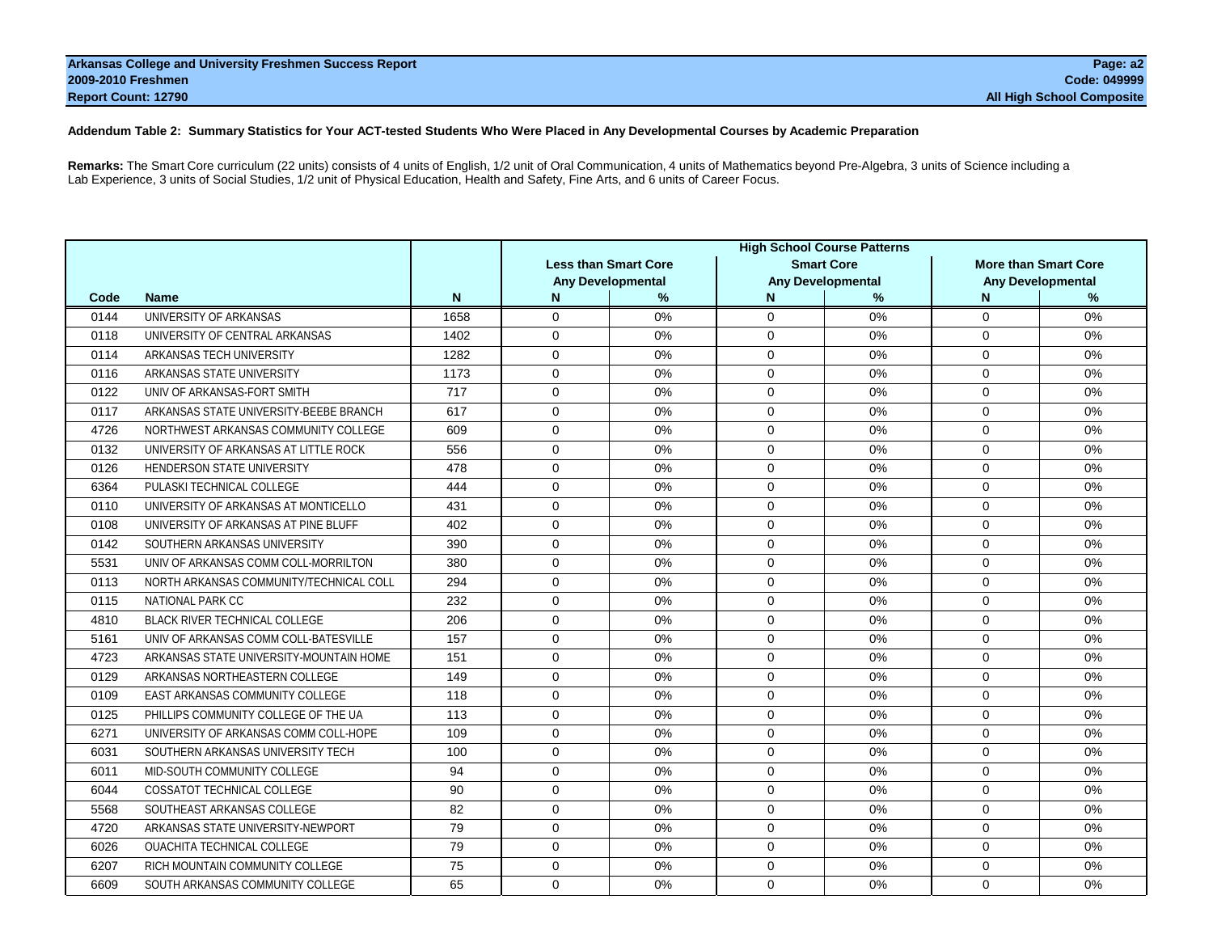#### **Addendum Table 2: Summary Statistics for Your ACT-tested Students Who Were Placed in Any Developmental Courses by Academic Preparation**

**Remarks:** The Smart Core curriculum (22 units) consists of 4 units of English, 1/2 unit of Oral Communication, 4 units of Mathematics beyond Pre-Algebra, 3 units of Science including a Lab Experience, 3 units of Social Studies, 1/2 unit of Physical Education, Health and Safety, Fine Arts, and 6 units of Career Focus.

|      |                                         |             | <b>High School Course Patterns</b> |                             |             |                          |                |                             |  |  |  |  |
|------|-----------------------------------------|-------------|------------------------------------|-----------------------------|-------------|--------------------------|----------------|-----------------------------|--|--|--|--|
|      |                                         |             |                                    | <b>Less than Smart Core</b> |             | <b>Smart Core</b>        |                | <b>More than Smart Core</b> |  |  |  |  |
|      |                                         |             |                                    | <b>Any Developmental</b>    |             | <b>Any Developmental</b> |                | <b>Any Developmental</b>    |  |  |  |  |
| Code | <b>Name</b>                             | $\mathbf N$ | N                                  | %                           | N           | %                        | N              | %                           |  |  |  |  |
| 0144 | UNIVERSITY OF ARKANSAS                  | 1658        | $\mathbf 0$                        | 0%                          | $\Omega$    | 0%                       | $\mathbf 0$    | 0%                          |  |  |  |  |
| 0118 | UNIVERSITY OF CENTRAL ARKANSAS          | 1402        | $\mathbf 0$                        | $0\%$                       | $\Omega$    | 0%                       | $\mathbf 0$    | 0%                          |  |  |  |  |
| 0114 | ARKANSAS TECH UNIVERSITY                | 1282        | $\Omega$                           | 0%                          | $\Omega$    | 0%                       | $\Omega$       | 0%                          |  |  |  |  |
| 0116 | ARKANSAS STATE UNIVERSITY               | 1173        | $\Omega$                           | 0%                          | $\Omega$    | 0%                       | $\Omega$       | 0%                          |  |  |  |  |
| 0122 | UNIV OF ARKANSAS-FORT SMITH             | 717         | $\mathbf 0$                        | 0%                          | $\mathbf 0$ | 0%                       | 0              | 0%                          |  |  |  |  |
| 0117 | ARKANSAS STATE UNIVERSITY-BEEBE BRANCH  | 617         | $\Omega$                           | 0%                          | $\Omega$    | 0%                       | $\mathbf 0$    | 0%                          |  |  |  |  |
| 4726 | NORTHWEST ARKANSAS COMMUNITY COLLEGE    | 609         | $\mathbf 0$                        | 0%                          | $\mathbf 0$ | 0%                       | 0              | 0%                          |  |  |  |  |
| 0132 | UNIVERSITY OF ARKANSAS AT LITTLE ROCK   | 556         | $\mathbf 0$                        | 0%                          | $\Omega$    | 0%                       | $\mathbf 0$    | 0%                          |  |  |  |  |
| 0126 | <b>HENDERSON STATE UNIVERSITY</b>       | 478         | $\Omega$                           | 0%                          | $\Omega$    | $0\%$                    | $\Omega$       | 0%                          |  |  |  |  |
| 6364 | PULASKI TECHNICAL COLLEGE               | 444         | $\mathbf 0$                        | 0%                          | $\mathbf 0$ | 0%                       | 0              | 0%                          |  |  |  |  |
| 0110 | UNIVERSITY OF ARKANSAS AT MONTICELLO    | 431         | $\Omega$                           | 0%                          | $\Omega$    | 0%                       | $\mathbf 0$    | 0%                          |  |  |  |  |
| 0108 | UNIVERSITY OF ARKANSAS AT PINE BLUFF    | 402         | $\Omega$                           | 0%                          | $\Omega$    | 0%                       | $\mathbf 0$    | 0%                          |  |  |  |  |
| 0142 | SOUTHERN ARKANSAS UNIVERSITY            | 390         | $\Omega$                           | 0%                          | $\Omega$    | 0%                       | $\mathbf 0$    | 0%                          |  |  |  |  |
| 5531 | UNIV OF ARKANSAS COMM COLL-MORRILTON    | 380         | $\mathbf 0$                        | 0%                          | $\Omega$    | 0%                       | $\mathbf 0$    | 0%                          |  |  |  |  |
| 0113 | NORTH ARKANSAS COMMUNITY/TECHNICAL COLL | 294         | $\Omega$                           | 0%                          | $\Omega$    | 0%                       | $\Omega$       | 0%                          |  |  |  |  |
| 0115 | <b>NATIONAL PARK CC</b>                 | 232         | $\Omega$                           | 0%                          | $\Omega$    | 0%                       | $\Omega$       | 0%                          |  |  |  |  |
| 4810 | <b>BLACK RIVER TECHNICAL COLLEGE</b>    | 206         | $\Omega$                           | 0%                          | $\Omega$    | 0%                       | $\mathbf 0$    | 0%                          |  |  |  |  |
| 5161 | UNIV OF ARKANSAS COMM COLL-BATESVILLE   | 157         | $\Omega$                           | 0%                          | $\Omega$    | 0%                       | $\Omega$       | 0%                          |  |  |  |  |
| 4723 | ARKANSAS STATE UNIVERSITY-MOUNTAIN HOME | 151         | $\Omega$                           | 0%                          | $\Omega$    | 0%                       | $\mathbf 0$    | 0%                          |  |  |  |  |
| 0129 | ARKANSAS NORTHEASTERN COLLEGE           | 149         | $\Omega$                           | 0%                          | $\Omega$    | 0%                       | $\Omega$       | 0%                          |  |  |  |  |
| 0109 | EAST ARKANSAS COMMUNITY COLLEGE         | 118         | $\mathbf 0$                        | 0%                          | $\Omega$    | 0%                       | $\mathbf 0$    | 0%                          |  |  |  |  |
| 0125 | PHILLIPS COMMUNITY COLLEGE OF THE UA    | 113         | $\mathbf 0$                        | $0\%$                       | $\mathbf 0$ | 0%                       | $\mathbf 0$    | 0%                          |  |  |  |  |
| 6271 | UNIVERSITY OF ARKANSAS COMM COLL-HOPE   | 109         | $\Omega$                           | 0%                          | $\Omega$    | 0%                       | $\Omega$       | 0%                          |  |  |  |  |
| 6031 | SOUTHERN ARKANSAS UNIVERSITY TECH       | 100         | $\Omega$                           | 0%                          | $\Omega$    | 0%                       | $\Omega$       | 0%                          |  |  |  |  |
| 6011 | MID-SOUTH COMMUNITY COLLEGE             | 94          | $\Omega$                           | 0%                          | $\Omega$    | 0%                       | $\overline{0}$ | 0%                          |  |  |  |  |
| 6044 | COSSATOT TECHNICAL COLLEGE              | 90          | $\Omega$                           | 0%                          | $\Omega$    | 0%                       | 0              | 0%                          |  |  |  |  |
| 5568 | SOUTHEAST ARKANSAS COLLEGE              | 82          | $\mathbf 0$                        | 0%                          | $\mathbf 0$ | 0%                       | 0              | 0%                          |  |  |  |  |
| 4720 | ARKANSAS STATE UNIVERSITY-NEWPORT       | 79          | $\mathbf 0$                        | 0%                          | $\Omega$    | 0%                       | $\mathbf 0$    | 0%                          |  |  |  |  |
| 6026 | <b>OUACHITA TECHNICAL COLLEGE</b>       | 79          | $\Omega$                           | 0%                          | $\Omega$    | 0%                       | $\mathbf 0$    | 0%                          |  |  |  |  |
| 6207 | RICH MOUNTAIN COMMUNITY COLLEGE         | 75          | $\Omega$                           | 0%                          | $\Omega$    | 0%                       | $\Omega$       | $0\%$                       |  |  |  |  |
| 6609 | SOUTH ARKANSAS COMMUNITY COLLEGE        | 65          | $\Omega$                           | 0%                          | $\Omega$    | 0%                       | 0              | Page 102 of 19 <sup>%</sup> |  |  |  |  |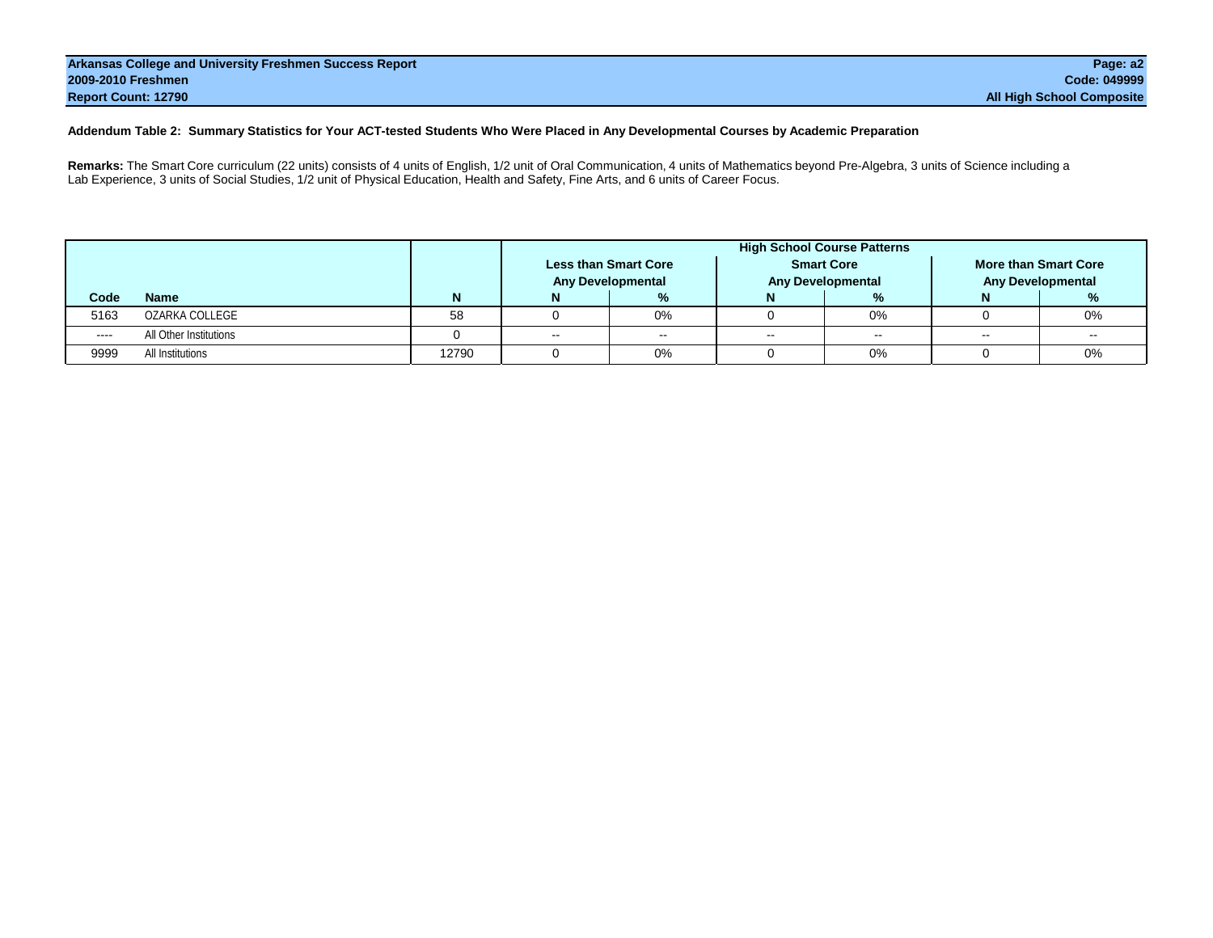#### **Addendum Table 2: Summary Statistics for Your ACT-tested Students Who Were Placed in Any Developmental Courses by Academic Preparation**

**Remarks:** The Smart Core curriculum (22 units) consists of 4 units of English, 1/2 unit of Oral Communication, 4 units of Mathematics beyond Pre-Algebra, 3 units of Science including a Lab Experience, 3 units of Social Studies, 1/2 unit of Physical Education, Health and Safety, Fine Arts, and 6 units of Career Focus.

|      |                        |       | <b>High School Course Patterns</b> |                                                         |     |                                               |    |                                                  |  |  |  |  |  |
|------|------------------------|-------|------------------------------------|---------------------------------------------------------|-----|-----------------------------------------------|----|--------------------------------------------------|--|--|--|--|--|
|      |                        |       |                                    | <b>Less than Smart Core</b><br><b>Any Developmental</b> |     | <b>Smart Core</b><br><b>Any Developmental</b> |    | More than Smart Core<br><b>Any Developmental</b> |  |  |  |  |  |
| Code | <b>Name</b>            |       |                                    | %                                                       |     | %                                             |    |                                                  |  |  |  |  |  |
| 5163 | OZARKA COLLEGE         | 58    |                                    | $0\%$                                                   |     | 0%                                            |    | 0%                                               |  |  |  |  |  |
| ---- | All Other Institutions |       | $\sim$ $\sim$                      | $\sim$ $\sim$                                           | $-$ | $\sim$ $\sim$                                 | -- | --                                               |  |  |  |  |  |
| 9999 | All Institutions       | 12790 |                                    | 0%                                                      |     | 0%                                            |    | 0%                                               |  |  |  |  |  |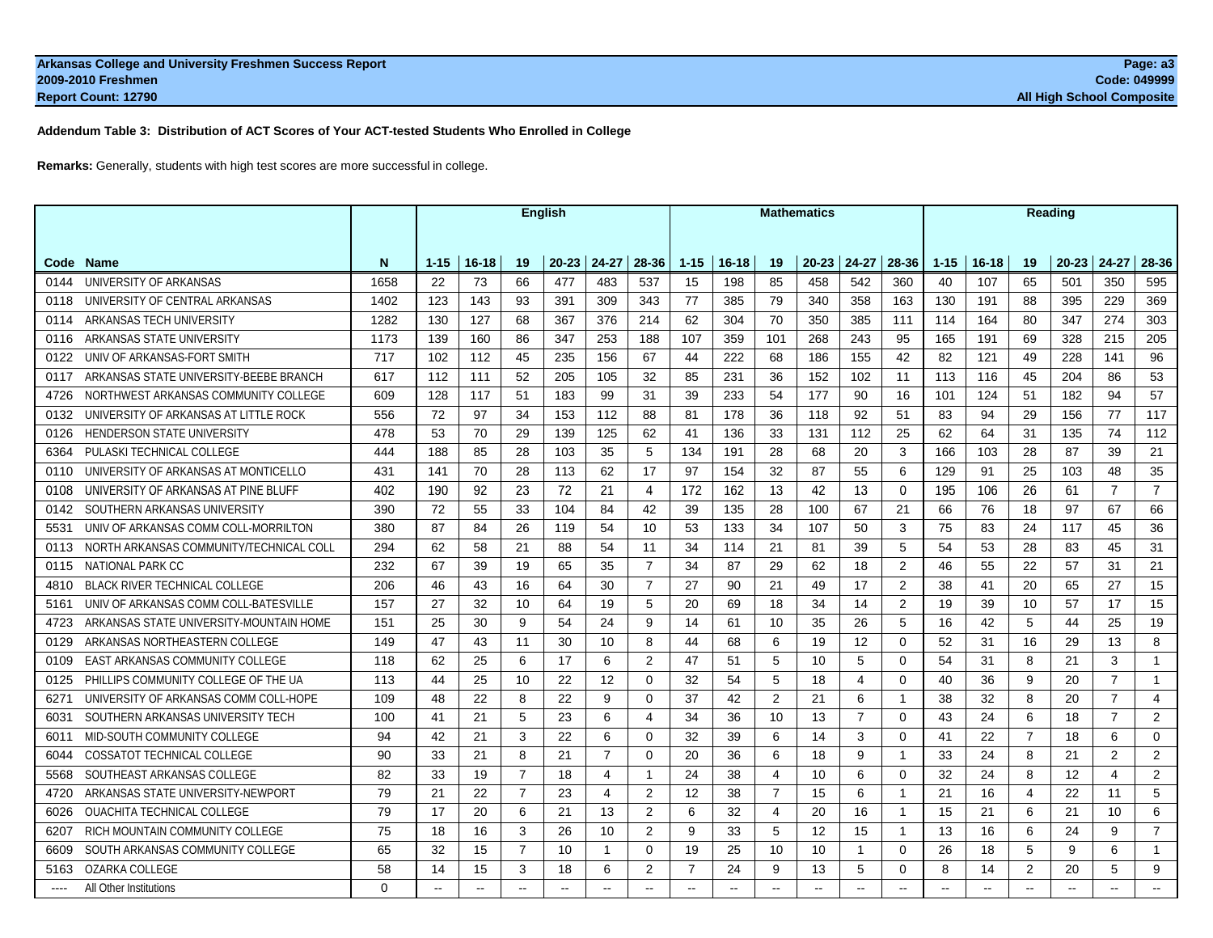**Addendum Table 3: Distribution of ACT Scores of Your ACT-tested Students Who Enrolled in College**

**Remarks:** Generally, students with high test scores are more successful in college.

|      |                                         |          | <b>English</b> |           |                |               |                |                | <b>Mathematics</b> |                          |                |                          |                   |                | Reading        |           |                |                     |                |                |
|------|-----------------------------------------|----------|----------------|-----------|----------------|---------------|----------------|----------------|--------------------|--------------------------|----------------|--------------------------|-------------------|----------------|----------------|-----------|----------------|---------------------|----------------|----------------|
| Code | <b>Name</b>                             | N        | $1 - 15$       | $16 - 18$ | 19             | $20 - 23$     | $24 - 27$      | 28-36          | $1 - 15$           | $16 - 18$                | 19             | $20 - 23$                | $24 - 27$         | 28-36          | $1 - 15$       | $16 - 18$ | 19             | $20 - 23$           | $24 - 27$      | 28-36          |
| 0144 | UNIVERSITY OF ARKANSAS                  | 1658     | 22             | 73        | 66             | 477           | 483            | 537            | 15                 | 198                      | 85             | 458                      | 542               | 360            | 40             | 107       | 65             | 501                 | 350            | 595            |
| 0118 | UNIVERSITY OF CENTRAL ARKANSAS          | 1402     | 123            | 143       | 93             | 391           | 309            | 343            | 77                 | 385                      | 79             | 340                      | 358               | 163            | 130            | 191       | 88             | 395                 | 229            | 369            |
| 0114 | ARKANSAS TECH UNIVERSITY                | 1282     | 130            | 127       | 68             | 367           | 376            | 214            | 62                 | 304                      | 70             | 350                      | 385               | 111            | 114            | 164       | 80             | 347                 | 274            | 303            |
| 0116 | ARKANSAS STATE UNIVERSITY               | 1173     | 139            | 160       | 86             | 347           | 253            | 188            | 107                | 359                      | 101            | 268                      | 243               | 95             | 165            | 191       | 69             | 328                 | 215            | 205            |
| 0122 | UNIV OF ARKANSAS-FORT SMITH             | 717      | 102            | 112       | 45             | 235           | 156            | 67             | 44                 | 222                      | 68             | 186                      | 155               | 42             | 82             | 121       | 49             | 228                 | 141            | 96             |
| 0117 | ARKANSAS STATE UNIVERSITY-BEEBE BRANCH  | 617      | 112            | 111       | 52             | 205           | 105            | 32             | 85                 | 231                      | 36             | 152                      | 102               | 11             | 113            | 116       | 45             | 204                 | 86             | 53             |
| 4726 | NORTHWEST ARKANSAS COMMUNITY COLLEGE    | 609      | 128            | 117       | 51             | 183           | 99             | 31             | 39                 | 233                      | 54             | 177                      | 90                | 16             | 101            | 124       | 51             | 182                 | 94             | 57             |
| 0132 | UNIVERSITY OF ARKANSAS AT LITTLE ROCK   | 556      | 72             | 97        | 34             | 153           | 112            | 88             | 81                 | 178                      | 36             | 118                      | 92                | 51             | 83             | 94        | 29             | 156                 | 77             | 117            |
| 0126 | <b>HENDERSON STATE UNIVERSITY</b>       | 478      | 53             | 70        | 29             | 139           | 125            | 62             | 41                 | 136                      | 33             | 131                      | 112               | 25             | 62             | 64        | 31             | 135                 | 74             | 112            |
| 6364 | PULASKI TECHNICAL COLLEGE               | 444      | 188            | 85        | 28             | 103           | 35             | 5              | 134                | 191                      | 28             | 68                       | 20                | 3              | 166            | 103       | 28             | 87                  | 39             | 21             |
| 0110 | UNIVERSITY OF ARKANSAS AT MONTICELLO    | 431      | 141            | 70        | 28             | 113           | 62             | 17             | 97                 | 154                      | 32             | 87                       | 55                | 6              | 129            | 91        | 25             | 103                 | 48             | 35             |
| 0108 | UNIVERSITY OF ARKANSAS AT PINE BLUFF    | 402      | 190            | 92        | 23             | 72            | 21             | $\overline{4}$ | 172                | 162                      | 13             | 42                       | 13                | $\mathbf 0$    | 195            | 106       | 26             | 61                  | $\overline{7}$ | $\overline{7}$ |
| 0142 | SOUTHERN ARKANSAS UNIVERSITY            | 390      | 72             | 55        | 33             | 104           | 84             | 42             | 39                 | 135                      | 28             | 100                      | 67                | 21             | 66             | 76        | 18             | 97                  | 67             | 66             |
| 5531 | UNIV OF ARKANSAS COMM COLL-MORRILTON    | 380      | 87             | 84        | 26             | 119           | 54             | 10             | 53                 | 133                      | 34             | 107                      | 50                | 3              | 75             | 83        | 24             | 117                 | 45             | 36             |
| 0113 | NORTH ARKANSAS COMMUNITY/TECHNICAL COLL | 294      | 62             | 58        | 21             | 88            | 54             | 11             | 34                 | 114                      | 21             | 81                       | 39                | 5              | 54             | 53        | 28             | 83                  | 45             | 31             |
| 0115 | NATIONAL PARK CC                        | 232      | 67             | 39        | 19             | 65            | 35             | $\overline{7}$ | 34                 | 87                       | 29             | 62                       | 18                | $\overline{2}$ | 46             | 55        | 22             | 57                  | 31             | 21             |
| 4810 | <b>BLACK RIVER TECHNICAL COLLEGE</b>    | 206      | 46             | 43        | 16             | 64            | 30             | $\overline{7}$ | 27                 | 90                       | 21             | 49                       | 17                | 2              | 38             | 41        | 20             | 65                  | 27             | 15             |
| 5161 | UNIV OF ARKANSAS COMM COLL-BATESVILLE   | 157      | 27             | 32        | 10             | 64            | 19             | 5              | 20                 | 69                       | 18             | 34                       | 14                | 2              | 19             | 39        | 10             | 57                  | 17             | 15             |
| 4723 | ARKANSAS STATE UNIVERSITY-MOUNTAIN HOME | 151      | 25             | 30        | 9              | 54            | 24             | 9              | 14                 | 61                       | 10             | 35                       | 26                | 5              | 16             | 42        | 5              | 44                  | 25             | 19             |
| 0129 | ARKANSAS NORTHEASTERN COLLEGE           | 149      | 47             | 43        | 11             | 30            | 10             | 8              | 44                 | 68                       | 6              | 19                       | $12 \overline{ }$ | $\mathbf 0$    | 52             | 31        | 16             | 29                  | 13             | 8              |
| 0109 | <b>EAST ARKANSAS COMMUNITY COLLEGE</b>  | 118      | 62             | 25        | 6              | 17            | 6              | 2              | 47                 | 51                       | 5              | 10                       | 5                 | 0              | 54             | 31        | 8              | 21                  | 3              | $\mathbf{1}$   |
| 0125 | PHILLIPS COMMUNITY COLLEGE OF THE UA    | 113      | 44             | 25        | 10             | 22            | 12             | $\Omega$       | 32                 | 54                       | 5              | 18                       | $\overline{4}$    | $\Omega$       | 40             | 36        | 9              | 20                  | $\overline{7}$ | $\mathbf{1}$   |
| 6271 | UNIVERSITY OF ARKANSAS COMM COLL-HOPE   | 109      | 48             | 22        | 8              | 22            | 9              | $\Omega$       | 37                 | 42                       | $\overline{2}$ | 21                       | 6                 | $\mathbf{1}$   | 38             | 32        | 8              | 20                  | $\overline{7}$ | $\overline{4}$ |
| 6031 | SOUTHERN ARKANSAS UNIVERSITY TECH       | 100      | 41             | 21        | 5              | 23            | 6              | $\overline{4}$ | 34                 | 36                       | 10             | 13                       | $\overline{7}$    | $\Omega$       | 43             | 24        | 6              | 18                  | $\overline{7}$ | 2              |
| 6011 | MID-SOUTH COMMUNITY COLLEGE             | 94       | 42             | 21        | 3              | 22            | 6              | $\mathbf 0$    | 32                 | 39                       | 6              | 14                       | 3                 | $\mathbf 0$    | 41             | 22        | $\overline{7}$ | 18                  | 6              | 0              |
| 6044 | <b>COSSATOT TECHNICAL COLLEGE</b>       | 90       | 33             | 21        | 8              | 21            | $\overline{7}$ | $\mathbf 0$    | 20                 | 36                       | 6              | 18                       | 9                 | $\mathbf{1}$   | 33             | 24        | 8              | 21                  | 2              | $\overline{2}$ |
| 5568 | SOUTHEAST ARKANSAS COLLEGE              | 82       | 33             | 19        | $\overline{7}$ | 18            | $\overline{4}$ | $\overline{1}$ | 24                 | 38                       | $\overline{4}$ | 10                       | 6                 | $\Omega$       | 32             | 24        | 8              | 12                  | $\overline{4}$ | $\overline{2}$ |
| 4720 | ARKANSAS STATE UNIVERSITY-NEWPORT       | 79       | 21             | 22        | $\overline{7}$ | 23            | $\overline{4}$ | 2              | 12                 | 38                       | $\overline{7}$ | 15                       | 6                 | $\mathbf{1}$   | 21             | 16        | $\overline{4}$ | 22                  | 11             | 5              |
| 6026 | <b>OUACHITA TECHNICAL COLLEGE</b>       | 79       | 17             | 20        | 6              | 21            | 13             | 2              | 6                  | 32                       | $\overline{4}$ | 20                       | 16                | $\mathbf{1}$   | 15             | 21        | 6              | 21                  | 10             | 6              |
| 6207 | RICH MOUNTAIN COMMUNITY COLLEGE         | 75       | 18             | 16        | 3              | 26            | 10             | 2              | 9                  | 33                       | 5              | 12                       | 15                | $\mathbf{1}$   | 13             | 16        | 6              | 24                  | 9              | $\overline{7}$ |
| 6609 | SOUTH ARKANSAS COMMUNITY COLLEGE        | 65       | 32             | 15        | $\overline{7}$ | 10            | $\mathbf{1}$   | $\Omega$       | 19                 | 25                       | 10             | 10                       | $\mathbf{1}$      | $\Omega$       | 26             | 18        | 5              | 9                   | 6              | $\mathbf{1}$   |
| 5163 | OZARKA COLLEGE                          | 58       | 14             | 15        | 3              | 18            | 6              | 2              | $\overline{7}$     | 24                       | 9              | 13                       | 5                 | $\Omega$       | 8              | 14        | 2              | 20                  | 5              | 9              |
|      | All Other Institutions                  | $\Omega$ | $\sim$ $\sim$  | $\sim$    | $\sim$         | $\sim$ $\sim$ | $\sim$         | $\sim$         | $\overline{a}$     | $\overline{\phantom{a}}$ | $\sim$         | $\overline{\phantom{a}}$ | $-$               |                | $\overline{a}$ |           |                | Page $104$ of $113$ |                | $\sim$         |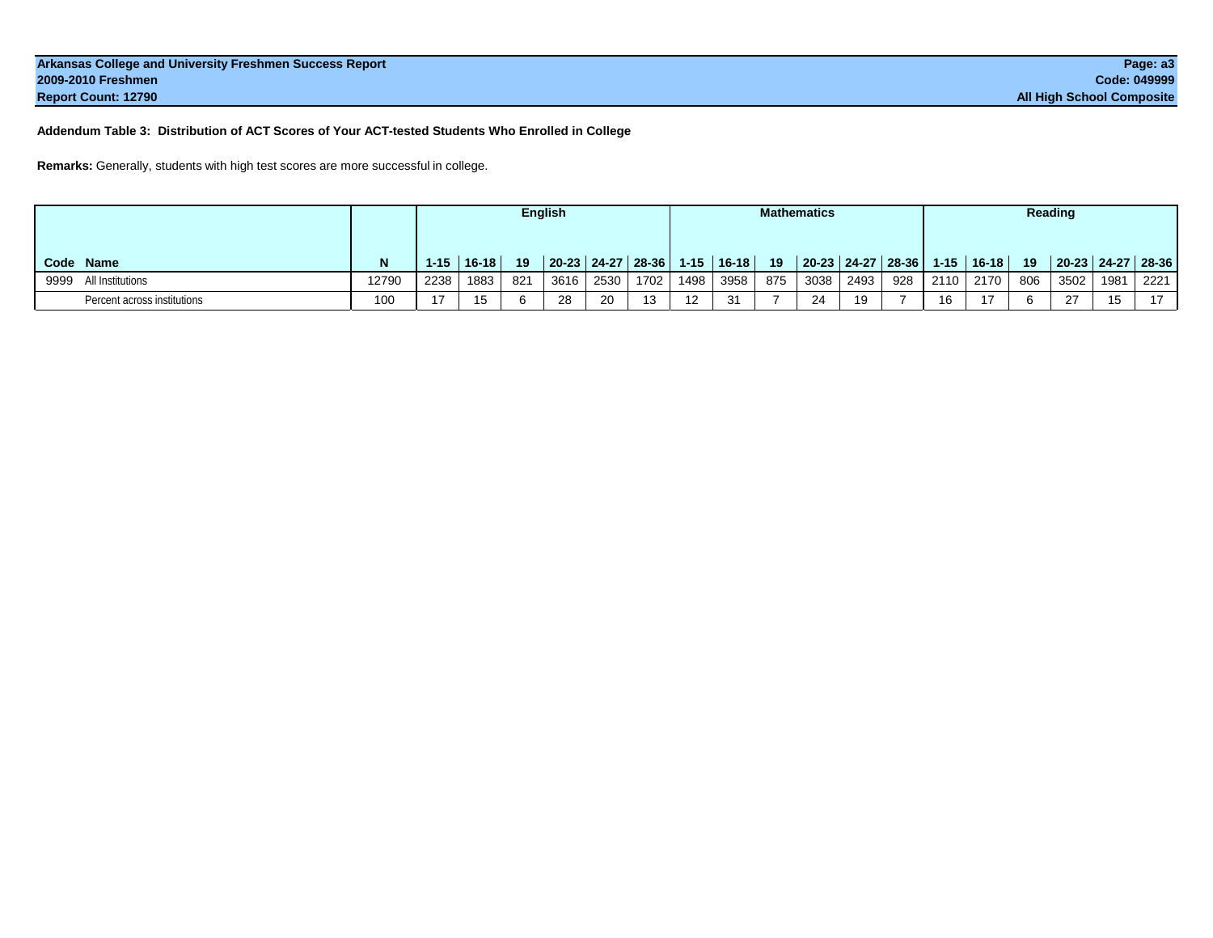**Addendum Table 3: Distribution of ACT Scores of Your ACT-tested Students Who Enrolled in College**

**Remarks:** Generally, students with high test scores are more successful in college.

|                             |       |          | <b>English</b> |     |      |      | <b>Mathematics</b>     |            |           |     |      |                   | Reading |          |           |     |                     |      |      |
|-----------------------------|-------|----------|----------------|-----|------|------|------------------------|------------|-----------|-----|------|-------------------|---------|----------|-----------|-----|---------------------|------|------|
| Code<br>Name                |       | $1 - 15$ | $16-18$        | 19  |      |      | 20-23 24-27 28-36 1-15 |            | $16 - 18$ | 19  |      | 20-23 24-27 28-36 |         | $1 - 15$ | $16 - 18$ | 19  | $20-23$ 24-27 28-36 |      |      |
| All Institutions<br>9999    | 12790 | 2238     | 1883           | 821 | 3616 | 2530 | 1702                   | 1498       | 3958      | 875 | 3038 | 2493              | 928     | 2110     | 2170      | 806 | 3502                | 1981 | 2221 |
| Percent across institutions | 100   | 17       | 15             |     | 28   | 20   | 12                     | $\sqrt{2}$ | 21        |     | 24   | 19                |         | 16       |           |     | 27                  |      | 17   |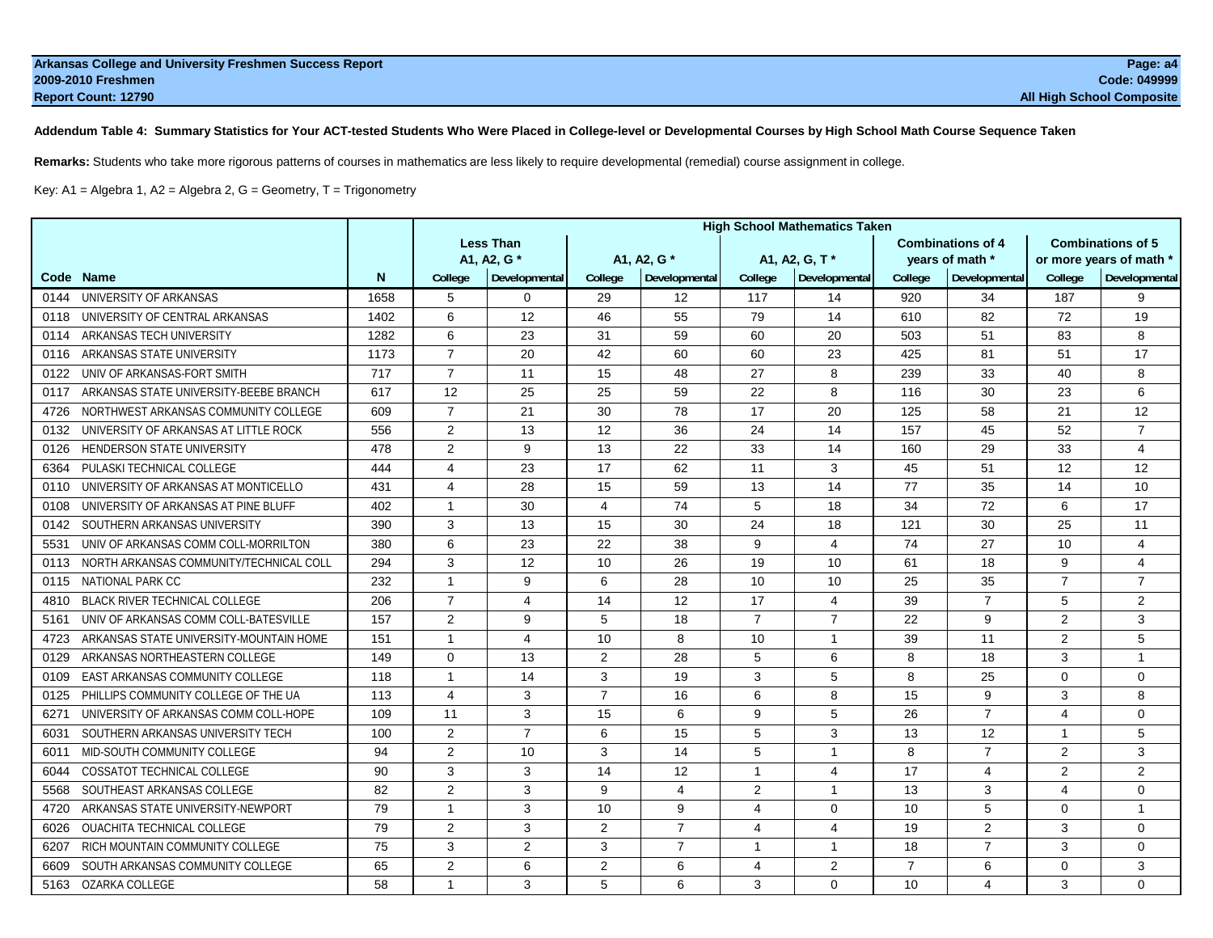#### **Addendum Table 4: Summary Statistics for Your ACT-tested Students Who Were Placed in College-level or Developmental Courses by High School Math Course Sequence Taken**

**Remarks:** Students who take more rigorous patterns of courses in mathematics are less likely to require developmental (remedial) course assignment in college.

Key: A1 = Algebra 1, A2 = Algebra 2, G = Geometry, T = Trigonometry

|      |                                         |      | <b>High School Mathematics Taken</b> |                |                |                |                |                |                |                          |                         |                          |  |
|------|-----------------------------------------|------|--------------------------------------|----------------|----------------|----------------|----------------|----------------|----------------|--------------------------|-------------------------|--------------------------|--|
|      |                                         |      | <b>Less Than</b>                     |                |                |                |                |                |                | <b>Combinations of 4</b> |                         | <b>Combinations of 5</b> |  |
|      |                                         |      | A1, A2, G *                          |                |                | A1, A2, G *    |                | A1, A2, G, T*  |                | vears of math *          | or more years of math * |                          |  |
|      | Code Name                               | N    | College                              | Developmental  | College        | Developmental  | College        | Developmental  | College        | Developmental            | College                 | Developmental            |  |
| 0144 | UNIVERSITY OF ARKANSAS                  | 1658 | 5                                    | 0              | 29             | 12             | 117            | 14             | 920            | 34                       | 187                     | 9                        |  |
| 0118 | UNIVERSITY OF CENTRAL ARKANSAS          | 1402 | 6                                    | 12             | 46             | 55             | 79             | 14             | 610            | 82                       | 72                      | 19                       |  |
| 0114 | ARKANSAS TECH UNIVERSITY                | 1282 | 6                                    | 23             | 31             | 59             | 60             | 20             | 503            | 51                       | 83                      | 8                        |  |
| 0116 | ARKANSAS STATE UNIVERSITY               | 1173 | $\overline{7}$                       | 20             | 42             | 60             | 60             | 23             | 425            | 81                       | 51                      | 17                       |  |
| 0122 | UNIV OF ARKANSAS-FORT SMITH             | 717  | $\overline{7}$                       | 11             | 15             | 48             | 27             | 8              | 239            | 33                       | 40                      | 8                        |  |
| 0117 | ARKANSAS STATE UNIVERSITY-BEEBE BRANCH  | 617  | 12                                   | 25             | 25             | 59             | 22             | 8              | 116            | 30                       | 23                      | 6                        |  |
| 4726 | NORTHWEST ARKANSAS COMMUNITY COLLEGE    | 609  | $\overline{7}$                       | 21             | 30             | 78             | 17             | 20             | 125            | 58                       | 21                      | 12                       |  |
| 0132 | UNIVERSITY OF ARKANSAS AT LITTLE ROCK   | 556  | 2                                    | 13             | 12             | 36             | 24             | 14             | 157            | 45                       | 52                      | $\overline{7}$           |  |
| 0126 | <b>HENDERSON STATE UNIVERSITY</b>       | 478  | 2                                    | 9              | 13             | 22             | 33             | 14             | 160            | 29                       | 33                      | $\overline{4}$           |  |
| 6364 | PULASKI TECHNICAL COLLEGE               | 444  | 4                                    | 23             | 17             | 62             | 11             | 3              | 45             | 51                       | 12                      | $12 \overline{ }$        |  |
| 0110 | UNIVERSITY OF ARKANSAS AT MONTICELLO    | 431  | $\overline{4}$                       | 28             | 15             | 59             | 13             | 14             | 77             | 35                       | 14                      | 10 <sup>1</sup>          |  |
| 0108 | UNIVERSITY OF ARKANSAS AT PINE BLUFF    | 402  | $\overline{1}$                       | 30             | $\overline{4}$ | 74             | 5              | 18             | 34             | 72                       | 6                       | 17                       |  |
| 0142 | SOUTHERN ARKANSAS UNIVERSITY            | 390  | 3                                    | 13             | 15             | 30             | 24             | 18             | 121            | 30                       | 25                      | 11                       |  |
| 5531 | UNIV OF ARKANSAS COMM COLL-MORRILTON    | 380  | 6                                    | 23             | 22             | 38             | 9              | 4              | 74             | 27                       | 10                      | 4                        |  |
| 0113 | NORTH ARKANSAS COMMUNITY/TECHNICAL COLL | 294  | 3                                    | 12             | 10             | 26             | 19             | 10             | 61             | 18                       | 9                       | $\overline{4}$           |  |
| 0115 | <b>NATIONAL PARK CC</b>                 | 232  | $\mathbf{1}$                         | 9              | 6              | 28             | 10             | 10             | 25             | 35                       | $\overline{7}$          | $\overline{7}$           |  |
| 4810 | <b>BLACK RIVER TECHNICAL COLLEGE</b>    | 206  | $\overline{7}$                       | 4              | 14             | 12             | 17             | 4              | 39             | $\overline{7}$           | 5                       | 2                        |  |
| 5161 | UNIV OF ARKANSAS COMM COLL-BATESVILLE   | 157  | 2                                    | 9              | 5              | 18             | $\overline{7}$ | $\overline{7}$ | 22             | 9                        | 2                       | 3                        |  |
| 4723 | ARKANSAS STATE UNIVERSITY-MOUNTAIN HOME | 151  | $\mathbf{1}$                         | 4              | 10             | 8              | 10             | $\mathbf{1}$   | 39             | 11                       | 2                       | 5                        |  |
| 0129 | ARKANSAS NORTHEASTERN COLLEGE           | 149  | $\Omega$                             | 13             | $\overline{2}$ | 28             | 5              | 6              | 8              | 18                       | 3                       | $\mathbf{1}$             |  |
| 0109 | <b>EAST ARKANSAS COMMUNITY COLLEGE</b>  | 118  | $\mathbf{1}$                         | 14             | 3              | 19             | 3              | 5              | 8              | 25                       | 0                       | $\mathbf 0$              |  |
| 0125 | PHILLIPS COMMUNITY COLLEGE OF THE UA    | 113  | $\overline{4}$                       | 3              | $\overline{7}$ | 16             | 6              | 8              | 15             | 9                        | 3                       | 8                        |  |
| 627' | UNIVERSITY OF ARKANSAS COMM COLL-HOPE   | 109  | 11                                   | 3              | 15             | 6              | 9              | 5              | 26             | $\overline{7}$           | $\overline{4}$          | $\mathbf 0$              |  |
| 6031 | SOUTHERN ARKANSAS UNIVERSITY TECH       | 100  | 2                                    | $\overline{7}$ | 6              | 15             | 5              | 3              | 13             | 12                       | $\mathbf{1}$            | 5                        |  |
| 6011 | MID-SOUTH COMMUNITY COLLEGE             | 94   | 2                                    | 10             | 3              | 14             | 5              | $\overline{1}$ | 8              | $\overline{7}$           | 2                       | 3                        |  |
| 6044 | <b>COSSATOT TECHNICAL COLLEGE</b>       | 90   | 3                                    | 3              | 14             | 12             | $\overline{1}$ | 4              | 17             | 4                        | 2                       | 2                        |  |
| 5568 | SOUTHEAST ARKANSAS COLLEGE              | 82   | 2                                    | 3              | 9              | $\overline{4}$ | 2              | $\overline{1}$ | 13             | 3                        | $\overline{4}$          | $\mathbf 0$              |  |
| 4720 | ARKANSAS STATE UNIVERSITY-NEWPORT       | 79   | $\mathbf{1}$                         | 3              | 10             | 9              | 4              | $\Omega$       | 10             | 5                        | $\Omega$                | $\mathbf{1}$             |  |
| 6026 | <b>OUACHITA TECHNICAL COLLEGE</b>       | 79   | 2                                    | 3              | $\overline{2}$ | $\overline{7}$ | 4              | 4              | 19             | 2                        | 3                       | $\mathbf 0$              |  |
| 6207 | RICH MOUNTAIN COMMUNITY COLLEGE         | 75   | 3                                    | $\overline{2}$ | 3              | $\overline{7}$ | $\mathbf{1}$   | $\mathbf{1}$   | 18             | $\overline{7}$           | 3                       | $\mathbf 0$              |  |
| 6609 | SOUTH ARKANSAS COMMUNITY COLLEGE        | 65   | $\overline{2}$                       | 6              | $\overline{2}$ | 6              | 4              | $\overline{2}$ | $\overline{7}$ | 6                        | $\Omega$                | 3                        |  |
|      | 5163 OZARKA COLLEGE                     | 58   | $\mathbf{1}$                         | 3              | 5              | 6              | 3              | 0              | 10             |                          | 4 Page 106 of 113       | $\mathbf 0$              |  |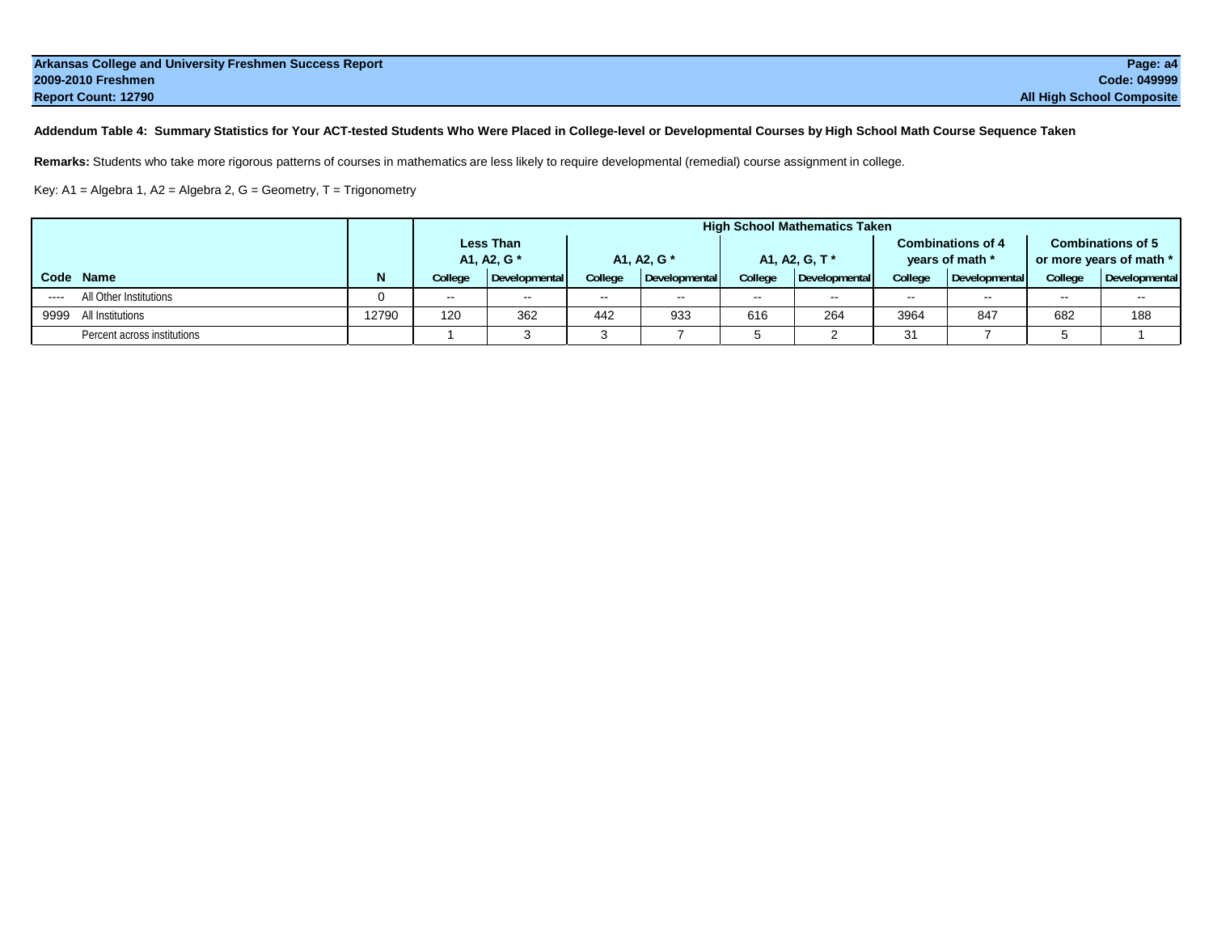| Arkansas College and University Freshmen Success Report | Page: a4                         |
|---------------------------------------------------------|----------------------------------|
| 2009-2010 Freshmen                                      | Code: 049999                     |
| <b>Report Count: 12790</b>                              | <b>All High School Composite</b> |

**Addendum Table 4: Summary Statistics for Your ACT-tested Students Who Were Placed in College-level or Developmental Courses by High School Math Course Sequence Taken**

**Remarks:** Students who take more rigorous patterns of courses in mathematics are less likely to require developmental (remedial) course assignment in college.

Key: A1 = Algebra 1, A2 = Algebra 2, G = Geometry, T = Trigonometry

|                                                                                                                                                                                |       | <b>High School Mathematics Taken</b> |                  |             |                                               |               |                |         |                          |                          |               |  |
|--------------------------------------------------------------------------------------------------------------------------------------------------------------------------------|-------|--------------------------------------|------------------|-------------|-----------------------------------------------|---------------|----------------|---------|--------------------------|--------------------------|---------------|--|
|                                                                                                                                                                                |       |                                      | <b>Less Than</b> |             |                                               |               |                |         | <b>Combinations of 4</b> | <b>Combinations of 5</b> |               |  |
|                                                                                                                                                                                |       | A1, A2, G *                          |                  | A1, A2, G * |                                               |               | A1, A2, G, T * |         | years of math *          | or more years of math *  |               |  |
| Code Name                                                                                                                                                                      | N     | College                              | Developmental    | College     | Developmental                                 | College       | Developmental  | College | Developmental            | College                  | Developmental |  |
| All Other Institutions<br>$\frac{1}{2} \left( \frac{1}{2} \right) \left( \frac{1}{2} \right) \left( \frac{1}{2} \right) \left( \frac{1}{2} \right) \left( \frac{1}{2} \right)$ |       | $\sim$                               | $\sim$           | $\sim$      | $\mathord{\hspace{1pt}\text{--}\hspace{1pt}}$ | $\sim$ $\sim$ | $\sim$ $\sim$  | $- -$   |                          | $\sim$ $-$               | $- -$         |  |
| 9999 All Institutions                                                                                                                                                          | 12790 | 120                                  | 362              | 442         | 933                                           | 616           | 264            | 3964    | 847                      | 682                      | 188           |  |
| Percent across institutions                                                                                                                                                    |       |                                      |                  |             |                                               |               |                | 31      |                          |                          |               |  |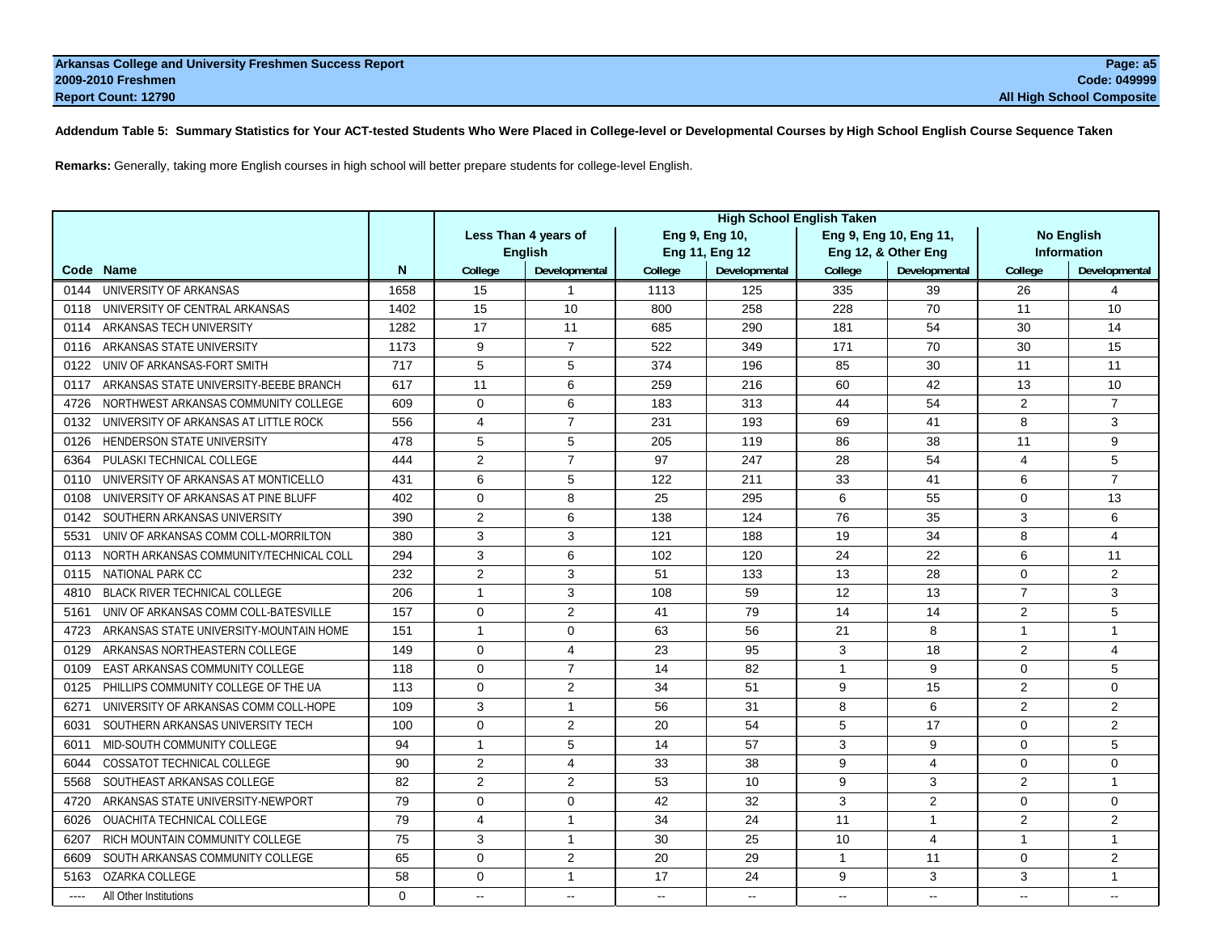**Addendum Table 5: Summary Statistics for Your ACT-tested Students Who Were Placed in College-level or Developmental Courses by High School English Course Sequence Taken**

**Remarks:** Generally, taking more English courses in high school will better prepare students for college-level English.

|                                                 |          | <b>High School English Taken</b> |                      |                |                |              |                         |                   |                       |  |  |
|-------------------------------------------------|----------|----------------------------------|----------------------|----------------|----------------|--------------|-------------------------|-------------------|-----------------------|--|--|
|                                                 |          |                                  | Less Than 4 years of |                | Eng 9, Eng 10, |              | Eng 9, Eng 10, Eng 11,  | <b>No English</b> |                       |  |  |
|                                                 |          | <b>English</b>                   |                      |                | Eng 11, Eng 12 |              | Eng 12, & Other Eng     |                   | <b>Information</b>    |  |  |
| Code Name                                       | N        | College                          | Developmental        | College        | Developmental  | College      | Developmental           | College           | Developmental         |  |  |
| UNIVERSITY OF ARKANSAS<br>0144                  | 1658     | 15                               | 1                    | 1113           | 125            | 335          | 39                      | 26                | $\boldsymbol{\Delta}$ |  |  |
| UNIVERSITY OF CENTRAL ARKANSAS<br>0118          | 1402     | 15                               | 10                   | 800            | 258            | 228          | 70                      | 11                | 10                    |  |  |
| ARKANSAS TECH UNIVERSITY<br>0114                | 1282     | 17                               | 11                   | 685            | 290            | 181          | 54                      | 30                | 14                    |  |  |
| ARKANSAS STATE UNIVERSITY<br>0116               | 1173     | 9                                | $\overline{7}$       | 522            | 349            | 171          | 70                      | 30                | 15                    |  |  |
| UNIV OF ARKANSAS-FORT SMITH<br>0122             | 717      | 5                                | 5                    | 374            | 196            | 85           | 30                      | 11                | 11                    |  |  |
| ARKANSAS STATE UNIVERSITY-BEEBE BRANCH<br>0117  | 617      | 11                               | 6                    | 259            | 216            | 60           | 42                      | 13                | 10                    |  |  |
| NORTHWEST ARKANSAS COMMUNITY COLLEGE<br>4726    | 609      | $\Omega$                         | 6                    | 183            | 313            | 44           | 54                      | $\overline{2}$    | $\overline{7}$        |  |  |
| UNIVERSITY OF ARKANSAS AT LITTLE ROCK<br>0132   | 556      | 4                                | $\overline{7}$       | 231            | 193            | 69           | 41                      | 8                 | 3                     |  |  |
| HENDERSON STATE UNIVERSITY<br>0126              | 478      | 5                                | 5                    | 205            | 119            | 86           | 38                      | 11                | 9                     |  |  |
| PULASKI TECHNICAL COLLEGE<br>6364               | 444      | 2                                | $\overline{7}$       | 97             | 247            | 28           | 54                      | 4                 | 5                     |  |  |
| UNIVERSITY OF ARKANSAS AT MONTICELLO<br>0110    | 431      | 6                                | 5                    | 122            | 211            | 33           | 41                      | 6                 | $\overline{7}$        |  |  |
| UNIVERSITY OF ARKANSAS AT PINE BLUFF<br>0108    | 402      | $\Omega$                         | 8                    | 25             | 295            | 6            | 55                      | 0                 | 13                    |  |  |
| SOUTHERN ARKANSAS UNIVERSITY<br>0142            | 390      | 2                                | 6                    | 138            | 124            | 76           | 35                      | 3                 | 6                     |  |  |
| UNIV OF ARKANSAS COMM COLL-MORRILTON<br>5531    | 380      | 3                                | 3                    | 121            | 188            | 19           | 34                      | 8                 | $\overline{4}$        |  |  |
| NORTH ARKANSAS COMMUNITY/TECHNICAL COLL<br>0113 | 294      | 3                                | 6                    | 102            | 120            | 24           | 22                      | 6                 | 11                    |  |  |
| <b>NATIONAL PARK CC</b><br>0115                 | 232      | 2                                | 3                    | 51             | 133            | 13           | 28                      | $\Omega$          | $\overline{2}$        |  |  |
| <b>BLACK RIVER TECHNICAL COLLEGE</b><br>4810    | 206      | $\mathbf{1}$                     | 3                    | 108            | 59             | 12           | 13                      | $\overline{7}$    | 3                     |  |  |
| UNIV OF ARKANSAS COMM COLL-BATESVILLE<br>5161   | 157      | $\Omega$                         | $\overline{2}$       | 41             | 79             | 14           | 14                      | $\overline{2}$    | 5                     |  |  |
| ARKANSAS STATE UNIVERSITY-MOUNTAIN HOME<br>4723 | 151      | -1                               | $\Omega$             | 63             | 56             | 21           | 8                       | $\overline{1}$    | $\mathbf{1}$          |  |  |
| ARKANSAS NORTHEASTERN COLLEGE<br>0129           | 149      | $\Omega$                         | 4                    | 23             | 95             | 3            | 18                      | 2                 | $\overline{4}$        |  |  |
| <b>EAST ARKANSAS COMMUNITY COLLEGE</b><br>0109  | 118      | $\Omega$                         | $\overline{7}$       | 14             | 82             | 1            | 9                       | $\Omega$          | 5                     |  |  |
| PHILLIPS COMMUNITY COLLEGE OF THE UA<br>0125    | 113      | $\Omega$                         | $\overline{2}$       | 34             | 51             | 9            | 15                      | $\overline{2}$    | $\Omega$              |  |  |
| UNIVERSITY OF ARKANSAS COMM COLL-HOPE<br>6271   | 109      | 3                                | $\mathbf{1}$         | 56             | 31             | 8            | 6                       | 2                 | $\overline{2}$        |  |  |
| SOUTHERN ARKANSAS UNIVERSITY TECH<br>6031       | 100      | $\Omega$                         | $\overline{2}$       | 20             | 54             | 5            | 17                      | $\Omega$          | 2                     |  |  |
| MID-SOUTH COMMUNITY COLLEGE<br>6011             | 94       | $\mathbf{1}$                     | 5                    | 14             | 57             | 3            | 9                       | 0                 | 5                     |  |  |
| <b>COSSATOT TECHNICAL COLLEGE</b><br>6044       | 90       | 2                                | 4                    | 33             | 38             | 9            | $\overline{4}$          | $\Omega$          | $\Omega$              |  |  |
| SOUTHEAST ARKANSAS COLLEGE<br>5568              | 82       | $\overline{2}$                   | $\overline{2}$       | 53             | 10             | 9            | 3                       | $\overline{2}$    | $\mathbf{1}$          |  |  |
| ARKANSAS STATE UNIVERSITY-NEWPORT<br>4720       | 79       | $\mathbf 0$                      | $\mathbf 0$          | 42             | 32             | 3            | 2                       | 0                 | $\mathbf 0$           |  |  |
| OUACHITA TECHNICAL COLLEGE<br>6026              | 79       | 4                                | $\mathbf{1}$         | 34             | 24             | 11           | $\mathbf{1}$            | $\overline{2}$    | $\overline{2}$        |  |  |
| RICH MOUNTAIN COMMUNITY COLLEGE<br>6207         | 75       | 3                                | $\mathbf{1}$         | 30             | 25             | 10           | $\overline{\mathbf{4}}$ | $\overline{1}$    | $\overline{1}$        |  |  |
| SOUTH ARKANSAS COMMUNITY COLLEGE<br>6609        | 65       | $\Omega$                         | $\overline{2}$       | 20             | 29             | $\mathbf{1}$ | 11                      | 0                 | $\overline{2}$        |  |  |
| OZARKA COLLEGE<br>5163                          | 58       | $\Omega$                         | 1                    | 17             | 24             | 9            | 3                       | 3                 | $\overline{1}$        |  |  |
| All Other Institutions<br>$-- -$                | $\Omega$ | $\mathbf{u}$                     | $\sim$               | $\overline{a}$ | $\sim$         | $\sim$       | $\overline{a}$          | Page 108 of 113   |                       |  |  |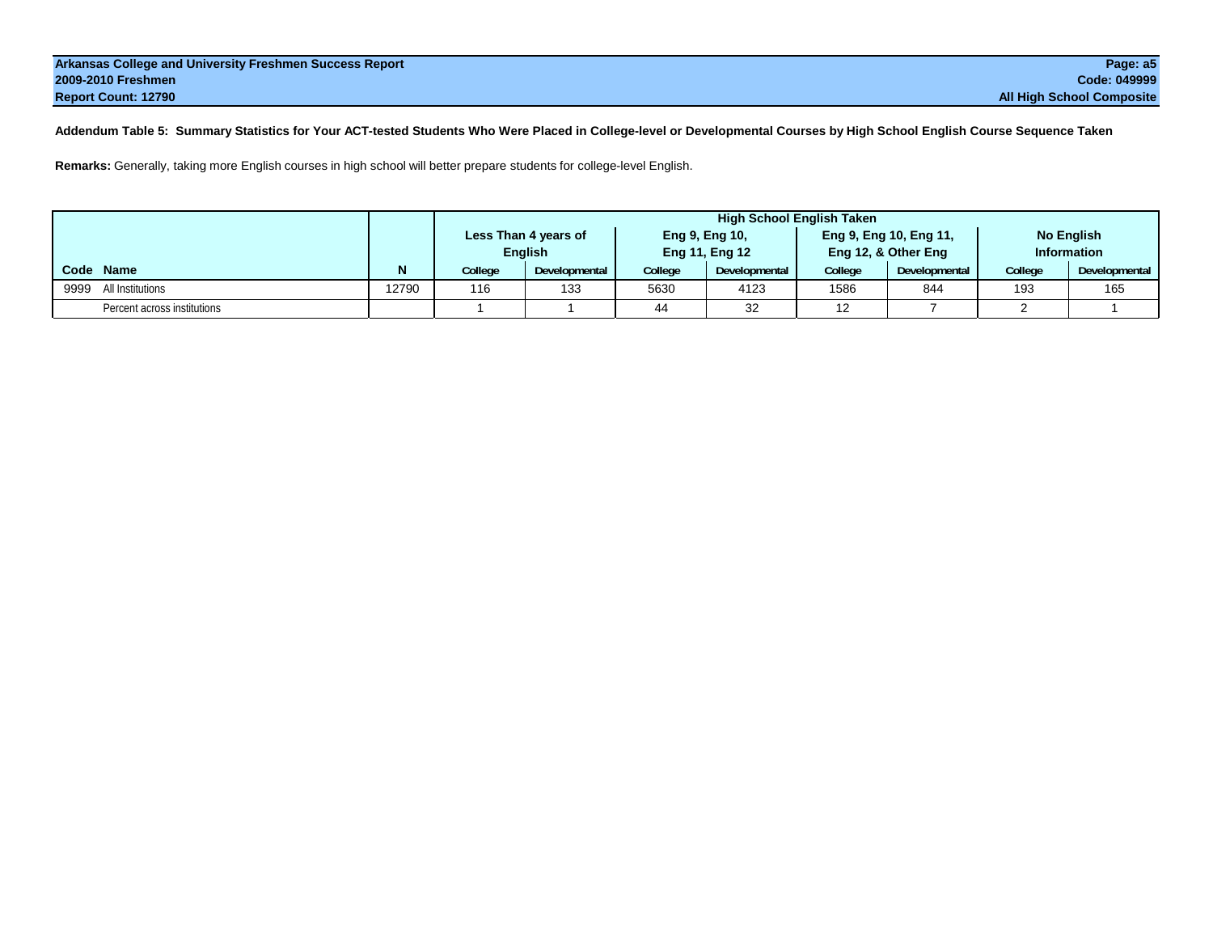**Addendum Table 5: Summary Statistics for Your ACT-tested Students Who Were Placed in College-level or Developmental Courses by High School English Course Sequence Taken**

**Remarks:** Generally, taking more English courses in high school will better prepare students for college-level English.

|                             |       | High School English Taken |                      |         |                |      |                        |                    |                   |  |  |  |  |  |  |  |
|-----------------------------|-------|---------------------------|----------------------|---------|----------------|------|------------------------|--------------------|-------------------|--|--|--|--|--|--|--|
|                             |       |                           | Less Than 4 years of |         | Eng 9, Eng 10, |      | Eng 9, Eng 10, Eng 11, |                    | <b>No English</b> |  |  |  |  |  |  |  |
|                             |       |                           | <b>English</b>       |         | Eng 11, Eng 12 |      | Eng 12, & Other Eng    | <b>Information</b> |                   |  |  |  |  |  |  |  |
| Code Name                   |       | <b>College</b>            | <b>Developmental</b> | College | Developmental  |      | Developmental          | College            | Developmental     |  |  |  |  |  |  |  |
| 9999 All Institutions       | 12790 | 116                       | 133                  | 5630    | 4123           | 1586 | 844                    | 193                | 165               |  |  |  |  |  |  |  |
| Percent across institutions |       |                           |                      | 44      | 32             | 12   |                        |                    |                   |  |  |  |  |  |  |  |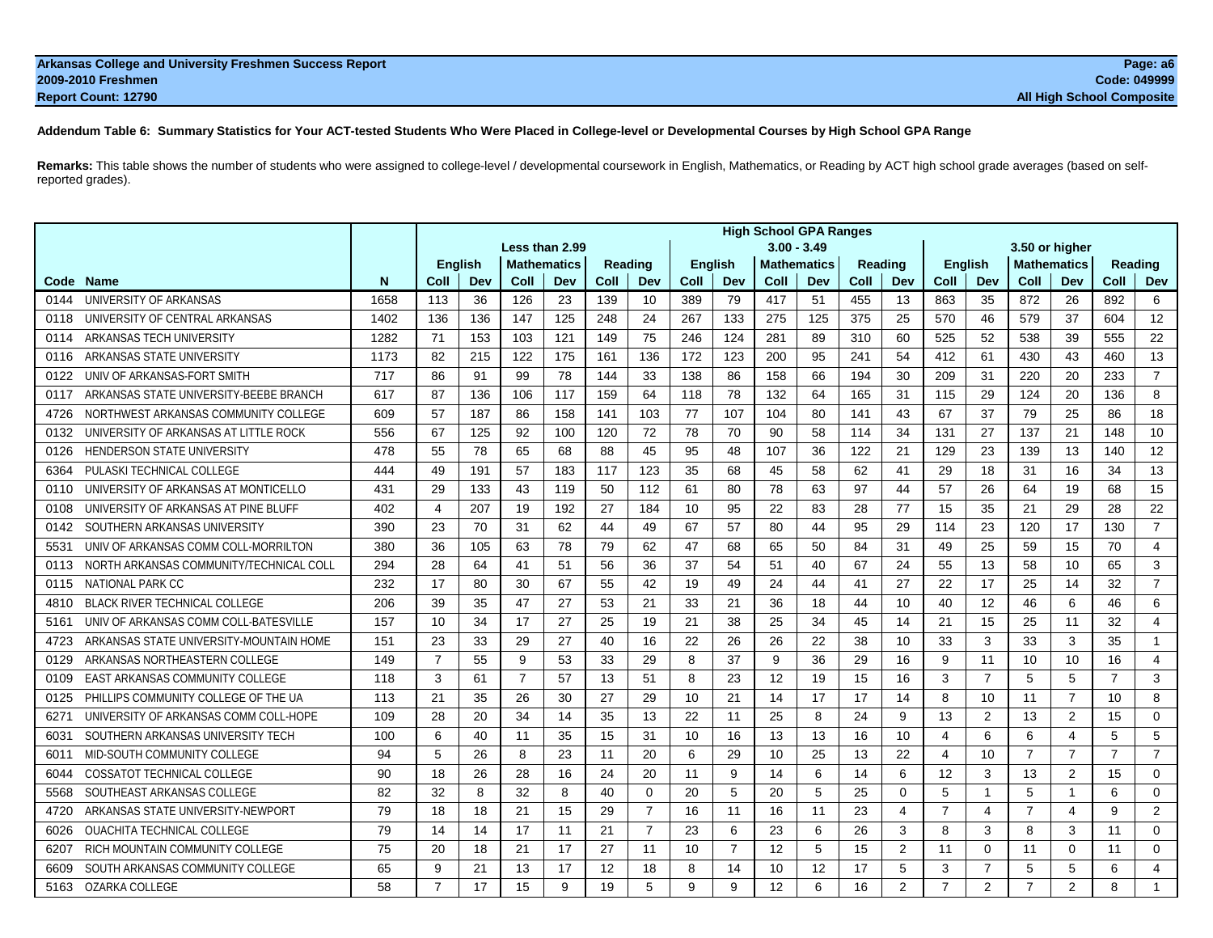| Arkansas College and University Freshmen Success Report | Page: a6                         |
|---------------------------------------------------------|----------------------------------|
| 2009-2010 Freshmen                                      | <b>Code: 049999</b>              |
| <b>Report Count: 12790</b>                              | <b>All High School Composite</b> |

## **Addendum Table 6: Summary Statistics for Your ACT-tested Students Who Were Placed in College-level or Developmental Courses by High School GPA Range**

**Remarks:** This table shows the number of students who were assigned to college-level / developmental coursework in English, Mathematics, or Reading by ACT high school grade averages (based on selfreported grades).

|                     |                                         |      |                                 |                |                |                    |      |                |                |                | <b>High School GPA Ranges</b> |                    |         |             |                |                |                    |                |                |                |
|---------------------|-----------------------------------------|------|---------------------------------|----------------|----------------|--------------------|------|----------------|----------------|----------------|-------------------------------|--------------------|---------|-------------|----------------|----------------|--------------------|----------------|----------------|----------------|
|                     |                                         |      | $3.00 - 3.49$<br>Less than 2.99 |                |                |                    |      |                |                |                |                               |                    |         |             |                |                |                    |                |                |                |
|                     |                                         |      |                                 | <b>English</b> |                | <b>Mathematics</b> |      | Reading        | <b>English</b> |                |                               | <b>Mathematics</b> | Reading |             | <b>English</b> |                | <b>Mathematics</b> |                | Reading        |                |
| <b>Name</b><br>Code |                                         | N    | Coll                            | Dev            | Coll           | Dev                | Coll | Dev            | Coll           | Dev            | Coll                          | Dev                | Coll    | Dev         | Coll           | Dev            | Coll               | Dev            | Coll           | Dev            |
| 0144                | UNIVERSITY OF ARKANSAS                  | 1658 | 113                             | 36             | 126            | 23                 | 139  | 10             | 389            | 79             | 417                           | 51                 | 455     | 13          | 863            | 35             | 872                | 26             | 892            | 6              |
| 0118                | UNIVERSITY OF CENTRAL ARKANSAS          | 1402 | 136                             | 136            | 147            | 125                | 248  | 24             | 267            | 133            | 275                           | 125                | 375     | 25          | 570            | 46             | 579                | 37             | 604            | 12             |
| 0114                | ARKANSAS TECH UNIVERSITY                | 1282 | 71                              | 153            | 103            | 121                | 149  | 75             | 246            | 124            | 281                           | 89                 | 310     | 60          | 525            | 52             | 538                | 39             | 555            | 22             |
| 0116                | ARKANSAS STATE UNIVERSITY               | 1173 | 82                              | 215            | 122            | 175                | 161  | 136            | 172            | 123            | 200                           | 95                 | 241     | 54          | 412            | 61             | 430                | 43             | 460            | 13             |
| 0122                | UNIV OF ARKANSAS-FORT SMITH             | 717  | 86                              | 91             | 99             | 78                 | 144  | 33             | 138            | 86             | 158                           | 66                 | 194     | 30          | 209            | 31             | 220                | 20             | 233            | $\overline{7}$ |
| 0117                | ARKANSAS STATE UNIVERSITY-BEEBE BRANCH  | 617  | 87                              | 136            | 106            | 117                | 159  | 64             | 118            | 78             | 132                           | 64                 | 165     | 31          | 115            | 29             | 124                | 20             | 136            | 8              |
| 4726                | NORTHWEST ARKANSAS COMMUNITY COLLEGE    | 609  | 57                              | 187            | 86             | 158                | 141  | 103            | 77             | 107            | 104                           | 80                 | 141     | 43          | 67             | 37             | 79                 | 25             | 86             | 18             |
| 0132                | UNIVERSITY OF ARKANSAS AT LITTLE ROCK   | 556  | 67                              | 125            | 92             | 100                | 120  | 72             | 78             | 70             | 90                            | 58                 | 114     | 34          | 131            | 27             | 137                | 21             | 148            | 10             |
| 0126                | HENDERSON STATE UNIVERSITY              | 478  | 55                              | 78             | 65             | 68                 | 88   | 45             | 95             | 48             | 107                           | 36                 | 122     | 21          | 129            | 23             | 139                | 13             | 140            | 12             |
| 6364                | PULASKI TECHNICAL COLLEGE               | 444  | 49                              | 191            | 57             | 183                | 117  | 123            | 35             | 68             | 45                            | 58                 | 62      | 41          | 29             | 18             | 31                 | 16             | 34             | 13             |
| 0110                | UNIVERSITY OF ARKANSAS AT MONTICELLO    | 431  | 29                              | 133            | 43             | 119                | 50   | 112            | 61             | 80             | 78                            | 63                 | 97      | 44          | 57             | 26             | 64                 | 19             | 68             | 15             |
| 0108                | UNIVERSITY OF ARKANSAS AT PINE BLUFF    | 402  | $\overline{4}$                  | 207            | 19             | 192                | 27   | 184            | 10             | 95             | 22                            | 83                 | 28      | 77          | 15             | 35             | 21                 | 29             | 28             | 22             |
| 0142                | SOUTHERN ARKANSAS UNIVERSITY            | 390  | 23                              | 70             | 31             | 62                 | 44   | 49             | 67             | 57             | 80                            | 44                 | 95      | 29          | 114            | 23             | 120                | 17             | 130            | $\overline{7}$ |
| 5531                | UNIV OF ARKANSAS COMM COLL-MORRILTON    | 380  | 36                              | 105            | 63             | 78                 | 79   | 62             | 47             | 68             | 65                            | 50                 | 84      | 31          | 49             | 25             | 59                 | 15             | 70             | $\overline{4}$ |
| 0113                | NORTH ARKANSAS COMMUNITY/TECHNICAL COLL | 294  | 28                              | 64             | 41             | 51                 | 56   | 36             | 37             | 54             | 51                            | 40                 | 67      | 24          | 55             | 13             | 58                 | 10             | 65             | 3              |
| 0115                | <b>NATIONAL PARK CC</b>                 | 232  | 17                              | 80             | 30             | 67                 | 55   | 42             | 19             | 49             | 24                            | 44                 | 41      | 27          | 22             | 17             | 25                 | 14             | 32             | $\overline{7}$ |
| 4810                | <b>BLACK RIVER TECHNICAL COLLEGE</b>    | 206  | 39                              | 35             | 47             | 27                 | 53   | 21             | 33             | 21             | 36                            | 18                 | 44      | 10          | 40             | 12             | 46                 | 6              | 46             | 6              |
| 5161                | UNIV OF ARKANSAS COMM COLL-BATESVILLE   | 157  | 10                              | 34             | 17             | 27                 | 25   | 19             | 21             | 38             | 25                            | 34                 | 45      | 14          | 21             | 15             | 25                 | 11             | 32             | $\overline{4}$ |
| 4723                | ARKANSAS STATE UNIVERSITY-MOUNTAIN HOME | 151  | 23                              | 33             | 29             | 27                 | 40   | 16             | 22             | 26             | 26                            | 22                 | 38      | 10          | 33             | 3              | 33                 | 3              | 35             | 1              |
| 0129                | ARKANSAS NORTHEASTERN COLLEGE           | 149  | $\overline{7}$                  | 55             | 9              | 53                 | 33   | 29             | 8              | 37             | 9                             | 36                 | 29      | 16          | 9              | 11             | 10                 | 10             | 16             | $\overline{4}$ |
| 0109                | EAST ARKANSAS COMMUNITY COLLEGE         | 118  | 3                               | 61             | $\overline{7}$ | 57                 | 13   | 51             | 8              | 23             | 12                            | 19                 | 15      | 16          | 3              | $\overline{7}$ | 5                  | 5              | $\overline{7}$ | 3              |
| 0125                | PHILLIPS COMMUNITY COLLEGE OF THE UA    | 113  | 21                              | 35             | 26             | 30                 | 27   | 29             | 10             | 21             | 14                            | 17                 | 17      | 14          | 8              | 10             | 11                 | $\overline{7}$ | 10             | 8              |
| 6271                | UNIVERSITY OF ARKANSAS COMM COLL-HOPE   | 109  | 28                              | 20             | 34             | 14                 | 35   | 13             | 22             | 11             | 25                            | 8                  | 24      | 9           | 13             | $\overline{2}$ | 13                 | $\overline{2}$ | 15             | $\Omega$       |
| 6031                | SOUTHERN ARKANSAS UNIVERSITY TECH       | 100  | 6                               | 40             | 11             | 35                 | 15   | 31             | 10             | 16             | 13                            | 13                 | 16      | 10          | 4              | 6              | 6                  | 4              | 5              | 5              |
| 6011                | MID-SOUTH COMMUNITY COLLEGE             | 94   | 5                               | 26             | 8              | 23                 | 11   | 20             | 6              | 29             | 10                            | 25                 | 13      | 22          | $\overline{4}$ | 10             | $\overline{7}$     | $\overline{7}$ | $\overline{7}$ | $\overline{7}$ |
| 6044                | <b>COSSATOT TECHNICAL COLLEGE</b>       | 90   | 18                              | 26             | 28             | 16                 | 24   | 20             | 11             | 9              | 14                            | 6                  | 14      | 6           | 12             | 3              | 13                 | $\overline{2}$ | 15             | 0              |
| 5568                | SOUTHEAST ARKANSAS COLLEGE              | 82   | 32                              | 8              | 32             | 8                  | 40   | $\mathbf{0}$   | 20             | 5              | 20                            | 5                  | 25      | $\mathbf 0$ | 5              | $\mathbf{1}$   | 5                  | 1              | 6              | 0              |
| 4720                | ARKANSAS STATE UNIVERSITY-NEWPORT       | 79   | 18                              | 18             | 21             | 15                 | 29   | $\overline{7}$ | 16             | 11             | 16                            | 11                 | 23      | 4           | $\overline{7}$ | 4              | $\overline{7}$     | 4              | 9              | 2              |
| 6026                | <b>OUACHITA TECHNICAL COLLEGE</b>       | 79   | 14                              | 14             | 17             | 11                 | 21   | 7              | 23             | 6              | 23                            | 6                  | 26      | 3           | 8              | 3              | 8                  | 3              | 11             | $\Omega$       |
| 6207                | RICH MOUNTAIN COMMUNITY COLLEGE         | 75   | 20                              | 18             | 21             | 17                 | 27   | 11             | 10             | $\overline{7}$ | 12                            | 5                  | 15      | 2           | 11             | $\mathbf 0$    | 11                 | $\Omega$       | 11             | $\mathbf 0$    |
| 6609                | SOUTH ARKANSAS COMMUNITY COLLEGE        | 65   | 9                               | 21             | 13             | 17                 | 12   | 18             | 8              | 14             | 10                            | 12                 | 17      | 5           | 3              | $\overline{7}$ | 5                  | 5              | 6              | $\overline{4}$ |
| 5163                | OZARKA COLLEGE                          | 58   | $\overline{7}$                  | 17             | 15             | 9                  | 19   | 5              | 9              | 9              | 12                            | 6                  | 16      | 2           | $\overline{7}$ |                | 2 Page 110 of 113  |                | 8              |                |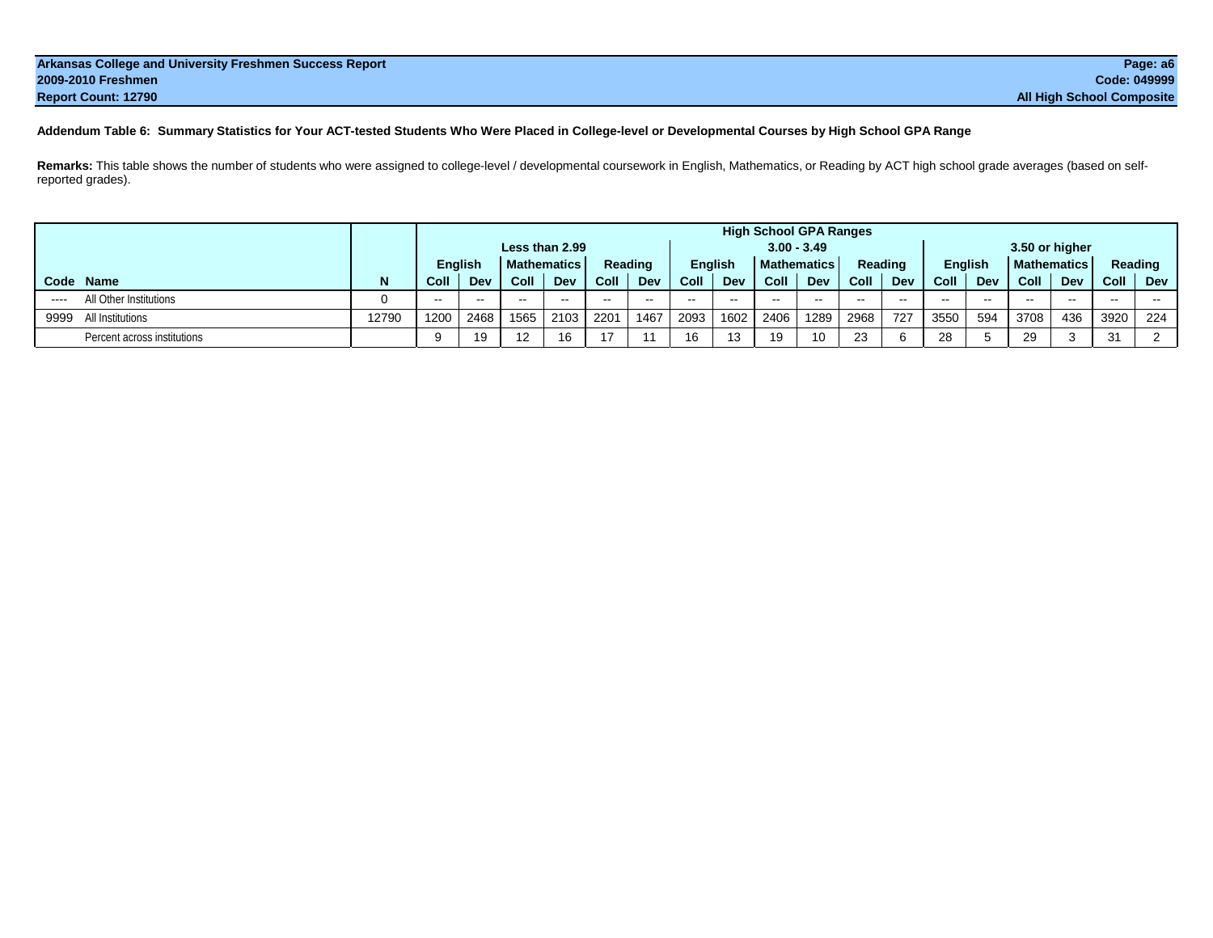| Arkansas College and University Freshmen Success Report | Page: a6                         |
|---------------------------------------------------------|----------------------------------|
| 2009-2010 Freshmen                                      | Code: 049999                     |
| Report Count: 12790                                     | <b>All High School Composite</b> |

## **Addendum Table 6: Summary Statistics for Your ACT-tested Students Who Were Placed in College-level or Developmental Courses by High School GPA Range**

**Remarks:** This table shows the number of students who were assigned to college-level / developmental coursework in English, Mathematics, or Reading by ACT high school grade averages (based on selfreported grades).

|           |                             |       | <b>High School GPA Ranges</b> |                                      |               |               |                          |               |      |               |                                      |               |               |         |                |              |                    |               |         |               |  |  |
|-----------|-----------------------------|-------|-------------------------------|--------------------------------------|---------------|---------------|--------------------------|---------------|------|---------------|--------------------------------------|---------------|---------------|---------|----------------|--------------|--------------------|---------------|---------|---------------|--|--|
|           |                             |       | Less than 2.99                |                                      |               |               |                          |               |      |               |                                      | $3.00 - 3.49$ |               |         | 3.50 or higher |              |                    |               |         |               |  |  |
|           |                             |       |                               | <b>English</b><br><b>Mathematics</b> |               |               |                          | Reading       |      |               | <b>Mathematics</b><br><b>English</b> |               |               | Reading | <b>English</b> |              | <b>Mathematics</b> |               | Reading |               |  |  |
| Code Name |                             | N     | Coll                          | Dev                                  | Coll          | Dev           | Coll                     | Dev           | Coll | Dev           | Coll                                 | Dev           | Coll          | Dev     | Coll           | Dev          | Coll               | Dev           | Coll    | Dev           |  |  |
| ----      | All Other Institutions      |       | $\sim$ $\sim$                 | $- -$                                | $\sim$ $\sim$ | $\sim$ $\sim$ | $\overline{\phantom{a}}$ | $\sim$ $\sim$ | --   | $\sim$ $\sim$ | $- -$                                | $\sim$        | $\sim$ $\sim$ | $\sim$  | $- -$          | <b>STATE</b> | $- -$              | $\sim$ $\sim$ | $-$     | $\sim$ $\sim$ |  |  |
| 9999      | All Institutions            | 12790 | 1200                          | 2468                                 | 1565          | 2103          | 2201                     | 1467          | 2093 | 1602          | 2406                                 | 1289          | 2968          | 727     | 3550           | 594          | 3708               | 436           | 3920    | 224           |  |  |
|           | Percent across institutions |       |                               | 19                                   | 12            |               |                          | 11            | 16   | 13            | 10                                   | 10            | 23            |         | 28             |              | 29                 |               | 31      |               |  |  |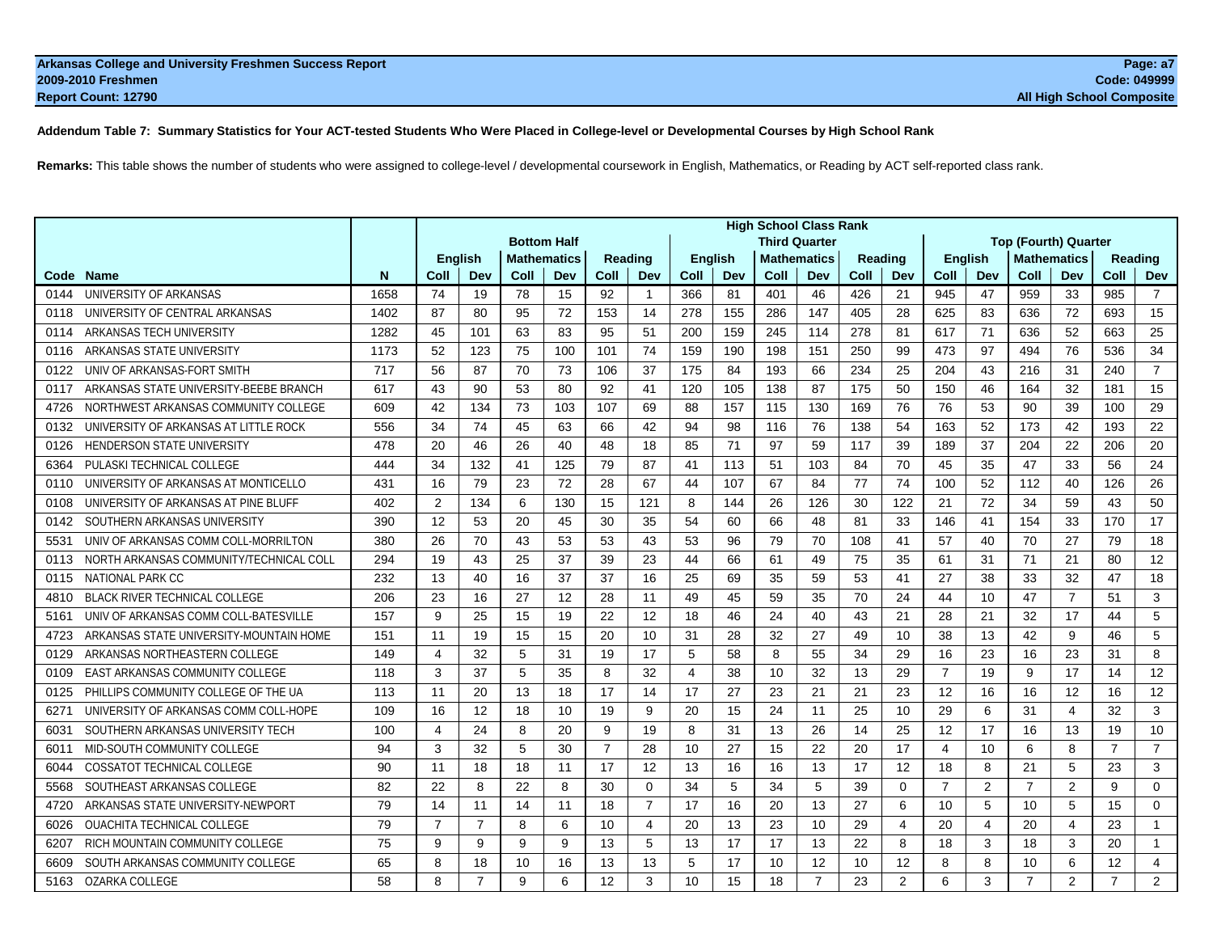## **Addendum Table 7: Summary Statistics for Your ACT-tested Students Who Were Placed in College-level or Developmental Courses by High School Rank**

**Remarks:** This table shows the number of students who were assigned to college-level / developmental coursework in English, Mathematics, or Reading by ACT self-reported class rank.

|      |                                         |      |                |                |      |                    |                |                |                 |                | <b>High School Class Rank</b> |                |         |                |                |                |                                    |                |                |                |
|------|-----------------------------------------|------|----------------|----------------|------|--------------------|----------------|----------------|-----------------|----------------|-------------------------------|----------------|---------|----------------|----------------|----------------|------------------------------------|----------------|----------------|----------------|
|      |                                         |      |                |                |      | <b>Bottom Half</b> |                |                |                 |                | <b>Third Quarter</b>          |                |         |                |                |                | <b>Top (Fourth) Quarter</b>        |                |                |                |
|      |                                         |      |                | <b>English</b> |      | <b>Mathematics</b> | <b>Reading</b> |                |                 | <b>English</b> | <b>Mathematics</b>            |                | Reading |                | <b>English</b> |                | <b>Mathematics</b>                 |                | Reading        |                |
| Code | <b>Name</b>                             | N    | Coll           | Dev            | Coll | Dev                | Coll           | Dev            | Coll            | Dev            | Coll                          | Dev            | Coll    | Dev            | Coll           | Dev            | Coll                               | Dev            | Coll           | Dev            |
| 0144 | UNIVERSITY OF ARKANSAS                  | 1658 | 74             | 19             | 78   | 15                 | 92             | $\mathbf{1}$   | 366             | 81             | 401                           | 46             | 426     | 21             | 945            | 47             | 959                                | 33             | 985            | $\overline{7}$ |
| 0118 | UNIVERSITY OF CENTRAL ARKANSAS          | 1402 | 87             | 80             | 95   | 72                 | 153            | 14             | 278             | 155            | 286                           | 147            | 405     | 28             | 625            | 83             | 636                                | 72             | 693            | 15             |
| 0114 | ARKANSAS TECH UNIVERSITY                | 1282 | 45             | 101            | 63   | 83                 | 95             | 51             | 200             | 159            | 245                           | 114            | 278     | 81             | 617            | 71             | 636                                | 52             | 663            | 25             |
| 0116 | ARKANSAS STATE UNIVERSITY               | 1173 | 52             | 123            | 75   | 100                | 101            | 74             | 159             | 190            | 198                           | 151            | 250     | 99             | 473            | 97             | 494                                | 76             | 536            | 34             |
| 0122 | UNIV OF ARKANSAS-FORT SMITH             | 717  | 56             | 87             | 70   | 73                 | 106            | 37             | 175             | 84             | 193                           | 66             | 234     | 25             | 204            | 43             | 216                                | 31             | 240            | $\overline{7}$ |
| 0117 | ARKANSAS STATE UNIVERSITY-BEEBE BRANCH  | 617  | 43             | 90             | 53   | 80                 | 92             | 41             | 120             | 105            | 138                           | 87             | 175     | 50             | 150            | 46             | 164                                | 32             | 181            | 15             |
| 4726 | NORTHWEST ARKANSAS COMMUNITY COLLEGE    | 609  | 42             | 134            | 73   | 103                | 107            | 69             | 88              | 157            | 115                           | 130            | 169     | 76             | 76             | 53             | 90                                 | 39             | 100            | 29             |
| 0132 | UNIVERSITY OF ARKANSAS AT LITTLE ROCK   | 556  | 34             | 74             | 45   | 63                 | 66             | 42             | 94              | 98             | 116                           | 76             | 138     | 54             | 163            | 52             | 173                                | 42             | 193            | 22             |
| 0126 | <b>HENDERSON STATE UNIVERSITY</b>       | 478  | 20             | 46             | 26   | 40                 | 48             | 18             | 85              | 71             | 97                            | 59             | 117     | 39             | 189            | 37             | 204                                | 22             | 206            | 20             |
| 6364 | PULASKI TECHNICAL COLLEGE               | 444  | 34             | 132            | 41   | 125                | 79             | 87             | 41              | 113            | 51                            | 103            | 84      | 70             | 45             | 35             | 47                                 | 33             | 56             | 24             |
| 0110 | UNIVERSITY OF ARKANSAS AT MONTICELLO    | 431  | 16             | 79             | 23   | 72                 | 28             | 67             | 44              | 107            | 67                            | 84             | 77      | 74             | 100            | 52             | 112                                | 40             | 126            | 26             |
| 0108 | UNIVERSITY OF ARKANSAS AT PINE BLUFF    | 402  | 2              | 134            | 6    | 130                | 15             | 121            | 8               | 144            | 26                            | 126            | 30      | 122            | 21             | 72             | 34                                 | 59             | 43             | 50             |
| 0142 | SOUTHERN ARKANSAS UNIVERSITY            | 390  | 12             | 53             | 20   | 45                 | 30             | 35             | 54              | 60             | 66                            | 48             | 81      | 33             | 146            | 41             | 154                                | 33             | 170            | 17             |
| 5531 | UNIV OF ARKANSAS COMM COLL-MORRILTON    | 380  | 26             | 70             | 43   | 53                 | 53             | 43             | 53              | 96             | 79                            | 70             | 108     | 41             | 57             | 40             | 70                                 | 27             | 79             | 18             |
| 0113 | NORTH ARKANSAS COMMUNITY/TECHNICAL COLL | 294  | 19             | 43             | 25   | 37                 | 39             | 23             | 44              | 66             | 61                            | 49             | 75      | 35             | 61             | 31             | 71                                 | 21             | 80             | 12             |
| 0115 | NATIONAL PARK CC                        | 232  | 13             | 40             | 16   | 37                 | 37             | 16             | 25              | 69             | 35                            | 59             | 53      | 41             | 27             | 38             | 33                                 | 32             | 47             | 18             |
| 4810 | <b>BLACK RIVER TECHNICAL COLLEGE</b>    | 206  | 23             | 16             | 27   | 12                 | 28             | 11             | 49              | 45             | 59                            | 35             | 70      | 24             | 44             | 10             | 47                                 | $\overline{7}$ | 51             | 3              |
| 5161 | UNIV OF ARKANSAS COMM COLL-BATESVILLE   | 157  | 9              | 25             | 15   | 19                 | 22             | 12             | 18              | 46             | 24                            | 40             | 43      | 21             | 28             | 21             | 32                                 | 17             | 44             | 5              |
| 4723 | ARKANSAS STATE UNIVERSITY-MOUNTAIN HOME | 151  | 11             | 19             | 15   | 15                 | 20             | 10             | 31              | 28             | 32                            | 27             | 49      | 10             | 38             | 13             | 42                                 | 9              | 46             | 5              |
| 0129 | ARKANSAS NORTHEASTERN COLLEGE           | 149  | $\overline{4}$ | 32             | 5    | 31                 | 19             | 17             | 5               | 58             | 8                             | 55             | 34      | 29             | 16             | 23             | 16                                 | 23             | 31             | 8              |
| 0109 | <b>EAST ARKANSAS COMMUNITY COLLEGE</b>  | 118  | 3              | 37             | 5    | 35                 | 8              | 32             | 4               | 38             | 10                            | 32             | 13      | 29             | $\overline{7}$ | 19             | 9                                  | 17             | 14             | 12             |
| 0125 | PHILLIPS COMMUNITY COLLEGE OF THE UA    | 113  | 11             | 20             | 13   | 18                 | 17             | 14             | 17              | 27             | 23                            | 21             | 21      | 23             | 12             | 16             | 16                                 | 12             | 16             | 12             |
| 627' | UNIVERSITY OF ARKANSAS COMM COLL-HOPE   | 109  | 16             | 12             | 18   | 10                 | 19             | 9              | 20              | 15             | 24                            | 11             | 25      | 10             | 29             | 6              | 31                                 | $\overline{4}$ | 32             | 3              |
| 6031 | SOUTHERN ARKANSAS UNIVERSITY TECH       | 100  | $\overline{4}$ | 24             | 8    | 20                 | 9              | 19             | 8               | 31             | 13                            | 26             | 14      | 25             | 12             | 17             | 16                                 | 13             | 19             | 10             |
| 6011 | MID-SOUTH COMMUNITY COLLEGE             | 94   | 3              | 32             | 5    | 30                 | $\overline{7}$ | 28             | 10              | 27             | 15                            | 22             | 20      | 17             | $\overline{4}$ | 10             | 6                                  | 8              | $\overline{7}$ | $\overline{7}$ |
| 6044 | <b>COSSATOT TECHNICAL COLLEGE</b>       | 90   | 11             | 18             | 18   | 11                 | 17             | 12             | 13              | 16             | 16                            | 13             | 17      | 12             | 18             | 8              | 21                                 | 5              | 23             | 3              |
| 5568 | SOUTHEAST ARKANSAS COLLEGE              | 82   | 22             | 8              | 22   | 8                  | 30             | $\Omega$       | 34              | 5              | 34                            | 5              | 39      | $\Omega$       | $\overline{7}$ | 2              | $\overline{7}$                     | $\mathbf{2}$   | 9              | $\Omega$       |
| 4720 | ARKANSAS STATE UNIVERSITY-NEWPORT       | 79   | 14             | 11             | 14   | 11                 | 18             | $\overline{7}$ | 17              | 16             | 20                            | 13             | 27      | 6              | 10             | 5              | 10                                 | 5              | 15             | 0              |
| 6026 | <b>OUACHITA TECHNICAL COLLEGE</b>       | 79   | $\overline{7}$ | $\overline{7}$ | 8    | 6                  | 10             | $\overline{4}$ | 20              | 13             | 23                            | 10             | 29      | $\overline{4}$ | 20             | $\overline{4}$ | 20                                 | $\overline{4}$ | 23             | $\mathbf{1}$   |
| 6207 | RICH MOUNTAIN COMMUNITY COLLEGE         | 75   | 9              | 9              | 9    | 9                  | 13             | 5              | 13              | 17             | 17                            | 13             | 22      | 8              | 18             | 3              | 18                                 | 3              | 20             | $\mathbf{1}$   |
| 6609 | SOUTH ARKANSAS COMMUNITY COLLEGE        | 65   | 8              | 18             | 10   | 16                 | 13             | 13             | 5               | 17             | 10                            | 12             | 10      | 12             | 8              | 8              | 10                                 | 6              | 12             | $\overline{4}$ |
| 5163 | OZARKA COLLEGE                          | 58   | 8              | $\overline{7}$ | 9    | 6                  | 12             | 3              | 10 <sup>1</sup> | 15             | 18                            | $\overline{7}$ | 23      | $\overline{2}$ | 6              | 3              | $\frac{7}{4}$ and $\frac{2}{4}$ 11 |                |                | $\overline{2}$ |
|      |                                         |      |                |                |      |                    |                |                |                 |                |                               |                |         |                |                |                |                                    |                |                |                |